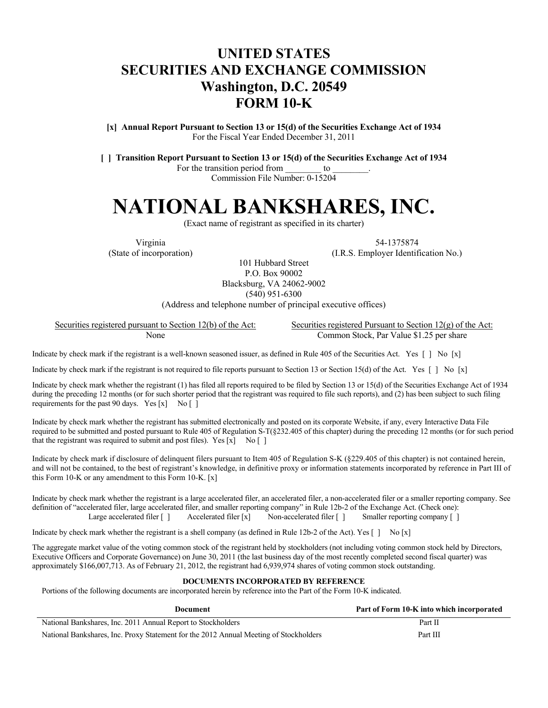## **UNITED STATES SECURITIES AND EXCHANGE COMMISSION Washington, D.C. 20549 FORM 10-K**

**[x] Annual Report Pursuant to Section 13 or 15(d) of the Securities Exchange Act of 1934**  For the Fiscal Year Ended December 31, 2011

**[ ] Transition Report Pursuant to Section 13 or 15(d) of the Securities Exchange Act of 1934**  For the transition period from to Commission File Number: 0-15204

# **NATIONAL BANKSHARES, INC.**

(Exact name of registrant as specified in its charter)

Virginia

(State of incorporation)

54-1375874 (I.R.S. Employer Identification No.)

101 Hubbard Street P.O. Box 90002 Blacksburg, VA 24062-9002

(540) 951-6300

(Address and telephone number of principal executive offices)

Securities registered pursuant to Section 12(b) of the Act: None

Securities registered Pursuant to Section 12(g) of the Act: Common Stock, Par Value \$1.25 per share

Indicate by check mark if the registrant is a well-known seasoned issuer, as defined in Rule 405 of the Securities Act. Yes  $\begin{bmatrix} 1 & No & N \end{bmatrix}$ 

Indicate by check mark if the registrant is not required to file reports pursuant to Section 13 or Section 15(d) of the Act. Yes  $\begin{bmatrix} 1 \\ N_0 \end{bmatrix}$  No  $\begin{bmatrix} x \end{bmatrix}$ 

Indicate by check mark whether the registrant (1) has filed all reports required to be filed by Section 13 or 15(d) of the Securities Exchange Act of 1934 during the preceding 12 months (or for such shorter period that the registrant was required to file such reports), and (2) has been subject to such filing requirements for the past 90 days. Yes [x] No []

Indicate by check mark whether the registrant has submitted electronically and posted on its corporate Website, if any, every Interactive Data File required to be submitted and posted pursuant to Rule 405 of Regulation S-T(§232.405 of this chapter) during the preceding 12 months (or for such period that the registrant was required to submit and post files). Yes  $[x]$  No  $[$ ]

Indicate by check mark if disclosure of delinquent filers pursuant to Item 405 of Regulation S-K (§229.405 of this chapter) is not contained herein, and will not be contained, to the best of registrant's knowledge, in definitive proxy or information statements incorporated by reference in Part III of this Form 10-K or any amendment to this Form 10-K.  $[x]$ 

Indicate by check mark whether the registrant is a large accelerated filer, an accelerated filer, a non-accelerated filer or a smaller reporting company. See definition of "accelerated filer, large accelerated filer, and smaller reporting company" in Rule 12b-2 of the Exchange Act. (Check one):<br>Large accelerated filer [ ] Accelerated filer [ x] Non-accelerated filer [ ] Smaller Non-accelerated filer [ ] Smaller reporting company [ ]

Indicate by check mark whether the registrant is a shell company (as defined in Rule 12b-2 of the Act). Yes  $\lceil \rceil$  No  $\lceil x \rceil$ 

The aggregate market value of the voting common stock of the registrant held by stockholders (not including voting common stock held by Directors, Executive Officers and Corporate Governance) on June 30, 2011 (the last business day of the most recently completed second fiscal quarter) was approximately \$166,007,713. As of February 21, 2012, the registrant had 6,939,974 shares of voting common stock outstanding.

#### **DOCUMENTS INCORPORATED BY REFERENCE**

Portions of the following documents are incorporated herein by reference into the Part of the Form 10-K indicated.

| <b>Document</b>                                                                       | Part of Form 10-K into which incorporated |
|---------------------------------------------------------------------------------------|-------------------------------------------|
| National Bankshares, Inc. 2011 Annual Report to Stockholders                          | Part II                                   |
| National Bankshares, Inc. Proxy Statement for the 2012 Annual Meeting of Stockholders | Part III                                  |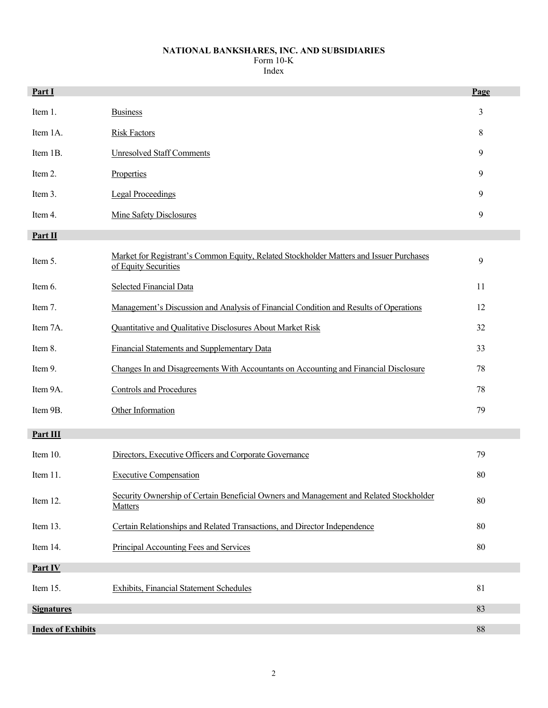## **NATIONAL BANKSHARES, INC. AND SUBSIDIARIES**

#### Form 10-K Index

| Part I                   |                                                                                                                 | Page |
|--------------------------|-----------------------------------------------------------------------------------------------------------------|------|
| Item 1.                  | <b>Business</b>                                                                                                 | 3    |
| Item 1A.                 | <b>Risk Factors</b>                                                                                             | 8    |
| Item 1B.                 | <b>Unresolved Staff Comments</b>                                                                                | 9    |
| Item 2.                  | Properties                                                                                                      | 9    |
| Item 3.                  | <b>Legal Proceedings</b>                                                                                        | 9    |
| Item 4.                  | <b>Mine Safety Disclosures</b>                                                                                  | 9    |
| Part II                  |                                                                                                                 |      |
| Item 5.                  | Market for Registrant's Common Equity, Related Stockholder Matters and Issuer Purchases<br>of Equity Securities | 9    |
| Item 6.                  | <b>Selected Financial Data</b>                                                                                  | 11   |
| Item 7.                  | Management's Discussion and Analysis of Financial Condition and Results of Operations                           | 12   |
| Item 7A.                 | Quantitative and Qualitative Disclosures About Market Risk                                                      | 32   |
| Item 8.                  | Financial Statements and Supplementary Data                                                                     | 33   |
| Item 9.                  | Changes In and Disagreements With Accountants on Accounting and Financial Disclosure                            | 78   |
| Item 9A.                 | <b>Controls and Procedures</b>                                                                                  | 78   |
| Item 9B.                 | Other Information                                                                                               | 79   |
| Part III                 |                                                                                                                 |      |
| Item 10.                 | Directors, Executive Officers and Corporate Governance                                                          | 79   |
| Item 11.                 | <b>Executive Compensation</b>                                                                                   | 80   |
| Item 12.                 | Security Ownership of Certain Beneficial Owners and Management and Related Stockholder<br><b>Matters</b>        | 80   |
| Item 13.                 | Certain Relationships and Related Transactions, and Director Independence                                       | 80   |
| Item 14.                 | Principal Accounting Fees and Services                                                                          | 80   |
| Part IV                  |                                                                                                                 |      |
| Item 15.                 | <b>Exhibits, Financial Statement Schedules</b>                                                                  | 81   |
| <b>Signatures</b>        |                                                                                                                 | 83   |
| <b>Index of Exhibits</b> |                                                                                                                 | 88   |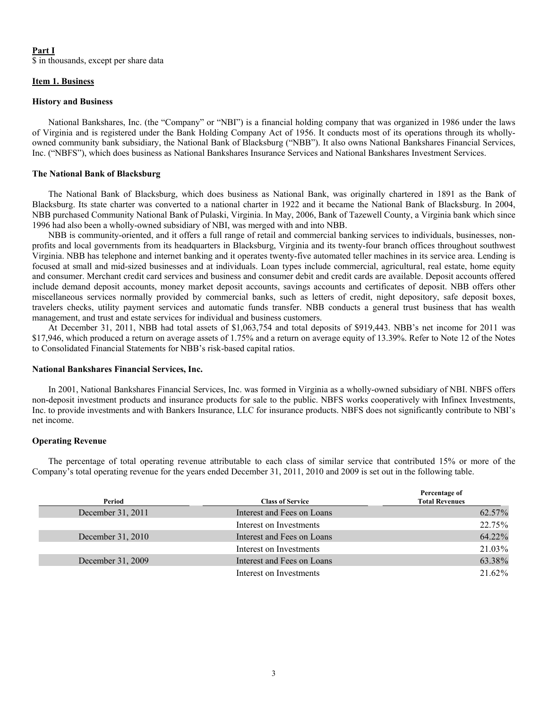#### **Item 1. Business**

#### **History and Business**

 National Bankshares, Inc. (the "Company" or "NBI") is a financial holding company that was organized in 1986 under the laws of Virginia and is registered under the Bank Holding Company Act of 1956. It conducts most of its operations through its whollyowned community bank subsidiary, the National Bank of Blacksburg ("NBB"). It also owns National Bankshares Financial Services, Inc. ("NBFS"), which does business as National Bankshares Insurance Services and National Bankshares Investment Services.

#### **The National Bank of Blacksburg**

 The National Bank of Blacksburg, which does business as National Bank, was originally chartered in 1891 as the Bank of Blacksburg. Its state charter was converted to a national charter in 1922 and it became the National Bank of Blacksburg. In 2004, NBB purchased Community National Bank of Pulaski, Virginia. In May, 2006, Bank of Tazewell County, a Virginia bank which since 1996 had also been a wholly-owned subsidiary of NBI, was merged with and into NBB.

 NBB is community-oriented, and it offers a full range of retail and commercial banking services to individuals, businesses, nonprofits and local governments from its headquarters in Blacksburg, Virginia and its twenty-four branch offices throughout southwest Virginia. NBB has telephone and internet banking and it operates twenty-five automated teller machines in its service area. Lending is focused at small and mid-sized businesses and at individuals. Loan types include commercial, agricultural, real estate, home equity and consumer. Merchant credit card services and business and consumer debit and credit cards are available. Deposit accounts offered include demand deposit accounts, money market deposit accounts, savings accounts and certificates of deposit. NBB offers other miscellaneous services normally provided by commercial banks, such as letters of credit, night depository, safe deposit boxes, travelers checks, utility payment services and automatic funds transfer. NBB conducts a general trust business that has wealth management, and trust and estate services for individual and business customers.

 At December 31, 2011, NBB had total assets of \$1,063,754 and total deposits of \$919,443. NBB's net income for 2011 was \$17,946, which produced a return on average assets of 1.75% and a return on average equity of 13.39%. Refer to Note 12 of the Notes to Consolidated Financial Statements for NBB's risk-based capital ratios.

#### **National Bankshares Financial Services, Inc.**

 In 2001, National Bankshares Financial Services, Inc. was formed in Virginia as a wholly-owned subsidiary of NBI. NBFS offers non-deposit investment products and insurance products for sale to the public. NBFS works cooperatively with Infinex Investments, Inc. to provide investments and with Bankers Insurance, LLC for insurance products. NBFS does not significantly contribute to NBI's net income.

#### **Operating Revenue**

 The percentage of total operating revenue attributable to each class of similar service that contributed 15% or more of the Company's total operating revenue for the years ended December 31, 2011, 2010 and 2009 is set out in the following table.

| Period            | <b>Class of Service</b>    | Percentage of<br><b>Total Revenues</b> |
|-------------------|----------------------------|----------------------------------------|
| December 31, 2011 | Interest and Fees on Loans | 62.57%                                 |
|                   | Interest on Investments    | 22.75%                                 |
| December 31, 2010 | Interest and Fees on Loans | 64.22%                                 |
|                   | Interest on Investments    | 21.03%                                 |
| December 31, 2009 | Interest and Fees on Loans | 63.38%                                 |
|                   | Interest on Investments    | 21.62%                                 |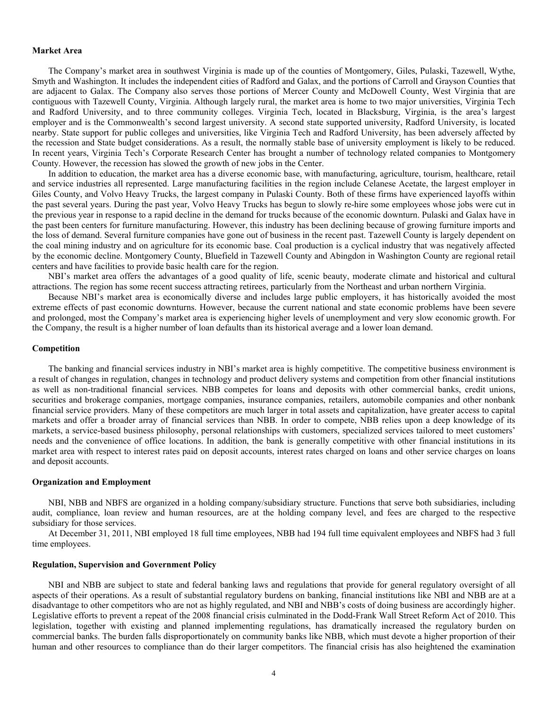#### **Market Area**

 The Company's market area in southwest Virginia is made up of the counties of Montgomery, Giles, Pulaski, Tazewell, Wythe, Smyth and Washington. It includes the independent cities of Radford and Galax, and the portions of Carroll and Grayson Counties that are adjacent to Galax. The Company also serves those portions of Mercer County and McDowell County, West Virginia that are contiguous with Tazewell County, Virginia. Although largely rural, the market area is home to two major universities, Virginia Tech and Radford University, and to three community colleges. Virginia Tech, located in Blacksburg, Virginia, is the area's largest employer and is the Commonwealth's second largest university. A second state supported university, Radford University, is located nearby. State support for public colleges and universities, like Virginia Tech and Radford University, has been adversely affected by the recession and State budget considerations. As a result, the normally stable base of university employment is likely to be reduced. In recent years, Virginia Tech's Corporate Research Center has brought a number of technology related companies to Montgomery County. However, the recession has slowed the growth of new jobs in the Center.

In addition to education, the market area has a diverse economic base, with manufacturing, agriculture, tourism, healthcare, retail and service industries all represented. Large manufacturing facilities in the region include Celanese Acetate, the largest employer in Giles County, and Volvo Heavy Trucks, the largest company in Pulaski County. Both of these firms have experienced layoffs within the past several years. During the past year, Volvo Heavy Trucks has begun to slowly re-hire some employees whose jobs were cut in the previous year in response to a rapid decline in the demand for trucks because of the economic downturn. Pulaski and Galax have in the past been centers for furniture manufacturing. However, this industry has been declining because of growing furniture imports and the loss of demand. Several furniture companies have gone out of business in the recent past. Tazewell County is largely dependent on the coal mining industry and on agriculture for its economic base. Coal production is a cyclical industry that was negatively affected by the economic decline. Montgomery County, Bluefield in Tazewell County and Abingdon in Washington County are regional retail centers and have facilities to provide basic health care for the region.

NBI's market area offers the advantages of a good quality of life, scenic beauty, moderate climate and historical and cultural attractions. The region has some recent success attracting retirees, particularly from the Northeast and urban northern Virginia.

 Because NBI's market area is economically diverse and includes large public employers, it has historically avoided the most extreme effects of past economic downturns. However, because the current national and state economic problems have been severe and prolonged, most the Company's market area is experiencing higher levels of unemployment and very slow economic growth. For the Company, the result is a higher number of loan defaults than its historical average and a lower loan demand.

#### **Competition**

 The banking and financial services industry in NBI's market area is highly competitive. The competitive business environment is a result of changes in regulation, changes in technology and product delivery systems and competition from other financial institutions as well as non-traditional financial services. NBB competes for loans and deposits with other commercial banks, credit unions, securities and brokerage companies, mortgage companies, insurance companies, retailers, automobile companies and other nonbank financial service providers. Many of these competitors are much larger in total assets and capitalization, have greater access to capital markets and offer a broader array of financial services than NBB. In order to compete, NBB relies upon a deep knowledge of its markets, a service-based business philosophy, personal relationships with customers, specialized services tailored to meet customers' needs and the convenience of office locations. In addition, the bank is generally competitive with other financial institutions in its market area with respect to interest rates paid on deposit accounts, interest rates charged on loans and other service charges on loans and deposit accounts.

#### **Organization and Employment**

NBI, NBB and NBFS are organized in a holding company/subsidiary structure. Functions that serve both subsidiaries, including audit, compliance, loan review and human resources, are at the holding company level, and fees are charged to the respective subsidiary for those services.

 At December 31, 2011, NBI employed 18 full time employees, NBB had 194 full time equivalent employees and NBFS had 3 full time employees.

#### **Regulation, Supervision and Government Policy**

NBI and NBB are subject to state and federal banking laws and regulations that provide for general regulatory oversight of all aspects of their operations. As a result of substantial regulatory burdens on banking, financial institutions like NBI and NBB are at a disadvantage to other competitors who are not as highly regulated, and NBI and NBB's costs of doing business are accordingly higher. Legislative efforts to prevent a repeat of the 2008 financial crisis culminated in the Dodd-Frank Wall Street Reform Act of 2010. This legislation, together with existing and planned implementing regulations, has dramatically increased the regulatory burden on commercial banks. The burden falls disproportionately on community banks like NBB, which must devote a higher proportion of their human and other resources to compliance than do their larger competitors. The financial crisis has also heightened the examination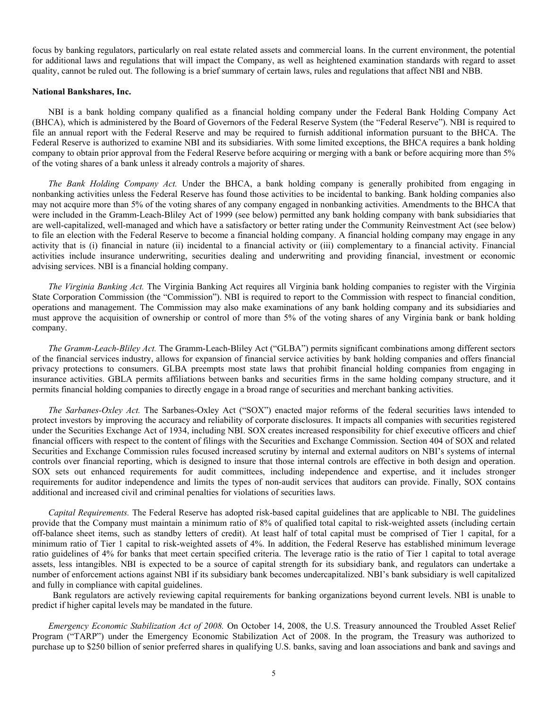focus by banking regulators, particularly on real estate related assets and commercial loans. In the current environment, the potential for additional laws and regulations that will impact the Company, as well as heightened examination standards with regard to asset quality, cannot be ruled out. The following is a brief summary of certain laws, rules and regulations that affect NBI and NBB.

#### **National Bankshares, Inc.**

NBI is a bank holding company qualified as a financial holding company under the Federal Bank Holding Company Act (BHCA), which is administered by the Board of Governors of the Federal Reserve System (the "Federal Reserve"). NBI is required to file an annual report with the Federal Reserve and may be required to furnish additional information pursuant to the BHCA. The Federal Reserve is authorized to examine NBI and its subsidiaries. With some limited exceptions, the BHCA requires a bank holding company to obtain prior approval from the Federal Reserve before acquiring or merging with a bank or before acquiring more than 5% of the voting shares of a bank unless it already controls a majority of shares.

*The Bank Holding Company Act.* Under the BHCA, a bank holding company is generally prohibited from engaging in nonbanking activities unless the Federal Reserve has found those activities to be incidental to banking. Bank holding companies also may not acquire more than 5% of the voting shares of any company engaged in nonbanking activities. Amendments to the BHCA that were included in the Gramm-Leach-Bliley Act of 1999 (see below) permitted any bank holding company with bank subsidiaries that are well-capitalized, well-managed and which have a satisfactory or better rating under the Community Reinvestment Act (see below) to file an election with the Federal Reserve to become a financial holding company. A financial holding company may engage in any activity that is (i) financial in nature (ii) incidental to a financial activity or (iii) complementary to a financial activity. Financial activities include insurance underwriting, securities dealing and underwriting and providing financial, investment or economic advising services. NBI is a financial holding company.

*The Virginia Banking Act.* The Virginia Banking Act requires all Virginia bank holding companies to register with the Virginia State Corporation Commission (the "Commission"). NBI is required to report to the Commission with respect to financial condition, operations and management. The Commission may also make examinations of any bank holding company and its subsidiaries and must approve the acquisition of ownership or control of more than 5% of the voting shares of any Virginia bank or bank holding company.

*The Gramm-Leach-Bliley Act.* The Gramm-Leach-Bliley Act ("GLBA") permits significant combinations among different sectors of the financial services industry, allows for expansion of financial service activities by bank holding companies and offers financial privacy protections to consumers. GLBA preempts most state laws that prohibit financial holding companies from engaging in insurance activities. GBLA permits affiliations between banks and securities firms in the same holding company structure, and it permits financial holding companies to directly engage in a broad range of securities and merchant banking activities.

*The Sarbanes-Oxley Act.* The Sarbanes-Oxley Act ("SOX") enacted major reforms of the federal securities laws intended to protect investors by improving the accuracy and reliability of corporate disclosures. It impacts all companies with securities registered under the Securities Exchange Act of 1934, including NBI. SOX creates increased responsibility for chief executive officers and chief financial officers with respect to the content of filings with the Securities and Exchange Commission. Section 404 of SOX and related Securities and Exchange Commission rules focused increased scrutiny by internal and external auditors on NBI's systems of internal controls over financial reporting, which is designed to insure that those internal controls are effective in both design and operation. SOX sets out enhanced requirements for audit committees, including independence and expertise, and it includes stronger requirements for auditor independence and limits the types of non-audit services that auditors can provide. Finally, SOX contains additional and increased civil and criminal penalties for violations of securities laws.

*Capital Requirements.* The Federal Reserve has adopted risk-based capital guidelines that are applicable to NBI. The guidelines provide that the Company must maintain a minimum ratio of 8% of qualified total capital to risk-weighted assets (including certain off-balance sheet items, such as standby letters of credit). At least half of total capital must be comprised of Tier 1 capital, for a minimum ratio of Tier 1 capital to risk-weighted assets of 4%. In addition, the Federal Reserve has established minimum leverage ratio guidelines of 4% for banks that meet certain specified criteria. The leverage ratio is the ratio of Tier 1 capital to total average assets, less intangibles. NBI is expected to be a source of capital strength for its subsidiary bank, and regulators can undertake a number of enforcement actions against NBI if its subsidiary bank becomes undercapitalized. NBI's bank subsidiary is well capitalized and fully in compliance with capital guidelines.

 Bank regulators are actively reviewing capital requirements for banking organizations beyond current levels. NBI is unable to predict if higher capital levels may be mandated in the future.

*Emergency Economic Stabilization Act of 2008.* On October 14, 2008, the U.S. Treasury announced the Troubled Asset Relief Program ("TARP") under the Emergency Economic Stabilization Act of 2008. In the program, the Treasury was authorized to purchase up to \$250 billion of senior preferred shares in qualifying U.S. banks, saving and loan associations and bank and savings and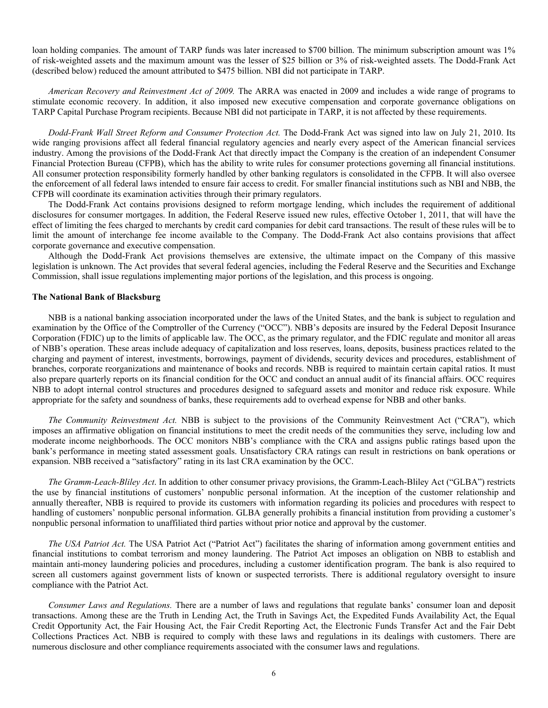loan holding companies. The amount of TARP funds was later increased to \$700 billion. The minimum subscription amount was 1% of risk-weighted assets and the maximum amount was the lesser of \$25 billion or 3% of risk-weighted assets. The Dodd-Frank Act (described below) reduced the amount attributed to \$475 billion. NBI did not participate in TARP.

*American Recovery and Reinvestment Act of 2009.* The ARRA was enacted in 2009 and includes a wide range of programs to stimulate economic recovery. In addition, it also imposed new executive compensation and corporate governance obligations on TARP Capital Purchase Program recipients. Because NBI did not participate in TARP, it is not affected by these requirements.

*Dodd-Frank Wall Street Reform and Consumer Protection Act.* The Dodd-Frank Act was signed into law on July 21, 2010. Its wide ranging provisions affect all federal financial regulatory agencies and nearly every aspect of the American financial services industry. Among the provisions of the Dodd-Frank Act that directly impact the Company is the creation of an independent Consumer Financial Protection Bureau (CFPB), which has the ability to write rules for consumer protections governing all financial institutions. All consumer protection responsibility formerly handled by other banking regulators is consolidated in the CFPB. It will also oversee the enforcement of all federal laws intended to ensure fair access to credit. For smaller financial institutions such as NBI and NBB, the CFPB will coordinate its examination activities through their primary regulators.

 The Dodd-Frank Act contains provisions designed to reform mortgage lending, which includes the requirement of additional disclosures for consumer mortgages. In addition, the Federal Reserve issued new rules, effective October 1, 2011, that will have the effect of limiting the fees charged to merchants by credit card companies for debit card transactions. The result of these rules will be to limit the amount of interchange fee income available to the Company. The Dodd-Frank Act also contains provisions that affect corporate governance and executive compensation.

 Although the Dodd-Frank Act provisions themselves are extensive, the ultimate impact on the Company of this massive legislation is unknown. The Act provides that several federal agencies, including the Federal Reserve and the Securities and Exchange Commission, shall issue regulations implementing major portions of the legislation, and this process is ongoing.

#### **The National Bank of Blacksburg**

 NBB is a national banking association incorporated under the laws of the United States, and the bank is subject to regulation and examination by the Office of the Comptroller of the Currency ("OCC"). NBB's deposits are insured by the Federal Deposit Insurance Corporation (FDIC) up to the limits of applicable law. The OCC, as the primary regulator, and the FDIC regulate and monitor all areas of NBB's operation. These areas include adequacy of capitalization and loss reserves, loans, deposits, business practices related to the charging and payment of interest, investments, borrowings, payment of dividends, security devices and procedures, establishment of branches, corporate reorganizations and maintenance of books and records. NBB is required to maintain certain capital ratios. It must also prepare quarterly reports on its financial condition for the OCC and conduct an annual audit of its financial affairs. OCC requires NBB to adopt internal control structures and procedures designed to safeguard assets and monitor and reduce risk exposure. While appropriate for the safety and soundness of banks, these requirements add to overhead expense for NBB and other banks.

*The Community Reinvestment Act.* NBB is subject to the provisions of the Community Reinvestment Act ("CRA"), which imposes an affirmative obligation on financial institutions to meet the credit needs of the communities they serve, including low and moderate income neighborhoods. The OCC monitors NBB's compliance with the CRA and assigns public ratings based upon the bank's performance in meeting stated assessment goals. Unsatisfactory CRA ratings can result in restrictions on bank operations or expansion. NBB received a "satisfactory" rating in its last CRA examination by the OCC.

*The Gramm-Leach-Bliley Act*. In addition to other consumer privacy provisions, the Gramm-Leach-Bliley Act ("GLBA") restricts the use by financial institutions of customers' nonpublic personal information. At the inception of the customer relationship and annually thereafter, NBB is required to provide its customers with information regarding its policies and procedures with respect to handling of customers' nonpublic personal information. GLBA generally prohibits a financial institution from providing a customer's nonpublic personal information to unaffiliated third parties without prior notice and approval by the customer.

*The USA Patriot Act.* The USA Patriot Act ("Patriot Act") facilitates the sharing of information among government entities and financial institutions to combat terrorism and money laundering. The Patriot Act imposes an obligation on NBB to establish and maintain anti-money laundering policies and procedures, including a customer identification program. The bank is also required to screen all customers against government lists of known or suspected terrorists. There is additional regulatory oversight to insure compliance with the Patriot Act.

*Consumer Laws and Regulations.* There are a number of laws and regulations that regulate banks' consumer loan and deposit transactions. Among these are the Truth in Lending Act, the Truth in Savings Act, the Expedited Funds Availability Act, the Equal Credit Opportunity Act, the Fair Housing Act, the Fair Credit Reporting Act, the Electronic Funds Transfer Act and the Fair Debt Collections Practices Act. NBB is required to comply with these laws and regulations in its dealings with customers. There are numerous disclosure and other compliance requirements associated with the consumer laws and regulations.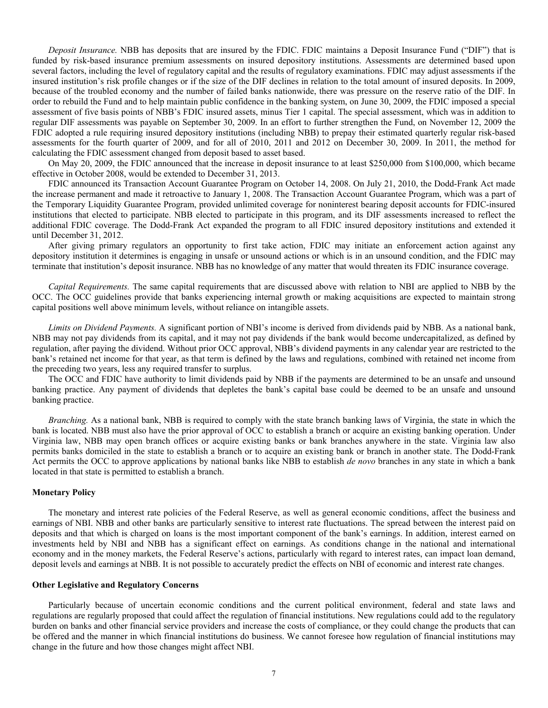*Deposit Insurance.* NBB has deposits that are insured by the FDIC. FDIC maintains a Deposit Insurance Fund ("DIF") that is funded by risk-based insurance premium assessments on insured depository institutions. Assessments are determined based upon several factors, including the level of regulatory capital and the results of regulatory examinations. FDIC may adjust assessments if the insured institution's risk profile changes or if the size of the DIF declines in relation to the total amount of insured deposits. In 2009, because of the troubled economy and the number of failed banks nationwide, there was pressure on the reserve ratio of the DIF. In order to rebuild the Fund and to help maintain public confidence in the banking system, on June 30, 2009, the FDIC imposed a special assessment of five basis points of NBB's FDIC insured assets, minus Tier 1 capital. The special assessment, which was in addition to regular DIF assessments was payable on September 30, 2009. In an effort to further strengthen the Fund, on November 12, 2009 the FDIC adopted a rule requiring insured depository institutions (including NBB) to prepay their estimated quarterly regular risk-based assessments for the fourth quarter of 2009, and for all of 2010, 2011 and 2012 on December 30, 2009. In 2011, the method for calculating the FDIC assessment changed from deposit based to asset based.

 On May 20, 2009, the FDIC announced that the increase in deposit insurance to at least \$250,000 from \$100,000, which became effective in October 2008, would be extended to December 31, 2013.

 FDIC announced its Transaction Account Guarantee Program on October 14, 2008. On July 21, 2010, the Dodd-Frank Act made the increase permanent and made it retroactive to January 1, 2008. The Transaction Account Guarantee Program, which was a part of the Temporary Liquidity Guarantee Program, provided unlimited coverage for noninterest bearing deposit accounts for FDIC-insured institutions that elected to participate. NBB elected to participate in this program, and its DIF assessments increased to reflect the additional FDIC coverage. The Dodd-Frank Act expanded the program to all FDIC insured depository institutions and extended it until December 31, 2012.

 After giving primary regulators an opportunity to first take action, FDIC may initiate an enforcement action against any depository institution it determines is engaging in unsafe or unsound actions or which is in an unsound condition, and the FDIC may terminate that institution's deposit insurance. NBB has no knowledge of any matter that would threaten its FDIC insurance coverage.

*Capital Requirements.* The same capital requirements that are discussed above with relation to NBI are applied to NBB by the OCC. The OCC guidelines provide that banks experiencing internal growth or making acquisitions are expected to maintain strong capital positions well above minimum levels, without reliance on intangible assets.

*Limits on Dividend Payments.* A significant portion of NBI's income is derived from dividends paid by NBB. As a national bank, NBB may not pay dividends from its capital, and it may not pay dividends if the bank would become undercapitalized, as defined by regulation, after paying the dividend. Without prior OCC approval, NBB's dividend payments in any calendar year are restricted to the bank's retained net income for that year, as that term is defined by the laws and regulations, combined with retained net income from the preceding two years, less any required transfer to surplus.

 The OCC and FDIC have authority to limit dividends paid by NBB if the payments are determined to be an unsafe and unsound banking practice. Any payment of dividends that depletes the bank's capital base could be deemed to be an unsafe and unsound banking practice.

*Branching.* As a national bank, NBB is required to comply with the state branch banking laws of Virginia, the state in which the bank is located. NBB must also have the prior approval of OCC to establish a branch or acquire an existing banking operation. Under Virginia law, NBB may open branch offices or acquire existing banks or bank branches anywhere in the state. Virginia law also permits banks domiciled in the state to establish a branch or to acquire an existing bank or branch in another state. The Dodd-Frank Act permits the OCC to approve applications by national banks like NBB to establish *de novo* branches in any state in which a bank located in that state is permitted to establish a branch.

#### **Monetary Policy**

The monetary and interest rate policies of the Federal Reserve, as well as general economic conditions, affect the business and earnings of NBI. NBB and other banks are particularly sensitive to interest rate fluctuations. The spread between the interest paid on deposits and that which is charged on loans is the most important component of the bank's earnings. In addition, interest earned on investments held by NBI and NBB has a significant effect on earnings. As conditions change in the national and international economy and in the money markets, the Federal Reserve's actions, particularly with regard to interest rates, can impact loan demand, deposit levels and earnings at NBB. It is not possible to accurately predict the effects on NBI of economic and interest rate changes.

#### **Other Legislative and Regulatory Concerns**

 Particularly because of uncertain economic conditions and the current political environment, federal and state laws and regulations are regularly proposed that could affect the regulation of financial institutions. New regulations could add to the regulatory burden on banks and other financial service providers and increase the costs of compliance, or they could change the products that can be offered and the manner in which financial institutions do business. We cannot foresee how regulation of financial institutions may change in the future and how those changes might affect NBI.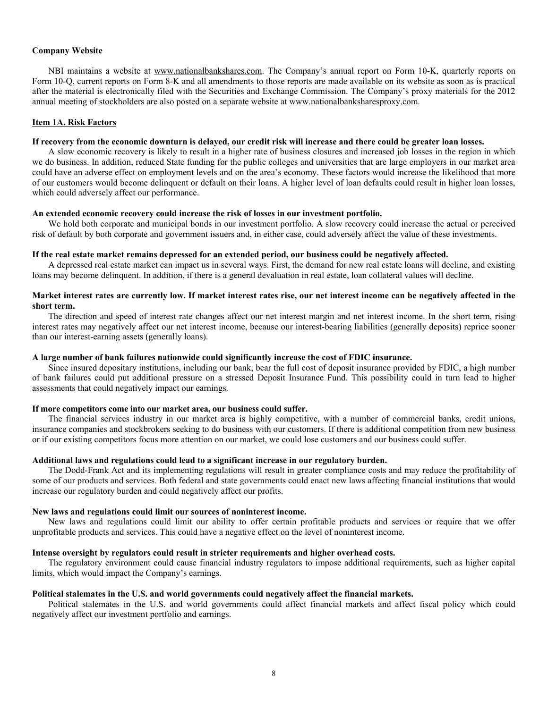#### **Company Website**

 NBI maintains a website at www.nationalbankshares.com. The Company's annual report on Form 10-K, quarterly reports on Form 10-Q, current reports on Form 8-K and all amendments to those reports are made available on its website as soon as is practical after the material is electronically filed with the Securities and Exchange Commission. The Company's proxy materials for the 2012 annual meeting of stockholders are also posted on a separate website at www.nationalbanksharesproxy.com.

#### **Item 1A. Risk Factors**

#### **If recovery from the economic downturn is delayed, our credit risk will increase and there could be greater loan losses.**

A slow economic recovery is likely to result in a higher rate of business closures and increased job losses in the region in which we do business. In addition, reduced State funding for the public colleges and universities that are large employers in our market area could have an adverse effect on employment levels and on the area's economy. These factors would increase the likelihood that more of our customers would become delinquent or default on their loans. A higher level of loan defaults could result in higher loan losses, which could adversely affect our performance.

#### **An extended economic recovery could increase the risk of losses in our investment portfolio.**

We hold both corporate and municipal bonds in our investment portfolio. A slow recovery could increase the actual or perceived risk of default by both corporate and government issuers and, in either case, could adversely affect the value of these investments.

#### **If the real estate market remains depressed for an extended period, our business could be negatively affected.**

A depressed real estate market can impact us in several ways. First, the demand for new real estate loans will decline, and existing loans may become delinquent. In addition, if there is a general devaluation in real estate, loan collateral values will decline.

#### **Market interest rates are currently low. If market interest rates rise, our net interest income can be negatively affected in the short term.**

The direction and speed of interest rate changes affect our net interest margin and net interest income. In the short term, rising interest rates may negatively affect our net interest income, because our interest-bearing liabilities (generally deposits) reprice sooner than our interest-earning assets (generally loans).

#### **A large number of bank failures nationwide could significantly increase the cost of FDIC insurance.**

Since insured depositary institutions, including our bank, bear the full cost of deposit insurance provided by FDIC, a high number of bank failures could put additional pressure on a stressed Deposit Insurance Fund. This possibility could in turn lead to higher assessments that could negatively impact our earnings.

#### **If more competitors come into our market area, our business could suffer.**

 The financial services industry in our market area is highly competitive, with a number of commercial banks, credit unions, insurance companies and stockbrokers seeking to do business with our customers. If there is additional competition from new business or if our existing competitors focus more attention on our market, we could lose customers and our business could suffer.

#### **Additional laws and regulations could lead to a significant increase in our regulatory burden.**

The Dodd-Frank Act and its implementing regulations will result in greater compliance costs and may reduce the profitability of some of our products and services. Both federal and state governments could enact new laws affecting financial institutions that would increase our regulatory burden and could negatively affect our profits.

#### **New laws and regulations could limit our sources of noninterest income.**

New laws and regulations could limit our ability to offer certain profitable products and services or require that we offer unprofitable products and services. This could have a negative effect on the level of noninterest income.

#### **Intense oversight by regulators could result in stricter requirements and higher overhead costs.**

The regulatory environment could cause financial industry regulators to impose additional requirements, such as higher capital limits, which would impact the Company's earnings.

#### **Political stalemates in the U.S. and world governments could negatively affect the financial markets.**

Political stalemates in the U.S. and world governments could affect financial markets and affect fiscal policy which could negatively affect our investment portfolio and earnings.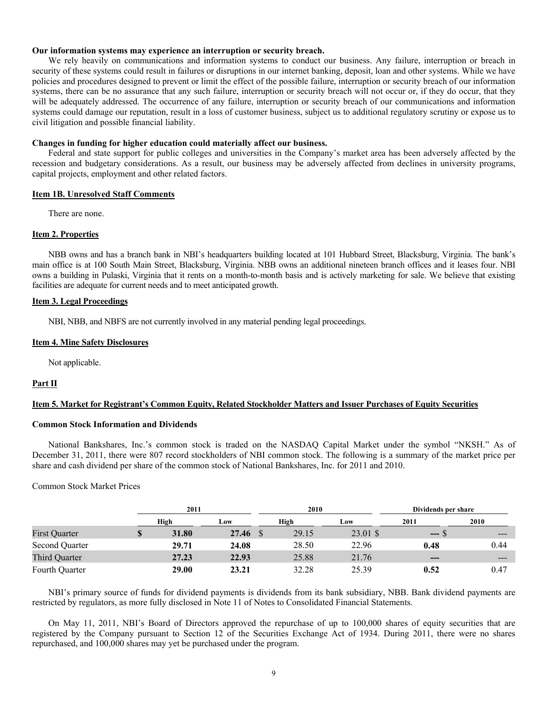#### **Our information systems may experience an interruption or security breach.**

 We rely heavily on communications and information systems to conduct our business. Any failure, interruption or breach in security of these systems could result in failures or disruptions in our internet banking, deposit, loan and other systems. While we have policies and procedures designed to prevent or limit the effect of the possible failure, interruption or security breach of our information systems, there can be no assurance that any such failure, interruption or security breach will not occur or, if they do occur, that they will be adequately addressed. The occurrence of any failure, interruption or security breach of our communications and information systems could damage our reputation, result in a loss of customer business, subject us to additional regulatory scrutiny or expose us to civil litigation and possible financial liability.

#### **Changes in funding for higher education could materially affect our business.**

 Federal and state support for public colleges and universities in the Company's market area has been adversely affected by the recession and budgetary considerations. As a result, our business may be adversely affected from declines in university programs, capital projects, employment and other related factors.

#### **Item 1B. Unresolved Staff Comments**

There are none.

#### **Item 2. Properties**

 NBB owns and has a branch bank in NBI's headquarters building located at 101 Hubbard Street, Blacksburg, Virginia. The bank's main office is at 100 South Main Street, Blacksburg, Virginia. NBB owns an additional nineteen branch offices and it leases four. NBI owns a building in Pulaski, Virginia that it rents on a month-to-month basis and is actively marketing for sale. We believe that existing facilities are adequate for current needs and to meet anticipated growth.

#### **Item 3. Legal Proceedings**

NBI, NBB, and NBFS are not currently involved in any material pending legal proceedings.

#### **Item 4. Mine Safety Disclosures**

Not applicable.

#### **Part II**

#### **Item 5. Market for Registrant's Common Equity, Related Stockholder Matters and Issuer Purchases of Equity Securities**

#### **Common Stock Information and Dividends**

 National Bankshares, Inc.'s common stock is traded on the NASDAQ Capital Market under the symbol "NKSH." As of December 31, 2011, there were 807 record stockholders of NBI common stock. The following is a summary of the market price per share and cash dividend per share of the common stock of National Bankshares, Inc. for 2011 and 2010.

#### Common Stock Market Prices

|                      |   | 2011  |       | 2010  |          | Dividends per share |                        |
|----------------------|---|-------|-------|-------|----------|---------------------|------------------------|
|                      |   | High  | Low   | High  | Low      | 2011                | 2010                   |
| <b>First Quarter</b> | S | 31.80 | 27.46 | 29.15 | 23.01 \$ | $--3$               | $- - -$                |
| Second Quarter       |   | 29.71 | 24.08 | 28.50 | 22.96    | 0.48                | 0.44                   |
| Third Quarter        |   | 27.23 | 22.93 | 25.88 | 21.76    | $---$               | $\qquad \qquad \cdots$ |
| Fourth Quarter       |   | 29.00 | 23.21 | 32.28 | 25.39    | 0.52                | 0.47                   |

NBI's primary source of funds for dividend payments is dividends from its bank subsidiary, NBB. Bank dividend payments are restricted by regulators, as more fully disclosed in Note 11 of Notes to Consolidated Financial Statements.

 On May 11, 2011, NBI's Board of Directors approved the repurchase of up to 100,000 shares of equity securities that are registered by the Company pursuant to Section 12 of the Securities Exchange Act of 1934. During 2011, there were no shares repurchased, and 100,000 shares may yet be purchased under the program.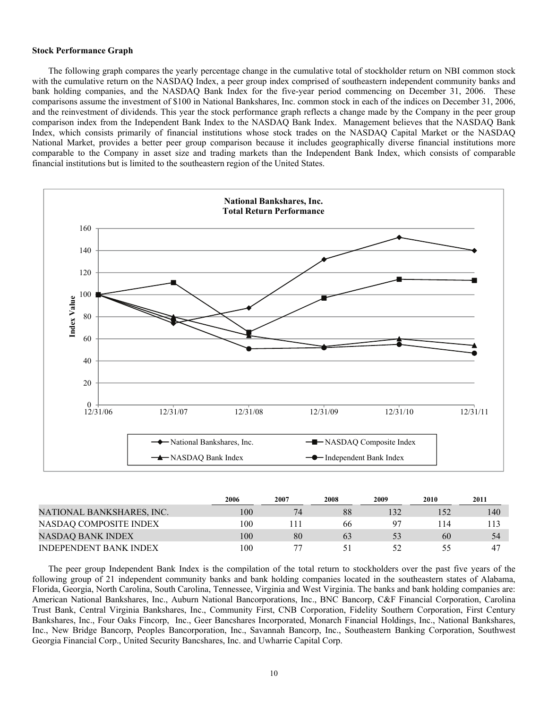#### **Stock Performance Graph**

 The following graph compares the yearly percentage change in the cumulative total of stockholder return on NBI common stock with the cumulative return on the NASDAQ Index, a peer group index comprised of southeastern independent community banks and bank holding companies, and the NASDAQ Bank Index for the five-year period commencing on December 31, 2006. These comparisons assume the investment of \$100 in National Bankshares, Inc. common stock in each of the indices on December 31, 2006, and the reinvestment of dividends. This year the stock performance graph reflects a change made by the Company in the peer group comparison index from the Independent Bank Index to the NASDAQ Bank Index. Management believes that the NASDAQ Bank Index, which consists primarily of financial institutions whose stock trades on the NASDAQ Capital Market or the NASDAQ National Market, provides a better peer group comparison because it includes geographically diverse financial institutions more comparable to the Company in asset size and trading markets than the Independent Bank Index, which consists of comparable financial institutions but is limited to the southeastern region of the United States.



|                           | 2006 | 2007 | 2008 | 2009 | 2010 | 2011        |
|---------------------------|------|------|------|------|------|-------------|
| NATIONAL BANKSHARES, INC. | 100  | 74.  | 88   |      |      | 140         |
| NASDAQ COMPOSITE INDEX    | 100  |      | 66   |      | 14   |             |
| NASDAQ BANK INDEX         | 100  | 80   | 63   |      | 60   | 54          |
| INDEPENDENT BANK INDEX    | l 00 |      |      |      |      | $4^{\circ}$ |

 The peer group Independent Bank Index is the compilation of the total return to stockholders over the past five years of the following group of 21 independent community banks and bank holding companies located in the southeastern states of Alabama, Florida, Georgia, North Carolina, South Carolina, Tennessee, Virginia and West Virginia. The banks and bank holding companies are: American National Bankshares, Inc., Auburn National Bancorporations, Inc., BNC Bancorp, C&F Financial Corporation, Carolina Trust Bank, Central Virginia Bankshares, Inc., Community First, CNB Corporation, Fidelity Southern Corporation, First Century Bankshares, Inc., Four Oaks Fincorp, Inc., Geer Bancshares Incorporated, Monarch Financial Holdings, Inc., National Bankshares, Inc., New Bridge Bancorp, Peoples Bancorporation, Inc., Savannah Bancorp, Inc., Southeastern Banking Corporation, Southwest Georgia Financial Corp., United Security Bancshares, Inc. and Uwharrie Capital Corp.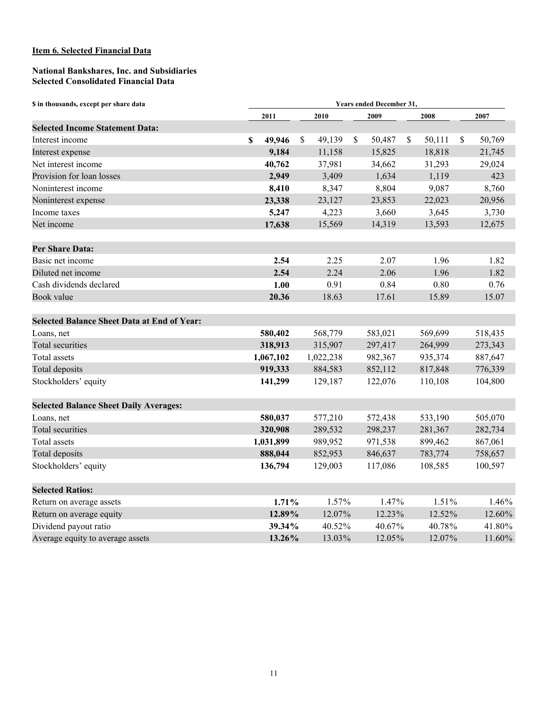## **Item 6. Selected Financial Data**

#### **National Bankshares, Inc. and Subsidiaries Selected Consolidated Financial Data**

| \$ in thousands, except per share data             | <b>Years ended December 31,</b> |           |                       |              |       |         |    |         |
|----------------------------------------------------|---------------------------------|-----------|-----------------------|--------------|-------|---------|----|---------|
|                                                    |                                 | 2011      | 2010                  | 2009         |       | 2008    |    | 2007    |
| <b>Selected Income Statement Data:</b>             |                                 |           |                       |              |       |         |    |         |
| Interest income                                    | \$                              | 49,946    | $\sqrt{\ }$<br>49,139 | \$<br>50,487 | \$    | 50,111  | \$ | 50,769  |
| Interest expense                                   |                                 | 9,184     | 11,158                | 15,825       |       | 18,818  |    | 21,745  |
| Net interest income                                |                                 | 40,762    | 37,981                | 34,662       |       | 31,293  |    | 29,024  |
| Provision for loan losses                          |                                 | 2,949     | 3,409                 | 1,634        |       | 1,119   |    | 423     |
| Noninterest income                                 |                                 | 8,410     | 8,347                 | 8,804        |       | 9,087   |    | 8,760   |
| Noninterest expense                                |                                 | 23,338    | 23,127                | 23,853       |       | 22,023  |    | 20,956  |
| Income taxes                                       |                                 | 5,247     | 4,223                 | 3,660        |       | 3,645   |    | 3,730   |
| Net income                                         |                                 | 17,638    | 15,569                | 14,319       |       | 13,593  |    | 12,675  |
| <b>Per Share Data:</b>                             |                                 |           |                       |              |       |         |    |         |
| Basic net income                                   |                                 | 2.54      | 2.25                  | 2.07         |       | 1.96    |    | 1.82    |
| Diluted net income                                 |                                 | 2.54      | 2.24                  | 2.06         |       | 1.96    |    | 1.82    |
| Cash dividends declared                            |                                 | 1.00      | 0.91                  | 0.84         |       | 0.80    |    | 0.76    |
| Book value                                         |                                 | 20.36     | 18.63                 | 17.61        |       | 15.89   |    | 15.07   |
| <b>Selected Balance Sheet Data at End of Year:</b> |                                 |           |                       |              |       |         |    |         |
| Loans, net                                         |                                 | 580,402   | 568,779               | 583,021      |       | 569,699 |    | 518,435 |
| <b>Total securities</b>                            |                                 | 318,913   | 315,907               | 297,417      |       | 264,999 |    | 273,343 |
| <b>Total</b> assets                                |                                 | 1,067,102 | 1,022,238             | 982,367      |       | 935,374 |    | 887,647 |
| Total deposits                                     |                                 | 919,333   | 884,583               | 852,112      |       | 817,848 |    | 776,339 |
| Stockholders' equity                               |                                 | 141,299   | 129,187               | 122,076      |       | 110,108 |    | 104,800 |
| <b>Selected Balance Sheet Daily Averages:</b>      |                                 |           |                       |              |       |         |    |         |
| Loans, net                                         |                                 | 580,037   | 577,210               | 572,438      |       | 533,190 |    | 505,070 |
| Total securities                                   |                                 | 320,908   | 289,532               | 298,237      |       | 281,367 |    | 282,734 |
| <b>Total</b> assets                                |                                 | 1,031,899 | 989,952               | 971,538      |       | 899,462 |    | 867,061 |
| Total deposits                                     |                                 | 888,044   | 852,953               | 846,637      |       | 783,774 |    | 758,657 |
| Stockholders' equity                               |                                 | 136,794   | 129,003               | 117,086      |       | 108,585 |    | 100,597 |
| <b>Selected Ratios:</b>                            |                                 |           |                       |              |       |         |    |         |
| Return on average assets                           |                                 | 1.71%     | 1.57%                 |              | 1.47% | 1.51%   |    | 1.46%   |
| Return on average equity                           |                                 | 12.89%    | 12.07%                | 12.23%       |       | 12.52%  |    | 12.60%  |
| Dividend payout ratio                              |                                 | 39.34%    | 40.52%                | 40.67%       |       | 40.78%  |    | 41.80%  |
| Average equity to average assets                   |                                 | 13.26%    | 13.03%                | 12.05%       |       | 12.07%  |    | 11.60%  |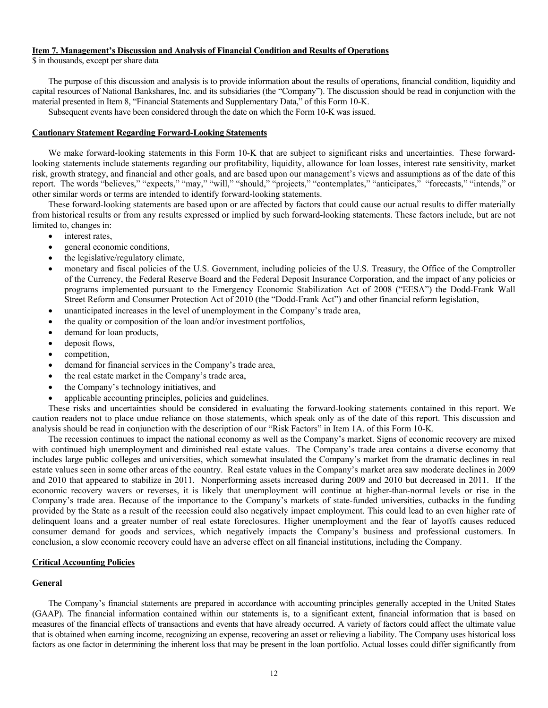#### **Item 7. Management's Discussion and Analysis of Financial Condition and Results of Operations**

\$ in thousands, except per share data

 The purpose of this discussion and analysis is to provide information about the results of operations, financial condition, liquidity and capital resources of National Bankshares, Inc. and its subsidiaries (the "Company"). The discussion should be read in conjunction with the material presented in Item 8, "Financial Statements and Supplementary Data," of this Form 10-K.

Subsequent events have been considered through the date on which the Form 10-K was issued.

#### **Cautionary Statement Regarding Forward-Looking Statements**

We make forward-looking statements in this Form 10-K that are subject to significant risks and uncertainties. These forwardlooking statements include statements regarding our profitability, liquidity, allowance for loan losses, interest rate sensitivity, market risk, growth strategy, and financial and other goals, and are based upon our management's views and assumptions as of the date of this report. The words "believes," "expects," "may," "will," "should," "projects," "contemplates," "anticipates," "forecasts," "intends," or other similar words or terms are intended to identify forward-looking statements.

 These forward-looking statements are based upon or are affected by factors that could cause our actual results to differ materially from historical results or from any results expressed or implied by such forward-looking statements. These factors include, but are not limited to, changes in:

- interest rates,
- general economic conditions,
- the legislative/regulatory climate,
- monetary and fiscal policies of the U.S. Government, including policies of the U.S. Treasury, the Office of the Comptroller of the Currency, the Federal Reserve Board and the Federal Deposit Insurance Corporation, and the impact of any policies or programs implemented pursuant to the Emergency Economic Stabilization Act of 2008 ("EESA") the Dodd-Frank Wall Street Reform and Consumer Protection Act of 2010 (the "Dodd-Frank Act") and other financial reform legislation,
- unanticipated increases in the level of unemployment in the Company's trade area,
- the quality or composition of the loan and/or investment portfolios,
- demand for loan products,
- deposit flows,
- competition,
- demand for financial services in the Company's trade area,
- the real estate market in the Company's trade area,
- the Company's technology initiatives, and
- applicable accounting principles, policies and guidelines.

 These risks and uncertainties should be considered in evaluating the forward-looking statements contained in this report. We caution readers not to place undue reliance on those statements, which speak only as of the date of this report. This discussion and analysis should be read in conjunction with the description of our "Risk Factors" in Item 1A. of this Form 10-K.

The recession continues to impact the national economy as well as the Company's market. Signs of economic recovery are mixed with continued high unemployment and diminished real estate values. The Company's trade area contains a diverse economy that includes large public colleges and universities, which somewhat insulated the Company's market from the dramatic declines in real estate values seen in some other areas of the country. Real estate values in the Company's market area saw moderate declines in 2009 and 2010 that appeared to stabilize in 2011. Nonperforming assets increased during 2009 and 2010 but decreased in 2011. If the economic recovery wavers or reverses, it is likely that unemployment will continue at higher-than-normal levels or rise in the Company's trade area. Because of the importance to the Company's markets of state-funded universities, cutbacks in the funding provided by the State as a result of the recession could also negatively impact employment. This could lead to an even higher rate of delinquent loans and a greater number of real estate foreclosures. Higher unemployment and the fear of layoffs causes reduced consumer demand for goods and services, which negatively impacts the Company's business and professional customers. In conclusion, a slow economic recovery could have an adverse effect on all financial institutions, including the Company.

#### **Critical Accounting Policies**

#### **General**

 The Company's financial statements are prepared in accordance with accounting principles generally accepted in the United States (GAAP). The financial information contained within our statements is, to a significant extent, financial information that is based on measures of the financial effects of transactions and events that have already occurred. A variety of factors could affect the ultimate value that is obtained when earning income, recognizing an expense, recovering an asset or relieving a liability. The Company uses historical loss factors as one factor in determining the inherent loss that may be present in the loan portfolio. Actual losses could differ significantly from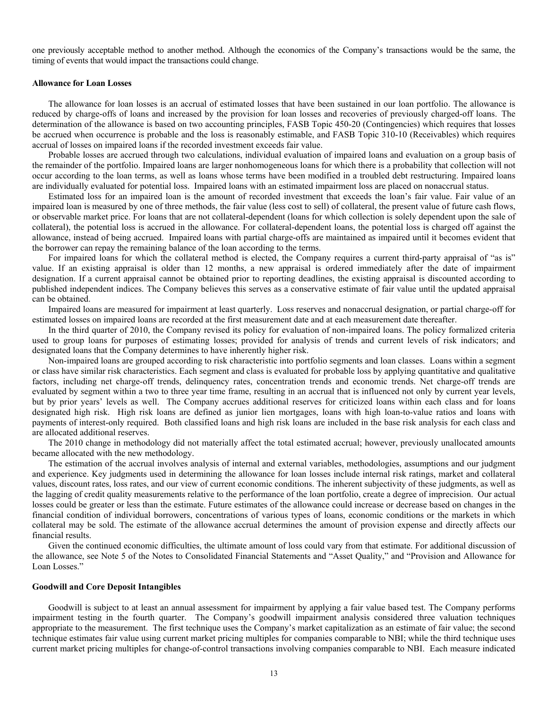one previously acceptable method to another method. Although the economics of the Company's transactions would be the same, the timing of events that would impact the transactions could change.

#### **Allowance for Loan Losses**

 The allowance for loan losses is an accrual of estimated losses that have been sustained in our loan portfolio. The allowance is reduced by charge-offs of loans and increased by the provision for loan losses and recoveries of previously charged-off loans. The determination of the allowance is based on two accounting principles, FASB Topic 450-20 (Contingencies) which requires that losses be accrued when occurrence is probable and the loss is reasonably estimable, and FASB Topic 310-10 (Receivables) which requires accrual of losses on impaired loans if the recorded investment exceeds fair value.

 Probable losses are accrued through two calculations, individual evaluation of impaired loans and evaluation on a group basis of the remainder of the portfolio. Impaired loans are larger nonhomogeneous loans for which there is a probability that collection will not occur according to the loan terms, as well as loans whose terms have been modified in a troubled debt restructuring. Impaired loans are individually evaluated for potential loss. Impaired loans with an estimated impairment loss are placed on nonaccrual status.

 Estimated loss for an impaired loan is the amount of recorded investment that exceeds the loan's fair value. Fair value of an impaired loan is measured by one of three methods, the fair value (less cost to sell) of collateral, the present value of future cash flows, or observable market price. For loans that are not collateral-dependent (loans for which collection is solely dependent upon the sale of collateral), the potential loss is accrued in the allowance. For collateral-dependent loans, the potential loss is charged off against the allowance, instead of being accrued. Impaired loans with partial charge-offs are maintained as impaired until it becomes evident that the borrower can repay the remaining balance of the loan according to the terms.

 For impaired loans for which the collateral method is elected, the Company requires a current third-party appraisal of "as is" value. If an existing appraisal is older than 12 months, a new appraisal is ordered immediately after the date of impairment designation. If a current appraisal cannot be obtained prior to reporting deadlines, the existing appraisal is discounted according to published independent indices. The Company believes this serves as a conservative estimate of fair value until the updated appraisal can be obtained.

 Impaired loans are measured for impairment at least quarterly. Loss reserves and nonaccrual designation, or partial charge-off for estimated losses on impaired loans are recorded at the first measurement date and at each measurement date thereafter.

 In the third quarter of 2010, the Company revised its policy for evaluation of non-impaired loans. The policy formalized criteria used to group loans for purposes of estimating losses; provided for analysis of trends and current levels of risk indicators; and designated loans that the Company determines to have inherently higher risk.

 Non-impaired loans are grouped according to risk characteristic into portfolio segments and loan classes. Loans within a segment or class have similar risk characteristics. Each segment and class is evaluated for probable loss by applying quantitative and qualitative factors, including net charge-off trends, delinquency rates, concentration trends and economic trends. Net charge-off trends are evaluated by segment within a two to three year time frame, resulting in an accrual that is influenced not only by current year levels, but by prior years' levels as well. The Company accrues additional reserves for criticized loans within each class and for loans designated high risk. High risk loans are defined as junior lien mortgages, loans with high loan-to-value ratios and loans with payments of interest-only required. Both classified loans and high risk loans are included in the base risk analysis for each class and are allocated additional reserves.

 The 2010 change in methodology did not materially affect the total estimated accrual; however, previously unallocated amounts became allocated with the new methodology.

 The estimation of the accrual involves analysis of internal and external variables, methodologies, assumptions and our judgment and experience. Key judgments used in determining the allowance for loan losses include internal risk ratings, market and collateral values, discount rates, loss rates, and our view of current economic conditions. The inherent subjectivity of these judgments, as well as the lagging of credit quality measurements relative to the performance of the loan portfolio, create a degree of imprecision. Our actual losses could be greater or less than the estimate. Future estimates of the allowance could increase or decrease based on changes in the financial condition of individual borrowers, concentrations of various types of loans, economic conditions or the markets in which collateral may be sold. The estimate of the allowance accrual determines the amount of provision expense and directly affects our financial results.

 Given the continued economic difficulties, the ultimate amount of loss could vary from that estimate. For additional discussion of the allowance, see Note 5 of the Notes to Consolidated Financial Statements and "Asset Quality," and "Provision and Allowance for Loan Losses."

#### **Goodwill and Core Deposit Intangibles**

 Goodwill is subject to at least an annual assessment for impairment by applying a fair value based test. The Company performs impairment testing in the fourth quarter. The Company's goodwill impairment analysis considered three valuation techniques appropriate to the measurement. The first technique uses the Company's market capitalization as an estimate of fair value; the second technique estimates fair value using current market pricing multiples for companies comparable to NBI; while the third technique uses current market pricing multiples for change-of-control transactions involving companies comparable to NBI. Each measure indicated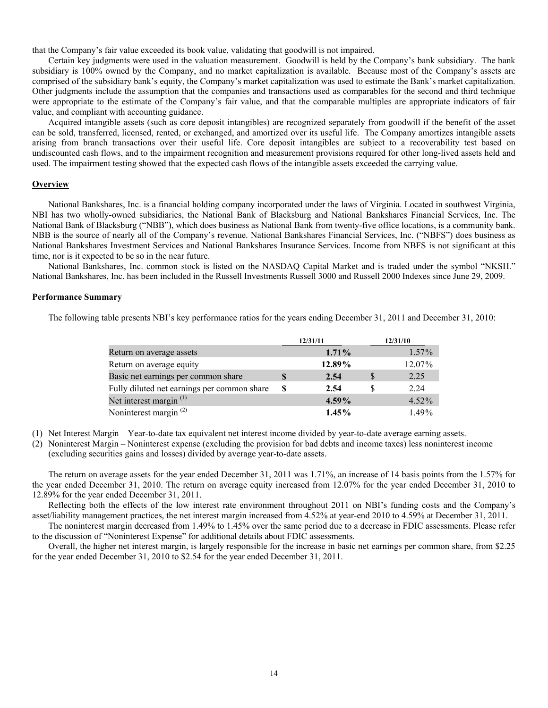that the Company's fair value exceeded its book value, validating that goodwill is not impaired.

 Certain key judgments were used in the valuation measurement. Goodwill is held by the Company's bank subsidiary. The bank subsidiary is 100% owned by the Company, and no market capitalization is available. Because most of the Company's assets are comprised of the subsidiary bank's equity, the Company's market capitalization was used to estimate the Bank's market capitalization. Other judgments include the assumption that the companies and transactions used as comparables for the second and third technique were appropriate to the estimate of the Company's fair value, and that the comparable multiples are appropriate indicators of fair value, and compliant with accounting guidance.

 Acquired intangible assets (such as core deposit intangibles) are recognized separately from goodwill if the benefit of the asset can be sold, transferred, licensed, rented, or exchanged, and amortized over its useful life. The Company amortizes intangible assets arising from branch transactions over their useful life. Core deposit intangibles are subject to a recoverability test based on undiscounted cash flows, and to the impairment recognition and measurement provisions required for other long-lived assets held and used. The impairment testing showed that the expected cash flows of the intangible assets exceeded the carrying value.

#### **Overview**

 National Bankshares, Inc. is a financial holding company incorporated under the laws of Virginia. Located in southwest Virginia, NBI has two wholly-owned subsidiaries, the National Bank of Blacksburg and National Bankshares Financial Services, Inc. The National Bank of Blacksburg ("NBB"), which does business as National Bank from twenty-five office locations, is a community bank. NBB is the source of nearly all of the Company's revenue. National Bankshares Financial Services, Inc. ("NBFS") does business as National Bankshares Investment Services and National Bankshares Insurance Services. Income from NBFS is not significant at this time, nor is it expected to be so in the near future.

 National Bankshares, Inc. common stock is listed on the NASDAQ Capital Market and is traded under the symbol "NKSH." National Bankshares, Inc. has been included in the Russell Investments Russell 3000 and Russell 2000 Indexes since June 29, 2009.

#### **Performance Summary**

The following table presents NBI's key performance ratios for the years ending December 31, 2011 and December 31, 2010:

|                                             |   | 12/31/11 | 12/31/10 |
|---------------------------------------------|---|----------|----------|
| Return on average assets                    |   | $1.71\%$ | $1.57\%$ |
| Return on average equity                    |   | 12.89%   | 12.07%   |
| Basic net earnings per common share         | S | 2.54     | 2.25     |
| Fully diluted net earnings per common share | S | 2.54     | 2 2 4    |
| Net interest margin $^{(1)}$                |   | $4.59\%$ | $4.52\%$ |
| Noninterest margin <sup>(2)</sup>           |   | $1.45\%$ | $1.49\%$ |

- (1) Net Interest Margin Year-to-date tax equivalent net interest income divided by year-to-date average earning assets.
- (2) Noninterest Margin Noninterest expense (excluding the provision for bad debts and income taxes) less noninterest income (excluding securities gains and losses) divided by average year-to-date assets.

 The return on average assets for the year ended December 31, 2011 was 1.71%, an increase of 14 basis points from the 1.57% for the year ended December 31, 2010. The return on average equity increased from 12.07% for the year ended December 31, 2010 to 12.89% for the year ended December 31, 2011.

 Reflecting both the effects of the low interest rate environment throughout 2011 on NBI's funding costs and the Company's asset/liability management practices, the net interest margin increased from 4.52% at year-end 2010 to 4.59% at December 31, 2011.

 The noninterest margin decreased from 1.49% to 1.45% over the same period due to a decrease in FDIC assessments. Please refer to the discussion of "Noninterest Expense" for additional details about FDIC assessments.

 Overall, the higher net interest margin, is largely responsible for the increase in basic net earnings per common share, from \$2.25 for the year ended December 31, 2010 to \$2.54 for the year ended December 31, 2011.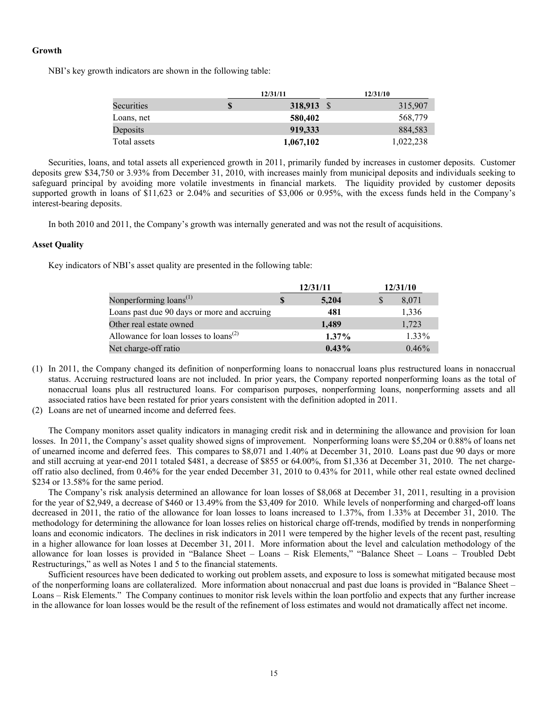#### **Growth**

NBI's key growth indicators are shown in the following table:

|                   | 12/31/11  | 12/31/10 |           |  |  |  |
|-------------------|-----------|----------|-----------|--|--|--|
| <b>Securities</b> | 318,913   |          | 315,907   |  |  |  |
| Loans, net        | 580,402   |          | 568,779   |  |  |  |
| Deposits          | 919.333   |          | 884,583   |  |  |  |
| Total assets      | 1,067,102 |          | 1,022,238 |  |  |  |

Securities, loans, and total assets all experienced growth in 2011, primarily funded by increases in customer deposits. Customer deposits grew \$34,750 or 3.93% from December 31, 2010, with increases mainly from municipal deposits and individuals seeking to safeguard principal by avoiding more volatile investments in financial markets. The liquidity provided by customer deposits supported growth in loans of \$11,623 or 2.04% and securities of \$3,006 or 0.95%, with the excess funds held in the Company's interest-bearing deposits.

In both 2010 and 2011, the Company's growth was internally generated and was not the result of acquisitions.

#### **Asset Quality**

Key indicators of NBI's asset quality are presented in the following table:

|                                                   | 12/31/11 | 12/31/10 |
|---------------------------------------------------|----------|----------|
| Nonperforming $loans(1)$                          | 5,204    | 8,071    |
| Loans past due 90 days or more and accruing       | 481      | 1,336    |
| Other real estate owned                           | 1,489    | 1,723    |
| Allowance for loan losses to $\text{loans}^{(2)}$ | $1.37\%$ | 1.33%    |
| Net charge-off ratio                              | $0.43\%$ | $0.46\%$ |

- (1) In 2011, the Company changed its definition of nonperforming loans to nonaccrual loans plus restructured loans in nonaccrual status. Accruing restructured loans are not included. In prior years, the Company reported nonperforming loans as the total of nonaccrual loans plus all restructured loans. For comparison purposes, nonperforming loans, nonperforming assets and all associated ratios have been restated for prior years consistent with the definition adopted in 2011.
- (2) Loans are net of unearned income and deferred fees.

 The Company monitors asset quality indicators in managing credit risk and in determining the allowance and provision for loan losses. In 2011, the Company's asset quality showed signs of improvement. Nonperforming loans were \$5,204 or 0.88% of loans net of unearned income and deferred fees. This compares to \$8,071 and 1.40% at December 31, 2010. Loans past due 90 days or more and still accruing at year-end 2011 totaled \$481, a decrease of \$855 or 64.00%, from \$1,336 at December 31, 2010. The net chargeoff ratio also declined, from 0.46% for the year ended December 31, 2010 to 0.43% for 2011, while other real estate owned declined \$234 or 13.58% for the same period.

 The Company's risk analysis determined an allowance for loan losses of \$8,068 at December 31, 2011, resulting in a provision for the year of \$2,949, a decrease of \$460 or 13.49% from the \$3,409 for 2010. While levels of nonperforming and charged-off loans decreased in 2011, the ratio of the allowance for loan losses to loans increased to 1.37%, from 1.33% at December 31, 2010. The methodology for determining the allowance for loan losses relies on historical charge off-trends, modified by trends in nonperforming loans and economic indicators. The declines in risk indicators in 2011 were tempered by the higher levels of the recent past, resulting in a higher allowance for loan losses at December 31, 2011. More information about the level and calculation methodology of the allowance for loan losses is provided in "Balance Sheet – Loans – Risk Elements," "Balance Sheet – Loans – Troubled Debt Restructurings," as well as Notes 1 and 5 to the financial statements.

 Sufficient resources have been dedicated to working out problem assets, and exposure to loss is somewhat mitigated because most of the nonperforming loans are collateralized. More information about nonaccrual and past due loans is provided in "Balance Sheet – Loans – Risk Elements." The Company continues to monitor risk levels within the loan portfolio and expects that any further increase in the allowance for loan losses would be the result of the refinement of loss estimates and would not dramatically affect net income.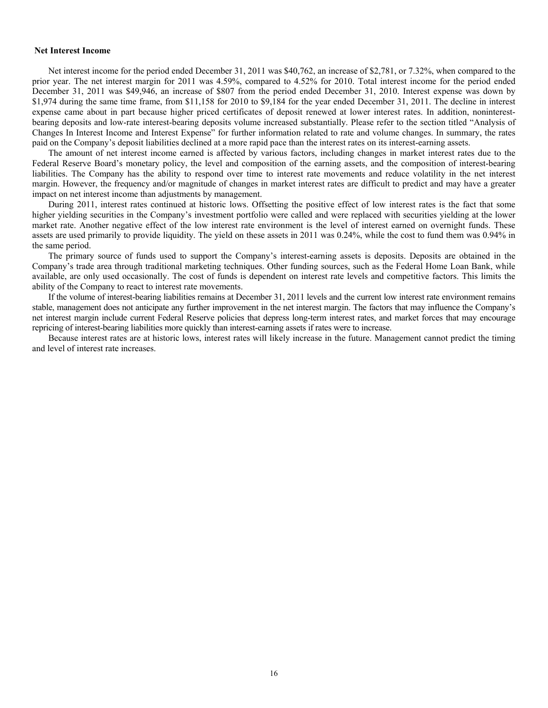#### **Net Interest Income**

 Net interest income for the period ended December 31, 2011 was \$40,762, an increase of \$2,781, or 7.32%, when compared to the prior year. The net interest margin for 2011 was 4.59%, compared to 4.52% for 2010. Total interest income for the period ended December 31, 2011 was \$49,946, an increase of \$807 from the period ended December 31, 2010. Interest expense was down by \$1,974 during the same time frame, from \$11,158 for 2010 to \$9,184 for the year ended December 31, 2011. The decline in interest expense came about in part because higher priced certificates of deposit renewed at lower interest rates. In addition, noninterestbearing deposits and low-rate interest-bearing deposits volume increased substantially. Please refer to the section titled "Analysis of Changes In Interest Income and Interest Expense" for further information related to rate and volume changes. In summary, the rates paid on the Company's deposit liabilities declined at a more rapid pace than the interest rates on its interest-earning assets.

 The amount of net interest income earned is affected by various factors, including changes in market interest rates due to the Federal Reserve Board's monetary policy, the level and composition of the earning assets, and the composition of interest-bearing liabilities. The Company has the ability to respond over time to interest rate movements and reduce volatility in the net interest margin. However, the frequency and/or magnitude of changes in market interest rates are difficult to predict and may have a greater impact on net interest income than adjustments by management.

 During 2011, interest rates continued at historic lows. Offsetting the positive effect of low interest rates is the fact that some higher yielding securities in the Company's investment portfolio were called and were replaced with securities yielding at the lower market rate. Another negative effect of the low interest rate environment is the level of interest earned on overnight funds. These assets are used primarily to provide liquidity. The yield on these assets in 2011 was 0.24%, while the cost to fund them was 0.94% in the same period.

 The primary source of funds used to support the Company's interest-earning assets is deposits. Deposits are obtained in the Company's trade area through traditional marketing techniques. Other funding sources, such as the Federal Home Loan Bank, while available, are only used occasionally. The cost of funds is dependent on interest rate levels and competitive factors. This limits the ability of the Company to react to interest rate movements.

 If the volume of interest-bearing liabilities remains at December 31, 2011 levels and the current low interest rate environment remains stable, management does not anticipate any further improvement in the net interest margin. The factors that may influence the Company's net interest margin include current Federal Reserve policies that depress long-term interest rates, and market forces that may encourage repricing of interest-bearing liabilities more quickly than interest-earning assets if rates were to increase.

 Because interest rates are at historic lows, interest rates will likely increase in the future. Management cannot predict the timing and level of interest rate increases.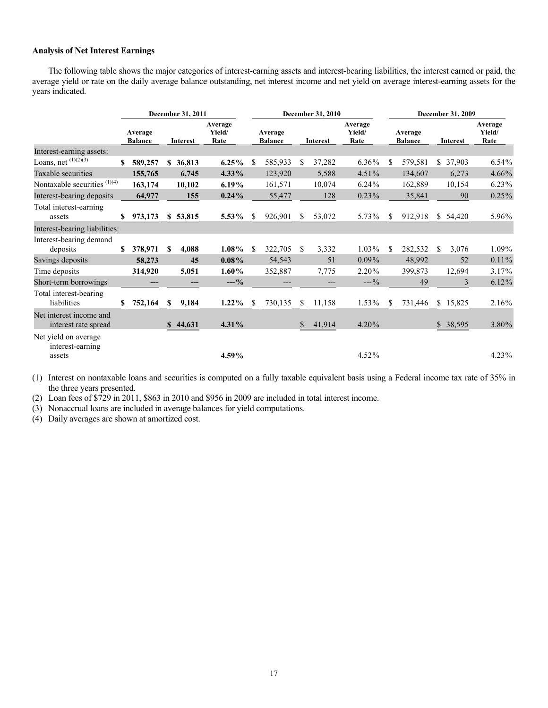#### **Analysis of Net Interest Earnings**

 The following table shows the major categories of interest-earning assets and interest-bearing liabilities, the interest earned or paid, the average yield or rate on the daily average balance outstanding, net interest income and net yield on average interest-earning assets for the years indicated.

|                                                    |                           | December 31, 2011 |                           | <b>December 31, 2010</b> |                           |               |                 |                           | <b>December 31, 2009</b> |                           |    |                 |                           |
|----------------------------------------------------|---------------------------|-------------------|---------------------------|--------------------------|---------------------------|---------------|-----------------|---------------------------|--------------------------|---------------------------|----|-----------------|---------------------------|
|                                                    | Average<br><b>Balance</b> | <b>Interest</b>   | Average<br>Yield/<br>Rate |                          | Average<br><b>Balance</b> |               | <b>Interest</b> | Average<br>Yield/<br>Rate |                          | Average<br><b>Balance</b> |    | <b>Interest</b> | Average<br>Yield/<br>Rate |
| Interest-earning assets:                           |                           |                   |                           |                          |                           |               |                 |                           |                          |                           |    |                 |                           |
| Loans, net $(1)(2)(3)$                             | \$<br>589,257             | 36,813<br>S.      | $6.25\%$                  | S                        | 585,933                   | S.            | 37,282          | 6.36%                     | -S                       | 579,581                   | S. | 37,903          | 6.54%                     |
| Taxable securities                                 | 155,765                   | 6,745             | $4.33\%$                  |                          | 123,920                   |               | 5,588           | 4.51%                     |                          | 134,607                   |    | 6,273           | 4.66%                     |
| Nontaxable securities <sup>(1)(4)</sup>            | 163,174                   | 10,102            | $6.19\%$                  |                          | 161,571                   |               | 10,074          | 6.24%                     |                          | 162,889                   |    | 10,154          | 6.23%                     |
| Interest-bearing deposits                          | 64,977                    | 155               | $0.24\%$                  |                          | 55,477                    |               | 128             | 0.23%                     |                          | 35,841                    |    | 90              | 0.25%                     |
| Total interest-earning<br>assets                   | 973,173<br>S              | \$53,815          | $5.53\%$                  | S.                       | 926,901                   |               | 53,072          | 5.73%                     | S.                       | 912,918                   |    | \$54,420        | 5.96%                     |
| Interest-bearing liabilities:                      |                           |                   |                           |                          |                           |               |                 |                           |                          |                           |    |                 |                           |
| Interest-bearing demand                            |                           |                   |                           |                          |                           |               |                 |                           |                          |                           |    |                 |                           |
| deposits                                           | 378,971<br>S.             | 4,088<br>S        | $1.08\%$                  | \$.                      | 322,705                   | <sup>\$</sup> | 3,332           | $1.03\%$                  | -S                       | 282,532                   | \$ | 3,076           | 1.09%                     |
| Savings deposits                                   | 58,273                    | 45                | $0.08\%$                  |                          | 54,543                    |               | 51              | $0.09\%$                  |                          | 48,992                    |    | 52              | 0.11%                     |
| Time deposits                                      | 314,920                   | 5,051             | $1.60\%$                  |                          | 352,887                   |               | 7,775           | 2.20%                     |                          | 399,873                   |    | 12,694          | 3.17%                     |
| Short-term borrowings                              | ---                       | ---               | $-2^{\circ}$              |                          | $---$                     |               | $---$           | $--\%$                    |                          | 49                        |    | 3               | 6.12%                     |
| Total interest-bearing<br>liabilities              | 752,164<br>S              | S.<br>9,184       | $1.22\%$                  | S.                       | 730,135                   | S.            | 11,158          | 1.53%                     | S                        | 731,446                   |    | \$15,825        | 2.16%                     |
| Net interest income and<br>interest rate spread    |                           | \$44,631          | 4.31%                     |                          |                           | \$            | 41,914          | 4.20%                     |                          |                           |    | \$38,595        | 3.80%                     |
| Net yield on average<br>interest-earning<br>assets |                           |                   | 4.59%                     |                          |                           |               |                 | 4.52%                     |                          |                           |    |                 | 4.23%                     |

(1) Interest on nontaxable loans and securities is computed on a fully taxable equivalent basis using a Federal income tax rate of 35% in the three years presented.

(2) Loan fees of \$729 in 2011, \$863 in 2010 and \$956 in 2009 are included in total interest income.

(3) Nonaccrual loans are included in average balances for yield computations.

(4) Daily averages are shown at amortized cost.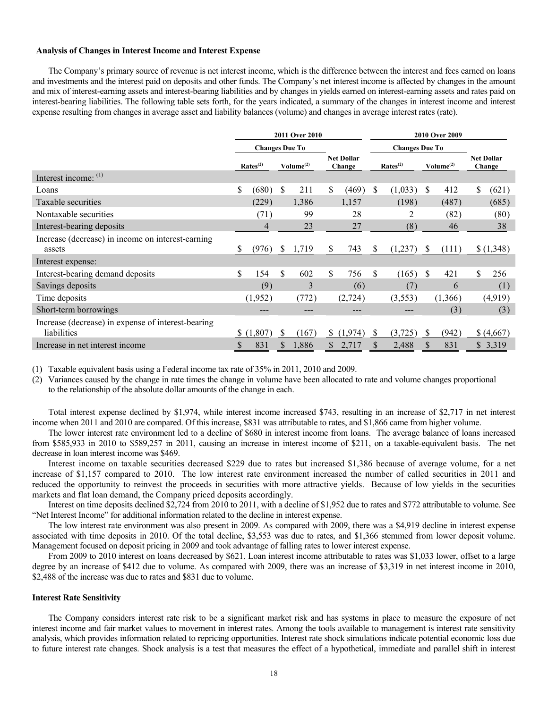#### **Analysis of Changes in Interest Income and Interest Expense**

 The Company's primary source of revenue is net interest income, which is the difference between the interest and fees earned on loans and investments and the interest paid on deposits and other funds. The Company's net interest income is affected by changes in the amount and mix of interest-earning assets and interest-bearing liabilities and by changes in yields earned on interest-earning assets and rates paid on interest-bearing liabilities. The following table sets forth, for the years indicated, a summary of the changes in interest income and interest expense resulting from changes in average asset and liability balances (volume) and changes in average interest rates (rate).

|                                                                   | 2011 Over 2010                                                                           |           |    |               |               |                       |                       | 2010 Over 2009 |                             |         |    |            |  |
|-------------------------------------------------------------------|------------------------------------------------------------------------------------------|-----------|----|---------------|---------------|-----------------------|-----------------------|----------------|-----------------------------|---------|----|------------|--|
|                                                                   | <b>Changes Due To</b>                                                                    |           |    |               |               |                       | <b>Changes Due To</b> |                |                             |         |    |            |  |
|                                                                   | <b>Net Dollar</b><br>Rate <sub>2</sub> <sup>(2)</sup><br>Volume <sup>(2)</sup><br>Change |           |    | $Rates^{(2)}$ |               | Volume <sup>(2)</sup> |                       |                | <b>Net Dollar</b><br>Change |         |    |            |  |
| Interest income: $(1)$                                            |                                                                                          |           |    |               |               |                       |                       |                |                             |         |    |            |  |
| Loans                                                             | \$                                                                                       | (680)     | \$ | 211           | \$            | (469)                 | S                     | (1,033)        | S                           | 412     | S  | (621)      |  |
| Taxable securities                                                |                                                                                          | (229)     |    | 1,386         |               | 1,157                 |                       | (198)          |                             | (487)   |    | (685)      |  |
| Nontaxable securities                                             |                                                                                          | (71)      |    | 99            |               | 28                    |                       | 2              |                             | (82)    |    | (80)       |  |
| Interest-bearing deposits                                         |                                                                                          | 4         |    | 23            |               | 27                    |                       | (8)            |                             | 46      |    | 38         |  |
| Increase (decrease) in income on interest-earning<br>assets       | <sup>S</sup>                                                                             | (976)     | S. | 1,719         | <sup>\$</sup> | 743                   | S.                    | (1,237)        | S                           | (111)   |    | \$(1,348)  |  |
| Interest expense:                                                 |                                                                                          |           |    |               |               |                       |                       |                |                             |         |    |            |  |
| Interest-bearing demand deposits                                  | \$                                                                                       | 154       | \$ | 602           | \$            | 756                   | \$                    | (165)          | S                           | 421     | \$ | 256        |  |
| Savings deposits                                                  |                                                                                          | (9)       |    | 3             |               | (6)                   |                       | (7)            |                             | 6       |    | (1)        |  |
| Time deposits                                                     |                                                                                          | (1,952)   |    | (772)         |               | (2,724)               |                       | (3,553)        |                             | (1,366) |    | (4,919)    |  |
| Short-term borrowings                                             |                                                                                          |           |    |               |               |                       |                       |                |                             | (3)     |    | (3)        |  |
| Increase (decrease) in expense of interest-bearing<br>liabilities |                                                                                          | \$(1,807) | S  | (167)         | S.            | (1,974)               | S                     | (3,725)        | S                           | (942)   |    | \$ (4,667) |  |
| Increase in net interest income                                   |                                                                                          | 831       | S  | 1,886         | $\mathbb{S}$  | 2,717                 | S                     | 2,488          |                             | 831     |    | \$3,319    |  |

(1) Taxable equivalent basis using a Federal income tax rate of 35% in 2011, 2010 and 2009.

(2) Variances caused by the change in rate times the change in volume have been allocated to rate and volume changes proportional to the relationship of the absolute dollar amounts of the change in each.

Total interest expense declined by \$1,974, while interest income increased \$743, resulting in an increase of \$2,717 in net interest income when 2011 and 2010 are compared. Of this increase, \$831 was attributable to rates, and \$1,866 came from higher volume.

 The lower interest rate environment led to a decline of \$680 in interest income from loans. The average balance of loans increased from \$585,933 in 2010 to \$589,257 in 2011, causing an increase in interest income of \$211, on a taxable-equivalent basis. The net decrease in loan interest income was \$469.

 Interest income on taxable securities decreased \$229 due to rates but increased \$1,386 because of average volume, for a net increase of \$1,157 compared to 2010. The low interest rate environment increased the number of called securities in 2011 and reduced the opportunity to reinvest the proceeds in securities with more attractive yields. Because of low yields in the securities markets and flat loan demand, the Company priced deposits accordingly.

 Interest on time deposits declined \$2,724 from 2010 to 2011, with a decline of \$1,952 due to rates and \$772 attributable to volume. See "Net Interest Income" for additional information related to the decline in interest expense.

 The low interest rate environment was also present in 2009. As compared with 2009, there was a \$4,919 decline in interest expense associated with time deposits in 2010. Of the total decline, \$3,553 was due to rates, and \$1,366 stemmed from lower deposit volume. Management focused on deposit pricing in 2009 and took advantage of falling rates to lower interest expense.

 From 2009 to 2010 interest on loans decreased by \$621. Loan interest income attributable to rates was \$1,033 lower, offset to a large degree by an increase of \$412 due to volume. As compared with 2009, there was an increase of \$3,319 in net interest income in 2010, \$2,488 of the increase was due to rates and \$831 due to volume.

#### **Interest Rate Sensitivity**

 The Company considers interest rate risk to be a significant market risk and has systems in place to measure the exposure of net interest income and fair market values to movement in interest rates. Among the tools available to management is interest rate sensitivity analysis, which provides information related to repricing opportunities. Interest rate shock simulations indicate potential economic loss due to future interest rate changes. Shock analysis is a test that measures the effect of a hypothetical, immediate and parallel shift in interest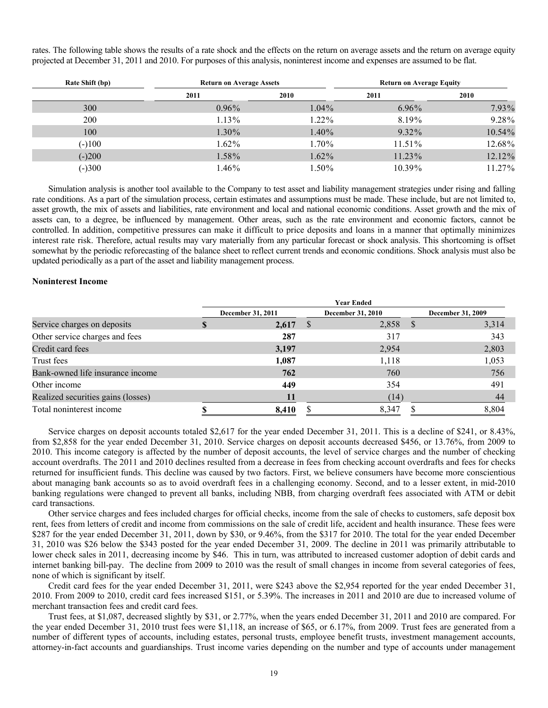rates. The following table shows the results of a rate shock and the effects on the return on average assets and the return on average equity projected at December 31, 2011 and 2010. For purposes of this analysis, noninterest income and expenses are assumed to be flat.

| Rate Shift (bp) | <b>Return on Average Assets</b> |          | <b>Return on Average Equity</b> |        |  |  |  |
|-----------------|---------------------------------|----------|---------------------------------|--------|--|--|--|
|                 | 2011                            | 2010     | 2011                            | 2010   |  |  |  |
| 300             | $0.96\%$                        | $1.04\%$ | $6.96\%$                        | 7.93%  |  |  |  |
| 200             | 1.13%                           | $1.22\%$ | 8.19%                           | 9.28%  |  |  |  |
| 100             | 1.30%                           | $1.40\%$ | $9.32\%$                        | 10.54% |  |  |  |
| $(-100)$        | 1.62%                           | 1.70%    | $11.51\%$                       | 12.68% |  |  |  |
| $(-)200$        | 1.58%                           | 1.62%    | 11.23%                          | 12.12% |  |  |  |
| $(-)300$        | 1.46%                           | 1.50%    | 10.39%                          | 11.27% |  |  |  |

 Simulation analysis is another tool available to the Company to test asset and liability management strategies under rising and falling rate conditions. As a part of the simulation process, certain estimates and assumptions must be made. These include, but are not limited to, asset growth, the mix of assets and liabilities, rate environment and local and national economic conditions. Asset growth and the mix of assets can, to a degree, be influenced by management. Other areas, such as the rate environment and economic factors, cannot be controlled. In addition, competitive pressures can make it difficult to price deposits and loans in a manner that optimally minimizes interest rate risk. Therefore, actual results may vary materially from any particular forecast or shock analysis. This shortcoming is offset somewhat by the periodic reforecasting of the balance sheet to reflect current trends and economic conditions. Shock analysis must also be updated periodically as a part of the asset and liability management process.

#### **Noninterest Income**

|                                    | <b>Year Ended</b> |                   |    |                   |  |                          |  |  |  |  |  |  |  |
|------------------------------------|-------------------|-------------------|----|-------------------|--|--------------------------|--|--|--|--|--|--|--|
|                                    |                   | December 31, 2011 |    | December 31, 2010 |  | <b>December 31, 2009</b> |  |  |  |  |  |  |  |
| Service charges on deposits        |                   | 2,617             | .১ | 2,858             |  | 3,314                    |  |  |  |  |  |  |  |
| Other service charges and fees     |                   | 287               |    | 317               |  | 343                      |  |  |  |  |  |  |  |
| Credit card fees                   |                   | 3,197             |    | 2,954             |  | 2,803                    |  |  |  |  |  |  |  |
| Trust fees                         |                   | 1,087             |    | 1,118             |  | 1,053                    |  |  |  |  |  |  |  |
| Bank-owned life insurance income   |                   | 762               |    | 760               |  | 756                      |  |  |  |  |  |  |  |
| Other income                       |                   | 449               |    | 354               |  | 491                      |  |  |  |  |  |  |  |
| Realized securities gains (losses) |                   | 11                |    | (14)              |  | 44                       |  |  |  |  |  |  |  |
| Total noninterest income           |                   | 8,410             |    | 8.347             |  | 8.804                    |  |  |  |  |  |  |  |

 Service charges on deposit accounts totaled \$2,617 for the year ended December 31, 2011. This is a decline of \$241, or 8.43%, from \$2,858 for the year ended December 31, 2010. Service charges on deposit accounts decreased \$456, or 13.76%, from 2009 to 2010. This income category is affected by the number of deposit accounts, the level of service charges and the number of checking account overdrafts. The 2011 and 2010 declines resulted from a decrease in fees from checking account overdrafts and fees for checks returned for insufficient funds. This decline was caused by two factors. First, we believe consumers have become more conscientious about managing bank accounts so as to avoid overdraft fees in a challenging economy. Second, and to a lesser extent, in mid-2010 banking regulations were changed to prevent all banks, including NBB, from charging overdraft fees associated with ATM or debit card transactions.

 Other service charges and fees included charges for official checks, income from the sale of checks to customers, safe deposit box rent, fees from letters of credit and income from commissions on the sale of credit life, accident and health insurance. These fees were \$287 for the year ended December 31, 2011, down by \$30, or 9.46%, from the \$317 for 2010. The total for the year ended December 31, 2010 was \$26 below the \$343 posted for the year ended December 31, 2009. The decline in 2011 was primarily attributable to lower check sales in 2011, decreasing income by \$46. This in turn, was attributed to increased customer adoption of debit cards and internet banking bill-pay. The decline from 2009 to 2010 was the result of small changes in income from several categories of fees, none of which is significant by itself.

 Credit card fees for the year ended December 31, 2011, were \$243 above the \$2,954 reported for the year ended December 31, 2010. From 2009 to 2010, credit card fees increased \$151, or 5.39%. The increases in 2011 and 2010 are due to increased volume of merchant transaction fees and credit card fees.

 Trust fees, at \$1,087, decreased slightly by \$31, or 2.77%, when the years ended December 31, 2011 and 2010 are compared. For the year ended December 31, 2010 trust fees were \$1,118, an increase of \$65, or 6.17%, from 2009. Trust fees are generated from a number of different types of accounts, including estates, personal trusts, employee benefit trusts, investment management accounts, attorney-in-fact accounts and guardianships. Trust income varies depending on the number and type of accounts under management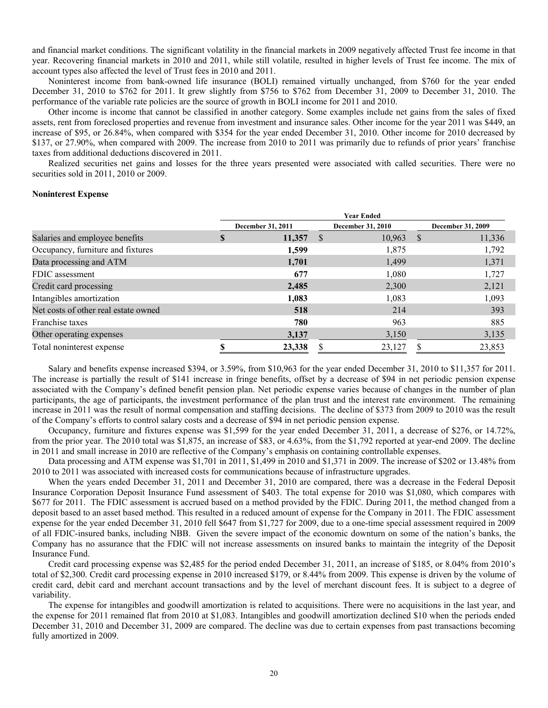and financial market conditions. The significant volatility in the financial markets in 2009 negatively affected Trust fee income in that year. Recovering financial markets in 2010 and 2011, while still volatile, resulted in higher levels of Trust fee income. The mix of account types also affected the level of Trust fees in 2010 and 2011.

 Noninterest income from bank-owned life insurance (BOLI) remained virtually unchanged, from \$760 for the year ended December 31, 2010 to \$762 for 2011. It grew slightly from \$756 to \$762 from December 31, 2009 to December 31, 2010. The performance of the variable rate policies are the source of growth in BOLI income for 2011 and 2010.

 Other income is income that cannot be classified in another category. Some examples include net gains from the sales of fixed assets, rent from foreclosed properties and revenue from investment and insurance sales. Other income for the year 2011 was \$449, an increase of \$95, or 26.84%, when compared with \$354 for the year ended December 31, 2010. Other income for 2010 decreased by \$137, or 27.90%, when compared with 2009. The increase from 2010 to 2011 was primarily due to refunds of prior years' franchise taxes from additional deductions discovered in 2011.

 Realized securities net gains and losses for the three years presented were associated with called securities. There were no securities sold in 2011, 2010 or 2009.

#### **Noninterest Expense**

|                                      | <b>Year Ended</b> |                   |      |                   |      |                   |  |  |  |  |  |  |
|--------------------------------------|-------------------|-------------------|------|-------------------|------|-------------------|--|--|--|--|--|--|
|                                      |                   | December 31, 2011 |      | December 31, 2010 |      | December 31, 2009 |  |  |  |  |  |  |
| Salaries and employee benefits       |                   | 11,357            | - \$ | 10,963            | - \$ | 11,336            |  |  |  |  |  |  |
| Occupancy, furniture and fixtures    |                   | 1,599             |      | 1,875             |      | 1,792             |  |  |  |  |  |  |
| Data processing and ATM              |                   | 1,701             |      | 1,499             |      | 1,371             |  |  |  |  |  |  |
| FDIC assessment                      |                   | 677               |      | 1,080             |      | 1,727             |  |  |  |  |  |  |
| Credit card processing               |                   | 2,485             |      | 2,300             |      | 2,121             |  |  |  |  |  |  |
| Intangibles amortization             |                   | 1,083             |      | 1,083             |      | 1,093             |  |  |  |  |  |  |
| Net costs of other real estate owned |                   | 518               |      | 214               |      | 393               |  |  |  |  |  |  |
| Franchise taxes                      |                   | 780               |      | 963               |      | 885               |  |  |  |  |  |  |
| Other operating expenses             |                   | 3,137             |      | 3,150             |      | 3,135             |  |  |  |  |  |  |
| Total noninterest expense            |                   | 23,338            |      | 23,127            |      | 23,853            |  |  |  |  |  |  |

Salary and benefits expense increased \$394, or 3.59%, from \$10,963 for the year ended December 31, 2010 to \$11,357 for 2011. The increase is partially the result of \$141 increase in fringe benefits, offset by a decrease of \$94 in net periodic pension expense associated with the Company's defined benefit pension plan. Net periodic expense varies because of changes in the number of plan participants, the age of participants, the investment performance of the plan trust and the interest rate environment. The remaining increase in 2011 was the result of normal compensation and staffing decisions. The decline of \$373 from 2009 to 2010 was the result of the Company's efforts to control salary costs and a decrease of \$94 in net periodic pension expense.

 Occupancy, furniture and fixtures expense was \$1,599 for the year ended December 31, 2011, a decrease of \$276, or 14.72%, from the prior year. The 2010 total was \$1,875, an increase of \$83, or 4.63%, from the \$1,792 reported at year-end 2009. The decline in 2011 and small increase in 2010 are reflective of the Company's emphasis on containing controllable expenses.

 Data processing and ATM expense was \$1,701 in 2011, \$1,499 in 2010 and \$1,371 in 2009. The increase of \$202 or 13.48% from 2010 to 2011 was associated with increased costs for communications because of infrastructure upgrades.

 When the years ended December 31, 2011 and December 31, 2010 are compared, there was a decrease in the Federal Deposit Insurance Corporation Deposit Insurance Fund assessment of \$403. The total expense for 2010 was \$1,080, which compares with \$677 for 2011. The FDIC assessment is accrued based on a method provided by the FDIC. During 2011, the method changed from a deposit based to an asset based method. This resulted in a reduced amount of expense for the Company in 2011. The FDIC assessment expense for the year ended December 31, 2010 fell \$647 from \$1,727 for 2009, due to a one-time special assessment required in 2009 of all FDIC-insured banks, including NBB. Given the severe impact of the economic downturn on some of the nation's banks, the Company has no assurance that the FDIC will not increase assessments on insured banks to maintain the integrity of the Deposit Insurance Fund.

 Credit card processing expense was \$2,485 for the period ended December 31, 2011, an increase of \$185, or 8.04% from 2010's total of \$2,300. Credit card processing expense in 2010 increased \$179, or 8.44% from 2009. This expense is driven by the volume of credit card, debit card and merchant account transactions and by the level of merchant discount fees. It is subject to a degree of variability.

 The expense for intangibles and goodwill amortization is related to acquisitions. There were no acquisitions in the last year, and the expense for 2011 remained flat from 2010 at \$1,083. Intangibles and goodwill amortization declined \$10 when the periods ended December 31, 2010 and December 31, 2009 are compared. The decline was due to certain expenses from past transactions becoming fully amortized in 2009.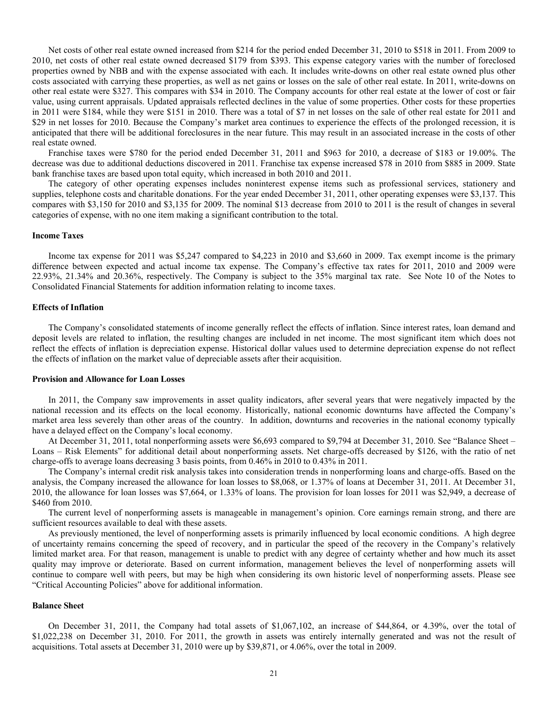Net costs of other real estate owned increased from \$214 for the period ended December 31, 2010 to \$518 in 2011. From 2009 to 2010, net costs of other real estate owned decreased \$179 from \$393. This expense category varies with the number of foreclosed properties owned by NBB and with the expense associated with each. It includes write-downs on other real estate owned plus other costs associated with carrying these properties, as well as net gains or losses on the sale of other real estate. In 2011, write-downs on other real estate were \$327. This compares with \$34 in 2010. The Company accounts for other real estate at the lower of cost or fair value, using current appraisals. Updated appraisals reflected declines in the value of some properties. Other costs for these properties in 2011 were \$184, while they were \$151 in 2010. There was a total of \$7 in net losses on the sale of other real estate for 2011 and \$29 in net losses for 2010. Because the Company's market area continues to experience the effects of the prolonged recession, it is anticipated that there will be additional foreclosures in the near future. This may result in an associated increase in the costs of other real estate owned.

 Franchise taxes were \$780 for the period ended December 31, 2011 and \$963 for 2010, a decrease of \$183 or 19.00%. The decrease was due to additional deductions discovered in 2011. Franchise tax expense increased \$78 in 2010 from \$885 in 2009. State bank franchise taxes are based upon total equity, which increased in both 2010 and 2011.

 The category of other operating expenses includes noninterest expense items such as professional services, stationery and supplies, telephone costs and charitable donations. For the year ended December 31, 2011, other operating expenses were \$3,137. This compares with \$3,150 for 2010 and \$3,135 for 2009. The nominal \$13 decrease from 2010 to 2011 is the result of changes in several categories of expense, with no one item making a significant contribution to the total.

#### **Income Taxes**

 Income tax expense for 2011 was \$5,247 compared to \$4,223 in 2010 and \$3,660 in 2009. Tax exempt income is the primary difference between expected and actual income tax expense. The Company's effective tax rates for 2011, 2010 and 2009 were 22.93%, 21.34% and 20.36%, respectively. The Company is subject to the 35% marginal tax rate. See Note 10 of the Notes to Consolidated Financial Statements for addition information relating to income taxes.

#### **Effects of Inflation**

 The Company's consolidated statements of income generally reflect the effects of inflation. Since interest rates, loan demand and deposit levels are related to inflation, the resulting changes are included in net income. The most significant item which does not reflect the effects of inflation is depreciation expense. Historical dollar values used to determine depreciation expense do not reflect the effects of inflation on the market value of depreciable assets after their acquisition.

#### **Provision and Allowance for Loan Losses**

 In 2011, the Company saw improvements in asset quality indicators, after several years that were negatively impacted by the national recession and its effects on the local economy. Historically, national economic downturns have affected the Company's market area less severely than other areas of the country. In addition, downturns and recoveries in the national economy typically have a delayed effect on the Company's local economy.

 At December 31, 2011, total nonperforming assets were \$6,693 compared to \$9,794 at December 31, 2010. See "Balance Sheet – Loans – Risk Elements" for additional detail about nonperforming assets. Net charge-offs decreased by \$126, with the ratio of net charge-offs to average loans decreasing 3 basis points, from 0.46% in 2010 to 0.43% in 2011.

 The Company's internal credit risk analysis takes into consideration trends in nonperforming loans and charge-offs. Based on the analysis, the Company increased the allowance for loan losses to \$8,068, or 1.37% of loans at December 31, 2011. At December 31, 2010, the allowance for loan losses was \$7,664, or 1.33% of loans. The provision for loan losses for 2011 was \$2,949, a decrease of \$460 from 2010.

 The current level of nonperforming assets is manageable in management's opinion. Core earnings remain strong, and there are sufficient resources available to deal with these assets.

 As previously mentioned, the level of nonperforming assets is primarily influenced by local economic conditions. A high degree of uncertainty remains concerning the speed of recovery, and in particular the speed of the recovery in the Company's relatively limited market area. For that reason, management is unable to predict with any degree of certainty whether and how much its asset quality may improve or deteriorate. Based on current information, management believes the level of nonperforming assets will continue to compare well with peers, but may be high when considering its own historic level of nonperforming assets. Please see "Critical Accounting Policies" above for additional information.

#### **Balance Sheet**

 On December 31, 2011, the Company had total assets of \$1,067,102, an increase of \$44,864, or 4.39%, over the total of \$1,022,238 on December 31, 2010. For 2011, the growth in assets was entirely internally generated and was not the result of acquisitions. Total assets at December 31, 2010 were up by \$39,871, or 4.06%, over the total in 2009.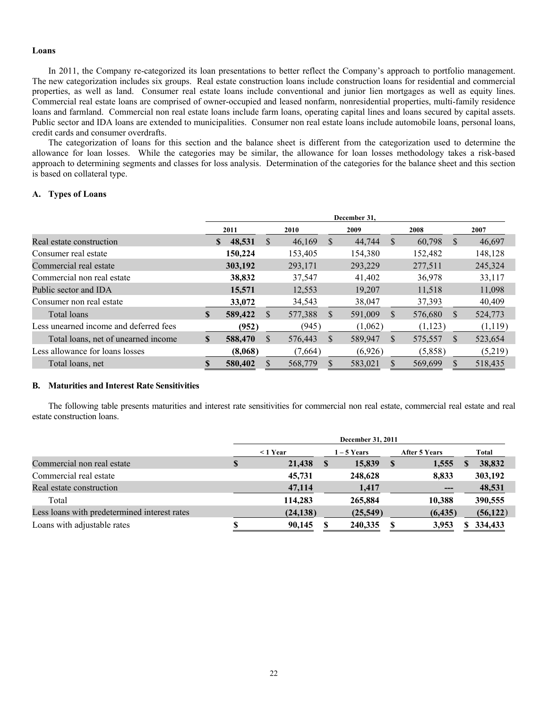#### **Loans**

In 2011, the Company re-categorized its loan presentations to better reflect the Company's approach to portfolio management. The new categorization includes six groups. Real estate construction loans include construction loans for residential and commercial properties, as well as land. Consumer real estate loans include conventional and junior lien mortgages as well as equity lines. Commercial real estate loans are comprised of owner-occupied and leased nonfarm, nonresidential properties, multi-family residence loans and farmland. Commercial non real estate loans include farm loans, operating capital lines and loans secured by capital assets. Public sector and IDA loans are extended to municipalities. Consumer non real estate loans include automobile loans, personal loans, credit cards and consumer overdrafts.

 The categorization of loans for this section and the balance sheet is different from the categorization used to determine the allowance for loan losses. While the categories may be similar, the allowance for loan losses methodology takes a risk-based approach to determining segments and classes for loss analysis. Determination of the categories for the balance sheet and this section is based on collateral type.

#### **A. Types of Loans**

|                                        | December 31. |                         |              |         |              |         |    |          |               |          |
|----------------------------------------|--------------|-------------------------|--------------|---------|--------------|---------|----|----------|---------------|----------|
|                                        |              | 2011                    |              | 2010    |              | 2009    |    | 2008     |               | 2007     |
| Real estate construction               |              | 48,531<br><sup>\$</sup> | <sup>8</sup> | 46,169  | <sup>S</sup> | 44,744  | S  | 60,798   | <sup>S</sup>  | 46,697   |
| Consumer real estate                   |              | 150.224                 |              | 153,405 |              | 154,380 |    | 152,482  |               | 148,128  |
| Commercial real estate                 |              | 303,192                 |              | 293,171 |              | 293,229 |    | 277,511  |               | 245,324  |
| Commercial non real estate             |              | 38,832                  |              | 37,547  |              | 41,402  |    | 36,978   |               | 33,117   |
| Public sector and IDA                  |              | 15.571                  |              | 12,553  |              | 19,207  |    | 11,518   |               | 11,098   |
| Consumer non real estate               |              | 33,072                  |              | 34,543  |              | 38,047  |    | 37,393   |               | 40,409   |
| Total loans                            | <b>S</b>     | 589,422                 | -S           | 577,388 | <sup>S</sup> | 591,009 | \$ | 576,680  | <b>S</b>      | 524,773  |
| Less unearned income and deferred fees |              | (952)                   |              | (945)   |              | (1,062) |    | (1, 123) |               | (1, 119) |
| Total loans, net of unearned income    | S            | 588,470                 | -S           | 576,443 | <sup>S</sup> | 589,947 | S  | 575,557  | <sup>\$</sup> | 523,654  |
| Less allowance for loans losses        |              | (8,068)                 |              | (7,664) |              | (6,926) |    | (5,858)  |               | (5,219)  |
| Total loans, net                       |              | 580,402                 |              | 568,779 |              | 583,021 |    | 569,699  |               | 518.435  |

#### **B. Maturities and Interest Rate Sensitivities**

The following table presents maturities and interest rate sensitivities for commercial non real estate, commercial real estate and real estate construction loans.

|                                              | December 31, 2011 |            |  |               |  |                      |  |           |  |  |  |  |
|----------------------------------------------|-------------------|------------|--|---------------|--|----------------------|--|-----------|--|--|--|--|
|                                              |                   | $< 1$ Year |  | $1 - 5$ Years |  | <b>After 5 Years</b> |  | Total     |  |  |  |  |
| Commercial non real estate                   |                   | 21,438     |  | 15,839        |  | 1,555                |  | 38,832    |  |  |  |  |
| Commercial real estate                       |                   | 45,731     |  | 248,628       |  | 8,833                |  | 303,192   |  |  |  |  |
| Real estate construction                     |                   | 47,114     |  | 1,417         |  | $---$                |  | 48,531    |  |  |  |  |
| Total                                        |                   | 114,283    |  | 265,884       |  | 10,388               |  | 390,555   |  |  |  |  |
| Less loans with predetermined interest rates |                   | (24, 138)  |  | (25,549)      |  | (6, 435)             |  | (56, 122) |  |  |  |  |
| Loans with adjustable rates                  |                   | 90,145     |  | 240,335       |  | 3,953                |  | 334,433   |  |  |  |  |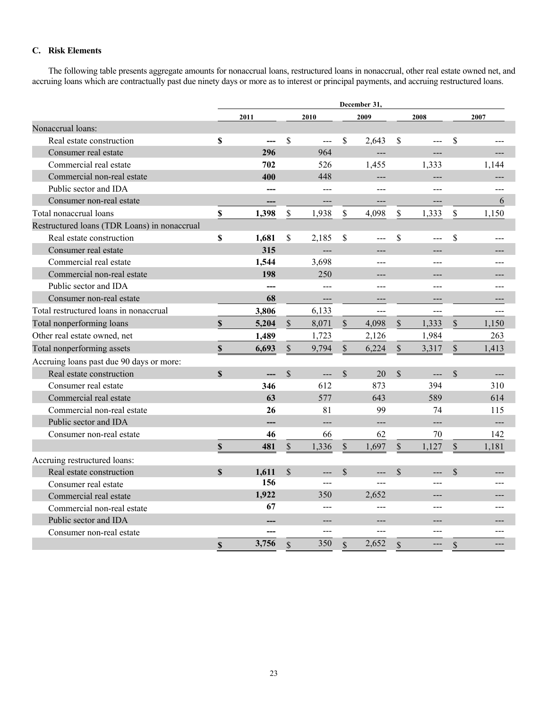## **C. Risk Elements**

 The following table presents aggregate amounts for nonaccrual loans, restructured loans in nonaccrual, other real estate owned net, and accruing loans which are contractually past due ninety days or more as to interest or principal payments, and accruing restructured loans.

|                                              | December 31, |       |               |                |               |                |               |                |              |       |
|----------------------------------------------|--------------|-------|---------------|----------------|---------------|----------------|---------------|----------------|--------------|-------|
|                                              |              | 2011  |               | 2010           |               | 2009           |               | 2008           |              | 2007  |
| Nonaccrual loans:                            |              |       |               |                |               |                |               |                |              |       |
| Real estate construction                     | \$           |       | \$            | $---$          | \$            | 2,643          | \$            |                | \$           |       |
| Consumer real estate                         |              | 296   |               | 964            |               |                |               |                |              |       |
| Commercial real estate                       |              | 702   |               | 526            |               | 1,455          |               | 1,333          |              | 1,144 |
| Commercial non-real estate                   |              | 400   |               | 448            |               |                |               |                |              |       |
| Public sector and IDA                        |              |       |               |                |               |                |               |                |              |       |
| Consumer non-real estate                     |              |       |               |                |               |                |               |                |              | 6     |
| Total nonaccrual loans                       | \$           | 1,398 | \$            | 1,938          | \$            | 4,098          | \$            | 1,333          | \$           | 1,150 |
| Restructured loans (TDR Loans) in nonaccrual |              |       |               |                |               |                |               |                |              |       |
| Real estate construction                     | \$           | 1,681 | \$            | 2,185          | \$            | $---$          | \$            | $---$          | \$           |       |
| Consumer real estate                         |              | 315   |               |                |               |                |               |                |              |       |
| Commercial real estate                       |              | 1,544 |               | 3,698          |               | $---$          |               | $---$          |              |       |
| Commercial non-real estate                   |              | 198   |               | 250            |               |                |               | ---            |              |       |
| Public sector and IDA                        |              | ---   |               | $---$          |               | $---$          |               | ---            |              |       |
| Consumer non-real estate                     |              | 68    |               | $---$          |               |                |               |                |              |       |
| Total restructured loans in nonaccrual       |              | 3,806 |               | 6,133          |               |                |               | ---            |              |       |
| Total nonperforming loans                    | \$           | 5,204 | $\mathcal{S}$ | 8,071          | \$            | 4,098          | $\mathcal{S}$ | 1,333          | \$           | 1,150 |
| Other real estate owned, net                 |              | 1,489 |               | 1,723          |               | 2,126          |               | 1,984          |              | 263   |
| Total nonperforming assets                   | \$           | 6,693 | $\mathbb{S}$  | 9,794          | \$            | 6,224          | $\mathcal{S}$ | 3,317          | \$           | 1,413 |
| Accruing loans past due 90 days or more:     |              |       |               |                |               |                |               |                |              |       |
| Real estate construction                     | $\mathbf S$  |       | $\mathbf S$   | $---$          | $\mathcal{S}$ | 20             | $\mathbb{S}$  | $\overline{a}$ | $\mathbf S$  |       |
| Consumer real estate                         |              | 346   |               | 612            |               | 873            |               | 394            |              | 310   |
| Commercial real estate                       |              | 63    |               | 577            |               | 643            |               | 589            |              | 614   |
| Commercial non-real estate                   |              | 26    |               | 81             |               | 99             |               | 74             |              | 115   |
| Public sector and IDA                        |              |       |               | $\overline{a}$ |               | $\overline{a}$ |               | $\overline{a}$ |              |       |
| Consumer non-real estate                     |              | 46    |               | 66             |               | 62             |               | 70             |              | 142   |
|                                              | \$           | 481   | $\mathbb{S}$  | 1,336          | $\mathbb{S}$  | 1,697          | $\mathbb{S}$  | 1,127          | \$           | 1,181 |
| Accruing restructured loans:                 |              |       |               |                |               |                |               |                |              |       |
| Real estate construction                     | $\mathbf S$  | 1,611 | $\mathbf S$   |                | $\mathbb{S}$  |                | $\mathcal{S}$ |                | $\mathbb{S}$ |       |
| Consumer real estate                         |              | 156   |               |                |               |                |               |                |              |       |
| Commercial real estate                       |              | 1,922 |               | 350            |               | 2,652          |               | ---            |              |       |
| Commercial non-real estate                   |              | 67    |               |                |               |                |               | $---$          |              |       |
| Public sector and IDA                        |              |       |               | $---$          |               | $---$          |               |                |              |       |
| Consumer non-real estate                     |              |       |               |                |               |                |               | $---$          |              |       |
|                                              | $\mathbf S$  | 3,756 | $\mathbf S$   | 350            | $\mathcal{S}$ | 2,652          | $\mathbf S$   | $---$          | \$           |       |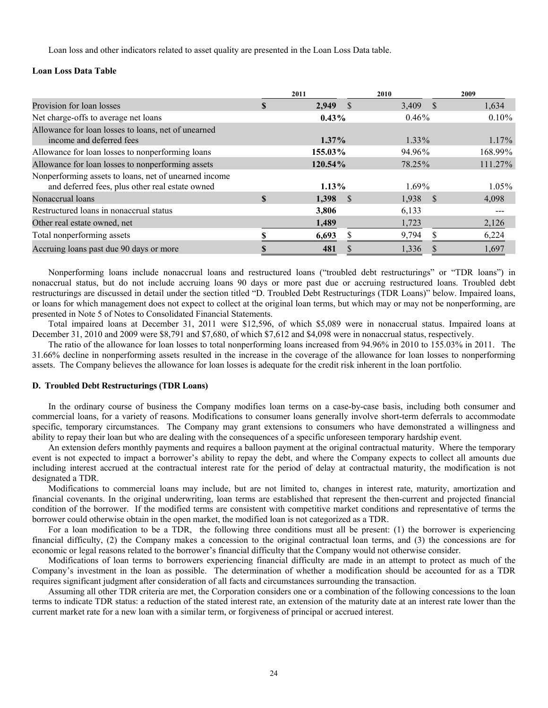Loan loss and other indicators related to asset quality are presented in the Loan Loss Data table.

#### **Loan Loss Data Table**

|                                                                                                          |              | 2011     |     | 2010       | 2009     |
|----------------------------------------------------------------------------------------------------------|--------------|----------|-----|------------|----------|
| Provision for loan losses                                                                                | $\mathbf{s}$ | 2,949    |     | $3,409$ \$ | 1,634    |
| Net charge-offs to average net loans                                                                     |              | $0.43\%$ |     | $0.46\%$   | $0.10\%$ |
| Allowance for loan losses to loans, net of unearned<br>income and deferred fees                          |              | $1.37\%$ |     | $1.33\%$   | $1.17\%$ |
| Allowance for loan losses to nonperforming loans                                                         |              | 155.03%  |     | 94.96%     | 168.99%  |
| Allowance for loan losses to nonperforming assets                                                        |              | 120.54%  |     | 78.25%     | 111.27%  |
| Nonperforming assets to loans, net of unearned income<br>and deferred fees, plus other real estate owned |              | $1.13\%$ |     | $1.69\%$   | $1.05\%$ |
| Nonaccrual loans                                                                                         | S            | 1,398    | - S | $1,938$ \$ | 4,098    |
| Restructured loans in nonaccrual status                                                                  |              | 3,806    |     | 6,133      |          |
| Other real estate owned, net                                                                             |              | 1,489    |     | 1,723      | 2,126    |
| Total nonperforming assets                                                                               |              | 6,693    |     | 9,794      | 6,224    |
| Accruing loans past due 90 days or more                                                                  |              | 481      |     | 1,336      | 1,697    |

 Nonperforming loans include nonaccrual loans and restructured loans ("troubled debt restructurings" or "TDR loans") in nonaccrual status, but do not include accruing loans 90 days or more past due or accruing restructured loans. Troubled debt restructurings are discussed in detail under the section titled "D. Troubled Debt Restructurings (TDR Loans)" below. Impaired loans, or loans for which management does not expect to collect at the original loan terms, but which may or may not be nonperforming, are presented in Note 5 of Notes to Consolidated Financial Statements.

 Total impaired loans at December 31, 2011 were \$12,596, of which \$5,089 were in nonaccrual status. Impaired loans at December 31, 2010 and 2009 were \$8,791 and \$7,680, of which \$7,612 and \$4,098 were in nonaccrual status, respectively.

 The ratio of the allowance for loan losses to total nonperforming loans increased from 94.96% in 2010 to 155.03% in 2011. The 31.66% decline in nonperforming assets resulted in the increase in the coverage of the allowance for loan losses to nonperforming assets. The Company believes the allowance for loan losses is adequate for the credit risk inherent in the loan portfolio.

#### **D. Troubled Debt Restructurings (TDR Loans)**

 In the ordinary course of business the Company modifies loan terms on a case-by-case basis, including both consumer and commercial loans, for a variety of reasons. Modifications to consumer loans generally involve short-term deferrals to accommodate specific, temporary circumstances. The Company may grant extensions to consumers who have demonstrated a willingness and ability to repay their loan but who are dealing with the consequences of a specific unforeseen temporary hardship event.

 An extension defers monthly payments and requires a balloon payment at the original contractual maturity. Where the temporary event is not expected to impact a borrower's ability to repay the debt, and where the Company expects to collect all amounts due including interest accrued at the contractual interest rate for the period of delay at contractual maturity, the modification is not designated a TDR.

 Modifications to commercial loans may include, but are not limited to, changes in interest rate, maturity, amortization and financial covenants. In the original underwriting, loan terms are established that represent the then-current and projected financial condition of the borrower. If the modified terms are consistent with competitive market conditions and representative of terms the borrower could otherwise obtain in the open market, the modified loan is not categorized as a TDR.

For a loan modification to be a TDR, the following three conditions must all be present: (1) the borrower is experiencing financial difficulty, (2) the Company makes a concession to the original contractual loan terms, and (3) the concessions are for economic or legal reasons related to the borrower's financial difficulty that the Company would not otherwise consider.

 Modifications of loan terms to borrowers experiencing financial difficulty are made in an attempt to protect as much of the Company's investment in the loan as possible. The determination of whether a modification should be accounted for as a TDR requires significant judgment after consideration of all facts and circumstances surrounding the transaction.

 Assuming all other TDR criteria are met, the Corporation considers one or a combination of the following concessions to the loan terms to indicate TDR status: a reduction of the stated interest rate, an extension of the maturity date at an interest rate lower than the current market rate for a new loan with a similar term, or forgiveness of principal or accrued interest.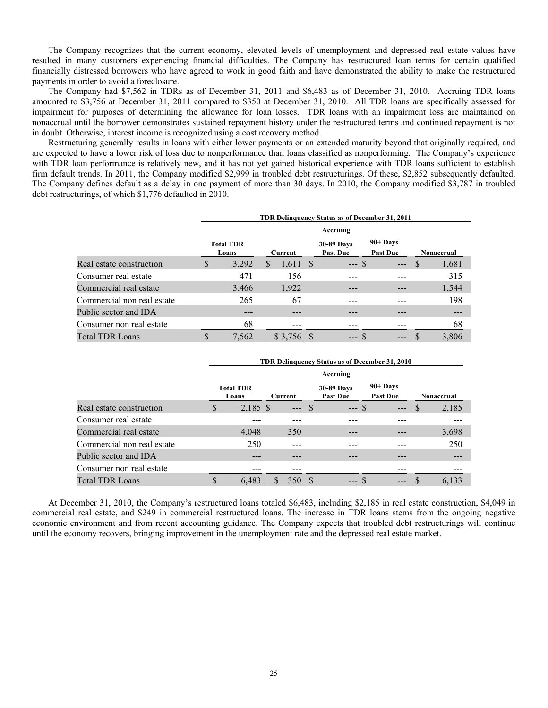The Company recognizes that the current economy, elevated levels of unemployment and depressed real estate values have resulted in many customers experiencing financial difficulties. The Company has restructured loan terms for certain qualified financially distressed borrowers who have agreed to work in good faith and have demonstrated the ability to make the restructured payments in order to avoid a foreclosure.

 The Company had \$7,562 in TDRs as of December 31, 2011 and \$6,483 as of December 31, 2010. Accruing TDR loans amounted to \$3,756 at December 31, 2011 compared to \$350 at December 31, 2010. All TDR loans are specifically assessed for impairment for purposes of determining the allowance for loan losses. TDR loans with an impairment loss are maintained on nonaccrual until the borrower demonstrates sustained repayment history under the restructured terms and continued repayment is not in doubt. Otherwise, interest income is recognized using a cost recovery method.

 Restructuring generally results in loans with either lower payments or an extended maturity beyond that originally required, and are expected to have a lower risk of loss due to nonperformance than loans classified as nonperforming. The Company's experience with TDR loan performance is relatively new, and it has not yet gained historical experience with TDR loans sufficient to establish firm default trends. In 2011, the Company modified \$2,999 in troubled debt restructurings. Of these, \$2,852 subsequently defaulted. The Company defines default as a delay in one payment of more than 30 days. In 2010, the Company modified \$3,787 in troubled debt restructurings, of which \$1,776 defaulted in 2010.

|                            |   |                           |         |         |     | TDR Delinguency Status as of December 31, 2011 |                                |   |                   |
|----------------------------|---|---------------------------|---------|---------|-----|------------------------------------------------|--------------------------------|---|-------------------|
|                            |   |                           |         |         |     | Accruing                                       |                                |   |                   |
|                            |   | <b>Total TDR</b><br>Loans | Current |         |     | <b>30-89 Days</b><br><b>Past Due</b>           | $90 +$ Days<br><b>Past Due</b> |   | <b>Nonaccrual</b> |
| Real estate construction   | S | 3,292                     | \$      | 1,611   | - S | $--$ \$                                        | $---$                          | S | 1,681             |
| Consumer real estate       |   | 471                       |         | 156     |     |                                                |                                |   | 315               |
| Commercial real estate     |   | 3,466                     |         | 1,922   |     |                                                |                                |   | 1,544             |
| Commercial non real estate |   | 265                       |         | 67      |     |                                                |                                |   | 198               |
| Public sector and IDA      |   | ---                       |         |         |     |                                                |                                |   |                   |
| Consumer non real estate   |   | 68                        |         |         |     |                                                |                                |   | 68                |
| <b>Total TDR Loans</b>     |   | 7.562                     |         | \$3,756 |     | $---$                                          |                                |   | 3,806             |

|                            | TDR Delinguency Status as of December 31, 2010 |                           |         |       |   |                                      |                                |   |                   |  |  |  |  |
|----------------------------|------------------------------------------------|---------------------------|---------|-------|---|--------------------------------------|--------------------------------|---|-------------------|--|--|--|--|
|                            |                                                | Accruing                  |         |       |   |                                      |                                |   |                   |  |  |  |  |
|                            |                                                | <b>Total TDR</b><br>Loans | Current |       |   | <b>30-89 Days</b><br><b>Past Due</b> | $90 +$ Days<br><b>Past Due</b> |   | <b>Nonaccrual</b> |  |  |  |  |
| Real estate construction   | \$                                             | 2,185 \$                  |         | $---$ | S | $--$ \$                              | $---$                          | S | 2,185             |  |  |  |  |
| Consumer real estate       |                                                |                           |         |       |   |                                      |                                |   |                   |  |  |  |  |
| Commercial real estate     |                                                | 4,048                     |         | 350   |   | ---                                  |                                |   | 3,698             |  |  |  |  |
| Commercial non real estate |                                                | 250                       |         |       |   |                                      |                                |   | 250               |  |  |  |  |
| Public sector and IDA      |                                                |                           |         |       |   |                                      |                                |   |                   |  |  |  |  |
| Consumer non real estate   |                                                | ---                       |         |       |   |                                      |                                |   |                   |  |  |  |  |
| <b>Total TDR Loans</b>     |                                                | 6,483                     |         | 350   |   | $---$                                |                                |   | 6.133             |  |  |  |  |

 At December 31, 2010, the Company's restructured loans totaled \$6,483, including \$2,185 in real estate construction, \$4,049 in commercial real estate, and \$249 in commercial restructured loans. The increase in TDR loans stems from the ongoing negative economic environment and from recent accounting guidance. The Company expects that troubled debt restructurings will continue until the economy recovers, bringing improvement in the unemployment rate and the depressed real estate market.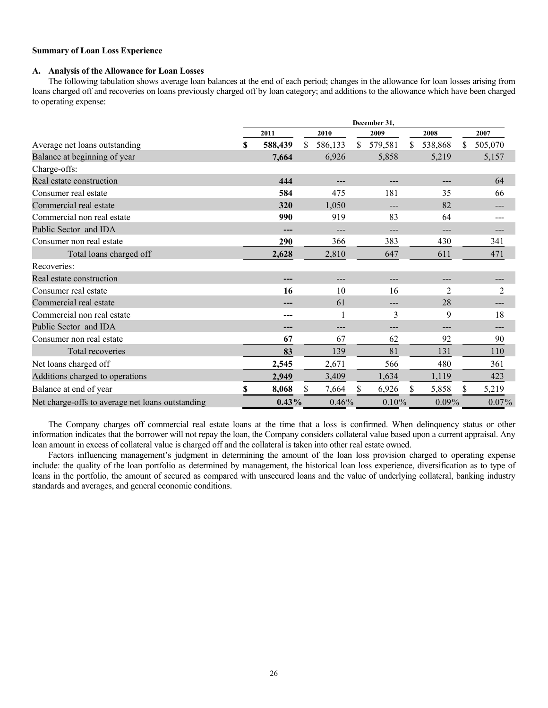#### **Summary of Loan Loss Experience**

## **A. Analysis of the Allowance for Loan Losses**

 The following tabulation shows average loan balances at the end of each period; changes in the allowance for loan losses arising from loans charged off and recoveries on loans previously charged off by loan category; and additions to the allowance which have been charged to operating expense:

|                                                  | December 31, |          |    |         |     |         |    |          |               |                |  |
|--------------------------------------------------|--------------|----------|----|---------|-----|---------|----|----------|---------------|----------------|--|
|                                                  |              | 2011     |    | 2010    |     | 2009    |    | 2008     |               | 2007           |  |
| Average net loans outstanding                    | \$           | 588,439  | \$ | 586,133 | \$  | 579,581 | \$ | 538,868  | \$.           | 505,070        |  |
| Balance at beginning of year                     |              | 7,664    |    | 6,926   |     | 5,858   |    | 5,219    |               | 5,157          |  |
| Charge-offs:                                     |              |          |    |         |     |         |    |          |               |                |  |
| Real estate construction                         |              | 444      |    |         |     | ---     |    | ---      |               | 64             |  |
| Consumer real estate                             |              | 584      |    | 475     |     | 181     |    | 35       |               | 66             |  |
| Commercial real estate                           |              | 320      |    | 1,050   |     | ---     |    | 82       |               |                |  |
| Commercial non real estate                       |              | 990      |    | 919     |     | 83      |    | 64       |               |                |  |
| Public Sector and IDA                            |              |          |    | ---     |     | ---     |    | ---      |               |                |  |
| Consumer non real estate                         |              | 290      |    | 366     |     | 383     |    | 430      |               | 341            |  |
| Total loans charged off                          |              | 2,628    |    | 2,810   |     | 647     |    | 611      |               | 471            |  |
| Recoveries:                                      |              |          |    |         |     |         |    |          |               |                |  |
| Real estate construction                         |              |          |    |         |     | ---     |    |          |               |                |  |
| Consumer real estate                             |              | 16       |    | 10      |     | 16      |    | 2        |               | $\overline{2}$ |  |
| Commercial real estate                           |              |          |    | 61      |     | ---     |    | 28       |               | ---            |  |
| Commercial non real estate                       |              |          |    |         |     | 3       |    | 9        |               | 18             |  |
| Public Sector and IDA                            |              |          |    | ---     |     | ---     |    | ---      |               | ---            |  |
| Consumer non real estate                         |              | 67       |    | 67      |     | 62      |    | 92       |               | 90             |  |
| Total recoveries                                 |              | 83       |    | 139     |     | 81      |    | 131      |               | 110            |  |
| Net loans charged off                            |              | 2,545    |    | 2,671   |     | 566     |    | 480      |               | 361            |  |
| Additions charged to operations                  |              | 2,949    |    | 3,409   |     | 1,634   |    | 1,119    |               | 423            |  |
| Balance at end of year                           | \$           | 8,068    | \$ | 7,664   | \$. | 6,926   | S. | 5,858    | <sup>\$</sup> | 5,219          |  |
| Net charge-offs to average net loans outstanding |              | $0.43\%$ |    | 0.46%   |     | 0.10%   |    | $0.09\%$ |               | $0.07\%$       |  |

 The Company charges off commercial real estate loans at the time that a loss is confirmed. When delinquency status or other information indicates that the borrower will not repay the loan, the Company considers collateral value based upon a current appraisal. Any loan amount in excess of collateral value is charged off and the collateral is taken into other real estate owned.

 Factors influencing management's judgment in determining the amount of the loan loss provision charged to operating expense include: the quality of the loan portfolio as determined by management, the historical loan loss experience, diversification as to type of loans in the portfolio, the amount of secured as compared with unsecured loans and the value of underlying collateral, banking industry standards and averages, and general economic conditions.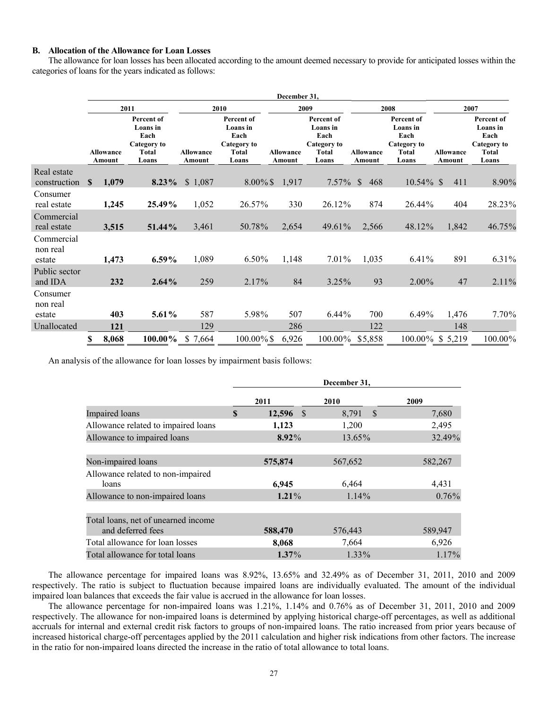#### **B. Allocation of the Allowance for Loan Losses**

 The allowance for loan losses has been allocated according to the amount deemed necessary to provide for anticipated losses within the categories of loans for the years indicated as follows:

|                                  |   |                            |                                                                                      |                            |                                                                        | December 31,               |                                                                 |                            |                                                                        |                            |                                                                        |  |
|----------------------------------|---|----------------------------|--------------------------------------------------------------------------------------|----------------------------|------------------------------------------------------------------------|----------------------------|-----------------------------------------------------------------|----------------------------|------------------------------------------------------------------------|----------------------------|------------------------------------------------------------------------|--|
|                                  |   |                            | 2011                                                                                 |                            | 2010                                                                   |                            | 2009                                                            |                            | 2008                                                                   | 2007                       |                                                                        |  |
|                                  |   | <b>Allowance</b><br>Amount | <b>Percent of</b><br>Loans in<br>Each<br><b>Category to</b><br><b>Total</b><br>Loans | <b>Allowance</b><br>Amount | Percent of<br>Loans in<br>Each<br>Category to<br><b>Total</b><br>Loans | <b>Allowance</b><br>Amount | Percent of<br>Loans in<br>Each<br>Category to<br>Total<br>Loans | <b>Allowance</b><br>Amount | Percent of<br>Loans in<br>Each<br>Category to<br><b>Total</b><br>Loans | <b>Allowance</b><br>Amount | Percent of<br>Loans in<br>Each<br>Category to<br><b>Total</b><br>Loans |  |
| Real estate<br>construction      | S | 1,079                      | $8.23\%$                                                                             | \$1,087                    | $8.00\%$ \$                                                            | 1,917                      | $7.57\%$                                                        | <sup>S</sup><br>468        | $10.54\%$ \$                                                           | 411                        | 8.90%                                                                  |  |
| Consumer<br>real estate          |   | 1,245                      | 25.49%                                                                               | 1,052                      | 26.57%                                                                 | 330                        | 26.12%                                                          | 874                        | 26.44%                                                                 | 404                        | 28.23%                                                                 |  |
| Commercial<br>real estate        |   | 3,515                      | 51.44%                                                                               | 3,461                      | 50.78%                                                                 | 2,654                      | 49.61%                                                          | 2,566                      | 48.12%                                                                 | 1,842                      | 46.75%                                                                 |  |
| Commercial<br>non real<br>estate |   | 1,473                      | $6.59\%$                                                                             | 1,089                      | 6.50%                                                                  | 1,148                      | $7.01\%$                                                        | 1,035                      | 6.41%                                                                  | 891                        | 6.31%                                                                  |  |
| Public sector<br>and IDA         |   | 232                        | $2.64\%$                                                                             | 259                        | 2.17%                                                                  | 84                         | 3.25%                                                           | 93                         | $2.00\%$                                                               | 47                         | 2.11%                                                                  |  |
| Consumer<br>non real             |   |                            |                                                                                      |                            |                                                                        |                            |                                                                 |                            |                                                                        |                            |                                                                        |  |
| estate                           |   | 403                        | $5.61\%$                                                                             | 587                        | 5.98%                                                                  | 507                        | $6.44\%$                                                        | 700                        | 6.49%                                                                  | 1,476                      | 7.70%                                                                  |  |
| Unallocated                      |   | 121                        |                                                                                      | 129                        |                                                                        | 286                        |                                                                 | 122                        |                                                                        | 148                        |                                                                        |  |
|                                  | S | 8,068                      | 100.00%                                                                              | \$7,664                    | $100.00\%$ \$                                                          | 6,926                      |                                                                 | 100.00% \$5,858            |                                                                        | 100.00% \$5,219            | 100.00%                                                                |  |

An analysis of the allowance for loan losses by impairment basis follows:

|                                                          |              |                         | December 31,           |         |
|----------------------------------------------------------|--------------|-------------------------|------------------------|---------|
|                                                          |              | 2011                    | 2010                   | 2009    |
| <b>Impaired</b> loans                                    | $\mathbf{s}$ | 12,596<br><sup>\$</sup> | 8,791<br><sup>\$</sup> | 7,680   |
| Allowance related to impaired loans                      |              | 1,123                   | 1,200                  | 2,495   |
| Allowance to impaired loans                              |              | 8.92%                   | 13.65%                 | 32.49%  |
| Non-impaired loans                                       |              | 575,874                 | 567,652                | 582,267 |
| Allowance related to non-impaired<br>loans               |              | 6,945                   | 6,464                  | 4,431   |
| Allowance to non-impaired loans                          |              | 1.21%                   | $1.14\%$               | 0.76%   |
| Total loans, net of unearned income<br>and deferred fees |              | 588,470                 | 576,443                | 589,947 |
| Total allowance for loan losses                          |              | 8,068                   | 7,664                  | 6,926   |
| Total allowance for total loans                          |              | $1.37\%$                | 1.33%                  | 1.17%   |

 The allowance percentage for impaired loans was 8.92%, 13.65% and 32.49% as of December 31, 2011, 2010 and 2009 respectively. The ratio is subject to fluctuation because impaired loans are individually evaluated. The amount of the individual impaired loan balances that exceeds the fair value is accrued in the allowance for loan losses.

 The allowance percentage for non-impaired loans was 1.21%, 1.14% and 0.76% as of December 31, 2011, 2010 and 2009 respectively. The allowance for non-impaired loans is determined by applying historical charge-off percentages, as well as additional accruals for internal and external credit risk factors to groups of non-impaired loans. The ratio increased from prior years because of increased historical charge-off percentages applied by the 2011 calculation and higher risk indications from other factors. The increase in the ratio for non-impaired loans directed the increase in the ratio of total allowance to total loans.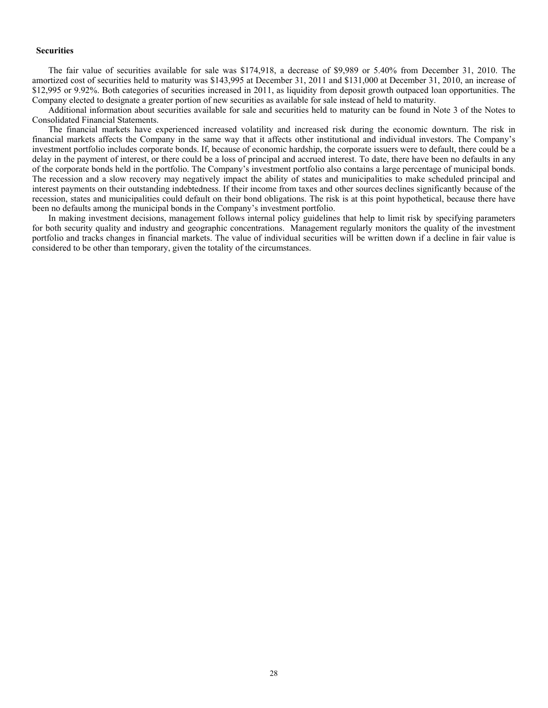#### **Securities**

 The fair value of securities available for sale was \$174,918, a decrease of \$9,989 or 5.40% from December 31, 2010. The amortized cost of securities held to maturity was \$143,995 at December 31, 2011 and \$131,000 at December 31, 2010, an increase of \$12,995 or 9.92%. Both categories of securities increased in 2011, as liquidity from deposit growth outpaced loan opportunities. The Company elected to designate a greater portion of new securities as available for sale instead of held to maturity.

 Additional information about securities available for sale and securities held to maturity can be found in Note 3 of the Notes to Consolidated Financial Statements.

 The financial markets have experienced increased volatility and increased risk during the economic downturn. The risk in financial markets affects the Company in the same way that it affects other institutional and individual investors. The Company's investment portfolio includes corporate bonds. If, because of economic hardship, the corporate issuers were to default, there could be a delay in the payment of interest, or there could be a loss of principal and accrued interest. To date, there have been no defaults in any of the corporate bonds held in the portfolio. The Company's investment portfolio also contains a large percentage of municipal bonds. The recession and a slow recovery may negatively impact the ability of states and municipalities to make scheduled principal and interest payments on their outstanding indebtedness. If their income from taxes and other sources declines significantly because of the recession, states and municipalities could default on their bond obligations. The risk is at this point hypothetical, because there have been no defaults among the municipal bonds in the Company's investment portfolio.

 In making investment decisions, management follows internal policy guidelines that help to limit risk by specifying parameters for both security quality and industry and geographic concentrations. Management regularly monitors the quality of the investment portfolio and tracks changes in financial markets. The value of individual securities will be written down if a decline in fair value is considered to be other than temporary, given the totality of the circumstances.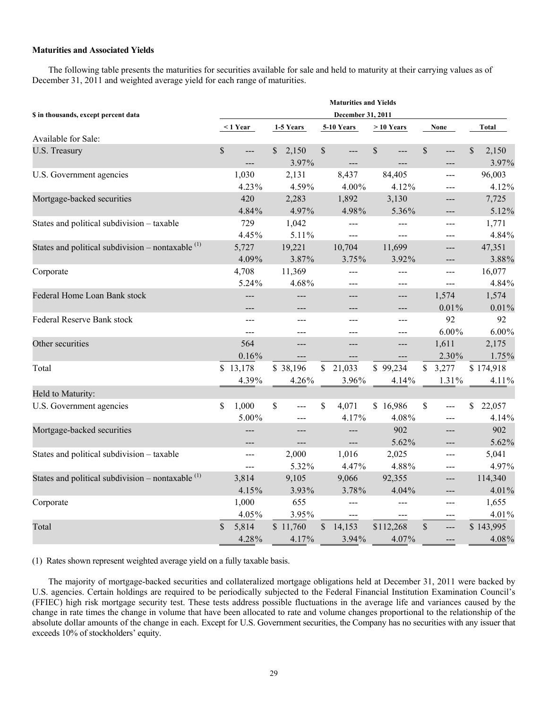#### **Maturities and Associated Yields**

 The following table presents the maturities for securities available for sale and held to maturity at their carrying values as of December 31, 2011 and weighted average yield for each range of maturities.

|                                                     | <b>Maturities and Yields</b> |            |    |           |              |            |    |              |              |          |               |              |
|-----------------------------------------------------|------------------------------|------------|----|-----------|--------------|------------|----|--------------|--------------|----------|---------------|--------------|
| \$ in thousands, except percent data                | December 31, 2011            |            |    |           |              |            |    |              |              |          |               |              |
|                                                     |                              | $<$ 1 Year |    | 1-5 Years |              | 5-10 Years |    | $> 10$ Years |              | None     |               | <b>Total</b> |
| Available for Sale:                                 |                              |            |    |           |              |            |    |              |              |          |               |              |
| U.S. Treasury                                       | $\mathbb{S}$                 | $---$      | \$ | 2,150     | \$           | $---$      | \$ | $---$        | \$           | ---      | $\mathcal{S}$ | 2,150        |
|                                                     |                              |            |    | 3.97%     |              |            |    |              |              |          |               | 3.97%        |
| U.S. Government agencies                            |                              | 1,030      |    | 2,131     |              | 8,437      |    | 84,405       |              | ---      |               | 96,003       |
|                                                     |                              | 4.23%      |    | 4.59%     |              | 4.00%      |    | 4.12%        |              | ---      |               | 4.12%        |
| Mortgage-backed securities                          |                              | 420        |    | 2,283     |              | 1,892      |    | 3,130        |              | $---$    |               | 7,725        |
|                                                     |                              | 4.84%      |    | 4.97%     |              | 4.98%      |    | 5.36%        |              | ---      |               | 5.12%        |
| States and political subdivision - taxable          |                              | 729        |    | 1,042     |              | ---        |    | $---$        |              | ---      |               | 1,771        |
|                                                     |                              | 4.45%      |    | 5.11%     |              | ---        |    | $---$        |              | ---      |               | 4.84%        |
| States and political subdivision – nontaxable $(1)$ |                              | 5,727      |    | 19,221    |              | 10,704     |    | 11,699       |              | ---      |               | 47,351       |
|                                                     |                              | 4.09%      |    | 3.87%     |              | 3.75%      |    | 3.92%        |              | ---      |               | 3.88%        |
| Corporate                                           |                              | 4,708      |    | 11,369    |              | ---        |    | ---          |              | ---      |               | 16,077       |
|                                                     |                              | 5.24%      |    | 4.68%     |              |            |    | ---          |              | ---      |               | 4.84%        |
| Federal Home Loan Bank stock                        |                              |            |    | ---       |              | ---        |    | ---          |              | 1,574    |               | 1,574        |
|                                                     |                              |            |    | ---       |              | ---        |    | ---          |              | 0.01%    |               | 0.01%        |
| Federal Reserve Bank stock                          |                              |            |    |           |              | ---        |    | ---          |              | 92       |               | 92           |
|                                                     |                              |            |    | ---       |              | ---        |    | $---$        |              | $6.00\%$ |               | $6.00\%$     |
| Other securities                                    |                              | 564        |    |           |              |            |    | ---          |              | 1,611    |               | 2,175        |
|                                                     |                              | 0.16%      |    | ---       |              | ---        |    |              |              | 2.30%    |               | 1.75%        |
| Total                                               |                              | \$13,178   |    | \$38,196  |              | \$21,033   |    | \$99,234     |              | \$3,277  |               | \$174,918    |
|                                                     |                              | 4.39%      |    | 4.26%     |              | 3.96%      |    | 4.14%        |              | 1.31%    |               | 4.11%        |
| Held to Maturity:                                   |                              |            |    |           |              |            |    |              |              |          |               |              |
| U.S. Government agencies                            | \$                           | 1,000      | \$ | ---       | \$           | 4,071      |    | \$16,986     | \$           | ---      | S.            | 22,057       |
|                                                     |                              | 5.00%      |    | $--$      |              | 4.17%      |    | 4.08%        |              | ---      |               | 4.14%        |
| Mortgage-backed securities                          |                              |            |    |           |              | ---        |    | 902          |              | ---      |               | 902          |
|                                                     |                              | ---        |    | $---$     |              | ---        |    | 5.62%        |              | ---      |               | 5.62%        |
| States and political subdivision - taxable          |                              | ---        |    | 2,000     |              | 1,016      |    | 2,025        |              | ---      |               | 5,041        |
|                                                     |                              | ---        |    | 5.32%     |              | 4.47%      |    | 4.88%        |              | ---      |               | 4.97%        |
| States and political subdivision – nontaxable $(1)$ |                              | 3,814      |    | 9,105     |              | 9,066      |    | 92,355       |              | ---      |               | 114,340      |
|                                                     |                              | 4.15%      |    | 3.93%     |              | 3.78%      |    | 4.04%        |              | ---      |               | 4.01%        |
| Corporate                                           |                              | 1,000      |    | 655       |              | ---        |    | ---          |              | ---      |               | 1,655        |
|                                                     |                              | 4.05%      |    | 3.95%     |              | $---$      |    | $---$        |              | $---$    |               | 4.01%        |
| Total                                               | \$                           | 5,814      |    | \$11,760  | $\mathbb{S}$ | 14,153     |    | \$112,268    | $\mathbb{S}$ | ---      |               | \$143,995    |
|                                                     |                              | 4.28%      |    | 4.17%     |              | 3.94%      |    | 4.07%        |              | $---$    |               | 4.08%        |

#### (1) Rates shown represent weighted average yield on a fully taxable basis.

 The majority of mortgage-backed securities and collateralized mortgage obligations held at December 31, 2011 were backed by U.S. agencies. Certain holdings are required to be periodically subjected to the Federal Financial Institution Examination Council's (FFIEC) high risk mortgage security test. These tests address possible fluctuations in the average life and variances caused by the change in rate times the change in volume that have been allocated to rate and volume changes proportional to the relationship of the absolute dollar amounts of the change in each. Except for U.S. Government securities, the Company has no securities with any issuer that exceeds 10% of stockholders' equity.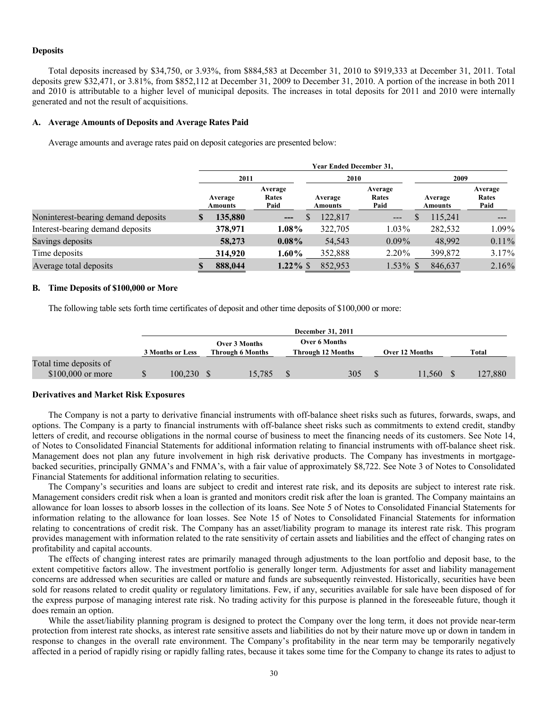#### **Deposits**

 Total deposits increased by \$34,750, or 3.93%, from \$884,583 at December 31, 2010 to \$919,333 at December 31, 2011. Total deposits grew \$32,471, or 3.81%, from \$852,112 at December 31, 2009 to December 31, 2010. A portion of the increase in both 2011 and 2010 is attributable to a higher level of municipal deposits. The increases in total deposits for 2011 and 2010 were internally generated and not the result of acquisitions.

#### **A. Average Amounts of Deposits and Average Rates Paid**

Average amounts and average rates paid on deposit categories are presented below:

|                                     | <b>Year Ended December 31,</b> |                    |                          |                    |                          |                           |                          |  |  |  |
|-------------------------------------|--------------------------------|--------------------|--------------------------|--------------------|--------------------------|---------------------------|--------------------------|--|--|--|
|                                     |                                | 2011               |                          |                    | 2010                     | 2009                      |                          |  |  |  |
|                                     |                                | Average<br>Amounts | Average<br>Rates<br>Paid | Average<br>Amounts | Average<br>Rates<br>Paid | Average<br><b>Amounts</b> | Average<br>Rates<br>Paid |  |  |  |
| Noninterest-bearing demand deposits | S                              | 135,880            | $---$                    | 122,817<br>D       | $---$                    | 115,241                   | $- - -$                  |  |  |  |
| Interest-bearing demand deposits    |                                | 378,971            | $1.08\%$                 | 322,705            | 1.03%                    | 282,532                   | 1.09%                    |  |  |  |
| Savings deposits                    |                                | 58,273             | $0.08\%$                 | 54,543             | $0.09\%$                 | 48,992                    | 0.11%                    |  |  |  |
| Time deposits                       |                                | 314,920            | $1.60\%$                 | 352,888            | 2.20%                    | 399,872                   | 3.17%                    |  |  |  |
| Average total deposits              |                                | 888,044            | $1.22\%$ \$              | 852,953            | $1.53\%$ \$              | 846,637                   | 2.16%                    |  |  |  |

#### **B. Time Deposits of \$100,000 or More**

The following table sets forth time certificates of deposit and other time deposits of \$100,000 or more:

|                                              | December 31, 2011 |                                          |        |                                                  |     |                |        |  |         |
|----------------------------------------------|-------------------|------------------------------------------|--------|--------------------------------------------------|-----|----------------|--------|--|---------|
|                                              | 3 Months or Less  | Over 3 Months<br><b>Through 6 Months</b> |        | <b>Over 6 Months</b><br><b>Through 12 Months</b> |     | Over 12 Months |        |  | Total   |
| Total time deposits of<br>$$100,000$ or more | 100,230 \$        |                                          | 15.785 |                                                  | 305 |                | 11.560 |  | 127,880 |

#### **Derivatives and Market Risk Exposures**

 The Company is not a party to derivative financial instruments with off-balance sheet risks such as futures, forwards, swaps, and options. The Company is a party to financial instruments with off-balance sheet risks such as commitments to extend credit, standby letters of credit, and recourse obligations in the normal course of business to meet the financing needs of its customers. See Note 14, of Notes to Consolidated Financial Statements for additional information relating to financial instruments with off-balance sheet risk. Management does not plan any future involvement in high risk derivative products. The Company has investments in mortgagebacked securities, principally GNMA's and FNMA's, with a fair value of approximately \$8,722. See Note 3 of Notes to Consolidated Financial Statements for additional information relating to securities.

 The Company's securities and loans are subject to credit and interest rate risk, and its deposits are subject to interest rate risk. Management considers credit risk when a loan is granted and monitors credit risk after the loan is granted. The Company maintains an allowance for loan losses to absorb losses in the collection of its loans. See Note 5 of Notes to Consolidated Financial Statements for information relating to the allowance for loan losses. See Note 15 of Notes to Consolidated Financial Statements for information relating to concentrations of credit risk. The Company has an asset/liability program to manage its interest rate risk. This program provides management with information related to the rate sensitivity of certain assets and liabilities and the effect of changing rates on profitability and capital accounts.

 The effects of changing interest rates are primarily managed through adjustments to the loan portfolio and deposit base, to the extent competitive factors allow. The investment portfolio is generally longer term. Adjustments for asset and liability management concerns are addressed when securities are called or mature and funds are subsequently reinvested. Historically, securities have been sold for reasons related to credit quality or regulatory limitations. Few, if any, securities available for sale have been disposed of for the express purpose of managing interest rate risk. No trading activity for this purpose is planned in the foreseeable future, though it does remain an option.

While the asset/liability planning program is designed to protect the Company over the long term, it does not provide near-term protection from interest rate shocks, as interest rate sensitive assets and liabilities do not by their nature move up or down in tandem in response to changes in the overall rate environment. The Company's profitability in the near term may be temporarily negatively affected in a period of rapidly rising or rapidly falling rates, because it takes some time for the Company to change its rates to adjust to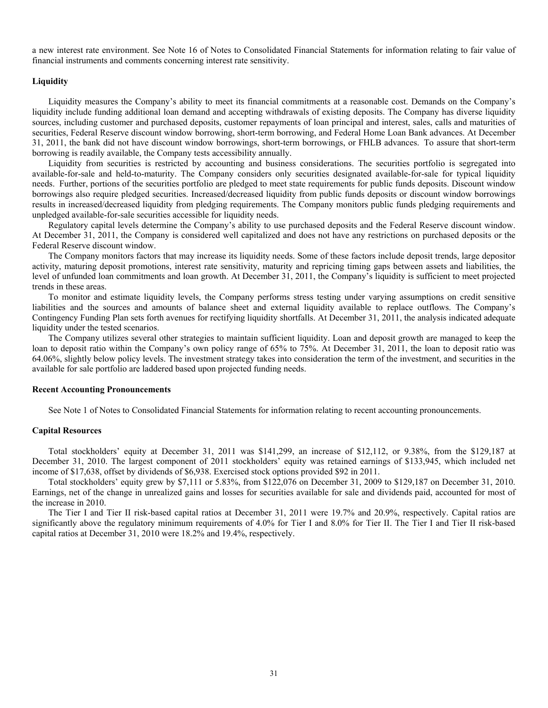a new interest rate environment. See Note 16 of Notes to Consolidated Financial Statements for information relating to fair value of financial instruments and comments concerning interest rate sensitivity.

#### **Liquidity**

 Liquidity measures the Company's ability to meet its financial commitments at a reasonable cost. Demands on the Company's liquidity include funding additional loan demand and accepting withdrawals of existing deposits. The Company has diverse liquidity sources, including customer and purchased deposits, customer repayments of loan principal and interest, sales, calls and maturities of securities, Federal Reserve discount window borrowing, short-term borrowing, and Federal Home Loan Bank advances. At December 31, 2011, the bank did not have discount window borrowings, short-term borrowings, or FHLB advances. To assure that short-term borrowing is readily available, the Company tests accessibility annually.

 Liquidity from securities is restricted by accounting and business considerations. The securities portfolio is segregated into available-for-sale and held-to-maturity. The Company considers only securities designated available-for-sale for typical liquidity needs. Further, portions of the securities portfolio are pledged to meet state requirements for public funds deposits. Discount window borrowings also require pledged securities. Increased/decreased liquidity from public funds deposits or discount window borrowings results in increased/decreased liquidity from pledging requirements. The Company monitors public funds pledging requirements and unpledged available-for-sale securities accessible for liquidity needs.

 Regulatory capital levels determine the Company's ability to use purchased deposits and the Federal Reserve discount window. At December 31, 2011, the Company is considered well capitalized and does not have any restrictions on purchased deposits or the Federal Reserve discount window.

 The Company monitors factors that may increase its liquidity needs. Some of these factors include deposit trends, large depositor activity, maturing deposit promotions, interest rate sensitivity, maturity and repricing timing gaps between assets and liabilities, the level of unfunded loan commitments and loan growth. At December 31, 2011, the Company's liquidity is sufficient to meet projected trends in these areas.

 To monitor and estimate liquidity levels, the Company performs stress testing under varying assumptions on credit sensitive liabilities and the sources and amounts of balance sheet and external liquidity available to replace outflows. The Company's Contingency Funding Plan sets forth avenues for rectifying liquidity shortfalls. At December 31, 2011, the analysis indicated adequate liquidity under the tested scenarios.

 The Company utilizes several other strategies to maintain sufficient liquidity. Loan and deposit growth are managed to keep the loan to deposit ratio within the Company's own policy range of 65% to 75%. At December 31, 2011, the loan to deposit ratio was 64.06%, slightly below policy levels. The investment strategy takes into consideration the term of the investment, and securities in the available for sale portfolio are laddered based upon projected funding needs.

#### **Recent Accounting Pronouncements**

See Note 1 of Notes to Consolidated Financial Statements for information relating to recent accounting pronouncements.

#### **Capital Resources**

 Total stockholders' equity at December 31, 2011 was \$141,299, an increase of \$12,112, or 9.38%, from the \$129,187 at December 31, 2010. The largest component of 2011 stockholders' equity was retained earnings of \$133,945, which included net income of \$17,638, offset by dividends of \$6,938. Exercised stock options provided \$92 in 2011.

 Total stockholders' equity grew by \$7,111 or 5.83%, from \$122,076 on December 31, 2009 to \$129,187 on December 31, 2010. Earnings, net of the change in unrealized gains and losses for securities available for sale and dividends paid, accounted for most of the increase in 2010.

 The Tier I and Tier II risk-based capital ratios at December 31, 2011 were 19.7% and 20.9%, respectively. Capital ratios are significantly above the regulatory minimum requirements of 4.0% for Tier I and 8.0% for Tier II. The Tier I and Tier II risk-based capital ratios at December 31, 2010 were 18.2% and 19.4%, respectively.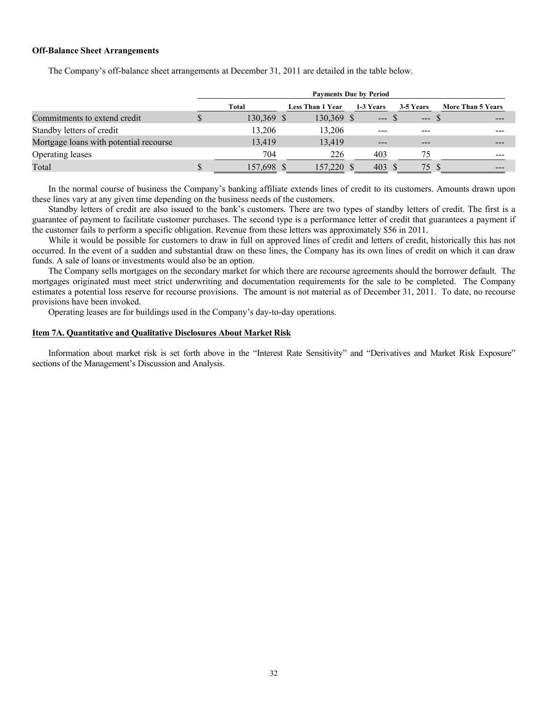#### **Off-Balance Sheet Arrangements**

The Company's off-balance sheet arrangements at December 31, 2011 are detailed in the table below.

|                                        | <b>Payments Due by Period</b> |            |  |                  |  |                                     |  |           |                   |
|----------------------------------------|-------------------------------|------------|--|------------------|--|-------------------------------------|--|-----------|-------------------|
|                                        |                               | Total      |  | Less Than 1 Year |  | 1-3 Years                           |  | 3-5 Years | More Than 5 Years |
| Commitments to extend credit           | D                             | 130,369 \$ |  | 130,369 \$       |  | $\hspace{0.05cm}---\hspace{0.05cm}$ |  | $--$ S    |                   |
| Standby letters of credit              |                               | 13,206     |  | 13,206           |  | $- - -$                             |  |           |                   |
| Mortgage loans with potential recourse |                               | 13,419     |  | 13,419           |  | $- - -$                             |  |           |                   |
| Operating leases                       |                               | 704        |  | 226              |  | 403                                 |  | 75        | ---               |
| Total                                  |                               | 157,698 \$ |  | 157,220 \$       |  | 403S                                |  | 75 S      |                   |

 In the normal course of business the Company's banking affiliate extends lines of credit to its customers. Amounts drawn upon these lines vary at any given time depending on the business needs of the customers.

 Standby letters of credit are also issued to the bank's customers. There are two types of standby letters of credit. The first is a guarantee of payment to facilitate customer purchases. The second type is a performance letter of credit that guarantees a payment if the customer fails to perform a specific obligation. Revenue from these letters was approximately \$56 in 2011.

 While it would be possible for customers to draw in full on approved lines of credit and letters of credit, historically this has not occurred. In the event of a sudden and substantial draw on these lines, the Company has its own lines of credit on which it can draw funds. A sale of loans or investments would also be an option.

 The Company sells mortgages on the secondary market for which there are recourse agreements should the borrower default. The mortgages originated must meet strict underwriting and documentation requirements for the sale to be completed. The Company estimates a potential loss reserve for recourse provisions. The amount is not material as of December 31, 2011. To date, no recourse provisions have been invoked.

Operating leases are for buildings used in the Company's day-to-day operations.

#### **Item 7A. Quantitative and Qualitative Disclosures About Market Risk**

 Information about market risk is set forth above in the "Interest Rate Sensitivity" and "Derivatives and Market Risk Exposure" sections of the Management's Discussion and Analysis.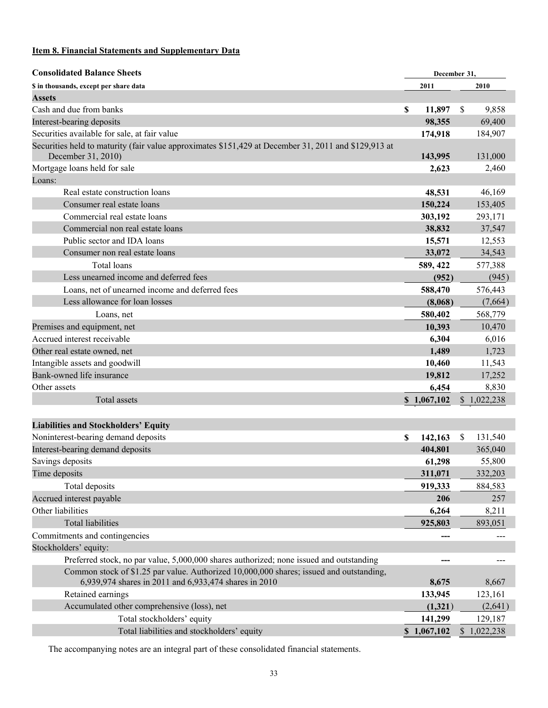## **Item 8. Financial Statements and Supplementary Data**

| <b>Consolidated Balance Sheets</b>                                                                   |   | December 31, |    |             |  |
|------------------------------------------------------------------------------------------------------|---|--------------|----|-------------|--|
| \$ in thousands, except per share data                                                               |   | 2011         |    | 2010        |  |
| <b>Assets</b>                                                                                        |   |              |    |             |  |
| Cash and due from banks                                                                              | S | 11,897       | \$ | 9,858       |  |
| Interest-bearing deposits                                                                            |   | 98,355       |    | 69,400      |  |
| Securities available for sale, at fair value                                                         |   | 174,918      |    | 184,907     |  |
| Securities held to maturity (fair value approximates \$151,429 at December 31, 2011 and \$129,913 at |   |              |    |             |  |
| December 31, 2010)                                                                                   |   | 143,995      |    | 131,000     |  |
| Mortgage loans held for sale                                                                         |   | 2,623        |    | 2,460       |  |
| Loans:                                                                                               |   |              |    |             |  |
| Real estate construction loans                                                                       |   | 48,531       |    | 46,169      |  |
| Consumer real estate loans                                                                           |   | 150,224      |    | 153,405     |  |
| Commercial real estate loans                                                                         |   | 303,192      |    | 293,171     |  |
| Commercial non real estate loans                                                                     |   | 38,832       |    | 37,547      |  |
| Public sector and IDA loans                                                                          |   | 15,571       |    | 12,553      |  |
| Consumer non real estate loans                                                                       |   | 33,072       |    | 34,543      |  |
| Total loans                                                                                          |   | 589, 422     |    | 577,388     |  |
| Less unearned income and deferred fees                                                               |   | (952)        |    | (945)       |  |
| Loans, net of unearned income and deferred fees                                                      |   | 588,470      |    | 576,443     |  |
| Less allowance for loan losses                                                                       |   | (8,068)      |    | (7,664)     |  |
| Loans, net                                                                                           |   | 580,402      |    | 568,779     |  |
| Premises and equipment, net                                                                          |   | 10,393       |    | 10,470      |  |
| Accrued interest receivable                                                                          |   | 6,304        |    | 6,016       |  |
| Other real estate owned, net                                                                         |   | 1,489        |    | 1,723       |  |
| Intangible assets and goodwill                                                                       |   | 10,460       |    | 11,543      |  |
| Bank-owned life insurance                                                                            |   | 19,812       |    | 17,252      |  |
| Other assets                                                                                         |   | 6,454        |    | 8,830       |  |
| Total assets                                                                                         |   | \$1,067,102  |    | \$1,022,238 |  |
|                                                                                                      |   |              |    |             |  |
| <b>Liabilities and Stockholders' Equity</b>                                                          |   |              |    |             |  |
| Noninterest-bearing demand deposits                                                                  | S | 142,163      | \$ | 131,540     |  |
| Interest-bearing demand deposits                                                                     |   | 404,801      |    | 365,040     |  |
| Savings deposits                                                                                     |   | 61,298       |    | 55,800      |  |
| Time deposits                                                                                        |   | 311,071      |    | 332,203     |  |
| Total deposits                                                                                       |   | 919,333      |    | 884,583     |  |
| Accrued interest payable                                                                             |   | 206          |    | 257         |  |
| Other liabilities                                                                                    |   | 6,264        |    | 8,211       |  |
| <b>Total liabilities</b>                                                                             |   | 925,803      |    | 893,051     |  |
| Commitments and contingencies                                                                        |   |              |    |             |  |
| Stockholders' equity:                                                                                |   |              |    |             |  |
| Preferred stock, no par value, 5,000,000 shares authorized; none issued and outstanding              |   |              |    |             |  |
| Common stock of \$1.25 par value. Authorized 10,000,000 shares; issued and outstanding,              |   |              |    |             |  |
| 6,939,974 shares in 2011 and 6,933,474 shares in 2010                                                |   | 8,675        |    | 8,667       |  |
| Retained earnings                                                                                    |   | 133,945      |    | 123,161     |  |
| Accumulated other comprehensive (loss), net                                                          |   | (1,321)      |    | (2,641)     |  |
| Total stockholders' equity                                                                           |   | 141,299      |    | 129,187     |  |
| Total liabilities and stockholders' equity                                                           |   | \$1,067,102  |    | \$1,022,238 |  |
|                                                                                                      |   |              |    |             |  |

The accompanying notes are an integral part of these consolidated financial statements.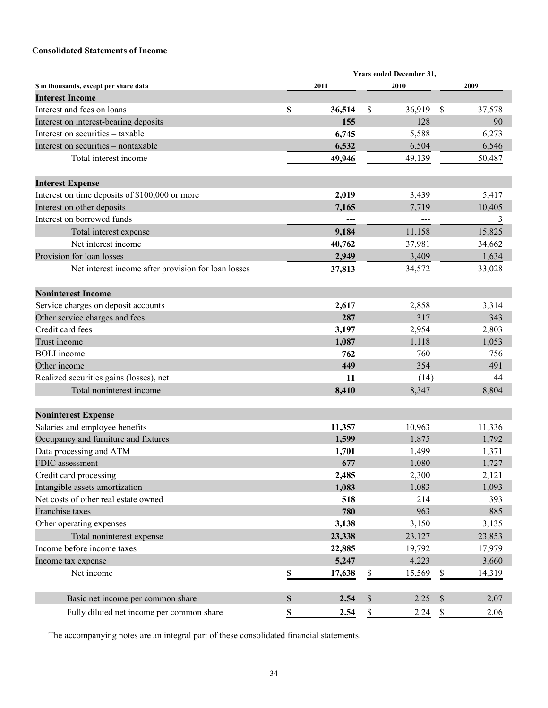## **Consolidated Statements of Income**

|                                                     | Years ended December 31, |        |                           |        |                           |        |  |  |
|-----------------------------------------------------|--------------------------|--------|---------------------------|--------|---------------------------|--------|--|--|
| \$ in thousands, except per share data              | 2011                     |        |                           | 2010   |                           | 2009   |  |  |
| <b>Interest Income</b>                              |                          |        |                           |        |                           |        |  |  |
| Interest and fees on loans                          | \$                       | 36,514 | \$                        | 36,919 | $\mathcal{S}$             | 37,578 |  |  |
| Interest on interest-bearing deposits               |                          | 155    |                           | 128    |                           | 90     |  |  |
| Interest on securities – taxable                    |                          | 6,745  |                           | 5,588  |                           | 6,273  |  |  |
| Interest on securities - nontaxable                 |                          | 6,532  |                           | 6,504  |                           | 6,546  |  |  |
| Total interest income                               |                          | 49,946 |                           | 49,139 |                           | 50,487 |  |  |
| <b>Interest Expense</b>                             |                          |        |                           |        |                           |        |  |  |
| Interest on time deposits of \$100,000 or more      |                          | 2,019  |                           | 3,439  |                           | 5,417  |  |  |
| Interest on other deposits                          |                          | 7,165  |                           | 7,719  |                           | 10,405 |  |  |
| Interest on borrowed funds                          |                          |        |                           | ---    |                           | 3      |  |  |
| Total interest expense                              |                          | 9,184  |                           | 11,158 |                           | 15,825 |  |  |
| Net interest income                                 |                          | 40,762 |                           | 37,981 |                           | 34,662 |  |  |
| Provision for loan losses                           |                          | 2,949  |                           | 3,409  |                           | 1,634  |  |  |
| Net interest income after provision for loan losses |                          | 37,813 |                           | 34,572 |                           | 33,028 |  |  |
| <b>Noninterest Income</b>                           |                          |        |                           |        |                           |        |  |  |
| Service charges on deposit accounts                 |                          | 2,617  |                           | 2,858  |                           | 3,314  |  |  |
| Other service charges and fees                      |                          | 287    |                           | 317    |                           | 343    |  |  |
| Credit card fees                                    |                          | 3,197  |                           | 2,954  |                           | 2,803  |  |  |
| Trust income                                        |                          | 1,087  |                           | 1,118  |                           | 1,053  |  |  |
| <b>BOLI</b> income                                  |                          | 762    |                           | 760    |                           | 756    |  |  |
| Other income                                        |                          | 449    |                           | 354    |                           | 491    |  |  |
| Realized securities gains (losses), net             |                          | 11     |                           | (14)   |                           | 44     |  |  |
| Total noninterest income                            |                          | 8,410  |                           | 8,347  |                           | 8,804  |  |  |
| <b>Noninterest Expense</b>                          |                          |        |                           |        |                           |        |  |  |
| Salaries and employee benefits                      |                          | 11,357 |                           | 10,963 |                           | 11,336 |  |  |
| Occupancy and furniture and fixtures                |                          | 1,599  |                           | 1,875  |                           | 1,792  |  |  |
| Data processing and ATM                             |                          | 1,701  |                           | 1,499  |                           | 1,371  |  |  |
| FDIC assessment                                     |                          | 677    |                           | 1,080  |                           | 1,727  |  |  |
| Credit card processing                              |                          | 2,485  |                           | 2,300  |                           | 2,121  |  |  |
| Intangible assets amortization                      |                          | 1,083  |                           | 1,083  |                           | 1,093  |  |  |
| Net costs of other real estate owned                |                          | 518    |                           | 214    |                           | 393    |  |  |
| Franchise taxes                                     |                          | 780    |                           | 963    |                           | 885    |  |  |
| Other operating expenses                            |                          | 3,138  |                           | 3,150  |                           | 3,135  |  |  |
| Total noninterest expense                           |                          | 23,338 |                           | 23,127 |                           | 23,853 |  |  |
| Income before income taxes                          |                          | 22,885 |                           | 19,792 |                           | 17,979 |  |  |
| Income tax expense                                  |                          | 5,247  |                           | 4,223  |                           | 3,660  |  |  |
| Net income                                          | $\underline{\mathbb{S}}$ | 17,638 | $\overline{\mathcal{L}}$  | 15,569 | $\frac{1}{2}$             | 14,319 |  |  |
| Basic net income per common share                   | $\mathbb S$              | 2.54   | $\boldsymbol{\mathsf{S}}$ | 2.25   | $\boldsymbol{\mathsf{S}}$ | 2.07   |  |  |
| Fully diluted net income per common share           | $\pmb{\mathbb{S}}$       | 2.54   | $\mathbb S$               | 2.24   | $\mathbb S$               | 2.06   |  |  |

The accompanying notes are an integral part of these consolidated financial statements.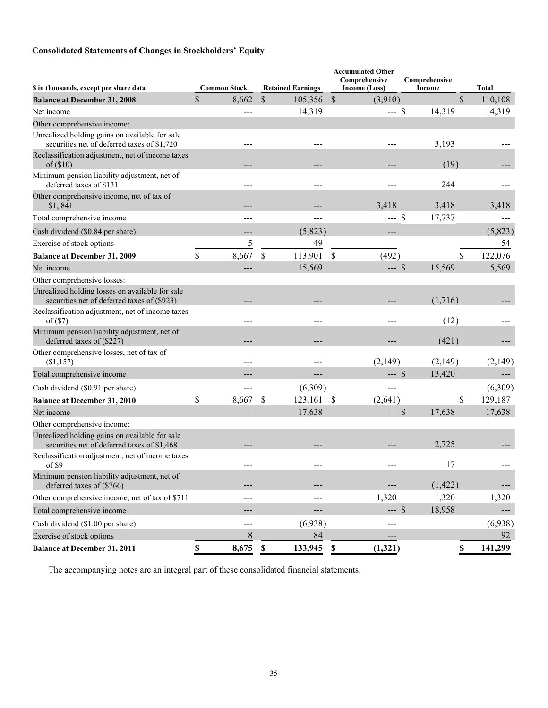## **Consolidated Statements of Changes in Stockholders' Equity**

| \$ in thousands, except per share data                                                         | <b>Common Stock</b> | <b>Retained Earnings</b>     | <b>Accumulated Other</b><br>Comprehensive<br>Income (Loss) | Comprehensive<br>Income | <b>Total</b> |
|------------------------------------------------------------------------------------------------|---------------------|------------------------------|------------------------------------------------------------|-------------------------|--------------|
| <b>Balance at December 31, 2008</b>                                                            | \$<br>8,662         | $\mathcal{S}$<br>105,356 \$  | (3,910)                                                    | $\mathbb{S}$            | 110,108      |
| Net income                                                                                     |                     | 14,319                       | $--$ \$                                                    | 14,319                  | 14,319       |
| Other comprehensive income:                                                                    |                     |                              |                                                            |                         |              |
| Unrealized holding gains on available for sale<br>securities net of deferred taxes of \$1,720  | $---$               | ---                          |                                                            | 3,193                   |              |
| Reclassification adjustment, net of income taxes<br>of $(\$10)$                                |                     |                              |                                                            | (19)                    |              |
| Minimum pension liability adjustment, net of<br>deferred taxes of \$131                        | $---$               | ---                          |                                                            | 244                     |              |
| Other comprehensive income, net of tax of<br>\$1,841                                           |                     |                              | 3,418                                                      | 3,418                   | 3,418        |
| Total comprehensive income                                                                     | $---$               | ---                          | $--$ \$                                                    | 17,737                  | $---$        |
| Cash dividend (\$0.84 per share)                                                               | $---$               | (5,823)                      |                                                            |                         | (5,823)      |
| Exercise of stock options                                                                      | 5                   | 49                           | $---$                                                      |                         | 54           |
| <b>Balance at December 31, 2009</b>                                                            | \$<br>8,667         | \$<br>113,901                | \$<br>(492)                                                | \$                      | 122,076      |
| Net income                                                                                     |                     | 15,569                       | $--$ \$                                                    | 15,569                  | 15,569       |
| Other comprehensive losses:                                                                    |                     |                              |                                                            |                         |              |
| Unrealized holding losses on available for sale<br>securities net of deferred taxes of (\$923) |                     |                              |                                                            | (1,716)                 |              |
| Reclassification adjustment, net of income taxes<br>of $($ 7)                                  |                     |                              |                                                            | (12)                    |              |
| Minimum pension liability adjustment, net of<br>deferred taxes of (\$227)                      |                     |                              |                                                            | (421)                   |              |
| Other comprehensive losses, net of tax of<br>(\$1,157)                                         | ---                 | ---                          | (2,149)                                                    | (2,149)                 | (2,149)      |
| Total comprehensive income                                                                     |                     | ---                          | ---                                                        | 13,420                  |              |
| Cash dividend (\$0.91 per share)                                                               |                     | (6,309)                      |                                                            |                         | (6,309)      |
| <b>Balance at December 31, 2010</b>                                                            | \$<br>8,667         | \$<br>123,161                | (2,641)<br>$\mathcal{S}$                                   | \$                      | 129,187      |
| Net income                                                                                     |                     | 17,638                       | $--$ \$                                                    | 17,638                  | 17,638       |
| Other comprehensive income:                                                                    |                     |                              |                                                            |                         |              |
| Unrealized holding gains on available for sale<br>securities net of deferred taxes of \$1,468  |                     |                              |                                                            | 2,725                   |              |
| Reclassification adjustment, net of income taxes<br>of \$9                                     | $---$               |                              |                                                            | 17                      |              |
| Minimum pension liability adjustment, net of<br>deferred taxes of (\$766)                      |                     |                              |                                                            | (1, 422)                |              |
| Other comprehensive income, net of tax of \$711                                                | $---$               | ---                          | 1,320                                                      | 1,320                   | 1,320        |
| Total comprehensive income                                                                     |                     | ---                          | $--$ \$                                                    | 18,958                  |              |
| Cash dividend (\$1.00 per share)                                                               | $---$               | (6,938)                      | ---                                                        |                         | (6,938)      |
| Exercise of stock options                                                                      | $8\,$               | 84                           | ---                                                        |                         | 92           |
| <b>Balance at December 31, 2011</b>                                                            | \$<br>8,675         | $\boldsymbol{\$}$<br>133,945 | $\mathbb{S}$<br>(1,321)                                    | \$                      | 141,299      |

The accompanying notes are an integral part of these consolidated financial statements.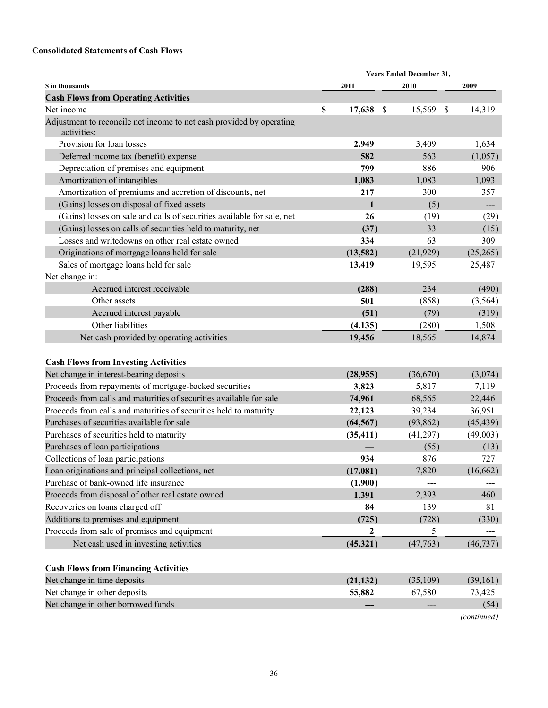## **Consolidated Statements of Cash Flows**

|                                                                                     | <b>Years Ended December 31,</b> |              |               |  |
|-------------------------------------------------------------------------------------|---------------------------------|--------------|---------------|--|
| \$ in thousands                                                                     | 2011                            | 2010         | 2009          |  |
| <b>Cash Flows from Operating Activities</b>                                         |                                 |              |               |  |
| Net income                                                                          | \$<br>17,638                    | -S<br>15,569 | -\$<br>14,319 |  |
| Adjustment to reconcile net income to net cash provided by operating<br>activities: |                                 |              |               |  |
| Provision for loan losses                                                           | 2,949                           | 3,409        | 1,634         |  |
| Deferred income tax (benefit) expense                                               | 582                             | 563          | (1,057)       |  |
| Depreciation of premises and equipment                                              | 799                             | 886          | 906           |  |
| Amortization of intangibles                                                         | 1,083                           | 1,083        | 1,093         |  |
| Amortization of premiums and accretion of discounts, net                            | 217                             | 300          | 357           |  |
| (Gains) losses on disposal of fixed assets                                          | $\mathbf{1}$                    | (5)          | $---$         |  |
| (Gains) losses on sale and calls of securities available for sale, net              | 26                              | (19)         | (29)          |  |
| (Gains) losses on calls of securities held to maturity, net                         | (37)                            | 33           | (15)          |  |
| Losses and writedowns on other real estate owned                                    | 334                             | 63           | 309           |  |
| Originations of mortgage loans held for sale                                        | (13, 582)                       | (21, 929)    | (25, 265)     |  |
| Sales of mortgage loans held for sale                                               | 13,419                          | 19,595       | 25,487        |  |
| Net change in:                                                                      |                                 |              |               |  |
| Accrued interest receivable                                                         | (288)                           | 234          | (490)         |  |
| Other assets                                                                        | 501                             | (858)        | (3, 564)      |  |
| Accrued interest payable                                                            | (51)                            | (79)         | (319)         |  |
| Other liabilities                                                                   | (4, 135)                        | (280)        | 1,508         |  |
| Net cash provided by operating activities                                           | 19,456                          | 18,565       | 14,874        |  |
| <b>Cash Flows from Investing Activities</b>                                         |                                 |              |               |  |
| Net change in interest-bearing deposits                                             | (28,955)                        | (36,670)     | (3,074)       |  |
| Proceeds from repayments of mortgage-backed securities                              | 3,823                           | 5,817        | 7,119         |  |
| Proceeds from calls and maturities of securities available for sale                 | 74,961                          | 68,565       | 22,446        |  |
| Proceeds from calls and maturities of securities held to maturity                   | 22,123                          | 39,234       | 36,951        |  |
| Purchases of securities available for sale                                          | (64, 567)                       | (93, 862)    | (45, 439)     |  |
| Purchases of securities held to maturity                                            | (35, 411)                       | (41,297)     | (49,003)      |  |
| Purchases of loan participations                                                    |                                 | (55)         | (13)          |  |
| Collections of loan participations                                                  | 934                             | 876          | 727           |  |
| Loan originations and principal collections, net                                    | (17,081)                        | 7,820        | (16, 662)     |  |
| Purchase of bank-owned life insurance                                               | (1,900)                         | ---          |               |  |
| Proceeds from disposal of other real estate owned                                   | 1,391                           | 2,393        | 460           |  |
| Recoveries on loans charged off                                                     | 84                              | 139          | 81            |  |
| Additions to premises and equipment                                                 | (725)                           | (728)        | (330)         |  |
| Proceeds from sale of premises and equipment                                        | 2                               | 5            |               |  |
| Net cash used in investing activities                                               | (45,321)                        | (47,763)     | (46, 737)     |  |
| <b>Cash Flows from Financing Activities</b>                                         |                                 |              |               |  |
| Net change in time deposits                                                         | (21, 132)                       | (35,109)     | (39,161)      |  |
| Net change in other deposits                                                        | 55,882                          | 67,580       | 73,425        |  |
| Net change in other borrowed funds                                                  |                                 | ---          | (54)          |  |
|                                                                                     |                                 |              | (continued)   |  |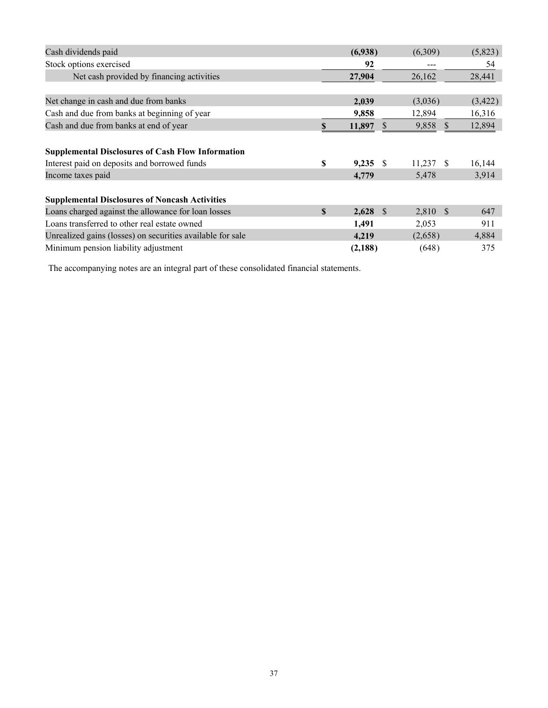| Cash dividends paid                                        |             | (6,938)  |      | (6,309)     | (5,823) |
|------------------------------------------------------------|-------------|----------|------|-------------|---------|
| Stock options exercised                                    |             | 92       |      |             | 54      |
| Net cash provided by financing activities                  |             | 27,904   |      | 26,162      | 28,441  |
| Net change in cash and due from banks                      |             | 2,039    |      | (3,036)     | (3,422) |
| Cash and due from banks at beginning of year               |             | 9,858    |      | 12,894      | 16,316  |
| Cash and due from banks at end of year                     | S           | 11,897   |      | 9,858       | 12,894  |
| <b>Supplemental Disclosures of Cash Flow Information</b>   |             |          |      |             |         |
| Interest paid on deposits and borrowed funds               | S           | 9,235    | - S  | $11,237$ \$ | 16,144  |
| Income taxes paid                                          |             | 4,779    |      | 5,478       | 3,914   |
| <b>Supplemental Disclosures of Noncash Activities</b>      |             |          |      |             |         |
| Loans charged against the allowance for loan losses        | $\mathbf S$ | 2,628    | - \$ | 2,810 \$    | 647     |
| Loans transferred to other real estate owned               |             | 1,491    |      | 2,053       | 911     |
| Unrealized gains (losses) on securities available for sale |             | 4,219    |      | (2,658)     | 4,884   |
| Minimum pension liability adjustment                       |             | (2, 188) |      | (648)       | 375     |

The accompanying notes are an integral part of these consolidated financial statements.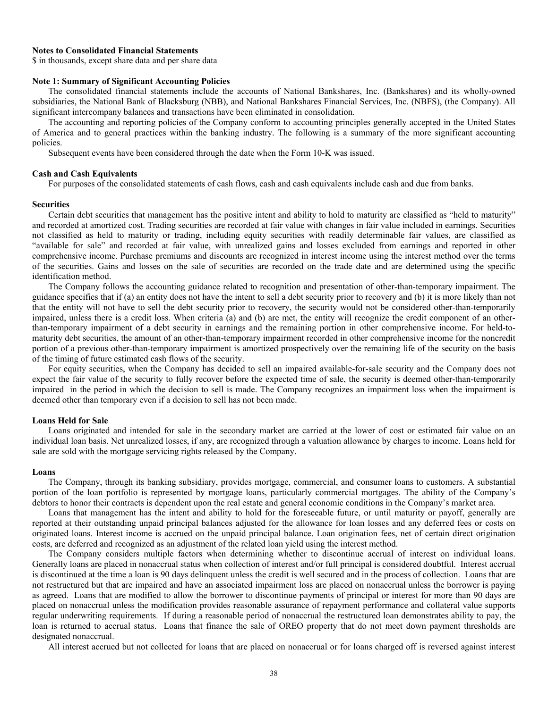## **Notes to Consolidated Financial Statements**

\$ in thousands, except share data and per share data

#### **Note 1: Summary of Significant Accounting Policies**

 The consolidated financial statements include the accounts of National Bankshares, Inc. (Bankshares) and its wholly-owned subsidiaries, the National Bank of Blacksburg (NBB), and National Bankshares Financial Services, Inc. (NBFS), (the Company). All significant intercompany balances and transactions have been eliminated in consolidation.

 The accounting and reporting policies of the Company conform to accounting principles generally accepted in the United States of America and to general practices within the banking industry. The following is a summary of the more significant accounting policies.

Subsequent events have been considered through the date when the Form 10-K was issued.

#### **Cash and Cash Equivalents**

For purposes of the consolidated statements of cash flows, cash and cash equivalents include cash and due from banks.

#### **Securities**

 Certain debt securities that management has the positive intent and ability to hold to maturity are classified as "held to maturity" and recorded at amortized cost. Trading securities are recorded at fair value with changes in fair value included in earnings. Securities not classified as held to maturity or trading, including equity securities with readily determinable fair values, are classified as "available for sale" and recorded at fair value, with unrealized gains and losses excluded from earnings and reported in other comprehensive income. Purchase premiums and discounts are recognized in interest income using the interest method over the terms of the securities. Gains and losses on the sale of securities are recorded on the trade date and are determined using the specific identification method.

 The Company follows the accounting guidance related to recognition and presentation of other-than-temporary impairment. The guidance specifies that if (a) an entity does not have the intent to sell a debt security prior to recovery and (b) it is more likely than not that the entity will not have to sell the debt security prior to recovery, the security would not be considered other-than-temporarily impaired, unless there is a credit loss. When criteria (a) and (b) are met, the entity will recognize the credit component of an otherthan-temporary impairment of a debt security in earnings and the remaining portion in other comprehensive income. For held-tomaturity debt securities, the amount of an other-than-temporary impairment recorded in other comprehensive income for the noncredit portion of a previous other-than-temporary impairment is amortized prospectively over the remaining life of the security on the basis of the timing of future estimated cash flows of the security.

 For equity securities, when the Company has decided to sell an impaired available-for-sale security and the Company does not expect the fair value of the security to fully recover before the expected time of sale, the security is deemed other-than-temporarily impaired in the period in which the decision to sell is made. The Company recognizes an impairment loss when the impairment is deemed other than temporary even if a decision to sell has not been made.

#### **Loans Held for Sale**

 Loans originated and intended for sale in the secondary market are carried at the lower of cost or estimated fair value on an individual loan basis. Net unrealized losses, if any, are recognized through a valuation allowance by charges to income. Loans held for sale are sold with the mortgage servicing rights released by the Company.

#### **Loans**

 The Company, through its banking subsidiary, provides mortgage, commercial, and consumer loans to customers. A substantial portion of the loan portfolio is represented by mortgage loans, particularly commercial mortgages. The ability of the Company's debtors to honor their contracts is dependent upon the real estate and general economic conditions in the Company's market area.

 Loans that management has the intent and ability to hold for the foreseeable future, or until maturity or payoff, generally are reported at their outstanding unpaid principal balances adjusted for the allowance for loan losses and any deferred fees or costs on originated loans. Interest income is accrued on the unpaid principal balance. Loan origination fees, net of certain direct origination costs, are deferred and recognized as an adjustment of the related loan yield using the interest method.

 The Company considers multiple factors when determining whether to discontinue accrual of interest on individual loans. Generally loans are placed in nonaccrual status when collection of interest and/or full principal is considered doubtful. Interest accrual is discontinued at the time a loan is 90 days delinquent unless the credit is well secured and in the process of collection. Loans that are not restructured but that are impaired and have an associated impairment loss are placed on nonaccrual unless the borrower is paying as agreed. Loans that are modified to allow the borrower to discontinue payments of principal or interest for more than 90 days are placed on nonaccrual unless the modification provides reasonable assurance of repayment performance and collateral value supports regular underwriting requirements. If during a reasonable period of nonaccrual the restructured loan demonstrates ability to pay, the loan is returned to accrual status. Loans that finance the sale of OREO property that do not meet down payment thresholds are designated nonaccrual.

All interest accrued but not collected for loans that are placed on nonaccrual or for loans charged off is reversed against interest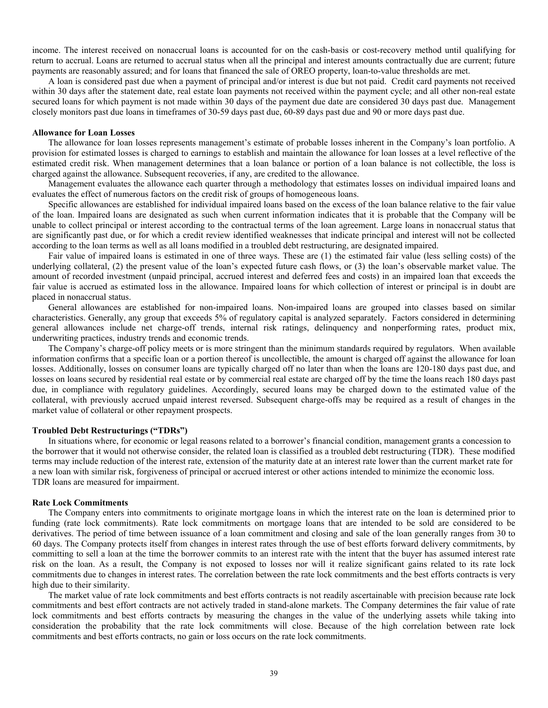income. The interest received on nonaccrual loans is accounted for on the cash-basis or cost-recovery method until qualifying for return to accrual. Loans are returned to accrual status when all the principal and interest amounts contractually due are current; future payments are reasonably assured; and for loans that financed the sale of OREO property, loan-to-value thresholds are met.

 A loan is considered past due when a payment of principal and/or interest is due but not paid. Credit card payments not received within 30 days after the statement date, real estate loan payments not received within the payment cycle; and all other non-real estate secured loans for which payment is not made within 30 days of the payment due date are considered 30 days past due. Management closely monitors past due loans in timeframes of 30-59 days past due, 60-89 days past due and 90 or more days past due.

## **Allowance for Loan Losses**

 The allowance for loan losses represents management's estimate of probable losses inherent in the Company's loan portfolio. A provision for estimated losses is charged to earnings to establish and maintain the allowance for loan losses at a level reflective of the estimated credit risk. When management determines that a loan balance or portion of a loan balance is not collectible, the loss is charged against the allowance. Subsequent recoveries, if any, are credited to the allowance.

 Management evaluates the allowance each quarter through a methodology that estimates losses on individual impaired loans and evaluates the effect of numerous factors on the credit risk of groups of homogeneous loans.

 Specific allowances are established for individual impaired loans based on the excess of the loan balance relative to the fair value of the loan. Impaired loans are designated as such when current information indicates that it is probable that the Company will be unable to collect principal or interest according to the contractual terms of the loan agreement. Large loans in nonaccrual status that are significantly past due, or for which a credit review identified weaknesses that indicate principal and interest will not be collected according to the loan terms as well as all loans modified in a troubled debt restructuring, are designated impaired.

 Fair value of impaired loans is estimated in one of three ways. These are (1) the estimated fair value (less selling costs) of the underlying collateral, (2) the present value of the loan's expected future cash flows, or (3) the loan's observable market value. The amount of recorded investment (unpaid principal, accrued interest and deferred fees and costs) in an impaired loan that exceeds the fair value is accrued as estimated loss in the allowance. Impaired loans for which collection of interest or principal is in doubt are placed in nonaccrual status.

 General allowances are established for non-impaired loans. Non-impaired loans are grouped into classes based on similar characteristics. Generally, any group that exceeds 5% of regulatory capital is analyzed separately. Factors considered in determining general allowances include net charge-off trends, internal risk ratings, delinquency and nonperforming rates, product mix, underwriting practices, industry trends and economic trends.

 The Company's charge-off policy meets or is more stringent than the minimum standards required by regulators. When available information confirms that a specific loan or a portion thereof is uncollectible, the amount is charged off against the allowance for loan losses. Additionally, losses on consumer loans are typically charged off no later than when the loans are 120-180 days past due, and losses on loans secured by residential real estate or by commercial real estate are charged off by the time the loans reach 180 days past due, in compliance with regulatory guidelines. Accordingly, secured loans may be charged down to the estimated value of the collateral, with previously accrued unpaid interest reversed. Subsequent charge-offs may be required as a result of changes in the market value of collateral or other repayment prospects.

## **Troubled Debt Restructurings ("TDRs")**

 In situations where, for economic or legal reasons related to a borrower's financial condition, management grants a concession to the borrower that it would not otherwise consider, the related loan is classified as a troubled debt restructuring (TDR). These modified terms may include reduction of the interest rate, extension of the maturity date at an interest rate lower than the current market rate for a new loan with similar risk, forgiveness of principal or accrued interest or other actions intended to minimize the economic loss. TDR loans are measured for impairment.

## **Rate Lock Commitments**

 The Company enters into commitments to originate mortgage loans in which the interest rate on the loan is determined prior to funding (rate lock commitments). Rate lock commitments on mortgage loans that are intended to be sold are considered to be derivatives. The period of time between issuance of a loan commitment and closing and sale of the loan generally ranges from 30 to 60 days. The Company protects itself from changes in interest rates through the use of best efforts forward delivery commitments, by committing to sell a loan at the time the borrower commits to an interest rate with the intent that the buyer has assumed interest rate risk on the loan. As a result, the Company is not exposed to losses nor will it realize significant gains related to its rate lock commitments due to changes in interest rates. The correlation between the rate lock commitments and the best efforts contracts is very high due to their similarity.

 The market value of rate lock commitments and best efforts contracts is not readily ascertainable with precision because rate lock commitments and best effort contracts are not actively traded in stand-alone markets. The Company determines the fair value of rate lock commitments and best efforts contracts by measuring the changes in the value of the underlying assets while taking into consideration the probability that the rate lock commitments will close. Because of the high correlation between rate lock commitments and best efforts contracts, no gain or loss occurs on the rate lock commitments.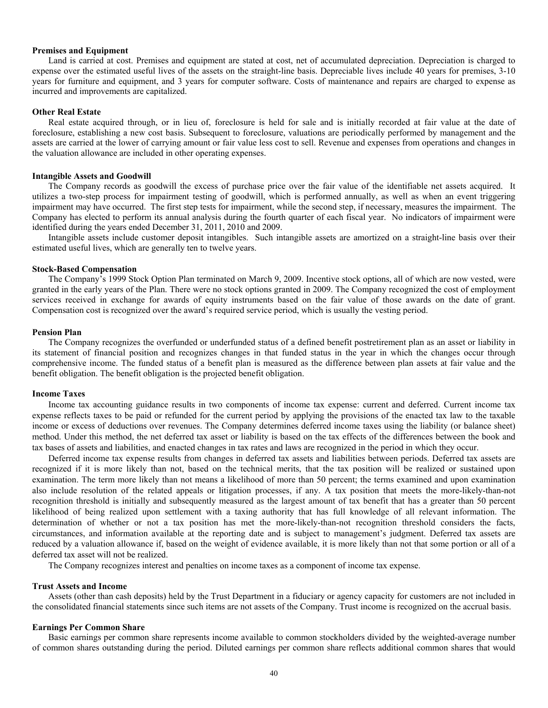## **Premises and Equipment**

 Land is carried at cost. Premises and equipment are stated at cost, net of accumulated depreciation. Depreciation is charged to expense over the estimated useful lives of the assets on the straight-line basis. Depreciable lives include 40 years for premises, 3-10 years for furniture and equipment, and 3 years for computer software. Costs of maintenance and repairs are charged to expense as incurred and improvements are capitalized.

#### **Other Real Estate**

 Real estate acquired through, or in lieu of, foreclosure is held for sale and is initially recorded at fair value at the date of foreclosure, establishing a new cost basis. Subsequent to foreclosure, valuations are periodically performed by management and the assets are carried at the lower of carrying amount or fair value less cost to sell. Revenue and expenses from operations and changes in the valuation allowance are included in other operating expenses.

#### **Intangible Assets and Goodwill**

The Company records as goodwill the excess of purchase price over the fair value of the identifiable net assets acquired. It utilizes a two-step process for impairment testing of goodwill, which is performed annually, as well as when an event triggering impairment may have occurred. The first step tests for impairment, while the second step, if necessary, measures the impairment. The Company has elected to perform its annual analysis during the fourth quarter of each fiscal year. No indicators of impairment were identified during the years ended December 31, 2011, 2010 and 2009.

 Intangible assets include customer deposit intangibles. Such intangible assets are amortized on a straight-line basis over their estimated useful lives, which are generally ten to twelve years.

#### **Stock-Based Compensation**

 The Company's 1999 Stock Option Plan terminated on March 9, 2009. Incentive stock options, all of which are now vested, were granted in the early years of the Plan. There were no stock options granted in 2009. The Company recognized the cost of employment services received in exchange for awards of equity instruments based on the fair value of those awards on the date of grant. Compensation cost is recognized over the award's required service period, which is usually the vesting period.

#### **Pension Plan**

 The Company recognizes the overfunded or underfunded status of a defined benefit postretirement plan as an asset or liability in its statement of financial position and recognizes changes in that funded status in the year in which the changes occur through comprehensive income. The funded status of a benefit plan is measured as the difference between plan assets at fair value and the benefit obligation. The benefit obligation is the projected benefit obligation.

#### **Income Taxes**

 Income tax accounting guidance results in two components of income tax expense: current and deferred. Current income tax expense reflects taxes to be paid or refunded for the current period by applying the provisions of the enacted tax law to the taxable income or excess of deductions over revenues. The Company determines deferred income taxes using the liability (or balance sheet) method. Under this method, the net deferred tax asset or liability is based on the tax effects of the differences between the book and tax bases of assets and liabilities, and enacted changes in tax rates and laws are recognized in the period in which they occur.

 Deferred income tax expense results from changes in deferred tax assets and liabilities between periods. Deferred tax assets are recognized if it is more likely than not, based on the technical merits, that the tax position will be realized or sustained upon examination. The term more likely than not means a likelihood of more than 50 percent; the terms examined and upon examination also include resolution of the related appeals or litigation processes, if any. A tax position that meets the more-likely-than-not recognition threshold is initially and subsequently measured as the largest amount of tax benefit that has a greater than 50 percent likelihood of being realized upon settlement with a taxing authority that has full knowledge of all relevant information. The determination of whether or not a tax position has met the more-likely-than-not recognition threshold considers the facts, circumstances, and information available at the reporting date and is subject to management's judgment. Deferred tax assets are reduced by a valuation allowance if, based on the weight of evidence available, it is more likely than not that some portion or all of a deferred tax asset will not be realized.

The Company recognizes interest and penalties on income taxes as a component of income tax expense.

#### **Trust Assets and Income**

 Assets (other than cash deposits) held by the Trust Department in a fiduciary or agency capacity for customers are not included in the consolidated financial statements since such items are not assets of the Company. Trust income is recognized on the accrual basis.

## **Earnings Per Common Share**

 Basic earnings per common share represents income available to common stockholders divided by the weighted-average number of common shares outstanding during the period. Diluted earnings per common share reflects additional common shares that would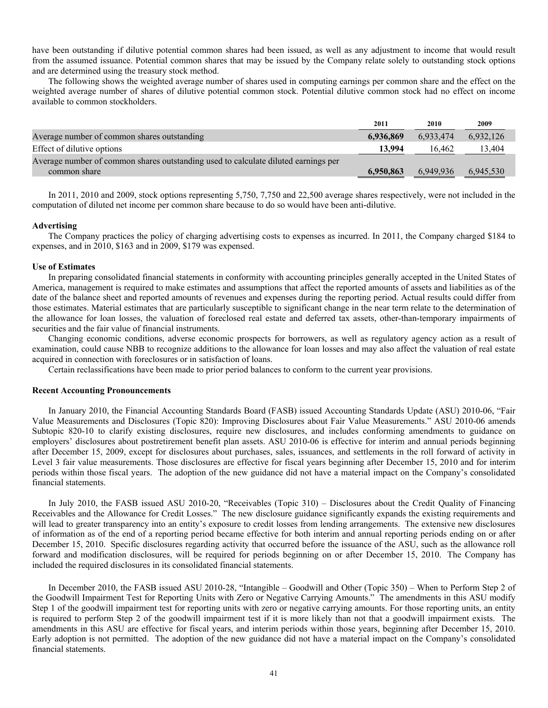have been outstanding if dilutive potential common shares had been issued, as well as any adjustment to income that would result from the assumed issuance. Potential common shares that may be issued by the Company relate solely to outstanding stock options and are determined using the treasury stock method.

 The following shows the weighted average number of shares used in computing earnings per common share and the effect on the weighted average number of shares of dilutive potential common stock. Potential dilutive common stock had no effect on income available to common stockholders.

|                                                                                    | 2011      | 2010      | 2009      |
|------------------------------------------------------------------------------------|-----------|-----------|-----------|
| Average number of common shares outstanding                                        | 6,936,869 | 6.933.474 | 6,932,126 |
| Effect of dilutive options                                                         | 13,994    | 16.462    | 13,404    |
| Average number of common shares outstanding used to calculate diluted earnings per |           |           |           |
| common share                                                                       | 6,950,863 | 6,949,936 | 6,945,530 |

In 2011, 2010 and 2009, stock options representing 5,750, 7,750 and 22,500 average shares respectively, were not included in the computation of diluted net income per common share because to do so would have been anti-dilutive.

## **Advertising**

 The Company practices the policy of charging advertising costs to expenses as incurred. In 2011, the Company charged \$184 to expenses, and in 2010, \$163 and in 2009, \$179 was expensed.

### **Use of Estimates**

 In preparing consolidated financial statements in conformity with accounting principles generally accepted in the United States of America, management is required to make estimates and assumptions that affect the reported amounts of assets and liabilities as of the date of the balance sheet and reported amounts of revenues and expenses during the reporting period. Actual results could differ from those estimates. Material estimates that are particularly susceptible to significant change in the near term relate to the determination of the allowance for loan losses, the valuation of foreclosed real estate and deferred tax assets, other-than-temporary impairments of securities and the fair value of financial instruments.

Changing economic conditions, adverse economic prospects for borrowers, as well as regulatory agency action as a result of examination, could cause NBB to recognize additions to the allowance for loan losses and may also affect the valuation of real estate acquired in connection with foreclosures or in satisfaction of loans.

Certain reclassifications have been made to prior period balances to conform to the current year provisions.

#### **Recent Accounting Pronouncements**

 In January 2010, the Financial Accounting Standards Board (FASB) issued Accounting Standards Update (ASU) 2010-06, "Fair Value Measurements and Disclosures (Topic 820): Improving Disclosures about Fair Value Measurements." ASU 2010-06 amends Subtopic 820-10 to clarify existing disclosures, require new disclosures, and includes conforming amendments to guidance on employers' disclosures about postretirement benefit plan assets. ASU 2010-06 is effective for interim and annual periods beginning after December 15, 2009, except for disclosures about purchases, sales, issuances, and settlements in the roll forward of activity in Level 3 fair value measurements. Those disclosures are effective for fiscal years beginning after December 15, 2010 and for interim periods within those fiscal years. The adoption of the new guidance did not have a material impact on the Company's consolidated financial statements.

 In July 2010, the FASB issued ASU 2010-20, "Receivables (Topic 310) – Disclosures about the Credit Quality of Financing Receivables and the Allowance for Credit Losses." The new disclosure guidance significantly expands the existing requirements and will lead to greater transparency into an entity's exposure to credit losses from lending arrangements. The extensive new disclosures of information as of the end of a reporting period became effective for both interim and annual reporting periods ending on or after December 15, 2010. Specific disclosures regarding activity that occurred before the issuance of the ASU, such as the allowance roll forward and modification disclosures, will be required for periods beginning on or after December 15, 2010. The Company has included the required disclosures in its consolidated financial statements.

In December 2010, the FASB issued ASU 2010-28, "Intangible – Goodwill and Other (Topic 350) – When to Perform Step 2 of the Goodwill Impairment Test for Reporting Units with Zero or Negative Carrying Amounts." The amendments in this ASU modify Step 1 of the goodwill impairment test for reporting units with zero or negative carrying amounts. For those reporting units, an entity is required to perform Step 2 of the goodwill impairment test if it is more likely than not that a goodwill impairment exists. The amendments in this ASU are effective for fiscal years, and interim periods within those years, beginning after December 15, 2010. Early adoption is not permitted. The adoption of the new guidance did not have a material impact on the Company's consolidated financial statements.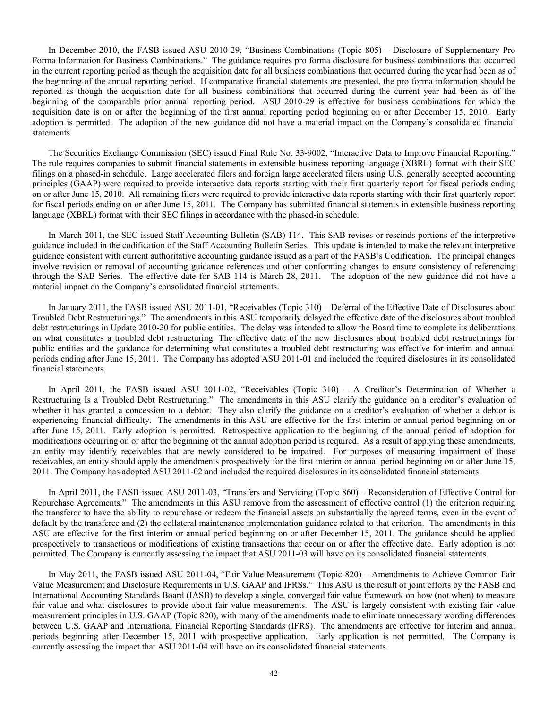In December 2010, the FASB issued ASU 2010-29, "Business Combinations (Topic 805) – Disclosure of Supplementary Pro Forma Information for Business Combinations." The guidance requires pro forma disclosure for business combinations that occurred in the current reporting period as though the acquisition date for all business combinations that occurred during the year had been as of the beginning of the annual reporting period. If comparative financial statements are presented, the pro forma information should be reported as though the acquisition date for all business combinations that occurred during the current year had been as of the beginning of the comparable prior annual reporting period. ASU 2010-29 is effective for business combinations for which the acquisition date is on or after the beginning of the first annual reporting period beginning on or after December 15, 2010. Early adoption is permitted. The adoption of the new guidance did not have a material impact on the Company's consolidated financial statements.

 The Securities Exchange Commission (SEC) issued Final Rule No. 33-9002, "Interactive Data to Improve Financial Reporting." The rule requires companies to submit financial statements in extensible business reporting language (XBRL) format with their SEC filings on a phased-in schedule. Large accelerated filers and foreign large accelerated filers using U.S. generally accepted accounting principles (GAAP) were required to provide interactive data reports starting with their first quarterly report for fiscal periods ending on or after June 15, 2010. All remaining filers were required to provide interactive data reports starting with their first quarterly report for fiscal periods ending on or after June 15, 2011. The Company has submitted financial statements in extensible business reporting language (XBRL) format with their SEC filings in accordance with the phased-in schedule.

 In March 2011, the SEC issued Staff Accounting Bulletin (SAB) 114. This SAB revises or rescinds portions of the interpretive guidance included in the codification of the Staff Accounting Bulletin Series. This update is intended to make the relevant interpretive guidance consistent with current authoritative accounting guidance issued as a part of the FASB's Codification. The principal changes involve revision or removal of accounting guidance references and other conforming changes to ensure consistency of referencing through the SAB Series. The effective date for SAB 114 is March 28, 2011. The adoption of the new guidance did not have a material impact on the Company's consolidated financial statements.

 In January 2011, the FASB issued ASU 2011-01, "Receivables (Topic 310) – Deferral of the Effective Date of Disclosures about Troubled Debt Restructurings." The amendments in this ASU temporarily delayed the effective date of the disclosures about troubled debt restructurings in Update 2010-20 for public entities. The delay was intended to allow the Board time to complete its deliberations on what constitutes a troubled debt restructuring. The effective date of the new disclosures about troubled debt restructurings for public entities and the guidance for determining what constitutes a troubled debt restructuring was effective for interim and annual periods ending after June 15, 2011. The Company has adopted ASU 2011-01 and included the required disclosures in its consolidated financial statements.

 In April 2011, the FASB issued ASU 2011-02, "Receivables (Topic 310) – A Creditor's Determination of Whether a Restructuring Is a Troubled Debt Restructuring." The amendments in this ASU clarify the guidance on a creditor's evaluation of whether it has granted a concession to a debtor. They also clarify the guidance on a creditor's evaluation of whether a debtor is experiencing financial difficulty. The amendments in this ASU are effective for the first interim or annual period beginning on or after June 15, 2011. Early adoption is permitted. Retrospective application to the beginning of the annual period of adoption for modifications occurring on or after the beginning of the annual adoption period is required. As a result of applying these amendments, an entity may identify receivables that are newly considered to be impaired. For purposes of measuring impairment of those receivables, an entity should apply the amendments prospectively for the first interim or annual period beginning on or after June 15, 2011. The Company has adopted ASU 2011-02 and included the required disclosures in its consolidated financial statements.

 In April 2011, the FASB issued ASU 2011-03, "Transfers and Servicing (Topic 860) – Reconsideration of Effective Control for Repurchase Agreements." The amendments in this ASU remove from the assessment of effective control (1) the criterion requiring the transferor to have the ability to repurchase or redeem the financial assets on substantially the agreed terms, even in the event of default by the transferee and (2) the collateral maintenance implementation guidance related to that criterion. The amendments in this ASU are effective for the first interim or annual period beginning on or after December 15, 2011. The guidance should be applied prospectively to transactions or modifications of existing transactions that occur on or after the effective date. Early adoption is not permitted. The Company is currently assessing the impact that ASU 2011-03 will have on its consolidated financial statements.

 In May 2011, the FASB issued ASU 2011-04, "Fair Value Measurement (Topic 820) – Amendments to Achieve Common Fair Value Measurement and Disclosure Requirements in U.S. GAAP and IFRSs." This ASU is the result of joint efforts by the FASB and International Accounting Standards Board (IASB) to develop a single, converged fair value framework on how (not when) to measure fair value and what disclosures to provide about fair value measurements. The ASU is largely consistent with existing fair value measurement principles in U.S. GAAP (Topic 820), with many of the amendments made to eliminate unnecessary wording differences between U.S. GAAP and International Financial Reporting Standards (IFRS). The amendments are effective for interim and annual periods beginning after December 15, 2011 with prospective application. Early application is not permitted. The Company is currently assessing the impact that ASU 2011-04 will have on its consolidated financial statements.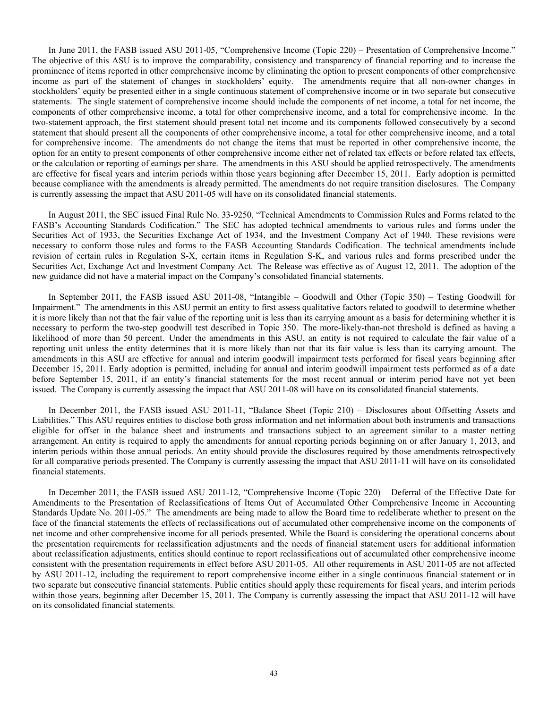In June 2011, the FASB issued ASU 2011-05, "Comprehensive Income (Topic 220) – Presentation of Comprehensive Income." The objective of this ASU is to improve the comparability, consistency and transparency of financial reporting and to increase the prominence of items reported in other comprehensive income by eliminating the option to present components of other comprehensive income as part of the statement of changes in stockholders' equity. The amendments require that all non-owner changes in stockholders' equity be presented either in a single continuous statement of comprehensive income or in two separate but consecutive statements. The single statement of comprehensive income should include the components of net income, a total for net income, the components of other comprehensive income, a total for other comprehensive income, and a total for comprehensive income. In the two-statement approach, the first statement should present total net income and its components followed consecutively by a second statement that should present all the components of other comprehensive income, a total for other comprehensive income, and a total for comprehensive income. The amendments do not change the items that must be reported in other comprehensive income, the option for an entity to present components of other comprehensive income either net of related tax effects or before related tax effects, or the calculation or reporting of earnings per share. The amendments in this ASU should be applied retrospectively. The amendments are effective for fiscal years and interim periods within those years beginning after December 15, 2011. Early adoption is permitted because compliance with the amendments is already permitted. The amendments do not require transition disclosures. The Company is currently assessing the impact that ASU 2011-05 will have on its consolidated financial statements.

 In August 2011, the SEC issued Final Rule No. 33-9250, "Technical Amendments to Commission Rules and Forms related to the FASB's Accounting Standards Codification." The SEC has adopted technical amendments to various rules and forms under the Securities Act of 1933, the Securities Exchange Act of 1934, and the Investment Company Act of 1940. These revisions were necessary to conform those rules and forms to the FASB Accounting Standards Codification. The technical amendments include revision of certain rules in Regulation S-X, certain items in Regulation S-K, and various rules and forms prescribed under the Securities Act, Exchange Act and Investment Company Act. The Release was effective as of August 12, 2011. The adoption of the new guidance did not have a material impact on the Company's consolidated financial statements.

 In September 2011, the FASB issued ASU 2011-08, "Intangible – Goodwill and Other (Topic 350) – Testing Goodwill for Impairment." The amendments in this ASU permit an entity to first assess qualitative factors related to goodwill to determine whether it is more likely than not that the fair value of the reporting unit is less than its carrying amount as a basis for determining whether it is necessary to perform the two-step goodwill test described in Topic 350. The more-likely-than-not threshold is defined as having a likelihood of more than 50 percent. Under the amendments in this ASU, an entity is not required to calculate the fair value of a reporting unit unless the entity determines that it is more likely than not that its fair value is less than its carrying amount. The amendments in this ASU are effective for annual and interim goodwill impairment tests performed for fiscal years beginning after December 15, 2011. Early adoption is permitted, including for annual and interim goodwill impairment tests performed as of a date before September 15, 2011, if an entity's financial statements for the most recent annual or interim period have not yet been issued. The Company is currently assessing the impact that ASU 2011-08 will have on its consolidated financial statements.

 In December 2011, the FASB issued ASU 2011-11, "Balance Sheet (Topic 210) – Disclosures about Offsetting Assets and Liabilities." This ASU requires entities to disclose both gross information and net information about both instruments and transactions eligible for offset in the balance sheet and instruments and transactions subject to an agreement similar to a master netting arrangement. An entity is required to apply the amendments for annual reporting periods beginning on or after January 1, 2013, and interim periods within those annual periods. An entity should provide the disclosures required by those amendments retrospectively for all comparative periods presented. The Company is currently assessing the impact that ASU 2011-11 will have on its consolidated financial statements.

 In December 2011, the FASB issued ASU 2011-12, "Comprehensive Income (Topic 220) – Deferral of the Effective Date for Amendments to the Presentation of Reclassifications of Items Out of Accumulated Other Comprehensive Income in Accounting Standards Update No. 2011-05." The amendments are being made to allow the Board time to redeliberate whether to present on the face of the financial statements the effects of reclassifications out of accumulated other comprehensive income on the components of net income and other comprehensive income for all periods presented. While the Board is considering the operational concerns about the presentation requirements for reclassification adjustments and the needs of financial statement users for additional information about reclassification adjustments, entities should continue to report reclassifications out of accumulated other comprehensive income consistent with the presentation requirements in effect before ASU 2011-05. All other requirements in ASU 2011-05 are not affected by ASU 2011-12, including the requirement to report comprehensive income either in a single continuous financial statement or in two separate but consecutive financial statements. Public entities should apply these requirements for fiscal years, and interim periods within those years, beginning after December 15, 2011. The Company is currently assessing the impact that ASU 2011-12 will have on its consolidated financial statements.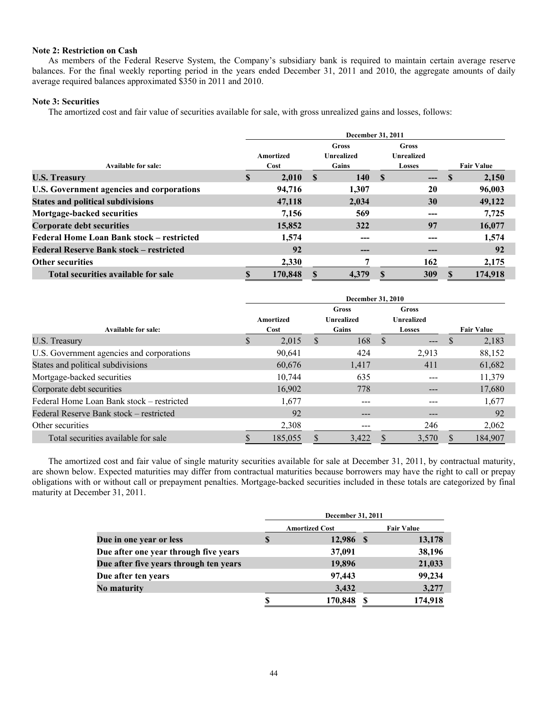# **Note 2: Restriction on Cash**

 As members of the Federal Reserve System, the Company's subsidiary bank is required to maintain certain average reserve balances. For the final weekly reporting period in the years ended December 31, 2011 and 2010, the aggregate amounts of daily average required balances approximated \$350 in 2011 and 2010.

## **Note 3: Securities**

The amortized cost and fair value of securities available for sale, with gross unrealized gains and losses, follows:

|                                                |   | December 31, 2011 |          |                   |                   |               |   |                   |  |  |
|------------------------------------------------|---|-------------------|----------|-------------------|-------------------|---------------|---|-------------------|--|--|
|                                                |   |                   |          | <b>Gross</b>      |                   | <b>Gross</b>  |   |                   |  |  |
|                                                |   | Amortized         |          | <b>Unrealized</b> | <b>Unrealized</b> |               |   |                   |  |  |
| <b>Available for sale:</b>                     |   | Cost              |          | Gains             |                   | <b>Losses</b> |   | <b>Fair Value</b> |  |  |
| <b>U.S. Treasury</b>                           | S | 2.010             | -S       | <b>140</b>        | -SS               | $---$         | S | 2,150             |  |  |
| U.S. Government agencies and corporations      |   | 94.716            |          | 1,307             |                   | 20            |   | 96,003            |  |  |
| <b>States and political subdivisions</b>       |   | 47,118            |          | 2,034             |                   | 30            |   | 49,122            |  |  |
| Mortgage-backed securities                     |   | 7,156             |          | 569               |                   | ---           |   | 7,725             |  |  |
| <b>Corporate debt securities</b>               |   | 15,852            |          | 322               |                   | 97            |   | 16,077            |  |  |
| Federal Home Loan Bank stock – restricted      |   | 1,574             |          | $---$             |                   | ---           |   | 1,574             |  |  |
| <b>Federal Reserve Bank stock – restricted</b> |   | 92                |          | $---$             |                   | ---           |   | 92                |  |  |
| <b>Other securities</b>                        |   | 2,330             |          | 7                 |                   | 162           |   | 2,175             |  |  |
| Total securities available for sale            |   | 170.848           | <b>S</b> | 4.379             | <b>S</b>          | 309           |   | 174,918           |  |  |

|                                           | December 31, 2010 |                   |    |                                                   |    |                                                    |                   |         |  |  |
|-------------------------------------------|-------------------|-------------------|----|---------------------------------------------------|----|----------------------------------------------------|-------------------|---------|--|--|
| <b>Available for sale:</b>                |                   | Amortized<br>Cost |    | <b>Gross</b><br><b>Unrealized</b><br><b>Gains</b> |    | <b>Gross</b><br><b>Unrealized</b><br><b>Losses</b> | <b>Fair Value</b> |         |  |  |
| U.S. Treasury                             |                   | 2,015             | -S | 168                                               | -S | $---$                                              |                   | 2,183   |  |  |
| U.S. Government agencies and corporations |                   | 90,641            |    | 424                                               |    | 2,913                                              |                   | 88,152  |  |  |
| States and political subdivisions         |                   | 60,676            |    | 1,417                                             |    | 411                                                |                   | 61,682  |  |  |
| Mortgage-backed securities                |                   | 10,744            |    | 635                                               |    | ---                                                |                   | 11,379  |  |  |
| Corporate debt securities                 |                   | 16,902            |    | 778                                               |    | ---                                                |                   | 17,680  |  |  |
| Federal Home Loan Bank stock – restricted |                   | 1,677             |    | ---                                               |    | ---                                                |                   | 1,677   |  |  |
| Federal Reserve Bank stock – restricted   |                   | 92                |    | $---$                                             |    | ---                                                |                   | 92      |  |  |
| Other securities                          |                   | 2,308             |    | ---                                               |    | 246                                                |                   | 2,062   |  |  |
| Total securities available for sale       |                   | 185,055           |    | 3,422                                             |    | 3,570                                              |                   | 184,907 |  |  |

The amortized cost and fair value of single maturity securities available for sale at December 31, 2011, by contractual maturity, are shown below. Expected maturities may differ from contractual maturities because borrowers may have the right to call or prepay obligations with or without call or prepayment penalties. Mortgage-backed securities included in these totals are categorized by final maturity at December 31, 2011.

|                                        | December 31, 2011 |                       |  |                   |  |  |  |  |  |  |
|----------------------------------------|-------------------|-----------------------|--|-------------------|--|--|--|--|--|--|
| Due in one year or less                |                   | <b>Amortized Cost</b> |  | <b>Fair Value</b> |  |  |  |  |  |  |
|                                        | S                 | 12,986                |  | 13,178            |  |  |  |  |  |  |
| Due after one year through five years  |                   | 37,091                |  | 38,196            |  |  |  |  |  |  |
| Due after five years through ten years |                   | 19,896                |  | 21,033            |  |  |  |  |  |  |
| Due after ten years                    |                   | 97,443                |  | 99,234            |  |  |  |  |  |  |
| <b>No maturity</b>                     |                   | 3,432                 |  | 3,277             |  |  |  |  |  |  |
|                                        | S                 | 170,848               |  | 174,918           |  |  |  |  |  |  |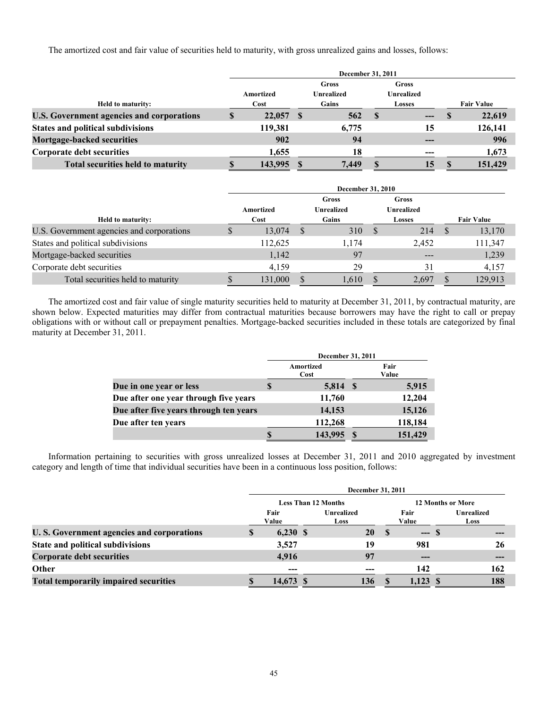The amortized cost and fair value of securities held to maturity, with gross unrealized gains and losses, follows:

|                                                  | December 31, 2011 |         |  |                   |          |            |                   |         |  |  |
|--------------------------------------------------|-------------------|---------|--|-------------------|----------|------------|-------------------|---------|--|--|
|                                                  |                   |         |  | Gross             |          | Gross      |                   |         |  |  |
|                                                  | Amortized         |         |  | <b>Unrealized</b> |          | Unrealized |                   |         |  |  |
| <b>Held to maturity:</b>                         |                   | Cost    |  | Gains             |          | Losses     | <b>Fair Value</b> |         |  |  |
| <b>U.S. Government agencies and corporations</b> | S                 | 22,057  |  | 562               | <b>S</b> | ---        | S                 | 22,619  |  |  |
| <b>States and political subdivisions</b>         |                   | 119,381 |  | 6,775             |          | 15         |                   | 126,141 |  |  |
| <b>Mortgage-backed securities</b>                |                   | 902     |  | 94                |          | ---        |                   | 996     |  |  |
| Corporate debt securities                        |                   | 1,655   |  | 18                |          | ---        |                   | 1,673   |  |  |
| <b>Total securities held to maturity</b>         |                   | 143,995 |  | 7,449             | S        | 15         |                   | 151,429 |  |  |

|                                           |   | <b>December 31, 2010</b> |  |                                     |   |                                             |   |                   |  |  |  |  |
|-------------------------------------------|---|--------------------------|--|-------------------------------------|---|---------------------------------------------|---|-------------------|--|--|--|--|
| <b>Held to maturity:</b>                  |   | Amortized<br>Cost        |  | Gross<br><b>Unrealized</b><br>Gains |   | <b>Gross</b><br><b>Unrealized</b><br>Losses |   | <b>Fair Value</b> |  |  |  |  |
|                                           |   |                          |  |                                     |   |                                             |   |                   |  |  |  |  |
| U.S. Government agencies and corporations | S | 13,074                   |  | 310                                 | S | 214                                         | S | 13,170            |  |  |  |  |
| States and political subdivisions         |   | 112,625                  |  | 1.174                               |   | 2,452                                       |   | 111,347           |  |  |  |  |
| Mortgage-backed securities                |   | 1,142                    |  | 97                                  |   |                                             |   | 1,239             |  |  |  |  |
| Corporate debt securities                 |   | 4,159                    |  | 29                                  |   | 31                                          |   | 4,157             |  |  |  |  |
| Total securities held to maturity         |   | 131,000                  |  | .610                                |   | 2.697                                       |   | 129.913           |  |  |  |  |

The amortized cost and fair value of single maturity securities held to maturity at December 31, 2011, by contractual maturity, are shown below. Expected maturities may differ from contractual maturities because borrowers may have the right to call or prepay obligations with or without call or prepayment penalties. Mortgage-backed securities included in these totals are categorized by final maturity at December 31, 2011.

|                                        | December 31, 2011 |                   |               |         |  |  |  |  |
|----------------------------------------|-------------------|-------------------|---------------|---------|--|--|--|--|
|                                        |                   | Amortized<br>Cost | Fair<br>Value |         |  |  |  |  |
| Due in one year or less                | S                 | 5,814             | <b>S</b>      | 5,915   |  |  |  |  |
| Due after one year through five years  |                   | 11,760            |               | 12,204  |  |  |  |  |
| Due after five years through ten years |                   | 14,153            |               | 15,126  |  |  |  |  |
| Due after ten years                    |                   | 112,268           |               | 118,184 |  |  |  |  |
|                                        | S                 | 143,995           |               | 151,429 |  |  |  |  |

Information pertaining to securities with gross unrealized losses at December 31, 2011 and 2010 aggregated by investment category and length of time that individual securities have been in a continuous loss position, follows:

|                                              | December 31, 2011          |               |  |                           |           |                          |               |  |                           |  |
|----------------------------------------------|----------------------------|---------------|--|---------------------------|-----------|--------------------------|---------------|--|---------------------------|--|
|                                              | <b>Less Than 12 Months</b> |               |  |                           |           | <b>12 Months or More</b> |               |  |                           |  |
|                                              |                            | Fair<br>Value |  | <b>Unrealized</b><br>Loss |           |                          | Fair<br>Value |  | <b>Unrealized</b><br>Loss |  |
| U.S. Government agencies and corporations    | D                          | $6,230$ \$    |  |                           | <b>20</b> |                          | $--$ S        |  |                           |  |
| State and political subdivisions             |                            | 3,527         |  |                           | 19        |                          | 981           |  | 26                        |  |
| <b>Corporate debt securities</b>             |                            | 4,916         |  |                           | 97        |                          | $--$          |  | ---                       |  |
| <b>Other</b>                                 |                            | ---           |  |                           | ---       |                          | 142           |  | 162                       |  |
| <b>Total temporarily impaired securities</b> |                            | 14,673 \$     |  |                           | 136       |                          | $1,123$ \$    |  | 188                       |  |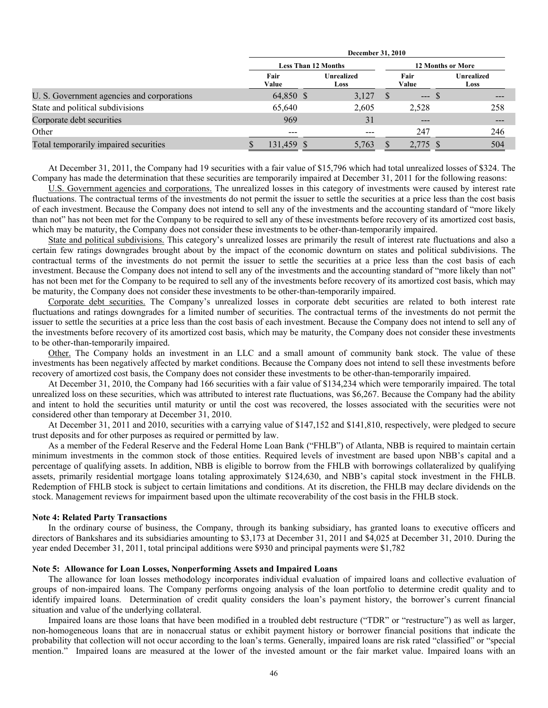|                                            | <b>December 31, 2010</b>   |               |  |                           |  |                          |  |                           |  |  |
|--------------------------------------------|----------------------------|---------------|--|---------------------------|--|--------------------------|--|---------------------------|--|--|
|                                            | <b>Less Than 12 Months</b> |               |  |                           |  | <b>12 Months or More</b> |  |                           |  |  |
|                                            |                            | Fair<br>Value |  | <b>Unrealized</b><br>Loss |  | Fair<br>Value            |  | <b>Unrealized</b><br>Loss |  |  |
| U. S. Government agencies and corporations |                            | 64,850 \$     |  | 3,127                     |  | $--$ S                   |  |                           |  |  |
| State and political subdivisions           |                            | 65,640        |  | 2,605                     |  | 2,528                    |  | 258                       |  |  |
| Corporate debt securities                  |                            | 969           |  | 31                        |  |                          |  |                           |  |  |
| Other                                      |                            | $- - -$       |  | $- - -$                   |  | 247                      |  | 246                       |  |  |
| Total temporarily impaired securities      |                            | 131,459 \$    |  | 5,763                     |  | 2,775                    |  | 504                       |  |  |

At December 31, 2011, the Company had 19 securities with a fair value of \$15,796 which had total unrealized losses of \$324. The Company has made the determination that these securities are temporarily impaired at December 31, 2011 for the following reasons:

 U.S. Government agencies and corporations. The unrealized losses in this category of investments were caused by interest rate fluctuations. The contractual terms of the investments do not permit the issuer to settle the securities at a price less than the cost basis of each investment. Because the Company does not intend to sell any of the investments and the accounting standard of "more likely than not" has not been met for the Company to be required to sell any of these investments before recovery of its amortized cost basis, which may be maturity, the Company does not consider these investments to be other-than-temporarily impaired.

 State and political subdivisions. This category's unrealized losses are primarily the result of interest rate fluctuations and also a certain few ratings downgrades brought about by the impact of the economic downturn on states and political subdivisions. The contractual terms of the investments do not permit the issuer to settle the securities at a price less than the cost basis of each investment. Because the Company does not intend to sell any of the investments and the accounting standard of "more likely than not" has not been met for the Company to be required to sell any of the investments before recovery of its amortized cost basis, which may be maturity, the Company does not consider these investments to be other-than-temporarily impaired.

 Corporate debt securities. The Company's unrealized losses in corporate debt securities are related to both interest rate fluctuations and ratings downgrades for a limited number of securities. The contractual terms of the investments do not permit the issuer to settle the securities at a price less than the cost basis of each investment. Because the Company does not intend to sell any of the investments before recovery of its amortized cost basis, which may be maturity, the Company does not consider these investments to be other-than-temporarily impaired.

 Other. The Company holds an investment in an LLC and a small amount of community bank stock. The value of these investments has been negatively affected by market conditions. Because the Company does not intend to sell these investments before recovery of amortized cost basis, the Company does not consider these investments to be other-than-temporarily impaired.

 At December 31, 2010, the Company had 166 securities with a fair value of \$134,234 which were temporarily impaired. The total unrealized loss on these securities, which was attributed to interest rate fluctuations, was \$6,267. Because the Company had the ability and intent to hold the securities until maturity or until the cost was recovered, the losses associated with the securities were not considered other than temporary at December 31, 2010.

 At December 31, 2011 and 2010, securities with a carrying value of \$147,152 and \$141,810, respectively, were pledged to secure trust deposits and for other purposes as required or permitted by law.

 As a member of the Federal Reserve and the Federal Home Loan Bank ("FHLB") of Atlanta, NBB is required to maintain certain minimum investments in the common stock of those entities. Required levels of investment are based upon NBB's capital and a percentage of qualifying assets. In addition, NBB is eligible to borrow from the FHLB with borrowings collateralized by qualifying assets, primarily residential mortgage loans totaling approximately \$124,630, and NBB's capital stock investment in the FHLB. Redemption of FHLB stock is subject to certain limitations and conditions. At its discretion, the FHLB may declare dividends on the stock. Management reviews for impairment based upon the ultimate recoverability of the cost basis in the FHLB stock.

## **Note 4: Related Party Transactions**

 In the ordinary course of business, the Company, through its banking subsidiary, has granted loans to executive officers and directors of Bankshares and its subsidiaries amounting to \$3,173 at December 31, 2011 and \$4,025 at December 31, 2010. During the year ended December 31, 2011, total principal additions were \$930 and principal payments were \$1,782

#### **Note 5: Allowance for Loan Losses, Nonperforming Assets and Impaired Loans**

The allowance for loan losses methodology incorporates individual evaluation of impaired loans and collective evaluation of groups of non-impaired loans. The Company performs ongoing analysis of the loan portfolio to determine credit quality and to identify impaired loans. Determination of credit quality considers the loan's payment history, the borrower's current financial situation and value of the underlying collateral.

 Impaired loans are those loans that have been modified in a troubled debt restructure ("TDR" or "restructure") as well as larger, non-homogeneous loans that are in nonaccrual status or exhibit payment history or borrower financial positions that indicate the probability that collection will not occur according to the loan's terms. Generally, impaired loans are risk rated "classified" or "special mention." Impaired loans are measured at the lower of the invested amount or the fair market value. Impaired loans with an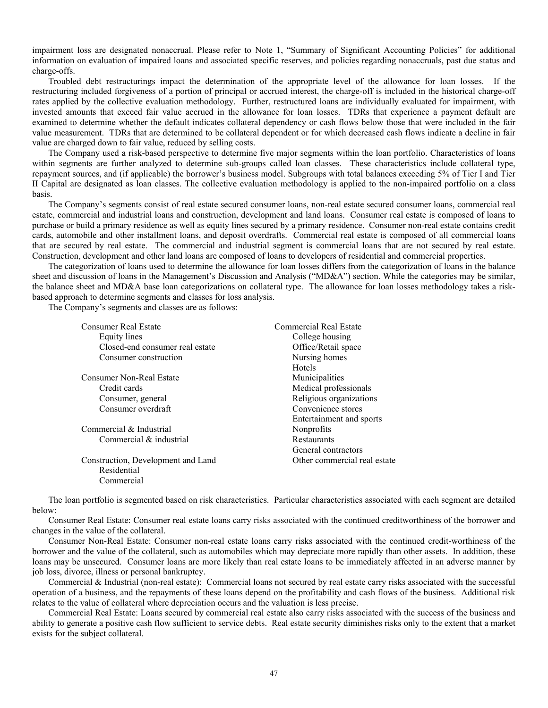impairment loss are designated nonaccrual. Please refer to Note 1, "Summary of Significant Accounting Policies" for additional information on evaluation of impaired loans and associated specific reserves, and policies regarding nonaccruals, past due status and charge-offs.

 Troubled debt restructurings impact the determination of the appropriate level of the allowance for loan losses. If the restructuring included forgiveness of a portion of principal or accrued interest, the charge-off is included in the historical charge-off rates applied by the collective evaluation methodology. Further, restructured loans are individually evaluated for impairment, with invested amounts that exceed fair value accrued in the allowance for loan losses. TDRs that experience a payment default are examined to determine whether the default indicates collateral dependency or cash flows below those that were included in the fair value measurement. TDRs that are determined to be collateral dependent or for which decreased cash flows indicate a decline in fair value are charged down to fair value, reduced by selling costs.

The Company used a risk-based perspective to determine five major segments within the loan portfolio. Characteristics of loans within segments are further analyzed to determine sub-groups called loan classes. These characteristics include collateral type, repayment sources, and (if applicable) the borrower's business model. Subgroups with total balances exceeding 5% of Tier I and Tier II Capital are designated as loan classes. The collective evaluation methodology is applied to the non-impaired portfolio on a class basis.

 The Company's segments consist of real estate secured consumer loans, non-real estate secured consumer loans, commercial real estate, commercial and industrial loans and construction, development and land loans. Consumer real estate is composed of loans to purchase or build a primary residence as well as equity lines secured by a primary residence. Consumer non-real estate contains credit cards, automobile and other installment loans, and deposit overdrafts. Commercial real estate is composed of all commercial loans that are secured by real estate. The commercial and industrial segment is commercial loans that are not secured by real estate. Construction, development and other land loans are composed of loans to developers of residential and commercial properties.

 The categorization of loans used to determine the allowance for loan losses differs from the categorization of loans in the balance sheet and discussion of loans in the Management's Discussion and Analysis ("MD&A") section. While the categories may be similar, the balance sheet and MD&A base loan categorizations on collateral type. The allowance for loan losses methodology takes a riskbased approach to determine segments and classes for loss analysis.

The Company's segments and classes are as follows:

| <b>Consumer Real Estate</b>        | Commercial Real Estate       |
|------------------------------------|------------------------------|
| Equity lines                       | College housing              |
| Closed-end consumer real estate    | Office/Retail space          |
| Consumer construction              | Nursing homes                |
|                                    | <b>Hotels</b>                |
| Consumer Non-Real Estate           | Municipalities               |
| Credit cards                       | Medical professionals        |
| Consumer, general                  | Religious organizations      |
| Consumer overdraft                 | Convenience stores           |
|                                    | Entertainment and sports     |
| Commercial & Industrial            | Nonprofits                   |
| Commercial & industrial            | Restaurants                  |
|                                    | General contractors          |
| Construction, Development and Land | Other commercial real estate |
| Residential                        |                              |
| Commercial                         |                              |

The loan portfolio is segmented based on risk characteristics. Particular characteristics associated with each segment are detailed below:

 Consumer Real Estate: Consumer real estate loans carry risks associated with the continued creditworthiness of the borrower and changes in the value of the collateral.

 Consumer Non-Real Estate: Consumer non-real estate loans carry risks associated with the continued credit-worthiness of the borrower and the value of the collateral, such as automobiles which may depreciate more rapidly than other assets. In addition, these loans may be unsecured. Consumer loans are more likely than real estate loans to be immediately affected in an adverse manner by job loss, divorce, illness or personal bankruptcy.

 Commercial & Industrial (non-real estate): Commercial loans not secured by real estate carry risks associated with the successful operation of a business, and the repayments of these loans depend on the profitability and cash flows of the business. Additional risk relates to the value of collateral where depreciation occurs and the valuation is less precise.

 Commercial Real Estate: Loans secured by commercial real estate also carry risks associated with the success of the business and ability to generate a positive cash flow sufficient to service debts. Real estate security diminishes risks only to the extent that a market exists for the subject collateral.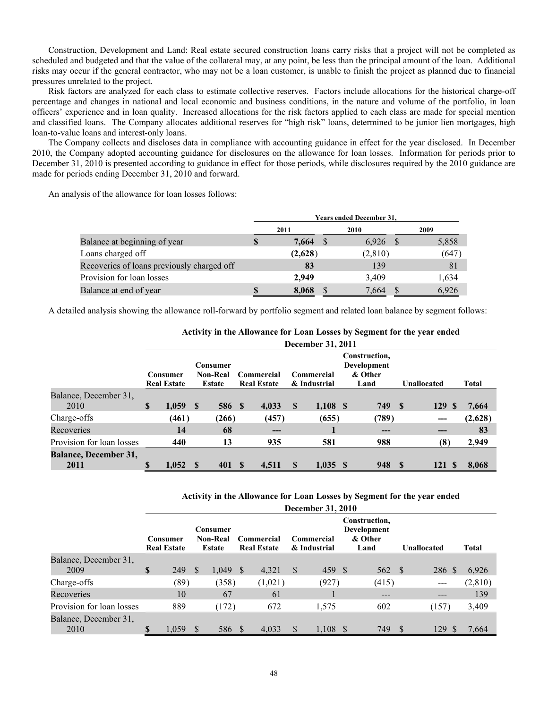Construction, Development and Land: Real estate secured construction loans carry risks that a project will not be completed as scheduled and budgeted and that the value of the collateral may, at any point, be less than the principal amount of the loan. Additional risks may occur if the general contractor, who may not be a loan customer, is unable to finish the project as planned due to financial pressures unrelated to the project.

 Risk factors are analyzed for each class to estimate collective reserves. Factors include allocations for the historical charge-off percentage and changes in national and local economic and business conditions, in the nature and volume of the portfolio, in loan officers' experience and in loan quality. Increased allocations for the risk factors applied to each class are made for special mention and classified loans. The Company allocates additional reserves for "high risk" loans, determined to be junior lien mortgages, high loan-to-value loans and interest-only loans.

 The Company collects and discloses data in compliance with accounting guidance in effect for the year disclosed. In December 2010, the Company adopted accounting guidance for disclosures on the allowance for loan losses. Information for periods prior to December 31, 2010 is presented according to guidance in effect for those periods, while disclosures required by the 2010 guidance are made for periods ending December 31, 2010 and forward.

An analysis of the allowance for loan losses follows:

|                                            | <b>Years ended December 31,</b> |         |  |          |      |       |  |  |  |  |
|--------------------------------------------|---------------------------------|---------|--|----------|------|-------|--|--|--|--|
|                                            |                                 | 2011    |  | 2010     | 2009 |       |  |  |  |  |
| Balance at beginning of year               | D                               | 7,664   |  | 6,926    |      | 5,858 |  |  |  |  |
| Loans charged off                          |                                 | (2,628) |  | (2, 810) |      | (647) |  |  |  |  |
| Recoveries of loans previously charged off |                                 | 83      |  | 139      |      | 81    |  |  |  |  |
| Provision for loan losses                  |                                 | 2.949   |  | 3,409    |      | .634  |  |  |  |  |
| Balance at end of year                     |                                 | 8,068   |  | 7.664    |      | 6,926 |  |  |  |  |

A detailed analysis showing the allowance roll-forward by portfolio segment and related loan balance by segment follows:

|                                      |                    |   |                             |   |                    |          | December 31, 2011 |                                                |      |             |              |
|--------------------------------------|--------------------|---|-----------------------------|---|--------------------|----------|-------------------|------------------------------------------------|------|-------------|--------------|
|                                      | Consumer           |   | Consumer<br><b>Non-Real</b> |   | <b>Commercial</b>  |          | <b>Commercial</b> | Construction,<br><b>Development</b><br>& Other |      |             |              |
|                                      | <b>Real Estate</b> |   | <b>Estate</b>               |   | <b>Real Estate</b> |          | & Industrial      | Land                                           |      | Unallocated | <b>Total</b> |
| Balance, December 31,<br>2010        | \$<br>1,059        | S | 586 \$                      |   | 4,033              | <b>S</b> | $1,108$ \$        | 749                                            | - \$ | 129         | 7,664        |
| Charge-offs                          | (461)              |   | (266)                       |   | (457)              |          | (655)             | (789)                                          |      | ---         | (2,628)      |
| Recoveries                           | 14                 |   | 68                          |   | ---                |          |                   | ---                                            |      | ---         | 83           |
| Provision for loan losses            | 440                |   | 13                          |   | 935                |          | 581               | 988                                            |      | (8)         | 2,949        |
| <b>Balance, December 31,</b><br>2011 | \$<br>1,052        | S | 401                         | S | 4,511              | <b>S</b> | 1,035             | 948                                            |      | 121         | 8,068        |

**Activity in the Allowance for Loan Losses by Segment for the year ended** 

## **Activity in the Allowance for Loan Losses by Segment for the year ended**

|                               |                                |                                       |        |                                         |         |              | <b>December 31, 2010</b>   |                                                        |         |     |                    |              |
|-------------------------------|--------------------------------|---------------------------------------|--------|-----------------------------------------|---------|--------------|----------------------------|--------------------------------------------------------|---------|-----|--------------------|--------------|
|                               | Consumer<br><b>Real Estate</b> | Consumer<br><b>Non-Real</b><br>Estate |        | <b>Commercial</b><br><b>Real Estate</b> |         |              | Commercial<br>& Industrial | Construction,<br><b>Development</b><br>& Other<br>Land |         |     | <b>Unallocated</b> | <b>Total</b> |
| Balance, December 31,<br>2009 | \$<br>249                      | <sup>S</sup>                          | 1,049  | <sup>S</sup>                            | 4,321   | <sup>S</sup> | 459 \$                     |                                                        | 562     | - 8 | 286 \$             | 6,926        |
| Charge-offs                   | (89)                           |                                       | (358)  |                                         | (1,021) |              | (927)                      |                                                        | (415)   |     | $---$              | (2,810)      |
| Recoveries                    | 10                             |                                       | 67     |                                         | 61      |              |                            |                                                        | $- - -$ |     | ---                | 139          |
| Provision for loan losses     | 889                            |                                       | (172)  |                                         | 672     |              | 1,575                      |                                                        | 602     |     | (157)              | 3,409        |
| Balance, December 31,<br>2010 | \$<br>1,059                    | -S                                    | 586 \$ |                                         | 4,033   | <b>S</b>     | 1.108                      |                                                        | 749     |     | 129                | 7.664        |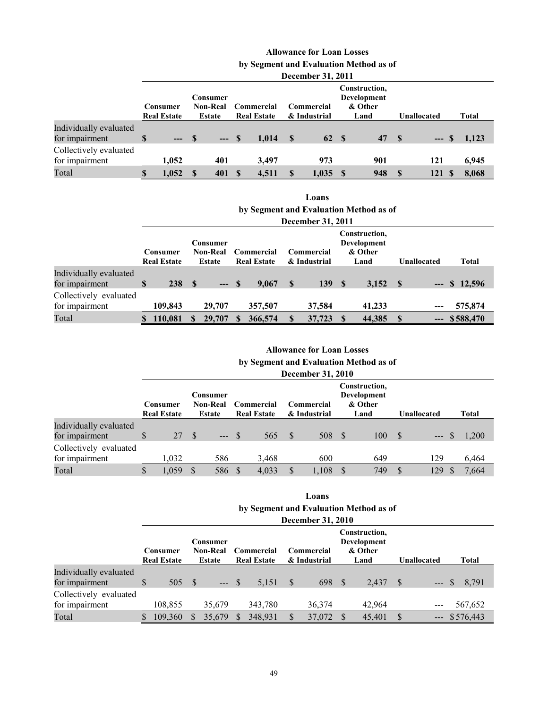|                                          |   |                                |                                              |                     |                                         |          | <b>Allowance for Loan Losses</b>  |  |                                                 |          |             |              |
|------------------------------------------|---|--------------------------------|----------------------------------------------|---------------------|-----------------------------------------|----------|-----------------------------------|--|-------------------------------------------------|----------|-------------|--------------|
|                                          |   |                                |                                              |                     |                                         |          |                                   |  | by Segment and Evaluation Method as of          |          |             |              |
|                                          |   |                                |                                              |                     |                                         |          | December 31, 2011                 |  |                                                 |          |             |              |
|                                          |   | Consumer<br><b>Real Estate</b> | Consumer<br><b>Non-Real</b><br><b>Estate</b> |                     | <b>Commercial</b><br><b>Real Estate</b> |          | <b>Commercial</b><br>& Industrial |  | Construction,<br>Development<br>& Other<br>Land |          | Unallocated | <b>Total</b> |
| Individually evaluated<br>for impairment | S | $---$                          | $---$                                        | $\mathbf{s}$        | 1.014                                   | <b>S</b> | 62 S                              |  | 47                                              | <b>S</b> | $--$ S      | 1,123        |
| Collectively evaluated<br>for impairment |   | 1,052                          | 401                                          | 3,497<br>973<br>901 |                                         |          |                                   |  |                                                 |          | 121         | 6,945        |
| Total                                    |   | 1,052                          | 401                                          | $\mathbf{s}$        | 4,511                                   | S        | 1,035                             |  | 948                                             | -S       | 121         | 8,068        |

|                                          |                                        |                                               |                                                                                                                                                                          |            |          |         |     | Loans             |                |                                        |         |             |             |
|------------------------------------------|----------------------------------------|-----------------------------------------------|--------------------------------------------------------------------------------------------------------------------------------------------------------------------------|------------|----------|---------|-----|-------------------|----------------|----------------------------------------|---------|-------------|-------------|
|                                          |                                        |                                               |                                                                                                                                                                          |            |          |         |     |                   |                | by Segment and Evaluation Method as of |         |             |             |
|                                          |                                        |                                               |                                                                                                                                                                          |            |          |         |     | December 31, 2011 |                |                                        |         |             |             |
|                                          |                                        | Consumer<br><b>Real Estate</b>                | Construction,<br><b>Development</b><br>Consumer<br>& Other<br><b>Non-Real</b><br>Commercial<br>Commercial<br>& Industrial<br><b>Real Estate</b><br><b>Estate</b><br>Land |            |          |         |     |                   |                |                                        |         | Unallocated | Total       |
| Individually evaluated<br>for impairment | S                                      | $\mathbf{s}$<br>238<br>- \$<br>9.067<br>$---$ |                                                                                                                                                                          | <b>139</b> | <b>S</b> | 3,152   | - S |                   | $-5$ \$ 12,596 |                                        |         |             |             |
| Collectively evaluated<br>for impairment | 109,843<br>29,707<br>357,507<br>37,584 |                                               |                                                                                                                                                                          |            |          |         |     | 41,233            |                |                                        | 575,874 |             |             |
| Total                                    |                                        | 110,081                                       |                                                                                                                                                                          | 29,707     | S        | 366,574 | S   | 37,723            | S              | 44,385                                 |         |             | $-5588,470$ |

# **Allowance for Loan Losses by Segment and Evaluation Method as of**

|                                          |   | <b>December 31, 2010</b>       |            |                                              |  |                                  |              |                            |      |                                                        |              |                    |    |              |  |  |
|------------------------------------------|---|--------------------------------|------------|----------------------------------------------|--|----------------------------------|--------------|----------------------------|------|--------------------------------------------------------|--------------|--------------------|----|--------------|--|--|
|                                          |   | Consumer<br><b>Real Estate</b> |            | Consumer<br><b>Non-Real</b><br><b>Estate</b> |  | Commercial<br><b>Real Estate</b> |              | Commercial<br>& Industrial |      | Construction,<br><b>Development</b><br>& Other<br>Land |              | <b>Unallocated</b> |    | <b>Total</b> |  |  |
| Individually evaluated<br>for impairment | S | 27                             | $^{\circ}$ | $--$ \$                                      |  | 565                              | - S          | 508                        | - \$ | 100                                                    |              | $---$              | -S | 1,200        |  |  |
| Collectively evaluated<br>for impairment |   | 1,032                          |            | 586                                          |  | 3,468                            |              | 600                        |      | 649                                                    |              | 129                |    | 6,464        |  |  |
| Total                                    |   | 1,059                          | S          | 586                                          |  | 4,033                            | <sup>S</sup> | 1,108                      |      | 749                                                    | <sup>S</sup> | 129                |    | 7,664        |  |  |

# **Loans by Segment and Evaluation Method as of**

|                                          |    | <b>December 31, 2010</b>       |              |                             |          |                    |              |                            |   |                                         |    |             |  |              |  |
|------------------------------------------|----|--------------------------------|--------------|-----------------------------|----------|--------------------|--------------|----------------------------|---|-----------------------------------------|----|-------------|--|--------------|--|
|                                          |    | Consumer<br><b>Real Estate</b> |              | Consumer<br><b>Non-Real</b> |          | Commercial         |              | Commercial<br>& Industrial |   | Construction,<br>Development<br>& Other |    |             |  |              |  |
|                                          |    |                                |              | <b>Estate</b>               |          | <b>Real Estate</b> |              |                            |   | Land                                    |    | Unallocated |  | <b>Total</b> |  |
| Individually evaluated<br>for impairment | S. | 505                            | <sup>S</sup> | $--$ \$                     |          | 5,151              | -S           | 698                        | S | 2,437                                   | -S |             |  | $-5$ $8,791$ |  |
| Collectively evaluated                   |    |                                |              |                             |          |                    |              |                            |   |                                         |    |             |  |              |  |
| for impairment                           |    | 108,855                        |              | 35,679                      |          | 343,780            |              | 36,374                     |   | 42,964                                  |    |             |  | 567,652      |  |
| Total                                    |    | 109,360                        |              | 35,679                      | <b>S</b> | 348,931            | <sup>S</sup> | 37,072                     |   | 45,401                                  |    |             |  | $-5576,443$  |  |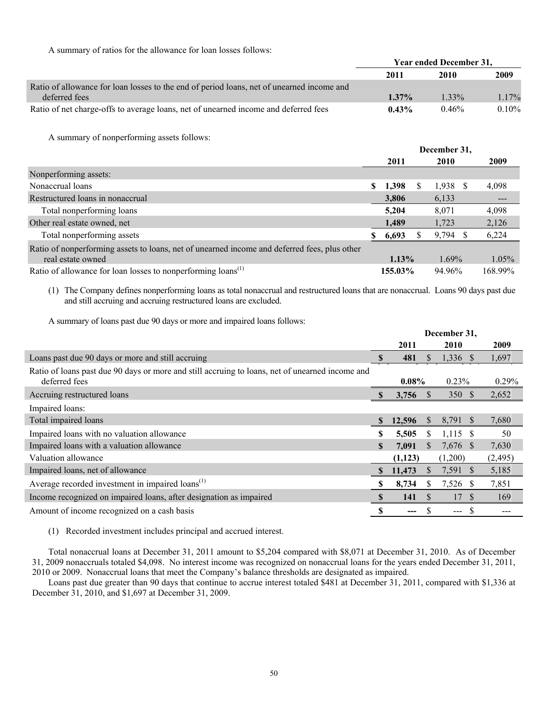A summary of ratios for the allowance for loan losses follows:

|                                                                                           | Year ended December 31. |          |          |  |  |  |
|-------------------------------------------------------------------------------------------|-------------------------|----------|----------|--|--|--|
|                                                                                           | 2011                    | 2010     | 2009     |  |  |  |
| Ratio of allowance for loan losses to the end of period loans, net of unearned income and |                         |          |          |  |  |  |
| deferred fees                                                                             | $1.37\%$                | $1.33\%$ | $.17\%$  |  |  |  |
| Ratio of net charge-offs to average loans, net of unearned income and deferred fees       | $0.43\%$                | 0.46%    | $0.10\%$ |  |  |  |

A summary of nonperforming assets follows:

|                                                                                              |   |         | December 31, |         |
|----------------------------------------------------------------------------------------------|---|---------|--------------|---------|
|                                                                                              |   | 2011    | 2010         | 2009    |
| Nonperforming assets:                                                                        |   |         |              |         |
| Nonaccrual loans                                                                             | S | 1,398   | 1,938        | 4,098   |
| Restructured loans in nonaccrual                                                             |   | 3,806   | 6,133        | ---     |
| Total nonperforming loans                                                                    |   | 5,204   | 8,071        | 4,098   |
| Other real estate owned, net                                                                 |   | 1,489   | 1,723        | 2,126   |
| Total nonperforming assets                                                                   | S | 6,693   | 9,794        | 6,224   |
| Ratio of nonperforming assets to loans, net of unearned income and deferred fees, plus other |   |         |              |         |
| real estate owned                                                                            |   | 1.13%   | 1.69%        | 1.05%   |
| Ratio of allowance for loan losses to nonperforming loans <sup>(1)</sup>                     |   | 155.03% | 94.96%       | 168.99% |

(1) The Company defines nonperforming loans as total nonaccrual and restructured loans that are nonaccrual. Loans 90 days past due and still accruing and accruing restructured loans are excluded.

A summary of loans past due 90 days or more and impaired loans follows:

|                                                                                                                  |          |          |          | December 31, |         |
|------------------------------------------------------------------------------------------------------------------|----------|----------|----------|--------------|---------|
|                                                                                                                  |          | 2011     |          | 2010         | 2009    |
| Loans past due 90 days or more and still accruing                                                                |          | 481      | S        | $1,336$ \$   | 1,697   |
| Ratio of loans past due 90 days or more and still accruing to loans, net of unearned income and<br>deferred fees |          | $0.08\%$ |          | 0.23%        | 0.29%   |
| Accruing restructured loans                                                                                      |          | 3,756    | <b>S</b> | 350S         | 2,652   |
| Impaired loans:                                                                                                  |          |          |          |              |         |
| Total impaired loans                                                                                             | <b>S</b> | 12,596   | S        | 8,791 \$     | 7,680   |
| Impaired loans with no valuation allowance                                                                       |          | 5,505    | \$.      | $1,115$ \$   | 50      |
| Impaired loans with a valuation allowance                                                                        | S        | 7,091    | S.       | 7,676 \$     | 7,630   |
| Valuation allowance                                                                                              |          | (1,123)  |          | (1,200)      | (2,495) |
| Impaired loans, net of allowance                                                                                 | S.       | 11,473   | S.       | 7,591<br>- S | 5,185   |
| Average recorded investment in impaired loans <sup>(1)</sup>                                                     |          | 8,734    | S        | 7,526 \$     | 7,851   |
| Income recognized on impaired loans, after designation as impaired                                               |          | 141      | \$       | 17S          | 169     |
| Amount of income recognized on a cash basis                                                                      |          | ---      |          | ---          |         |

(1) Recorded investment includes principal and accrued interest.

 Total nonaccrual loans at December 31, 2011 amount to \$5,204 compared with \$8,071 at December 31, 2010. As of December 31, 2009 nonaccruals totaled \$4,098. No interest income was recognized on nonaccrual loans for the years ended December 31, 2011, 2010 or 2009. Nonaccrual loans that meet the Company's balance thresholds are designated as impaired.

Loans past due greater than 90 days that continue to accrue interest totaled \$481 at December 31, 2011, compared with \$1,336 at December 31, 2010, and \$1,697 at December 31, 2009.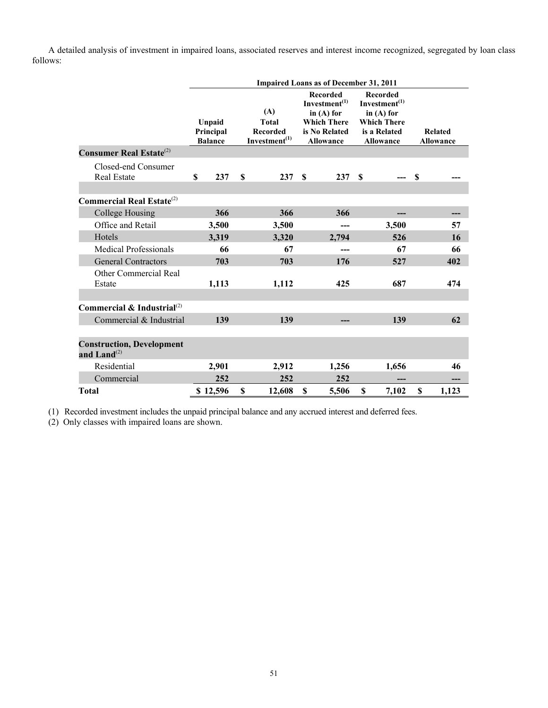A detailed analysis of investment in impaired loans, associated reserves and interest income recognized, segregated by loan class follows:

|                                                   | <b>Impaired Loans as of December 31, 2011</b><br><b>Recorded</b> |              |                                                              |              |                                                                                                                         |              |                                                                                            |          |                                    |  |  |  |  |
|---------------------------------------------------|------------------------------------------------------------------|--------------|--------------------------------------------------------------|--------------|-------------------------------------------------------------------------------------------------------------------------|--------------|--------------------------------------------------------------------------------------------|----------|------------------------------------|--|--|--|--|
|                                                   | Unpaid<br>Principal<br><b>Balance</b>                            |              | (A)<br><b>Total</b><br>Recorded<br>Investment <sup>(1)</sup> |              | <b>Recorded</b><br>Investment <sup>(1)</sup><br>in $(A)$ for<br><b>Which There</b><br>is No Related<br><b>Allowance</b> |              | Investment $(1)$<br>in $(A)$ for<br><b>Which There</b><br>is a Related<br><b>Allowance</b> |          | <b>Related</b><br><b>Allowance</b> |  |  |  |  |
| <b>Consumer Real Estate</b> <sup>(2)</sup>        |                                                                  |              |                                                              |              |                                                                                                                         |              |                                                                                            |          |                                    |  |  |  |  |
| Closed-end Consumer<br>Real Estate                | \$<br>237                                                        | $\mathbf{s}$ | 237                                                          | $\mathbf{s}$ | 237                                                                                                                     | $\mathbf{s}$ |                                                                                            | S        |                                    |  |  |  |  |
| Commercial Real Estate <sup>(2)</sup>             |                                                                  |              |                                                              |              |                                                                                                                         |              |                                                                                            |          |                                    |  |  |  |  |
| College Housing                                   | 366                                                              |              | 366                                                          |              | 366                                                                                                                     |              |                                                                                            |          |                                    |  |  |  |  |
| Office and Retail                                 | 3,500                                                            |              | 3,500                                                        |              |                                                                                                                         |              | 3,500                                                                                      |          | 57                                 |  |  |  |  |
| Hotels                                            | 3,319                                                            |              | 3,320                                                        |              | 2,794                                                                                                                   |              | 526                                                                                        |          | 16                                 |  |  |  |  |
| <b>Medical Professionals</b>                      | 66                                                               |              | 67                                                           |              |                                                                                                                         |              | 67                                                                                         |          | 66                                 |  |  |  |  |
| <b>General Contractors</b>                        | 703                                                              |              | 703                                                          |              | 176                                                                                                                     |              | 527                                                                                        |          | 402                                |  |  |  |  |
| Other Commercial Real<br>Estate                   | 1,113                                                            |              | 1,112                                                        |              | 425                                                                                                                     |              | 687                                                                                        |          | 474                                |  |  |  |  |
| Commercial & Industrial <sup>(2)</sup>            |                                                                  |              |                                                              |              |                                                                                                                         |              |                                                                                            |          |                                    |  |  |  |  |
| Commercial & Industrial                           | 139                                                              |              | 139                                                          |              |                                                                                                                         |              | 139                                                                                        |          | 62                                 |  |  |  |  |
| <b>Construction, Development</b><br>and $Land(2)$ |                                                                  |              |                                                              |              |                                                                                                                         |              |                                                                                            |          |                                    |  |  |  |  |
| Residential                                       | 2,901                                                            |              | 2,912                                                        |              | 1,256                                                                                                                   |              | 1,656                                                                                      |          | 46                                 |  |  |  |  |
| Commercial<br>252<br>252<br>252                   |                                                                  |              |                                                              |              |                                                                                                                         |              |                                                                                            |          |                                    |  |  |  |  |
| <b>Total</b>                                      | \$12,596                                                         | $\mathbf S$  | 12,608                                                       | \$           | 5,506                                                                                                                   | \$           | 7,102                                                                                      | <b>S</b> | 1,123                              |  |  |  |  |

(1) Recorded investment includes the unpaid principal balance and any accrued interest and deferred fees.

(2) Only classes with impaired loans are shown.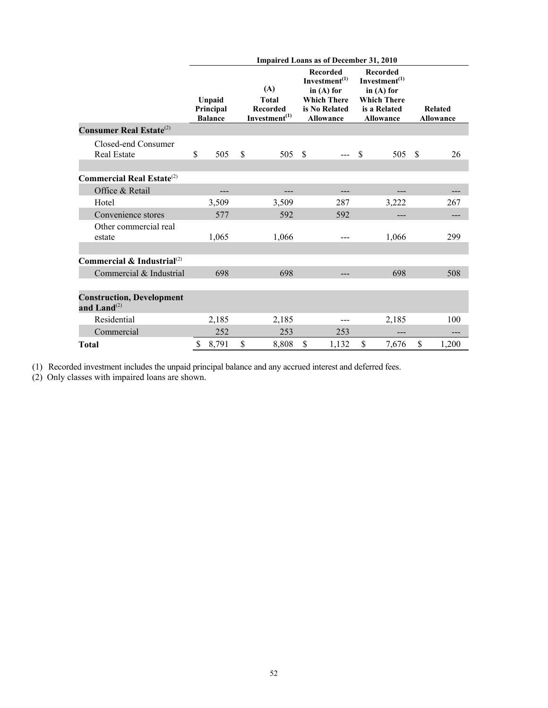|                                                   | <b>Impaired Loans as of December 31, 2010</b> |                                       |    |                                                                     |     |                                                                                                                         |    |                                                                                                        |      |                                    |  |  |  |
|---------------------------------------------------|-----------------------------------------------|---------------------------------------|----|---------------------------------------------------------------------|-----|-------------------------------------------------------------------------------------------------------------------------|----|--------------------------------------------------------------------------------------------------------|------|------------------------------------|--|--|--|
|                                                   |                                               | Unpaid<br>Principal<br><b>Balance</b> |    | (A)<br><b>Total</b><br><b>Recorded</b><br>Investment <sup>(1)</sup> |     | <b>Recorded</b><br>Investment <sup>(1)</sup><br>in $(A)$ for<br><b>Which There</b><br>is No Related<br><b>Allowance</b> |    | <b>Recorded</b><br>Investment $(1)$<br>in $(A)$ for<br><b>Which There</b><br>is a Related<br>Allowance |      | <b>Related</b><br><b>Allowance</b> |  |  |  |
| <b>Consumer Real Estate</b> <sup>(2)</sup>        |                                               |                                       |    |                                                                     |     |                                                                                                                         |    |                                                                                                        |      |                                    |  |  |  |
| Closed-end Consumer<br><b>Real Estate</b>         | \$                                            | 505                                   | \$ | 505                                                                 | -\$ |                                                                                                                         | \$ | 505                                                                                                    | - \$ | 26                                 |  |  |  |
| Commercial Real Estate <sup>(2)</sup>             |                                               |                                       |    |                                                                     |     |                                                                                                                         |    |                                                                                                        |      |                                    |  |  |  |
| Office & Retail                                   |                                               | $---$                                 |    | $---$                                                               |     |                                                                                                                         |    | ---                                                                                                    |      |                                    |  |  |  |
| Hotel                                             |                                               | 3,509                                 |    | 3,509                                                               |     | 287                                                                                                                     |    | 3,222                                                                                                  |      | 267                                |  |  |  |
| Convenience stores                                |                                               | 577                                   |    | 592                                                                 |     | 592                                                                                                                     |    |                                                                                                        |      |                                    |  |  |  |
| Other commercial real<br>estate                   |                                               | 1,065                                 |    | 1,066                                                               |     |                                                                                                                         |    | 1,066                                                                                                  |      | 299                                |  |  |  |
| Commercial & Industrial <sup>(2)</sup>            |                                               |                                       |    |                                                                     |     |                                                                                                                         |    |                                                                                                        |      |                                    |  |  |  |
| Commercial & Industrial                           |                                               | 698                                   |    | 698                                                                 |     |                                                                                                                         |    | 698                                                                                                    |      | 508                                |  |  |  |
| <b>Construction, Development</b><br>and $Land(2)$ |                                               |                                       |    |                                                                     |     |                                                                                                                         |    |                                                                                                        |      |                                    |  |  |  |
| Residential                                       |                                               | 2,185                                 |    | 2,185                                                               |     | ---                                                                                                                     |    | 2,185                                                                                                  |      | 100                                |  |  |  |
| Commercial                                        |                                               | 252                                   |    | 253                                                                 |     | 253                                                                                                                     |    |                                                                                                        |      |                                    |  |  |  |
| <b>Total</b>                                      | \$                                            | 8,791                                 | \$ | 8,808                                                               | \$  | 1,132                                                                                                                   | \$ | 7,676                                                                                                  | \$   | 1,200                              |  |  |  |

(1) Recorded investment includes the unpaid principal balance and any accrued interest and deferred fees.

(2) Only classes with impaired loans are shown.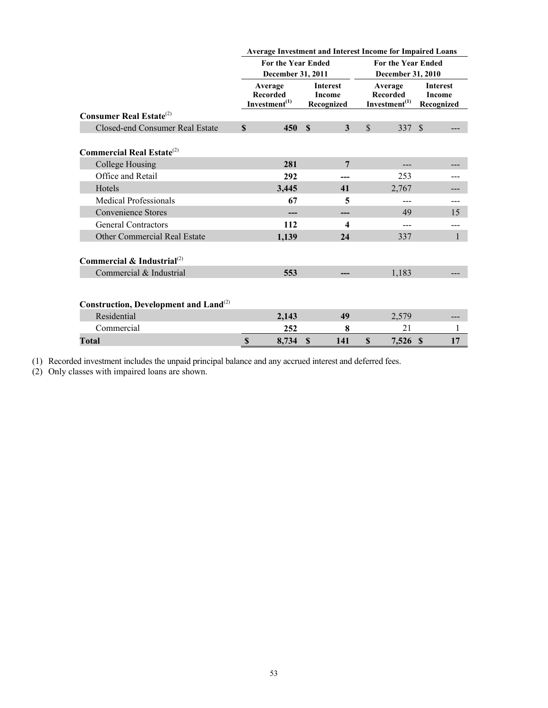| <b>Average Investment and Interest Income for Impaired Loans</b> |                                                                                                  |       |                                                |                         |              |                                                         |  |                                                |  |  |  |  |  |
|------------------------------------------------------------------|--------------------------------------------------------------------------------------------------|-------|------------------------------------------------|-------------------------|--------------|---------------------------------------------------------|--|------------------------------------------------|--|--|--|--|--|
|                                                                  | <b>For the Year Ended</b><br><b>For the Year Ended</b><br>December 31, 2011<br>December 31, 2010 |       |                                                |                         |              |                                                         |  |                                                |  |  |  |  |  |
|                                                                  |                                                                                                  |       |                                                |                         |              |                                                         |  |                                                |  |  |  |  |  |
|                                                                  | Average<br><b>Recorded</b><br>Investment <sup>(1)</sup>                                          |       | <b>Interest</b><br><b>Income</b><br>Recognized |                         |              | Average<br><b>Recorded</b><br>Investment <sup>(1)</sup> |  | <b>Interest</b><br><b>Income</b><br>Recognized |  |  |  |  |  |
| <b>Consumer Real Estate</b> $^{(2)}$                             |                                                                                                  |       |                                                |                         |              |                                                         |  |                                                |  |  |  |  |  |
| Closed-end Consumer Real Estate                                  | $\mathbf S$                                                                                      | 450   | $\mathbf{s}$                                   | $\mathbf{3}$            | $\mathbb{S}$ | 337 \$                                                  |  |                                                |  |  |  |  |  |
| Commercial Real Estate <sup>(2)</sup>                            |                                                                                                  |       |                                                |                         |              |                                                         |  |                                                |  |  |  |  |  |
| College Housing                                                  |                                                                                                  | 281   |                                                | $\overline{7}$          |              | ---                                                     |  |                                                |  |  |  |  |  |
| Office and Retail                                                |                                                                                                  | 292   |                                                | ---                     |              | 253                                                     |  |                                                |  |  |  |  |  |
| Hotels                                                           |                                                                                                  | 3,445 |                                                | 41                      |              | 2,767                                                   |  |                                                |  |  |  |  |  |
|                                                                  |                                                                                                  |       |                                                |                         |              |                                                         |  |                                                |  |  |  |  |  |
| <b>Medical Professionals</b>                                     |                                                                                                  | 67    |                                                | 5                       |              | ---                                                     |  |                                                |  |  |  |  |  |
| <b>Convenience Stores</b>                                        |                                                                                                  |       |                                                |                         |              | 49                                                      |  | 15                                             |  |  |  |  |  |
| <b>General Contractors</b>                                       |                                                                                                  | 112   |                                                | $\overline{\mathbf{4}}$ |              | ---                                                     |  | ---                                            |  |  |  |  |  |
| Other Commercial Real Estate                                     |                                                                                                  | 1,139 |                                                | 24                      |              | 337                                                     |  | 1                                              |  |  |  |  |  |
|                                                                  |                                                                                                  |       |                                                |                         |              |                                                         |  |                                                |  |  |  |  |  |
| Commercial & Industrial <sup>(2)</sup>                           |                                                                                                  |       |                                                |                         |              |                                                         |  |                                                |  |  |  |  |  |
| Commercial & Industrial                                          |                                                                                                  | 553   |                                                |                         |              | 1,183                                                   |  |                                                |  |  |  |  |  |
|                                                                  |                                                                                                  |       |                                                |                         |              |                                                         |  |                                                |  |  |  |  |  |
| Construction, Development and Land <sup>(2)</sup>                |                                                                                                  |       |                                                |                         |              |                                                         |  |                                                |  |  |  |  |  |
| Residential                                                      |                                                                                                  | 2,143 |                                                | 49                      |              | 2,579                                                   |  |                                                |  |  |  |  |  |
| Commercial                                                       |                                                                                                  | 252   |                                                | 8                       |              | 21                                                      |  |                                                |  |  |  |  |  |
| Total                                                            | $\mathbf S$                                                                                      | 8,734 | $\mathbf S$                                    | 141                     | $\mathbf S$  | 7,526 \$                                                |  | 17                                             |  |  |  |  |  |

(1) Recorded investment includes the unpaid principal balance and any accrued interest and deferred fees.

(2) Only classes with impaired loans are shown.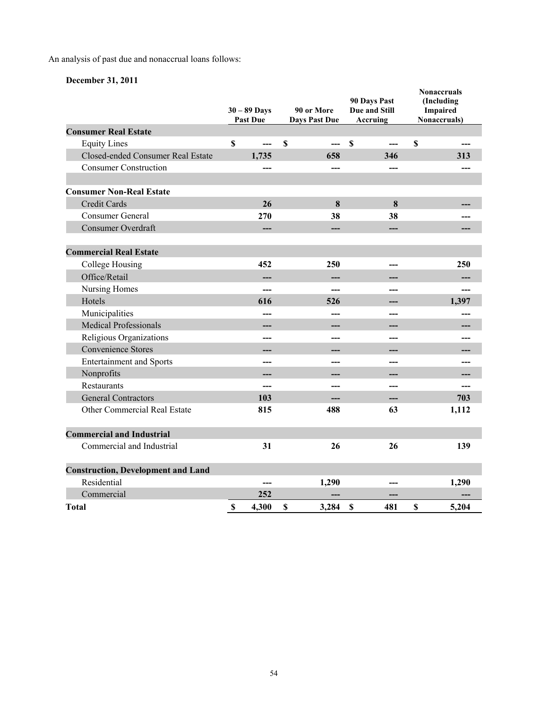An analysis of past due and nonaccrual loans follows:

# **December 31, 2011**

|                                           |             | $30 - 89$ Days<br><b>Past Due</b> |             | 90 or More<br><b>Days Past Due</b> | 90 Days Past<br>Due and Still<br>Accruing |                          |             | <b>Nonaccruals</b><br>(Including<br>Impaired<br>Nonaccruals) |
|-------------------------------------------|-------------|-----------------------------------|-------------|------------------------------------|-------------------------------------------|--------------------------|-------------|--------------------------------------------------------------|
| <b>Consumer Real Estate</b>               |             |                                   |             |                                    |                                           |                          |             |                                                              |
| <b>Equity Lines</b>                       | $\mathbf S$ | $---$                             | $\mathbf S$ | ---                                | $\mathbf S$                               | $\overline{a}$           | $\mathbf S$ |                                                              |
| Closed-ended Consumer Real Estate         |             | 1,735                             |             | 658                                |                                           | 346                      |             | 313                                                          |
| <b>Consumer Construction</b>              |             | ---                               |             | ---                                |                                           | ---                      |             |                                                              |
| <b>Consumer Non-Real Estate</b>           |             |                                   |             |                                    |                                           |                          |             |                                                              |
| <b>Credit Cards</b>                       |             | 26                                |             | 8                                  |                                           | 8                        |             |                                                              |
| <b>Consumer General</b>                   |             | 270                               |             | 38                                 |                                           | 38                       |             |                                                              |
| Consumer Overdraft                        |             | ---                               |             | ---                                |                                           | ---                      |             |                                                              |
| <b>Commercial Real Estate</b>             |             |                                   |             |                                    |                                           |                          |             |                                                              |
| College Housing                           |             | 452                               |             | 250                                |                                           |                          |             | 250                                                          |
| Office/Retail                             |             |                                   |             |                                    |                                           |                          |             |                                                              |
| Nursing Homes                             |             | ---                               |             | ---                                |                                           | ---                      |             |                                                              |
| Hotels                                    |             | 616                               |             | 526                                |                                           | ---                      |             | 1,397                                                        |
| Municipalities                            |             |                                   |             | ---                                |                                           | ---                      |             |                                                              |
| <b>Medical Professionals</b>              |             | ---                               |             |                                    |                                           |                          |             |                                                              |
| Religious Organizations                   |             | ---                               |             | ---                                |                                           | ---                      |             |                                                              |
| <b>Convenience Stores</b>                 |             | ---                               |             |                                    |                                           | ---                      |             |                                                              |
| <b>Entertainment and Sports</b>           |             |                                   |             | ---                                |                                           |                          |             |                                                              |
| Nonprofits                                |             | ---                               |             |                                    |                                           |                          |             |                                                              |
| Restaurants                               |             | ---                               |             | ---                                |                                           |                          |             |                                                              |
| <b>General Contractors</b>                |             | 103                               |             | ---                                |                                           | $\overline{\phantom{0}}$ |             | 703                                                          |
| Other Commercial Real Estate              |             | 815                               |             | 488                                |                                           | 63                       |             | 1,112                                                        |
| <b>Commercial and Industrial</b>          |             |                                   |             |                                    |                                           |                          |             |                                                              |
| Commercial and Industrial                 |             | 31                                |             | 26                                 |                                           | 26                       |             | 139                                                          |
| <b>Construction, Development and Land</b> |             |                                   |             |                                    |                                           |                          |             |                                                              |
| Residential                               |             |                                   |             | 1,290                              |                                           |                          |             | 1,290                                                        |
| Commercial                                |             | 252                               |             |                                    |                                           |                          |             |                                                              |
| <b>Total</b>                              | \$          | 4,300                             | $\mathbf S$ | 3,284                              | $\mathbf S$                               | 481                      | \$          | 5,204                                                        |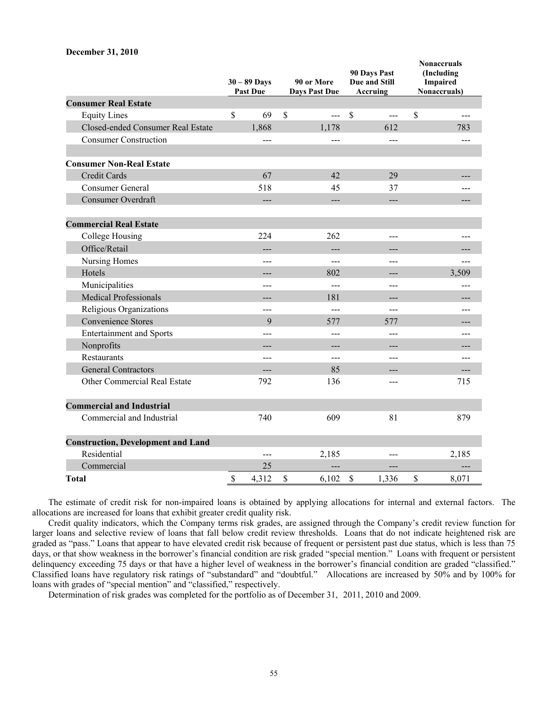## **December 31, 2010**

|                                           | $30 - 89$ Days<br><b>Past Due</b> | 90 or More<br><b>Days Past Due</b> |                      | 90 Days Past<br>Due and Still<br>Accruing |                     |             |       |  | <b>Nonaccruals</b><br>(Including<br><b>Impaired</b><br>Nonaccruals) |
|-------------------------------------------|-----------------------------------|------------------------------------|----------------------|-------------------------------------------|---------------------|-------------|-------|--|---------------------------------------------------------------------|
| <b>Consumer Real Estate</b>               |                                   |                                    |                      |                                           |                     |             |       |  |                                                                     |
| <b>Equity Lines</b>                       | \$<br>69                          | \$                                 | $---$                | $\mathbf S$                               | $\overline{a}$      | $\mathbf S$ |       |  |                                                                     |
| Closed-ended Consumer Real Estate         | 1,868                             |                                    | 1,178                |                                           | 612                 |             | 783   |  |                                                                     |
| <b>Consumer Construction</b>              | $---$                             |                                    | $---$                |                                           | $---$               |             | $---$ |  |                                                                     |
| <b>Consumer Non-Real Estate</b>           |                                   |                                    |                      |                                           |                     |             |       |  |                                                                     |
| <b>Credit Cards</b>                       | 67                                |                                    | 42                   |                                           | 29                  |             |       |  |                                                                     |
| <b>Consumer General</b>                   | 518                               |                                    | 45                   |                                           | 37                  |             | $---$ |  |                                                                     |
| Consumer Overdraft                        | $---$                             |                                    | $---$                |                                           | ---                 |             |       |  |                                                                     |
| <b>Commercial Real Estate</b>             |                                   |                                    |                      |                                           |                     |             |       |  |                                                                     |
| College Housing                           | 224                               |                                    | 262                  |                                           | ---                 |             |       |  |                                                                     |
| Office/Retail                             |                                   |                                    |                      |                                           |                     |             |       |  |                                                                     |
| Nursing Homes                             | $---$                             |                                    | $\sim$ $\sim$ $\sim$ |                                           | $\qquad \qquad - -$ |             | $---$ |  |                                                                     |
| Hotels                                    | ---                               |                                    | 802                  |                                           | ---                 |             | 3,509 |  |                                                                     |
| Municipalities                            | ---                               |                                    | $---$                |                                           | ---                 |             |       |  |                                                                     |
| <b>Medical Professionals</b>              | $---$                             |                                    | 181                  |                                           | $---$               |             |       |  |                                                                     |
| Religious Organizations                   | $---$                             |                                    | $\overline{a}$       |                                           | $---$               |             |       |  |                                                                     |
| <b>Convenience Stores</b>                 | 9                                 |                                    | 577                  |                                           | 577                 |             | ---   |  |                                                                     |
| <b>Entertainment and Sports</b>           | ---                               |                                    | ---                  |                                           | ---                 |             |       |  |                                                                     |
| Nonprofits                                |                                   |                                    |                      |                                           | $---$               |             |       |  |                                                                     |
| Restaurants                               | ---                               |                                    | $---$                |                                           | $---$               |             | $---$ |  |                                                                     |
| <b>General Contractors</b>                | ---                               |                                    | 85                   |                                           | ---                 |             | ---   |  |                                                                     |
| Other Commercial Real Estate              | 792                               |                                    | 136                  |                                           | ---                 |             | 715   |  |                                                                     |
| <b>Commercial and Industrial</b>          |                                   |                                    |                      |                                           |                     |             |       |  |                                                                     |
| Commercial and Industrial                 | 740                               |                                    | 609                  |                                           | 81                  |             | 879   |  |                                                                     |
| <b>Construction, Development and Land</b> |                                   |                                    |                      |                                           |                     |             |       |  |                                                                     |
| Residential                               |                                   |                                    | 2,185                |                                           |                     |             | 2,185 |  |                                                                     |
| Commercial                                | 25                                |                                    |                      |                                           |                     |             |       |  |                                                                     |
| <b>Total</b>                              | \$<br>4,312                       | \$                                 | 6,102                | $\mathbf S$                               | 1,336               | \$          | 8,071 |  |                                                                     |

The estimate of credit risk for non-impaired loans is obtained by applying allocations for internal and external factors. The allocations are increased for loans that exhibit greater credit quality risk.

 Credit quality indicators, which the Company terms risk grades, are assigned through the Company's credit review function for larger loans and selective review of loans that fall below credit review thresholds. Loans that do not indicate heightened risk are graded as "pass." Loans that appear to have elevated credit risk because of frequent or persistent past due status, which is less than 75 days, or that show weakness in the borrower's financial condition are risk graded "special mention." Loans with frequent or persistent delinquency exceeding 75 days or that have a higher level of weakness in the borrower's financial condition are graded "classified." Classified loans have regulatory risk ratings of "substandard" and "doubtful." Allocations are increased by 50% and by 100% for loans with grades of "special mention" and "classified," respectively.

Determination of risk grades was completed for the portfolio as of December 31, 2011, 2010 and 2009.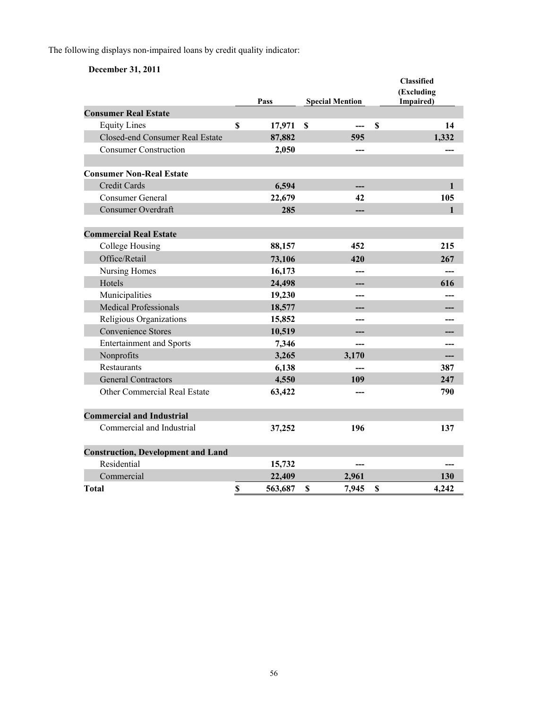The following displays non-impaired loans by credit quality indicator:

# **December 31, 2011**

|                                           |          |         |          |                        |             | <b>Classified</b>       |
|-------------------------------------------|----------|---------|----------|------------------------|-------------|-------------------------|
|                                           |          | Pass    |          | <b>Special Mention</b> |             | (Excluding<br>Impaired) |
| <b>Consumer Real Estate</b>               |          |         |          |                        |             |                         |
| <b>Equity Lines</b>                       | <b>S</b> | 17,971  | <b>S</b> | $---$                  | $\mathbf S$ | 14                      |
| Closed-end Consumer Real Estate           |          | 87,882  |          | 595                    |             | 1,332                   |
| <b>Consumer Construction</b>              |          | 2,050   |          |                        |             |                         |
|                                           |          |         |          |                        |             |                         |
| <b>Consumer Non-Real Estate</b>           |          |         |          |                        |             |                         |
| <b>Credit Cards</b>                       |          | 6,594   |          | ---                    |             | 1                       |
| <b>Consumer General</b>                   |          | 22,679  |          | 42                     |             | 105                     |
| Consumer Overdraft                        |          | 285     |          | ---                    |             | $\mathbf{1}$            |
|                                           |          |         |          |                        |             |                         |
| <b>Commercial Real Estate</b>             |          |         |          |                        |             |                         |
| College Housing                           |          | 88,157  |          | 452                    |             | 215                     |
| Office/Retail                             |          | 73,106  |          | 420                    |             | 267                     |
| Nursing Homes                             |          | 16,173  |          | ---                    |             |                         |
| Hotels                                    |          | 24,498  |          |                        |             | 616                     |
| Municipalities                            |          | 19,230  |          |                        |             |                         |
| <b>Medical Professionals</b>              |          | 18,577  |          |                        |             |                         |
| Religious Organizations                   |          | 15,852  |          |                        |             |                         |
| <b>Convenience Stores</b>                 |          | 10,519  |          |                        |             |                         |
| <b>Entertainment and Sports</b>           |          | 7,346   |          |                        |             |                         |
| Nonprofits                                |          | 3,265   |          | 3,170                  |             | ---                     |
| Restaurants                               |          | 6,138   |          |                        |             | 387                     |
| <b>General Contractors</b>                |          | 4,550   |          | 109                    |             | 247                     |
| Other Commercial Real Estate              |          | 63,422  |          |                        |             | 790                     |
|                                           |          |         |          |                        |             |                         |
| <b>Commercial and Industrial</b>          |          |         |          |                        |             |                         |
| Commercial and Industrial                 |          | 37,252  |          | 196                    |             | 137                     |
| <b>Construction, Development and Land</b> |          |         |          |                        |             |                         |
| Residential                               |          | 15,732  |          | ---                    |             |                         |
| Commercial                                |          | 22,409  |          | 2,961                  |             | 130                     |
| <b>Total</b>                              | \$       | 563,687 | \$       | 7,945                  | $\mathbf S$ | 4,242                   |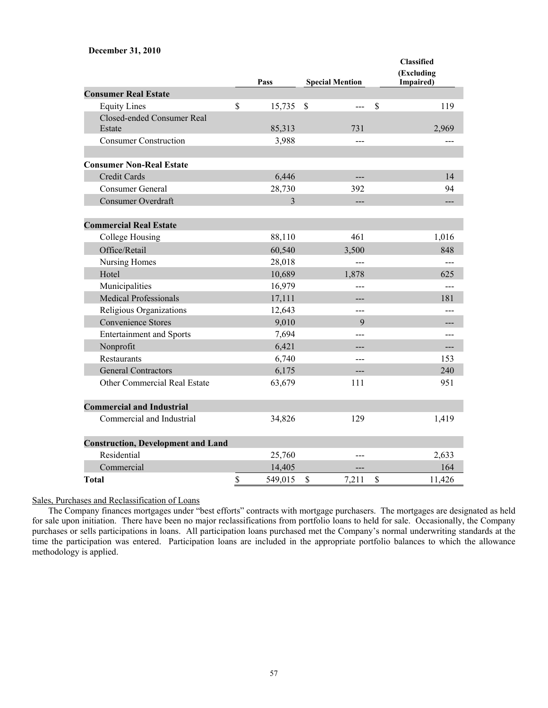# **December 31, 2010**

|                                           |             | Pass    | <b>Special Mention</b> |       |             | <b>Classified</b><br>(Excluding<br>Impaired) |
|-------------------------------------------|-------------|---------|------------------------|-------|-------------|----------------------------------------------|
| <b>Consumer Real Estate</b>               |             |         |                        |       |             |                                              |
| <b>Equity Lines</b>                       | $\mathbf S$ | 15,735  | \$                     | ---   | $\mathbf S$ | 119                                          |
| Closed-ended Consumer Real                |             |         |                        |       |             |                                              |
| Estate                                    |             | 85,313  |                        | 731   |             | 2,969                                        |
| <b>Consumer Construction</b>              |             | 3,988   |                        | ---   |             |                                              |
|                                           |             |         |                        |       |             |                                              |
| <b>Consumer Non-Real Estate</b>           |             |         |                        |       |             |                                              |
| <b>Credit Cards</b>                       |             | 6,446   |                        | ---   |             | 14                                           |
| <b>Consumer General</b>                   |             | 28,730  |                        | 392   |             | 94                                           |
| Consumer Overdraft                        |             | 3       |                        |       |             |                                              |
| <b>Commercial Real Estate</b>             |             |         |                        |       |             |                                              |
| College Housing                           |             | 88,110  |                        | 461   |             | 1,016                                        |
| Office/Retail                             |             | 60,540  |                        | 3,500 |             | 848                                          |
| Nursing Homes                             |             | 28,018  |                        | ---   |             |                                              |
| Hotel                                     |             | 10,689  |                        | 1,878 |             | 625                                          |
| Municipalities                            |             | 16,979  |                        | ---   |             | $---$                                        |
| <b>Medical Professionals</b>              |             | 17,111  |                        |       |             | 181                                          |
| Religious Organizations                   |             | 12,643  |                        | ---   |             |                                              |
| <b>Convenience Stores</b>                 |             | 9,010   |                        | 9     |             |                                              |
| <b>Entertainment and Sports</b>           |             | 7,694   |                        | $---$ |             |                                              |
| Nonprofit                                 |             | 6,421   |                        |       |             |                                              |
| Restaurants                               |             | 6,740   |                        | ---   |             | 153                                          |
| <b>General Contractors</b>                |             | 6,175   |                        | ---   |             | 240                                          |
| Other Commercial Real Estate              |             | 63,679  |                        | 111   |             | 951                                          |
| <b>Commercial and Industrial</b>          |             |         |                        |       |             |                                              |
| Commercial and Industrial                 |             | 34,826  |                        | 129   |             | 1,419                                        |
|                                           |             |         |                        |       |             |                                              |
| <b>Construction, Development and Land</b> |             |         |                        |       |             |                                              |
| Residential                               |             | 25,760  |                        |       |             | 2,633                                        |
| Commercial                                |             | 14,405  |                        |       |             | 164                                          |
| Total                                     | \$          | 549,015 | \$                     | 7,211 | \$          | 11,426                                       |

Sales, Purchases and Reclassification of Loans

 The Company finances mortgages under "best efforts" contracts with mortgage purchasers. The mortgages are designated as held for sale upon initiation. There have been no major reclassifications from portfolio loans to held for sale. Occasionally, the Company purchases or sells participations in loans. All participation loans purchased met the Company's normal underwriting standards at the time the participation was entered. Participation loans are included in the appropriate portfolio balances to which the allowance methodology is applied.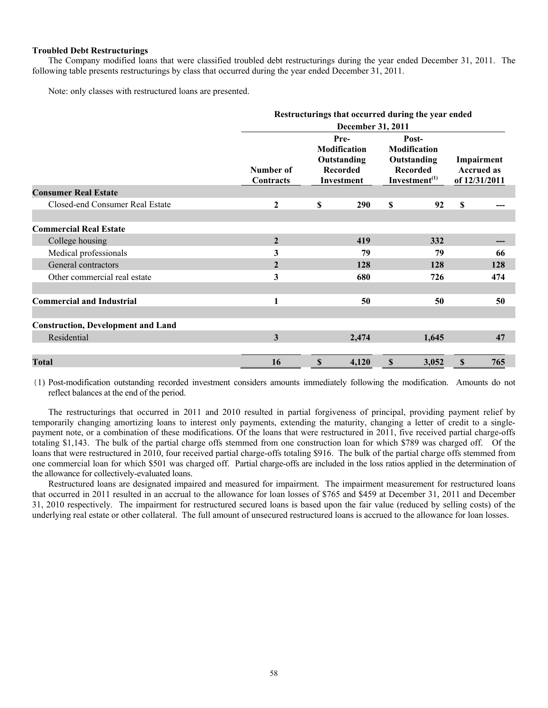## **Troubled Debt Restructurings**

 The Company modified loans that were classified troubled debt restructurings during the year ended December 31, 2011. The following table presents restructurings by class that occurred during the year ended December 31, 2011.

Note: only classes with restructured loans are presented.

|                                           | Restructurings that occurred during the year ended |                   |                                                                             |    |                                                                             |    |                                                  |  |  |  |  |  |
|-------------------------------------------|----------------------------------------------------|-------------------|-----------------------------------------------------------------------------|----|-----------------------------------------------------------------------------|----|--------------------------------------------------|--|--|--|--|--|
|                                           |                                                    | December 31, 2011 |                                                                             |    |                                                                             |    |                                                  |  |  |  |  |  |
|                                           | Number of<br>Contracts                             |                   | Pre-<br><b>Modification</b><br>Outstanding<br><b>Recorded</b><br>Investment |    | Post-<br>Modification<br>Outstanding<br><b>Recorded</b><br>Investment $(1)$ |    | Impairment<br><b>Accrued as</b><br>of 12/31/2011 |  |  |  |  |  |
| <b>Consumer Real Estate</b>               |                                                    |                   |                                                                             |    |                                                                             |    |                                                  |  |  |  |  |  |
| Closed-end Consumer Real Estate           | $\overline{2}$                                     | \$                | <b>290</b>                                                                  | S  | 92                                                                          | \$ |                                                  |  |  |  |  |  |
| <b>Commercial Real Estate</b>             |                                                    |                   |                                                                             |    |                                                                             |    |                                                  |  |  |  |  |  |
| College housing                           | $\overline{2}$                                     |                   | 419                                                                         |    | 332                                                                         |    |                                                  |  |  |  |  |  |
| Medical professionals                     | 3                                                  |                   | 79                                                                          |    | 79                                                                          |    | 66                                               |  |  |  |  |  |
| General contractors                       | $\overline{2}$                                     |                   | 128                                                                         |    | 128                                                                         |    | 128                                              |  |  |  |  |  |
| Other commercial real estate              | 3                                                  |                   | 680                                                                         |    | 726                                                                         |    | 474                                              |  |  |  |  |  |
| <b>Commercial and Industrial</b>          | $\mathbf{1}$                                       |                   | 50                                                                          |    | 50                                                                          |    | 50                                               |  |  |  |  |  |
| <b>Construction, Development and Land</b> |                                                    |                   |                                                                             |    |                                                                             |    |                                                  |  |  |  |  |  |
| Residential                               | 3                                                  |                   | 2,474                                                                       |    | 1,645                                                                       |    | 47                                               |  |  |  |  |  |
| <b>Total</b>                              | 16                                                 | $\mathbb{S}$      | 4,120                                                                       | \$ | 3,052                                                                       | \$ | 765                                              |  |  |  |  |  |

(1) Post-modification outstanding recorded investment considers amounts immediately following the modification. Amounts do not reflect balances at the end of the period.

The restructurings that occurred in 2011 and 2010 resulted in partial forgiveness of principal, providing payment relief by temporarily changing amortizing loans to interest only payments, extending the maturity, changing a letter of credit to a singlepayment note, or a combination of these modifications. Of the loans that were restructured in 2011, five received partial charge-offs totaling \$1,143. The bulk of the partial charge offs stemmed from one construction loan for which \$789 was charged off. Of the loans that were restructured in 2010, four received partial charge-offs totaling \$916. The bulk of the partial charge offs stemmed from one commercial loan for which \$501 was charged off. Partial charge-offs are included in the loss ratios applied in the determination of the allowance for collectively-evaluated loans.

 Restructured loans are designated impaired and measured for impairment. The impairment measurement for restructured loans that occurred in 2011 resulted in an accrual to the allowance for loan losses of \$765 and \$459 at December 31, 2011 and December 31, 2010 respectively. The impairment for restructured secured loans is based upon the fair value (reduced by selling costs) of the underlying real estate or other collateral. The full amount of unsecured restructured loans is accrued to the allowance for loan losses.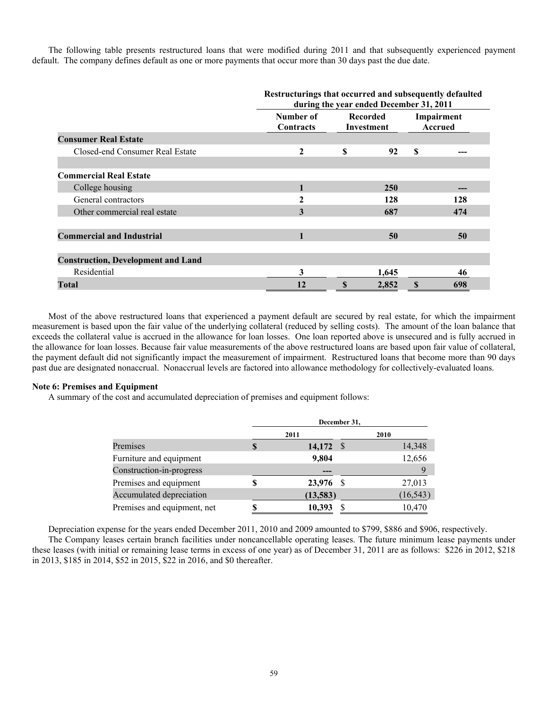The following table presents restructured loans that were modified during 2011 and that subsequently experienced payment default. The company defines default as one or more payments that occur more than 30 days past the due date.

|                                           | Restructurings that occurred and subsequently defaulted<br>during the year ended December 31, 2011 |                        |            |   |                       |  |  |  |  |
|-------------------------------------------|----------------------------------------------------------------------------------------------------|------------------------|------------|---|-----------------------|--|--|--|--|
|                                           | Number of<br><b>Contracts</b>                                                                      | Recorded<br>Investment |            |   | Impairment<br>Accrued |  |  |  |  |
| <b>Consumer Real Estate</b>               |                                                                                                    |                        |            |   |                       |  |  |  |  |
| Closed-end Consumer Real Estate           | $\mathbf{2}$                                                                                       | S                      | 92         | S |                       |  |  |  |  |
|                                           |                                                                                                    |                        |            |   |                       |  |  |  |  |
| <b>Commercial Real Estate</b>             |                                                                                                    |                        |            |   |                       |  |  |  |  |
| College housing                           | $\mathbf{1}$                                                                                       |                        | <b>250</b> |   |                       |  |  |  |  |
| General contractors                       | $\mathbf{2}$                                                                                       |                        | 128        |   | 128                   |  |  |  |  |
| Other commercial real estate              | 3                                                                                                  |                        | 687        |   | 474                   |  |  |  |  |
|                                           |                                                                                                    |                        |            |   |                       |  |  |  |  |
| <b>Commercial and Industrial</b>          | $\mathbf{1}$                                                                                       |                        | 50         |   | 50                    |  |  |  |  |
|                                           |                                                                                                    |                        |            |   |                       |  |  |  |  |
| <b>Construction, Development and Land</b> |                                                                                                    |                        |            |   |                       |  |  |  |  |
| Residential                               | 3                                                                                                  |                        | 1,645      |   | 46                    |  |  |  |  |
| Total                                     | 12                                                                                                 | S                      | 2,852      | S | 698                   |  |  |  |  |

Most of the above restructured loans that experienced a payment default are secured by real estate, for which the impairment measurement is based upon the fair value of the underlying collateral (reduced by selling costs). The amount of the loan balance that exceeds the collateral value is accrued in the allowance for loan losses. One loan reported above is unsecured and is fully accrued in the allowance for loan losses. Because fair value measurements of the above restructured loans are based upon fair value of collateral, the payment default did not significantly impact the measurement of impairment. Restructured loans that become more than 90 days past due are designated nonaccrual. Nonaccrual levels are factored into allowance methodology for collectively-evaluated loans.

## **Note 6: Premises and Equipment**

A summary of the cost and accumulated depreciation of premises and equipment follows:

|                             | December 31, |           |    |           |  |  |  |  |  |
|-----------------------------|--------------|-----------|----|-----------|--|--|--|--|--|
|                             |              | 2011      |    | 2010      |  |  |  |  |  |
| Premises                    | S            | 14,172    | -S | 14,348    |  |  |  |  |  |
| Furniture and equipment     |              | 9,804     |    | 12,656    |  |  |  |  |  |
| Construction-in-progress    |              |           |    |           |  |  |  |  |  |
| Premises and equipment      | S            | 23,976 \$ |    | 27,013    |  |  |  |  |  |
| Accumulated depreciation    |              | (13, 583) |    | (16, 543) |  |  |  |  |  |
| Premises and equipment, net |              | 10,393    |    | 10,470    |  |  |  |  |  |

Depreciation expense for the years ended December 2011, 2010 and 2009 amounted to \$799, \$886 and \$906, respectively. The Company leases certain branch facilities under noncancellable operating leases. The future minimum lease payments under these leases (with initial or remaining lease terms in excess of one year) as of December 31, 2011 are as follows: \$226 in 2012, \$218 in 2013, \$185 in 2014, \$52 in 2015, \$22 in 2016, and \$0 thereafter.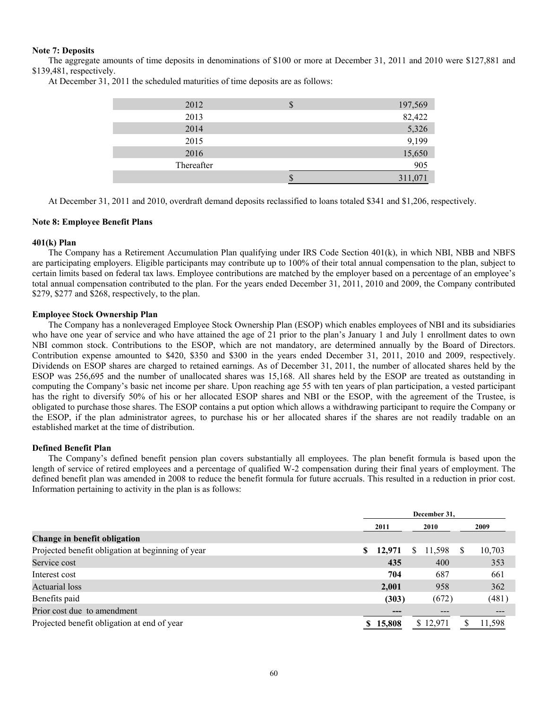## **Note 7: Deposits**

 The aggregate amounts of time deposits in denominations of \$100 or more at December 31, 2011 and 2010 were \$127,881 and \$139,481, respectively.

At December 31, 2011 the scheduled maturities of time deposits are as follows:

| 2012       | 197,569          |
|------------|------------------|
| 2013       | 82,422           |
| 2014       | 5,326            |
| 2015       | 9,199            |
| 2016       | 15,650           |
| Thereafter | $\overline{905}$ |
|            | 311,071          |

At December 31, 2011 and 2010, overdraft demand deposits reclassified to loans totaled \$341 and \$1,206, respectively.

## **Note 8: Employee Benefit Plans**

## **401(k) Plan**

The Company has a Retirement Accumulation Plan qualifying under IRS Code Section 401(k), in which NBI, NBB and NBFS are participating employers. Eligible participants may contribute up to 100% of their total annual compensation to the plan, subject to certain limits based on federal tax laws. Employee contributions are matched by the employer based on a percentage of an employee's total annual compensation contributed to the plan. For the years ended December 31, 2011, 2010 and 2009, the Company contributed \$279, \$277 and \$268, respectively, to the plan.

## **Employee Stock Ownership Plan**

 The Company has a nonleveraged Employee Stock Ownership Plan (ESOP) which enables employees of NBI and its subsidiaries who have one year of service and who have attained the age of 21 prior to the plan's January 1 and July 1 enrollment dates to own NBI common stock. Contributions to the ESOP, which are not mandatory, are determined annually by the Board of Directors. Contribution expense amounted to \$420, \$350 and \$300 in the years ended December 31, 2011, 2010 and 2009, respectively. Dividends on ESOP shares are charged to retained earnings. As of December 31, 2011, the number of allocated shares held by the ESOP was 256,695 and the number of unallocated shares was 15,168. All shares held by the ESOP are treated as outstanding in computing the Company's basic net income per share. Upon reaching age 55 with ten years of plan participation, a vested participant has the right to diversify 50% of his or her allocated ESOP shares and NBI or the ESOP, with the agreement of the Trustee, is obligated to purchase those shares. The ESOP contains a put option which allows a withdrawing participant to require the Company or the ESOP, if the plan administrator agrees, to purchase his or her allocated shares if the shares are not readily tradable on an established market at the time of distribution.

## **Defined Benefit Plan**

 The Company's defined benefit pension plan covers substantially all employees. The plan benefit formula is based upon the length of service of retired employees and a percentage of qualified W-2 compensation during their final years of employment. The defined benefit plan was amended in 2008 to reduce the benefit formula for future accruals. This resulted in a reduction in prior cost. Information pertaining to activity in the plan is as follows:

|                                                   | December 31. |          |              |          |      |         |
|---------------------------------------------------|--------------|----------|--------------|----------|------|---------|
|                                                   | 2011<br>2010 |          |              |          | 2009 |         |
| Change in benefit obligation                      |              |          |              |          |      |         |
| Projected benefit obligation at beginning of year | S.           | 12,971   | <sup>S</sup> | 11,598   | -S   | 10,703  |
| Service cost                                      |              | 435      |              | 400      |      | 353     |
| Interest cost                                     |              | 704      |              | 687      |      | 661     |
| <b>Actuarial loss</b>                             |              | 2.001    |              | 958      |      | 362     |
| Benefits paid                                     |              | (303)    |              | (672)    |      | (481)   |
| Prior cost due to amendment                       |              | ---      |              |          |      | $- - -$ |
| Projected benefit obligation at end of year       |              | \$15,808 |              | \$12,971 |      | 11,598  |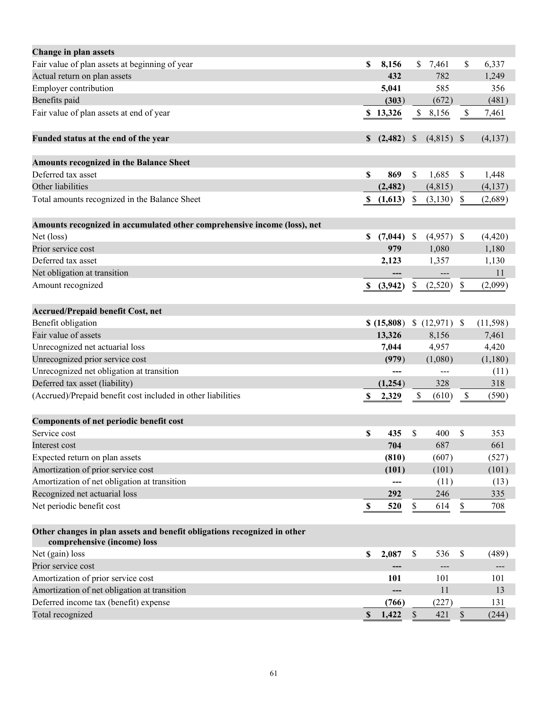| Change in plan assets                                                                                   |                           |             |              |              |              |          |
|---------------------------------------------------------------------------------------------------------|---------------------------|-------------|--------------|--------------|--------------|----------|
| Fair value of plan assets at beginning of year                                                          | \$                        | 8,156       | \$           | 7,461        | \$           | 6,337    |
| Actual return on plan assets                                                                            |                           | 432         |              | 782          |              | 1,249    |
| Employer contribution                                                                                   |                           | 5,041       |              | 585          |              | 356      |
| Benefits paid                                                                                           |                           | (303)       |              | (672)        |              | (481)    |
| Fair value of plan assets at end of year                                                                |                           | \$13,326    | $\mathbb{S}$ | 8,156        | $\mathbb{S}$ | 7,461    |
| Funded status at the end of the year                                                                    |                           | (2,482)     | $\sqrt{3}$   | $(4,815)$ \$ |              | (4,137)  |
| <b>Amounts recognized in the Balance Sheet</b>                                                          |                           |             |              |              |              |          |
| Deferred tax asset                                                                                      | \$                        | 869         | \$           | 1,685        | \$           | 1,448    |
| Other liabilities                                                                                       |                           | (2, 482)    |              | (4, 815)     |              | (4, 137) |
| Total amounts recognized in the Balance Sheet                                                           | S,                        | (1,613)     | $\mathbb{S}$ | (3,130)      | \$           | (2,689)  |
| Amounts recognized in accumulated other comprehensive income (loss), net                                |                           |             |              |              |              |          |
| Net (loss)                                                                                              | S.                        | (7,044)     | $\mathbb{S}$ | $(4,957)$ \$ |              | (4,420)  |
| Prior service cost                                                                                      |                           | 979         |              | 1,080        |              | 1,180    |
| Deferred tax asset                                                                                      |                           | 2,123       |              | 1,357        |              | 1,130    |
| Net obligation at transition                                                                            |                           |             |              |              |              | 11       |
| Amount recognized                                                                                       | <b>S</b>                  | (3,942)     | \$           | (2,520)      | \$           | (2,099)  |
| <b>Accrued/Prepaid benefit Cost, net</b>                                                                |                           |             |              |              |              |          |
| Benefit obligation                                                                                      |                           | \$ (15,808) |              |              |              | (11,598) |
| Fair value of assets                                                                                    |                           | 13,326      |              | 8,156        |              | 7,461    |
| Unrecognized net actuarial loss                                                                         |                           | 7,044       |              | 4,957        |              | 4,420    |
| Unrecognized prior service cost                                                                         |                           | (979)       |              | (1,080)      |              | (1,180)  |
| Unrecognized net obligation at transition                                                               |                           | ---         |              | $---$        |              | (11)     |
| Deferred tax asset (liability)                                                                          |                           | (1,254)     |              | 328          |              | 318      |
| (Accrued)/Prepaid benefit cost included in other liabilities                                            | $\boldsymbol{\mathsf{S}}$ | 2,329       | \$           | (610)        | $\mathbb S$  | (590)    |
| Components of net periodic benefit cost                                                                 |                           |             |              |              |              |          |
| Service cost                                                                                            | \$                        | 435         | \$           | 400          | \$           | 353      |
| Interest cost                                                                                           |                           | 704         |              | 687          |              | 661      |
| Expected return on plan assets                                                                          |                           | (810)       |              | (607)        |              | (527)    |
| Amortization of prior service cost                                                                      |                           | (101)       |              | (101)        |              | (101)    |
| Amortization of net obligation at transition                                                            |                           | ---         |              | (11)         |              | (13)     |
| Recognized net actuarial loss                                                                           |                           | 292         |              | 246          |              | 335      |
| Net periodic benefit cost                                                                               | $\mathbf{\$}$             | 520         | $\$$         | 614          | $\mathbb S$  | 708      |
| Other changes in plan assets and benefit obligations recognized in other<br>comprehensive (income) loss |                           |             |              |              |              |          |
| Net (gain) loss                                                                                         | \$                        | 2,087       | \$           | 536          | \$           | (489)    |
| Prior service cost                                                                                      |                           |             |              | $---$        |              | $---$    |
| Amortization of prior service cost                                                                      |                           | 101         |              | 101          |              | 101      |
| Amortization of net obligation at transition                                                            |                           |             |              | 11           |              | 13       |
| Deferred income tax (benefit) expense                                                                   |                           | (766)       |              | (227)        |              | 131      |
| Total recognized                                                                                        | $\mathbb S$               | 1,422       | $\sqrt{\ }$  | 421          | $\mathbb{S}$ | (244)    |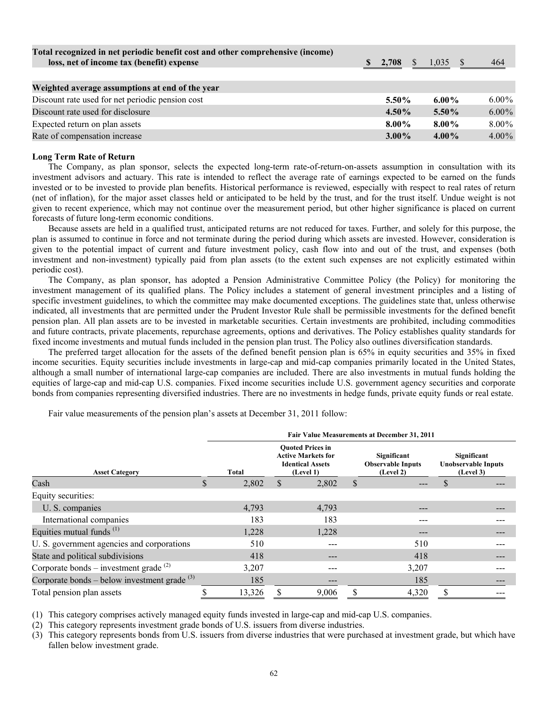| Total recognized in net periodic benefit cost and other comprehensive (income)<br>loss, net of income tax (benefit) expense | 2.708    | 1.035    | 464      |
|-----------------------------------------------------------------------------------------------------------------------------|----------|----------|----------|
| Weighted average assumptions at end of the year                                                                             |          |          |          |
| Discount rate used for net periodic pension cost                                                                            | $5.50\%$ | $6.00\%$ | $6.00\%$ |
| Discount rate used for disclosure                                                                                           | $4.50\%$ | $5.50\%$ | $6.00\%$ |
| Expected return on plan assets                                                                                              | $8.00\%$ | $8.00\%$ | $8.00\%$ |
| Rate of compensation increase                                                                                               | $3.00\%$ | $4.00\%$ | $4.00\%$ |

## **Long Term Rate of Return**

 The Company, as plan sponsor, selects the expected long-term rate-of-return-on-assets assumption in consultation with its investment advisors and actuary. This rate is intended to reflect the average rate of earnings expected to be earned on the funds invested or to be invested to provide plan benefits. Historical performance is reviewed, especially with respect to real rates of return (net of inflation), for the major asset classes held or anticipated to be held by the trust, and for the trust itself. Undue weight is not given to recent experience, which may not continue over the measurement period, but other higher significance is placed on current forecasts of future long-term economic conditions.

 Because assets are held in a qualified trust, anticipated returns are not reduced for taxes. Further, and solely for this purpose, the plan is assumed to continue in force and not terminate during the period during which assets are invested. However, consideration is given to the potential impact of current and future investment policy, cash flow into and out of the trust, and expenses (both investment and non-investment) typically paid from plan assets (to the extent such expenses are not explicitly estimated within periodic cost).

 The Company, as plan sponsor, has adopted a Pension Administrative Committee Policy (the Policy) for monitoring the investment management of its qualified plans. The Policy includes a statement of general investment principles and a listing of specific investment guidelines, to which the committee may make documented exceptions. The guidelines state that, unless otherwise indicated, all investments that are permitted under the Prudent Investor Rule shall be permissible investments for the defined benefit pension plan. All plan assets are to be invested in marketable securities. Certain investments are prohibited, including commodities and future contracts, private placements, repurchase agreements, options and derivatives. The Policy establishes quality standards for fixed income investments and mutual funds included in the pension plan trust. The Policy also outlines diversification standards.

 The preferred target allocation for the assets of the defined benefit pension plan is 65% in equity securities and 35% in fixed income securities. Equity securities include investments in large-cap and mid-cap companies primarily located in the United States, although a small number of international large-cap companies are included. There are also investments in mutual funds holding the equities of large-cap and mid-cap U.S. companies. Fixed income securities include U.S. government agency securities and corporate bonds from companies representing diversified industries. There are no investments in hedge funds, private equity funds or real estate.

Fair value measurements of the pension plan's assets at December 31, 2011 follow:

|                                                | Fair Value Measurements at December 31, 2011 |        |                                                                                              |       |    |                                                      |                                                        |     |  |  |
|------------------------------------------------|----------------------------------------------|--------|----------------------------------------------------------------------------------------------|-------|----|------------------------------------------------------|--------------------------------------------------------|-----|--|--|
| <b>Asset Category</b>                          |                                              | Total  | <b>Ouoted Prices in</b><br><b>Active Markets for</b><br><b>Identical Assets</b><br>(Level 1) |       |    | Significant<br><b>Observable Inputs</b><br>(Level 2) | Significant<br><b>Unobservable Inputs</b><br>(Level 3) |     |  |  |
| Cash                                           | \$                                           | 2,802  | $\mathbb{S}$                                                                                 | 2,802 | S  | ---                                                  | \$                                                     | --- |  |  |
| Equity securities:                             |                                              |        |                                                                                              |       |    |                                                      |                                                        |     |  |  |
| U. S. companies                                |                                              | 4.793  |                                                                                              | 4,793 |    | $- - -$                                              |                                                        |     |  |  |
| International companies                        |                                              | 183    |                                                                                              | 183   |    | ---                                                  |                                                        |     |  |  |
| Equities mutual funds $^{(1)}$                 |                                              | 1,228  |                                                                                              | 1,228 |    | ---                                                  |                                                        | --- |  |  |
| U. S. government agencies and corporations     |                                              | 510    |                                                                                              | ---   |    | 510                                                  |                                                        |     |  |  |
| State and political subdivisions               |                                              | 418    |                                                                                              | ---   |    | 418                                                  |                                                        |     |  |  |
| Corporate bonds – investment grade $^{(2)}$    |                                              | 3,207  |                                                                                              | ---   |    | 3,207                                                |                                                        |     |  |  |
| Corporate bonds – below investment grade $(3)$ |                                              | 185    |                                                                                              | $---$ |    | 185                                                  |                                                        | --- |  |  |
| Total pension plan assets                      | S                                            | 13,326 | S                                                                                            | 9,006 | \$ | 4,320                                                | \$                                                     |     |  |  |

(1) This category comprises actively managed equity funds invested in large-cap and mid-cap U.S. companies.

(2) This category represents investment grade bonds of U.S. issuers from diverse industries.

(3) This category represents bonds from U.S. issuers from diverse industries that were purchased at investment grade, but which have fallen below investment grade.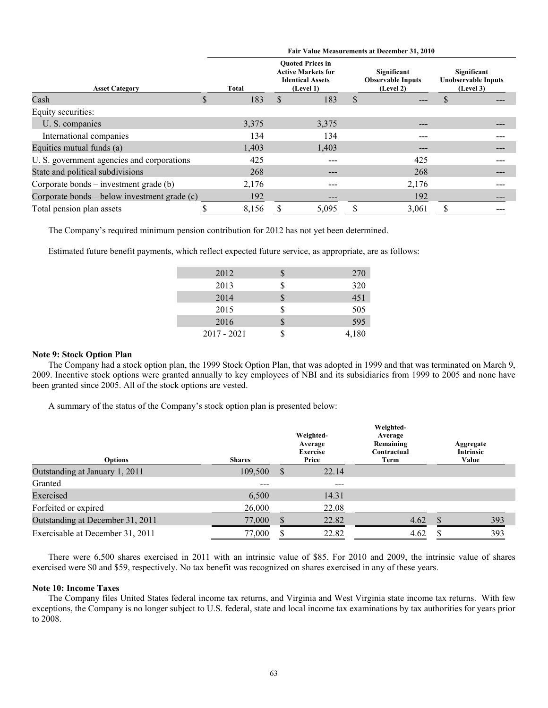| Fair Value Measurements at December 31, 2010 |  |       |   |                                                                                              |   |                                                      |                                                        |     |  |
|----------------------------------------------|--|-------|---|----------------------------------------------------------------------------------------------|---|------------------------------------------------------|--------------------------------------------------------|-----|--|
| <b>Asset Category</b>                        |  | Total |   | <b>Ouoted Prices in</b><br><b>Active Markets for</b><br><b>Identical Assets</b><br>(Level 1) |   | Significant<br><b>Observable Inputs</b><br>(Level 2) | Significant<br><b>Unobservable Inputs</b><br>(Level 3) |     |  |
| Cash                                         |  | 183   | S | 183                                                                                          | S |                                                      |                                                        |     |  |
| Equity securities:                           |  |       |   |                                                                                              |   |                                                      |                                                        |     |  |
| U. S. companies                              |  | 3,375 |   | 3,375                                                                                        |   | ---                                                  |                                                        |     |  |
| International companies                      |  | 134   |   | 134                                                                                          |   |                                                      |                                                        |     |  |
| Equities mutual funds (a)                    |  | 1,403 |   | 1,403                                                                                        |   |                                                      |                                                        |     |  |
| U. S. government agencies and corporations   |  | 425   |   | ---                                                                                          |   | 425                                                  |                                                        |     |  |
| State and political subdivisions             |  | 268   |   | $---$                                                                                        |   | 268                                                  |                                                        | --- |  |
| Corporate bonds $-$ investment grade (b)     |  | 2,176 |   | ---                                                                                          |   | 2,176                                                |                                                        |     |  |
| Corporate bonds – below investment grade (c) |  | 192   |   |                                                                                              |   | 192                                                  |                                                        |     |  |
| Total pension plan assets                    |  | 8,156 |   | 5,095                                                                                        | S | 3.061                                                | S                                                      |     |  |

The Company's required minimum pension contribution for 2012 has not yet been determined.

Estimated future benefit payments, which reflect expected future service, as appropriate, are as follows:

| 2012          | \$ | 270   |
|---------------|----|-------|
| 2013          | S  | 320   |
| 2014          |    | 451   |
| 2015          |    | 505   |
| 2016          |    | 595   |
| $2017 - 2021$ |    | 4,180 |

## **Note 9: Stock Option Plan**

 The Company had a stock option plan, the 1999 Stock Option Plan, that was adopted in 1999 and that was terminated on March 9, 2009. Incentive stock options were granted annually to key employees of NBI and its subsidiaries from 1999 to 2005 and none have been granted since 2005. All of the stock options are vested.

A summary of the status of the Company's stock option plan is presented below:

| <b>Options</b>                   | <b>Shares</b> |              |                   | Weighted-<br>Average<br>Remaining<br>Contractual<br>Term | Aggregate<br>Intrinsic<br>Value |     |  |  |
|----------------------------------|---------------|--------------|-------------------|----------------------------------------------------------|---------------------------------|-----|--|--|
| Outstanding at January 1, 2011   | 109,500       | <sup>S</sup> | 22.14             |                                                          |                                 |     |  |  |
| Granted                          | ---           |              | $\qquad \qquad -$ |                                                          |                                 |     |  |  |
| Exercised                        | 6,500         |              | 14.31             |                                                          |                                 |     |  |  |
| Forfeited or expired             | 26,000        |              | 22.08             |                                                          |                                 |     |  |  |
| Outstanding at December 31, 2011 | 77,000        |              | 22.82             | 4.62                                                     |                                 | 393 |  |  |
| Exercisable at December 31, 2011 | 77,000        |              | 22.82             | 4.62                                                     |                                 | 393 |  |  |

There were 6,500 shares exercised in 2011 with an intrinsic value of \$85. For 2010 and 2009, the intrinsic value of shares exercised were \$0 and \$59, respectively. No tax benefit was recognized on shares exercised in any of these years.

## **Note 10: Income Taxes**

 The Company files United States federal income tax returns, and Virginia and West Virginia state income tax returns. With few exceptions, the Company is no longer subject to U.S. federal, state and local income tax examinations by tax authorities for years prior to 2008.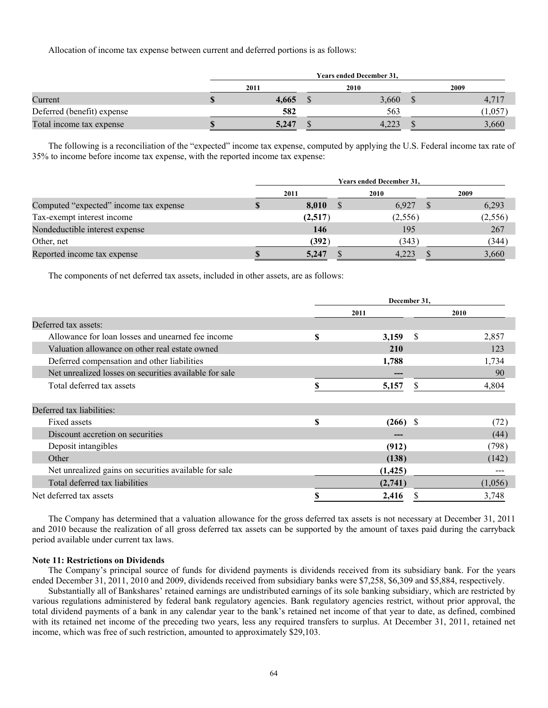Allocation of income tax expense between current and deferred portions is as follows:

|                            | <b>Years ended December 31,</b> |  |       |  |       |  |  |  |  |
|----------------------------|---------------------------------|--|-------|--|-------|--|--|--|--|
|                            | 2011                            |  | 2010  |  | 2009  |  |  |  |  |
| Current                    | 4.665                           |  | 3,660 |  | 4,717 |  |  |  |  |
| Deferred (benefit) expense | 582                             |  | 563   |  | 1,057 |  |  |  |  |
| Total income tax expense   | 5,247                           |  | 4,223 |  | 3,660 |  |  |  |  |

 The following is a reconciliation of the "expected" income tax expense, computed by applying the U.S. Federal income tax rate of 35% to income before income tax expense, with the reported income tax expense:

|                                        |      | <b>Years ended December 31,</b> |  |          |  |          |  |  |  |
|----------------------------------------|------|---------------------------------|--|----------|--|----------|--|--|--|
|                                        | 2011 |                                 |  | 2010     |  | 2009     |  |  |  |
| Computed "expected" income tax expense |      | 8,010                           |  | 6,927    |  | 6,293    |  |  |  |
| Tax-exempt interest income             |      | (2,517)                         |  | (2, 556) |  | (2, 556) |  |  |  |
| Nondeductible interest expense         |      | 146                             |  | 195      |  | 267      |  |  |  |
| Other, net                             |      | (392)                           |  | (343)    |  | (344)    |  |  |  |
| Reported income tax expense            |      | 5.247                           |  | 4,223    |  | 3,660    |  |  |  |

The components of net deferred tax assets, included in other assets, are as follows:

|                                                        | December 31. |            |      |         |  |
|--------------------------------------------------------|--------------|------------|------|---------|--|
|                                                        |              | 2011       | 2010 |         |  |
| Deferred tax assets:                                   |              |            |      |         |  |
| Allowance for loan losses and unearned fee income      | \$           | 3,159      | S    | 2,857   |  |
| Valuation allowance on other real estate owned         |              | <b>210</b> |      | 123     |  |
| Deferred compensation and other liabilities            |              | 1,788      |      | 1,734   |  |
| Net unrealized losses on securities available for sale |              | ---        |      | 90      |  |
| Total deferred tax assets                              | \$           | 5,157      | S    | 4,804   |  |
| Deferred tax liabilities:                              |              |            |      |         |  |
| Fixed assets                                           | \$           | $(266)$ \$ |      | (72)    |  |
| Discount accretion on securities                       |              | ---        |      | (44)    |  |
| Deposit intangibles                                    |              | (912)      |      | (798)   |  |
| Other                                                  |              | (138)      |      | (142)   |  |
| Net unrealized gains on securities available for sale  |              | (1, 425)   |      |         |  |
| Total deferred tax liabilities                         |              | (2,741)    |      | (1,056) |  |
| Net deferred tax assets                                |              | 2,416      | ъ.   | 3,748   |  |

The Company has determined that a valuation allowance for the gross deferred tax assets is not necessary at December 31, 2011 and 2010 because the realization of all gross deferred tax assets can be supported by the amount of taxes paid during the carryback period available under current tax laws.

## **Note 11: Restrictions on Dividends**

 The Company's principal source of funds for dividend payments is dividends received from its subsidiary bank. For the years ended December 31, 2011, 2010 and 2009, dividends received from subsidiary banks were \$7,258, \$6,309 and \$5,884, respectively.

Substantially all of Bankshares' retained earnings are undistributed earnings of its sole banking subsidiary, which are restricted by various regulations administered by federal bank regulatory agencies. Bank regulatory agencies restrict, without prior approval, the total dividend payments of a bank in any calendar year to the bank's retained net income of that year to date, as defined, combined with its retained net income of the preceding two years, less any required transfers to surplus. At December 31, 2011, retained net income, which was free of such restriction, amounted to approximately \$29,103.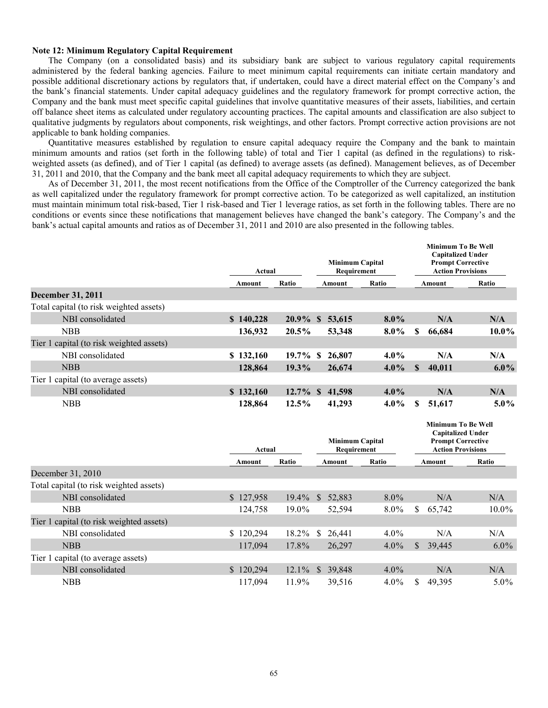## **Note 12: Minimum Regulatory Capital Requirement**

 The Company (on a consolidated basis) and its subsidiary bank are subject to various regulatory capital requirements administered by the federal banking agencies. Failure to meet minimum capital requirements can initiate certain mandatory and possible additional discretionary actions by regulators that, if undertaken, could have a direct material effect on the Company's and the bank's financial statements. Under capital adequacy guidelines and the regulatory framework for prompt corrective action, the Company and the bank must meet specific capital guidelines that involve quantitative measures of their assets, liabilities, and certain off balance sheet items as calculated under regulatory accounting practices. The capital amounts and classification are also subject to qualitative judgments by regulators about components, risk weightings, and other factors. Prompt corrective action provisions are not applicable to bank holding companies.

 Quantitative measures established by regulation to ensure capital adequacy require the Company and the bank to maintain minimum amounts and ratios (set forth in the following table) of total and Tier 1 capital (as defined in the regulations) to riskweighted assets (as defined), and of Tier 1 capital (as defined) to average assets (as defined). Management believes, as of December 31, 2011 and 2010, that the Company and the bank meet all capital adequacy requirements to which they are subject.

 As of December 31, 2011, the most recent notifications from the Office of the Comptroller of the Currency categorized the bank as well capitalized under the regulatory framework for prompt corrective action. To be categorized as well capitalized, an institution must maintain minimum total risk-based, Tier 1 risk-based and Tier 1 leverage ratios, as set forth in the following tables. There are no conditions or events since these notifications that management believes have changed the bank's category. The Company's and the bank's actual capital amounts and ratios as of December 31, 2011 and 2010 are also presented in the following tables.

|                                          | Actual    |          | <b>Minimum Capital</b><br>Requirement |         | Minimum To Be Well<br><b>Capitalized Under</b><br><b>Prompt Corrective</b><br><b>Action Provisions</b> |          |  |
|------------------------------------------|-----------|----------|---------------------------------------|---------|--------------------------------------------------------------------------------------------------------|----------|--|
|                                          | Amount    | Ratio    | Amount                                | Ratio   | Amount                                                                                                 | Ratio    |  |
| <b>December 31, 2011</b>                 |           |          |                                       |         |                                                                                                        |          |  |
| Total capital (to risk weighted assets)  |           |          |                                       |         |                                                                                                        |          |  |
| NBI consolidated                         | \$140,228 | $20.9\%$ | 53,615<br>$\mathbf{s}$                | $8.0\%$ | N/A                                                                                                    | N/A      |  |
| <b>NBB</b>                               | 136,932   | $20.5\%$ | 53,348                                | $8.0\%$ | 66,684<br>S                                                                                            | $10.0\%$ |  |
| Tier 1 capital (to risk weighted assets) |           |          |                                       |         |                                                                                                        |          |  |
| NBI consolidated                         | \$132,160 | $19.7\%$ | 26,807<br>S                           | $4.0\%$ | N/A                                                                                                    | N/A      |  |
| <b>NBB</b>                               | 128,864   | $19.3\%$ | 26,674                                | $4.0\%$ | 40,011<br><sup>\$</sup>                                                                                | $6.0\%$  |  |
| Tier 1 capital (to average assets)       |           |          |                                       |         |                                                                                                        |          |  |
| NBI consolidated                         | \$132,160 |          | 12.7% \$41,598                        | $4.0\%$ | N/A                                                                                                    | N/A      |  |
| <b>NBB</b>                               | 128,864   | $12.5\%$ | 41,293                                | $4.0\%$ | S<br>51,617                                                                                            | $5.0\%$  |  |

|                                          |           | Actual   |              | <b>Minimum Capital</b><br>Requirement | <b>Minimum To Be Well</b><br><b>Capitalized Under</b><br><b>Prompt Corrective</b><br><b>Action Provisions</b> |          |  |
|------------------------------------------|-----------|----------|--------------|---------------------------------------|---------------------------------------------------------------------------------------------------------------|----------|--|
|                                          | Amount    | Ratio    | Amount       | Ratio                                 | Amount                                                                                                        | Ratio    |  |
| December 31, 2010                        |           |          |              |                                       |                                                                                                               |          |  |
| Total capital (to risk weighted assets)  |           |          |              |                                       |                                                                                                               |          |  |
| NBI consolidated                         | \$127,958 | $19.4\%$ | 52,883<br>S. | $8.0\%$                               | N/A                                                                                                           | N/A      |  |
| <b>NBB</b>                               | 124,758   | $19.0\%$ | 52,594       | $8.0\%$                               | S.<br>65,742                                                                                                  | $10.0\%$ |  |
| Tier 1 capital (to risk weighted assets) |           |          |              |                                       |                                                                                                               |          |  |
| NBI consolidated                         | \$120,294 | 18.2%    | \$<br>26,441 | $4.0\%$                               | N/A                                                                                                           | N/A      |  |
| <b>NBB</b>                               | 117,094   | 17.8%    | 26,297       | $4.0\%$                               | 39,445<br><sup>S</sup>                                                                                        | $6.0\%$  |  |
| Tier 1 capital (to average assets)       |           |          |              |                                       |                                                                                                               |          |  |
| NBI consolidated                         | \$120,294 | $12.1\%$ | \$39,848     | $4.0\%$                               | N/A                                                                                                           | N/A      |  |
| <b>NBB</b>                               | 117.094   | 11.9%    | 39.516       | $4.0\%$                               | \$<br>49,395                                                                                                  | $5.0\%$  |  |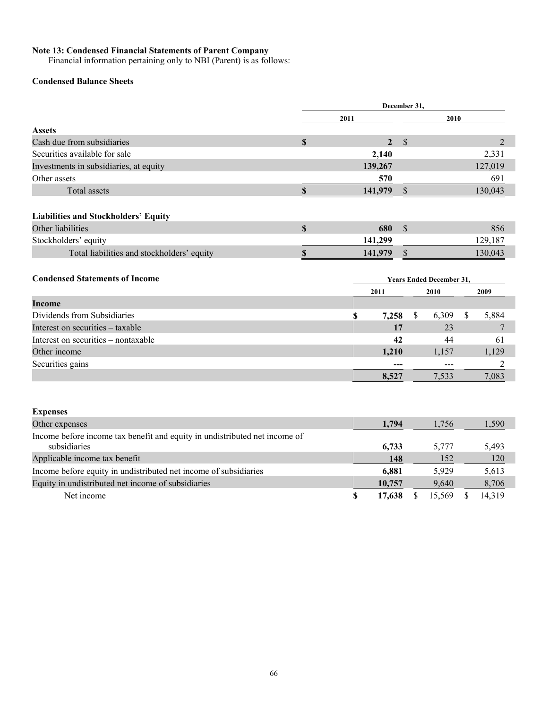## **Note 13: Condensed Financial Statements of Parent Company**

Financial information pertaining only to NBI (Parent) is as follows:

# **Condensed Balance Sheets**

|                                                                                            | December 31,              |      |                |                           |                                 |    |                |
|--------------------------------------------------------------------------------------------|---------------------------|------|----------------|---------------------------|---------------------------------|----|----------------|
|                                                                                            |                           | 2011 |                |                           | 2010                            |    |                |
| <b>Assets</b>                                                                              |                           |      |                |                           |                                 |    |                |
| Cash due from subsidiaries                                                                 | $\mathbf S$               |      | $\overline{2}$ | $\boldsymbol{\mathsf{S}}$ |                                 |    | $\overline{2}$ |
| Securities available for sale                                                              |                           |      | 2,140          |                           |                                 |    | 2,331          |
| Investments in subsidiaries, at equity                                                     |                           |      | 139,267        |                           |                                 |    | 127,019        |
| Other assets                                                                               |                           |      | 570            |                           |                                 |    | 691            |
| <b>Total assets</b>                                                                        | $\mathbb S$               |      | \$<br>141,979  |                           |                                 |    | 130,043        |
| <b>Liabilities and Stockholders' Equity</b>                                                |                           |      |                |                           |                                 |    |                |
| Other liabilities                                                                          | $\mathbf S$               |      | \$<br>680      |                           |                                 |    | 856            |
| Stockholders' equity                                                                       |                           |      | 141,299        |                           |                                 |    | 129,187        |
| Total liabilities and stockholders' equity                                                 | $\boldsymbol{\mathsf{S}}$ |      | 141,979        | $\$$                      |                                 |    | 130,043        |
|                                                                                            |                           |      |                |                           |                                 |    |                |
| <b>Condensed Statements of Income</b>                                                      |                           |      |                |                           | <b>Years Ended December 31,</b> |    |                |
|                                                                                            |                           |      | 2011           |                           | 2010                            |    | 2009           |
| <b>Income</b>                                                                              |                           |      |                |                           |                                 |    |                |
| Dividends from Subsidiaries                                                                |                           | \$   | 7,258          | \$                        | 6,309                           | \$ | 5,884          |
| Interest on securities - taxable                                                           |                           |      | 17             |                           | 23                              |    | 7              |
| Interest on securities - nontaxable                                                        |                           |      | 42             |                           | 44                              |    | 61             |
| Other income                                                                               |                           |      | 1,210          |                           | 1,157                           |    | 1,129          |
| Securities gains                                                                           |                           |      |                |                           | $--$                            |    | 2              |
|                                                                                            |                           |      | 8,527          |                           | 7,533                           |    | 7,083          |
|                                                                                            |                           |      |                |                           |                                 |    |                |
| <b>Expenses</b>                                                                            |                           |      |                |                           |                                 |    |                |
| Other expenses                                                                             |                           |      | 1,794          |                           | 1,756                           |    | 1,590          |
| Income before income tax benefit and equity in undistributed net income of<br>subsidiaries |                           |      | 6,733          |                           |                                 |    |                |
| Applicable income tax benefit                                                              |                           |      | 148            |                           | 5,777<br>152                    |    | 5,493<br>120   |
| Income before equity in undistributed net income of subsidiaries                           |                           |      |                |                           | 5,929                           |    | 5,613          |
| Equity in undistributed net income of subsidiaries                                         |                           |      | 6,881          |                           | 9,640                           |    | 8,706          |
|                                                                                            |                           |      | 10,757         |                           |                                 |    |                |
| Net income                                                                                 |                           | \$   | 17,638         | $\mathsf{\$}$             | 15,569                          | \$ | 14,319         |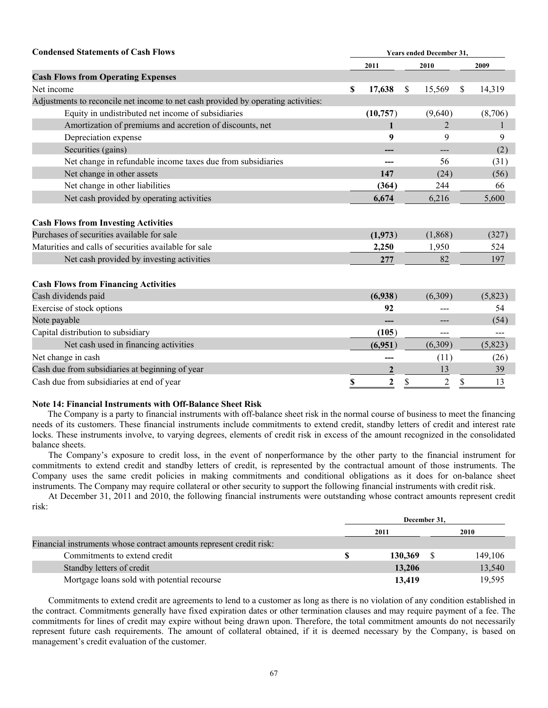| <b>Condensed Statements of Cash Flows</b>                                                 | <b>Years ended December 31,</b> |                  |      |                |               |         |  |  |
|-------------------------------------------------------------------------------------------|---------------------------------|------------------|------|----------------|---------------|---------|--|--|
|                                                                                           |                                 | 2011             | 2010 |                |               | 2009    |  |  |
| <b>Cash Flows from Operating Expenses</b>                                                 |                                 |                  |      |                |               |         |  |  |
| Net income                                                                                | <sup>\$</sup>                   | 17,638           | \$   | 15,569         | <sup>\$</sup> | 14,319  |  |  |
| Adjustments to reconcile net income to net cash provided by operating activities:         |                                 |                  |      |                |               |         |  |  |
| Equity in undistributed net income of subsidiaries                                        |                                 | (10,757)         |      | (9,640)        |               | (8,706) |  |  |
| Amortization of premiums and accretion of discounts, net                                  |                                 |                  |      | $\overline{2}$ |               |         |  |  |
| Depreciation expense                                                                      |                                 | 9                |      | 9              |               | 9       |  |  |
| Securities (gains)                                                                        |                                 |                  |      |                |               | (2)     |  |  |
| Net change in refundable income taxes due from subsidiaries                               |                                 | ---              |      | 56             |               | (31)    |  |  |
| Net change in other assets                                                                |                                 | 147              |      | (24)           |               | (56)    |  |  |
| Net change in other liabilities                                                           |                                 | (364)            |      | 244            |               | 66      |  |  |
| Net cash provided by operating activities                                                 |                                 | 6,674            |      | 6,216          |               | 5,600   |  |  |
| <b>Cash Flows from Investing Activities</b><br>Purchases of securities available for sale |                                 | (1,973)          |      | (1,868)        |               | (327)   |  |  |
| Maturities and calls of securities available for sale                                     |                                 | 2,250            |      | 1,950          |               | 524     |  |  |
| Net cash provided by investing activities                                                 |                                 | 277              |      | 82             |               | 197     |  |  |
| <b>Cash Flows from Financing Activities</b>                                               |                                 |                  |      |                |               |         |  |  |
| Cash dividends paid                                                                       |                                 | (6,938)          |      | (6,309)        |               | (5,823) |  |  |
| Exercise of stock options                                                                 |                                 | 92               |      |                |               | 54      |  |  |
| Note payable                                                                              |                                 |                  |      |                |               | (54)    |  |  |
| Capital distribution to subsidiary                                                        |                                 | (105)            |      | ---            |               |         |  |  |
| Net cash used in financing activities                                                     |                                 | (6,951)          |      | (6,309)        |               | (5,823) |  |  |
| Net change in cash                                                                        |                                 |                  |      | (11)           |               | (26)    |  |  |
| Cash due from subsidiaries at beginning of year                                           |                                 | $\boldsymbol{2}$ |      | 13             |               | 39      |  |  |
| Cash due from subsidiaries at end of year                                                 | \$                              | $\overline{2}$   | \$   | $\overline{2}$ | \$            | 13      |  |  |

## **Note 14: Financial Instruments with Off-Balance Sheet Risk**

 The Company is a party to financial instruments with off-balance sheet risk in the normal course of business to meet the financing needs of its customers. These financial instruments include commitments to extend credit, standby letters of credit and interest rate locks. These instruments involve, to varying degrees, elements of credit risk in excess of the amount recognized in the consolidated balance sheets.

 The Company's exposure to credit loss, in the event of nonperformance by the other party to the financial instrument for commitments to extend credit and standby letters of credit, is represented by the contractual amount of those instruments. The Company uses the same credit policies in making commitments and conditional obligations as it does for on-balance sheet instruments. The Company may require collateral or other security to support the following financial instruments with credit risk.

 At December 31, 2011 and 2010, the following financial instruments were outstanding whose contract amounts represent credit risk:

|                                                                     |      | December 31. |  |         |  |  |
|---------------------------------------------------------------------|------|--------------|--|---------|--|--|
|                                                                     | 2011 |              |  | 2010    |  |  |
| Financial instruments whose contract amounts represent credit risk: |      |              |  |         |  |  |
| Commitments to extend credit                                        |      | 130,369      |  | 149,106 |  |  |
| Standby letters of credit                                           |      | 13,206       |  | 13,540  |  |  |
| Mortgage loans sold with potential recourse                         |      | 13,419       |  | 19,595  |  |  |

Commitments to extend credit are agreements to lend to a customer as long as there is no violation of any condition established in the contract. Commitments generally have fixed expiration dates or other termination clauses and may require payment of a fee. The commitments for lines of credit may expire without being drawn upon. Therefore, the total commitment amounts do not necessarily represent future cash requirements. The amount of collateral obtained, if it is deemed necessary by the Company, is based on management's credit evaluation of the customer.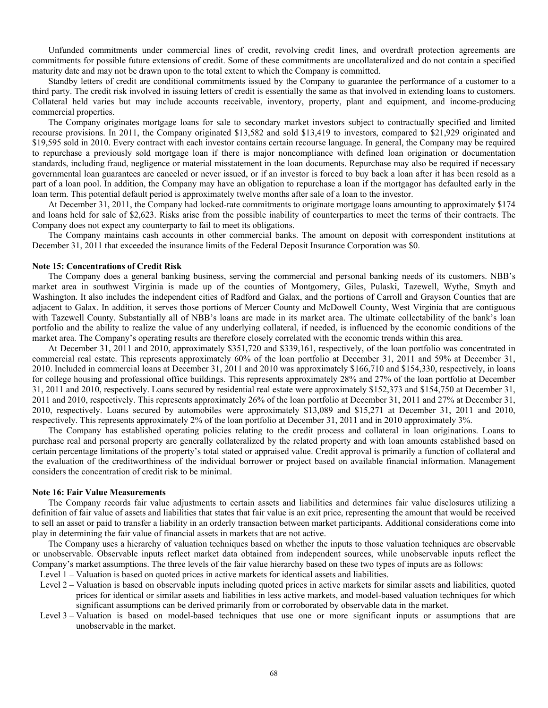Unfunded commitments under commercial lines of credit, revolving credit lines, and overdraft protection agreements are commitments for possible future extensions of credit. Some of these commitments are uncollateralized and do not contain a specified maturity date and may not be drawn upon to the total extent to which the Company is committed.

 Standby letters of credit are conditional commitments issued by the Company to guarantee the performance of a customer to a third party. The credit risk involved in issuing letters of credit is essentially the same as that involved in extending loans to customers. Collateral held varies but may include accounts receivable, inventory, property, plant and equipment, and income-producing commercial properties.

 The Company originates mortgage loans for sale to secondary market investors subject to contractually specified and limited recourse provisions. In 2011, the Company originated \$13,582 and sold \$13,419 to investors, compared to \$21,929 originated and \$19,595 sold in 2010. Every contract with each investor contains certain recourse language. In general, the Company may be required to repurchase a previously sold mortgage loan if there is major noncompliance with defined loan origination or documentation standards, including fraud, negligence or material misstatement in the loan documents. Repurchase may also be required if necessary governmental loan guarantees are canceled or never issued, or if an investor is forced to buy back a loan after it has been resold as a part of a loan pool. In addition, the Company may have an obligation to repurchase a loan if the mortgagor has defaulted early in the loan term. This potential default period is approximately twelve months after sale of a loan to the investor.

 At December 31, 2011, the Company had locked-rate commitments to originate mortgage loans amounting to approximately \$174 and loans held for sale of \$2,623. Risks arise from the possible inability of counterparties to meet the terms of their contracts. The Company does not expect any counterparty to fail to meet its obligations.

 The Company maintains cash accounts in other commercial banks. The amount on deposit with correspondent institutions at December 31, 2011 that exceeded the insurance limits of the Federal Deposit Insurance Corporation was \$0.

#### **Note 15: Concentrations of Credit Risk**

 The Company does a general banking business, serving the commercial and personal banking needs of its customers. NBB's market area in southwest Virginia is made up of the counties of Montgomery, Giles, Pulaski, Tazewell, Wythe, Smyth and Washington. It also includes the independent cities of Radford and Galax, and the portions of Carroll and Grayson Counties that are adjacent to Galax. In addition, it serves those portions of Mercer County and McDowell County, West Virginia that are contiguous with Tazewell County. Substantially all of NBB's loans are made in its market area. The ultimate collectability of the bank's loan portfolio and the ability to realize the value of any underlying collateral, if needed, is influenced by the economic conditions of the market area. The Company's operating results are therefore closely correlated with the economic trends within this area.

 At December 31, 2011 and 2010, approximately \$351,720 and \$339,161, respectively, of the loan portfolio was concentrated in commercial real estate. This represents approximately 60% of the loan portfolio at December 31, 2011 and 59% at December 31, 2010. Included in commercial loans at December 31, 2011 and 2010 was approximately \$166,710 and \$154,330, respectively, in loans for college housing and professional office buildings. This represents approximately 28% and 27% of the loan portfolio at December 31, 2011 and 2010, respectively. Loans secured by residential real estate were approximately \$152,373 and \$154,750 at December 31, 2011 and 2010, respectively. This represents approximately 26% of the loan portfolio at December 31, 2011 and 27% at December 31, 2010, respectively. Loans secured by automobiles were approximately \$13,089 and \$15,271 at December 31, 2011 and 2010, respectively. This represents approximately 2% of the loan portfolio at December 31, 2011 and in 2010 approximately 3%.

 The Company has established operating policies relating to the credit process and collateral in loan originations. Loans to purchase real and personal property are generally collateralized by the related property and with loan amounts established based on certain percentage limitations of the property's total stated or appraised value. Credit approval is primarily a function of collateral and the evaluation of the creditworthiness of the individual borrower or project based on available financial information. Management considers the concentration of credit risk to be minimal.

#### **Note 16: Fair Value Measurements**

 The Company records fair value adjustments to certain assets and liabilities and determines fair value disclosures utilizing a definition of fair value of assets and liabilities that states that fair value is an exit price, representing the amount that would be received to sell an asset or paid to transfer a liability in an orderly transaction between market participants. Additional considerations come into play in determining the fair value of financial assets in markets that are not active.

 The Company uses a hierarchy of valuation techniques based on whether the inputs to those valuation techniques are observable or unobservable. Observable inputs reflect market data obtained from independent sources, while unobservable inputs reflect the Company's market assumptions. The three levels of the fair value hierarchy based on these two types of inputs are as follows:

- Level 1 Valuation is based on quoted prices in active markets for identical assets and liabilities.
- Level 2 Valuation is based on observable inputs including quoted prices in active markets for similar assets and liabilities, quoted prices for identical or similar assets and liabilities in less active markets, and model-based valuation techniques for which significant assumptions can be derived primarily from or corroborated by observable data in the market.
- Level 3 Valuation is based on model-based techniques that use one or more significant inputs or assumptions that are unobservable in the market.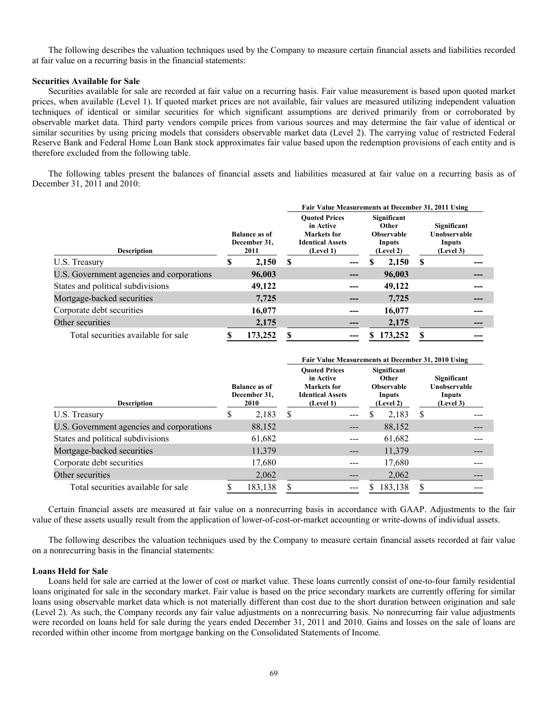The following describes the valuation techniques used by the Company to measure certain financial assets and liabilities recorded at fair value on a recurring basis in the financial statements:

## **Securities Available for Sale**

 Securities available for sale are recorded at fair value on a recurring basis. Fair value measurement is based upon quoted market prices, when available (Level 1). If quoted market prices are not available, fair values are measured utilizing independent valuation techniques of identical or similar securities for which significant assumptions are derived primarily from or corroborated by observable market data. Third party vendors compile prices from various sources and may determine the fair value of identical or similar securities by using pricing models that considers observable market data (Level 2). The carrying value of restricted Federal Reserve Bank and Federal Home Loan Bank stock approximates fair value based upon the redemption provisions of each entity and is therefore excluded from the following table.

 The following tables present the balances of financial assets and liabilities measured at fair value on a recurring basis as of December 31, 2011 and 2010:

|                                           |                                              |   | Fair Value Measurements at December 31, 2011 Using                                              |                                                                  |         |   |                                                    |  |  |  |
|-------------------------------------------|----------------------------------------------|---|-------------------------------------------------------------------------------------------------|------------------------------------------------------------------|---------|---|----------------------------------------------------|--|--|--|
| <b>Description</b>                        | <b>Balance as of</b><br>December 31,<br>2011 |   | <b>Ouoted Prices</b><br>in Active<br><b>Markets</b> for<br><b>Identical Assets</b><br>(Level 1) | Significant<br>Other<br><b>Observable</b><br>Inputs<br>(Level 2) |         |   | Significant<br>Unobservable<br>Inputs<br>(Level 3) |  |  |  |
| U.S. Treasury                             | \$<br>2,150                                  | S |                                                                                                 | S                                                                | 2,150   | S |                                                    |  |  |  |
| U.S. Government agencies and corporations | 96,003                                       |   |                                                                                                 |                                                                  | 96,003  |   |                                                    |  |  |  |
| States and political subdivisions         | 49,122                                       |   |                                                                                                 |                                                                  | 49,122  |   |                                                    |  |  |  |
| Mortgage-backed securities                | 7.725                                        |   |                                                                                                 |                                                                  | 7,725   |   |                                                    |  |  |  |
| Corporate debt securities                 | 16,077                                       |   |                                                                                                 |                                                                  | 16,077  |   |                                                    |  |  |  |
| Other securities                          | 2,175                                        |   |                                                                                                 |                                                                  | 2,175   |   |                                                    |  |  |  |
| Total securities available for sale       | 173,252                                      | S |                                                                                                 |                                                                  | 173,252 |   |                                                    |  |  |  |

|                                           |                                              |         |                                                                                                 | Fair Value Measurements at December 31, 2010 Using |                                                                         |         |                                                    |     |  |  |  |  |  |
|-------------------------------------------|----------------------------------------------|---------|-------------------------------------------------------------------------------------------------|----------------------------------------------------|-------------------------------------------------------------------------|---------|----------------------------------------------------|-----|--|--|--|--|--|
| <b>Description</b>                        | <b>Balance as of</b><br>December 31,<br>2010 |         | <b>Ouoted Prices</b><br>in Active<br><b>Markets</b> for<br><b>Identical Assets</b><br>(Level 1) |                                                    | Significant<br><b>Other</b><br><b>Observable</b><br>Inputs<br>(Level 2) |         | Significant<br>Unobservable<br>Inputs<br>(Level 3) |     |  |  |  |  |  |
| U.S. Treasury                             | \$                                           | 2,183   | S                                                                                               | ---                                                |                                                                         | 2,183   | S                                                  |     |  |  |  |  |  |
| U.S. Government agencies and corporations |                                              | 88,152  |                                                                                                 | ---                                                |                                                                         | 88,152  |                                                    | --- |  |  |  |  |  |
| States and political subdivisions         |                                              | 61,682  |                                                                                                 |                                                    |                                                                         | 61,682  |                                                    |     |  |  |  |  |  |
| Mortgage-backed securities                |                                              | 11,379  |                                                                                                 | ---                                                |                                                                         | 11,379  |                                                    |     |  |  |  |  |  |
| Corporate debt securities                 |                                              | 17,680  |                                                                                                 |                                                    |                                                                         | 17,680  |                                                    |     |  |  |  |  |  |
| Other securities                          |                                              | 2,062   |                                                                                                 | ---                                                |                                                                         | 2,062   |                                                    |     |  |  |  |  |  |
| Total securities available for sale       |                                              | 183,138 |                                                                                                 |                                                    |                                                                         | 183,138 |                                                    |     |  |  |  |  |  |

 Certain financial assets are measured at fair value on a nonrecurring basis in accordance with GAAP. Adjustments to the fair value of these assets usually result from the application of lower-of-cost-or-market accounting or write-downs of individual assets.

 The following describes the valuation techniques used by the Company to measure certain financial assets recorded at fair value on a nonrecurring basis in the financial statements:

## **Loans Held for Sale**

 Loans held for sale are carried at the lower of cost or market value. These loans currently consist of one-to-four family residential loans originated for sale in the secondary market. Fair value is based on the price secondary markets are currently offering for similar loans using observable market data which is not materially different than cost due to the short duration between origination and sale (Level 2). As such, the Company records any fair value adjustments on a nonrecurring basis. No nonrecurring fair value adjustments were recorded on loans held for sale during the years ended December 31, 2011 and 2010. Gains and losses on the sale of loans are recorded within other income from mortgage banking on the Consolidated Statements of Income.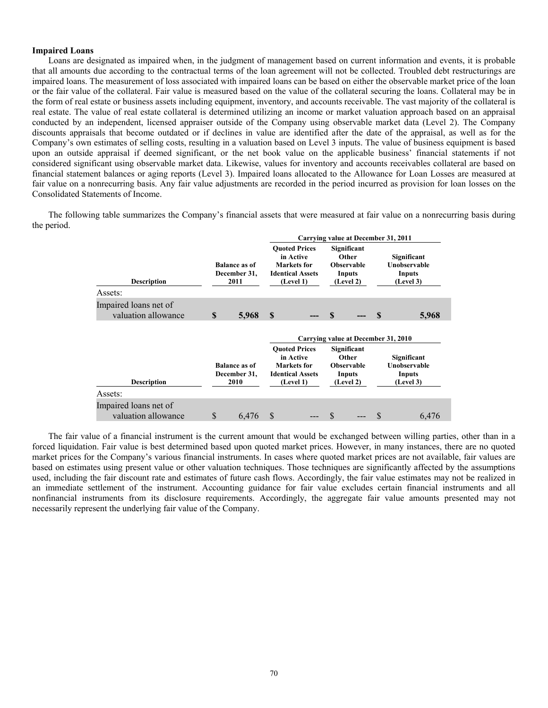## **Impaired Loans**

 Loans are designated as impaired when, in the judgment of management based on current information and events, it is probable that all amounts due according to the contractual terms of the loan agreement will not be collected. Troubled debt restructurings are impaired loans. The measurement of loss associated with impaired loans can be based on either the observable market price of the loan or the fair value of the collateral. Fair value is measured based on the value of the collateral securing the loans. Collateral may be in the form of real estate or business assets including equipment, inventory, and accounts receivable. The vast majority of the collateral is real estate. The value of real estate collateral is determined utilizing an income or market valuation approach based on an appraisal conducted by an independent, licensed appraiser outside of the Company using observable market data (Level 2). The Company discounts appraisals that become outdated or if declines in value are identified after the date of the appraisal, as well as for the Company's own estimates of selling costs, resulting in a valuation based on Level 3 inputs. The value of business equipment is based upon an outside appraisal if deemed significant, or the net book value on the applicable business' financial statements if not considered significant using observable market data. Likewise, values for inventory and accounts receivables collateral are based on financial statement balances or aging reports (Level 3). Impaired loans allocated to the Allowance for Loan Losses are measured at fair value on a nonrecurring basis. Any fair value adjustments are recorded in the period incurred as provision for loan losses on the Consolidated Statements of Income.

 The following table summarizes the Company's financial assets that were measured at fair value on a nonrecurring basis during the period.

|                                              |                                              | Carrying value at December 31, 2011                                                      |                                                                  |                                                    |  |  |  |  |  |
|----------------------------------------------|----------------------------------------------|------------------------------------------------------------------------------------------|------------------------------------------------------------------|----------------------------------------------------|--|--|--|--|--|
| <b>Description</b><br>Assets:                | <b>Balance as of</b><br>December 31,<br>2011 | <b>Ouoted Prices</b><br>in Active<br>Markets for<br><b>Identical Assets</b><br>(Level 1) | Significant<br>Other<br><b>Observable</b><br>Inputs<br>(Level 2) | Significant<br>Unobservable<br>Inputs<br>(Level 3) |  |  |  |  |  |
| Impaired loans net of<br>valuation allowance | \$<br>5,968                                  | S                                                                                        | <b>S</b>                                                         | <b>S</b><br>5,968                                  |  |  |  |  |  |
|                                              |                                              | Carrying value at December 31, 2010                                                      |                                                                  |                                                    |  |  |  |  |  |
|                                              |                                              | <b>Ouoted Prices</b>                                                                     | Significant                                                      |                                                    |  |  |  |  |  |
| <b>Description</b>                           | <b>Balance as of</b><br>December 31,<br>2010 | in Active<br>Markets for<br><b>Identical Assets</b><br>(Level 1)                         | Other<br><b>Observable</b><br>Inputs<br>(Level 2)                | Significant<br>Unobservable<br>Inputs<br>(Level 3) |  |  |  |  |  |
| Assets:                                      |                                              |                                                                                          |                                                                  |                                                    |  |  |  |  |  |

 The fair value of a financial instrument is the current amount that would be exchanged between willing parties, other than in a forced liquidation. Fair value is best determined based upon quoted market prices. However, in many instances, there are no quoted market prices for the Company's various financial instruments. In cases where quoted market prices are not available, fair values are based on estimates using present value or other valuation techniques. Those techniques are significantly affected by the assumptions used, including the fair discount rate and estimates of future cash flows. Accordingly, the fair value estimates may not be realized in an immediate settlement of the instrument. Accounting guidance for fair value excludes certain financial instruments and all nonfinancial instruments from its disclosure requirements. Accordingly, the aggregate fair value amounts presented may not necessarily represent the underlying fair value of the Company.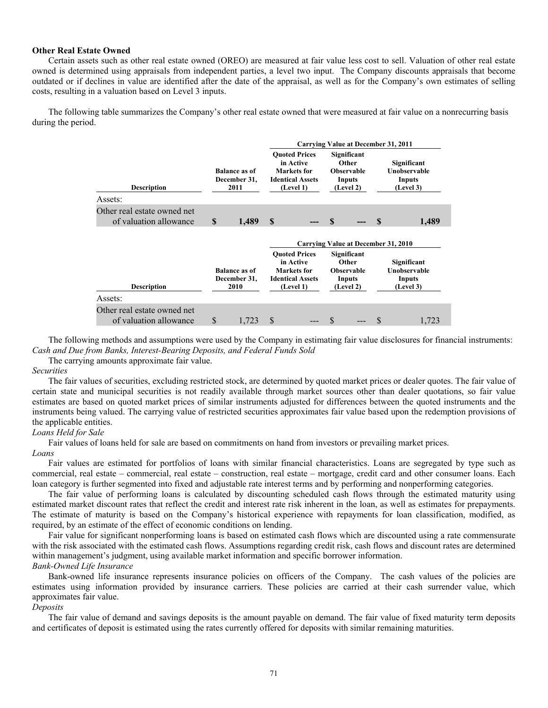## **Other Real Estate Owned**

Certain assets such as other real estate owned (OREO) are measured at fair value less cost to sell. Valuation of other real estate owned is determined using appraisals from independent parties, a level two input. The Company discounts appraisals that become outdated or if declines in value are identified after the date of the appraisal, as well as for the Company's own estimates of selling costs, resulting in a valuation based on Level 3 inputs.

 The following table summarizes the Company's other real estate owned that were measured at fair value on a nonrecurring basis during the period.

|                                                       |             |                                              | <b>Carrying Value at December 31, 2011</b> |                                                                                          |          |                                                                  |                                                    |                                                    |  |  |  |  |
|-------------------------------------------------------|-------------|----------------------------------------------|--------------------------------------------|------------------------------------------------------------------------------------------|----------|------------------------------------------------------------------|----------------------------------------------------|----------------------------------------------------|--|--|--|--|
| <b>Description</b><br>Assets:                         |             | <b>Balance as of</b><br>December 31,<br>2011 |                                            | <b>Ouoted Prices</b><br>in Active<br>Markets for<br><b>Identical Assets</b><br>(Level 1) |          | Significant<br>Other<br><b>Observable</b><br>Inputs<br>(Level 2) | Significant<br>Unobservable<br>Inputs<br>(Level 3) |                                                    |  |  |  |  |
| Other real estate owned net<br>of valuation allowance | $\mathbf S$ | 1,489                                        | S                                          |                                                                                          | <b>S</b> |                                                                  | <b>S</b>                                           | 1,489                                              |  |  |  |  |
|                                                       |             |                                              |                                            | Carrying Value at December 31, 2010                                                      |          |                                                                  |                                                    |                                                    |  |  |  |  |
| <b>Description</b>                                    |             | <b>Balance as of</b><br>December 31,<br>2010 |                                            | <b>Ouoted Prices</b><br>in Active<br>Markets for<br><b>Identical Assets</b><br>(Level 1) |          | Significant<br>Other<br><b>Observable</b><br>Inputs<br>(Level 2) |                                                    | Significant<br>Unobservable<br>Inputs<br>(Level 3) |  |  |  |  |
| Assets:                                               |             |                                              |                                            |                                                                                          |          |                                                                  |                                                    |                                                    |  |  |  |  |
| Other real estate owned net<br>of valuation allowance | \$          | 1,723                                        | S                                          |                                                                                          |          |                                                                  |                                                    | 1,723                                              |  |  |  |  |

 The following methods and assumptions were used by the Company in estimating fair value disclosures for financial instruments: *Cash and Due from Banks, Interest-Bearing Deposits, and Federal Funds Sold* 

The carrying amounts approximate fair value.

## *Securities*

 The fair values of securities, excluding restricted stock, are determined by quoted market prices or dealer quotes. The fair value of certain state and municipal securities is not readily available through market sources other than dealer quotations, so fair value estimates are based on quoted market prices of similar instruments adjusted for differences between the quoted instruments and the instruments being valued. The carrying value of restricted securities approximates fair value based upon the redemption provisions of the applicable entities.

# *Loans Held for Sale*

Fair values of loans held for sale are based on commitments on hand from investors or prevailing market prices.

## *Loans*

 Fair values are estimated for portfolios of loans with similar financial characteristics. Loans are segregated by type such as commercial, real estate – commercial, real estate – construction, real estate – mortgage, credit card and other consumer loans. Each loan category is further segmented into fixed and adjustable rate interest terms and by performing and nonperforming categories.

 The fair value of performing loans is calculated by discounting scheduled cash flows through the estimated maturity using estimated market discount rates that reflect the credit and interest rate risk inherent in the loan, as well as estimates for prepayments. The estimate of maturity is based on the Company's historical experience with repayments for loan classification, modified, as required, by an estimate of the effect of economic conditions on lending.

 Fair value for significant nonperforming loans is based on estimated cash flows which are discounted using a rate commensurate with the risk associated with the estimated cash flows. Assumptions regarding credit risk, cash flows and discount rates are determined within management's judgment, using available market information and specific borrower information. *Bank-Owned Life Insurance* 

 Bank-owned life insurance represents insurance policies on officers of the Company. The cash values of the policies are estimates using information provided by insurance carriers. These policies are carried at their cash surrender value, which approximates fair value.

## *Deposits*

 The fair value of demand and savings deposits is the amount payable on demand. The fair value of fixed maturity term deposits and certificates of deposit is estimated using the rates currently offered for deposits with similar remaining maturities.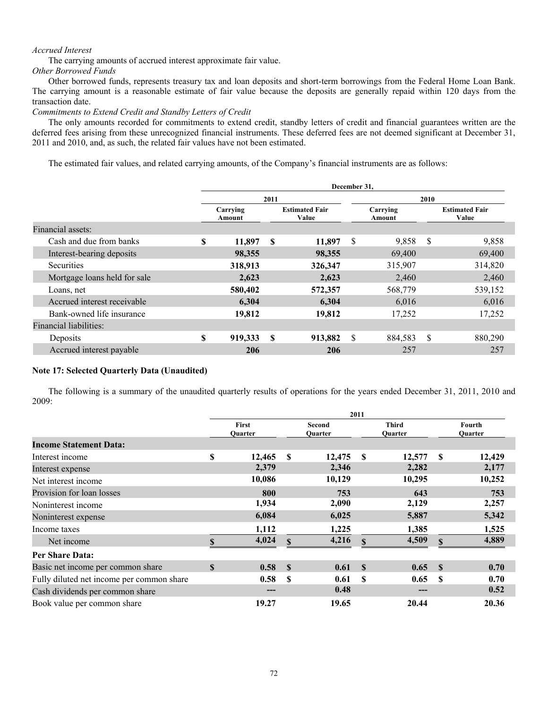# *Accrued Interest*

The carrying amounts of accrued interest approximate fair value.

## *Other Borrowed Funds*

 Other borrowed funds, represents treasury tax and loan deposits and short-term borrowings from the Federal Home Loan Bank. The carrying amount is a reasonable estimate of fair value because the deposits are generally repaid within 120 days from the transaction date.

# *Commitments to Extend Credit and Standby Letters of Credit*

 The only amounts recorded for commitments to extend credit, standby letters of credit and financial guarantees written are the deferred fees arising from these unrecognized financial instruments. These deferred fees are not deemed significant at December 31, 2011 and 2010, and, as such, the related fair values have not been estimated.

The estimated fair values, and related carrying amounts, of the Company's financial instruments are as follows:

| December 31.       |         |   |                                |              |                    |               |                                |  |  |  |
|--------------------|---------|---|--------------------------------|--------------|--------------------|---------------|--------------------------------|--|--|--|
| 2011               |         |   |                                |              | 2010               |               |                                |  |  |  |
| Carrying<br>Amount |         |   | <b>Estimated Fair</b><br>Value |              | Carrying<br>Amount |               | <b>Estimated Fair</b><br>Value |  |  |  |
|                    |         |   |                                |              |                    |               |                                |  |  |  |
| \$                 | 11,897  | S | 11,897                         | <sup>S</sup> | 9,858              | <sup>\$</sup> | 9,858                          |  |  |  |
|                    | 98,355  |   | 98,355                         |              | 69,400             |               | 69,400                         |  |  |  |
|                    | 318,913 |   | 326,347                        |              | 315,907            |               | 314,820                        |  |  |  |
|                    | 2,623   |   | 2,623                          |              | 2,460              |               | 2,460                          |  |  |  |
|                    | 580,402 |   | 572,357                        |              | 568,779            |               | 539,152                        |  |  |  |
|                    | 6.304   |   | 6,304                          |              | 6,016              |               | 6,016                          |  |  |  |
|                    | 19,812  |   | 19,812                         |              | 17,252             |               | 17,252                         |  |  |  |
|                    |         |   |                                |              |                    |               |                                |  |  |  |
| \$                 | 919,333 | S | 913,882                        | -S           | 884,583            | <sup>\$</sup> | 880,290                        |  |  |  |
|                    | 206     |   | 206                            |              | 257                |               | 257                            |  |  |  |
|                    |         |   |                                |              |                    |               |                                |  |  |  |

# **Note 17: Selected Quarterly Data (Unaudited)**

 The following is a summary of the unaudited quarterly results of operations for the years ended December 31, 2011, 2010 and 2009:

|                                           | 2011                    |        |                          |        |                         |        |                          |        |  |
|-------------------------------------------|-------------------------|--------|--------------------------|--------|-------------------------|--------|--------------------------|--------|--|
|                                           | First<br><b>Ouarter</b> |        | Second<br><b>Ouarter</b> |        | <b>Third</b><br>Ouarter |        | Fourth<br><b>Ouarter</b> |        |  |
| <b>Income Statement Data:</b>             |                         |        |                          |        |                         |        |                          |        |  |
| Interest income                           | \$                      | 12,465 | $\mathbf{s}$             | 12,475 | <b>S</b>                | 12,577 | $\mathbf{s}$             | 12,429 |  |
| Interest expense                          |                         | 2,379  |                          | 2,346  |                         | 2,282  |                          | 2,177  |  |
| Net interest income                       |                         | 10,086 |                          | 10,129 |                         | 10,295 |                          | 10,252 |  |
| Provision for loan losses                 |                         | 800    |                          | 753    |                         | 643    |                          | 753    |  |
| Noninterest income                        |                         | 1,934  |                          | 2,090  |                         | 2,129  |                          | 2,257  |  |
| Noninterest expense                       |                         | 6,084  |                          | 6,025  |                         | 5,887  |                          | 5,342  |  |
| Income taxes                              |                         | 1,112  |                          | 1,225  |                         | 1,385  |                          | 1,525  |  |
| Net income                                | \$                      | 4,024  | $\mathbf S$              | 4,216  | $\mathbf{\$}$           | 4,509  | <b>S</b>                 | 4,889  |  |
| <b>Per Share Data:</b>                    |                         |        |                          |        |                         |        |                          |        |  |
| Basic net income per common share         | $\mathbf S$             | 0.58   | <sup>S</sup>             | 0.61   | <b>S</b>                | 0.65   | - \$                     | 0.70   |  |
| Fully diluted net income per common share |                         | 0.58   | <b>S</b>                 | 0.61   | $\mathbf{s}$            | 0.65   | - \$                     | 0.70   |  |
| Cash dividends per common share           |                         | ---    |                          | 0.48   |                         | ---    |                          | 0.52   |  |
| Book value per common share               |                         | 19.27  |                          | 19.65  |                         | 20.44  |                          | 20.36  |  |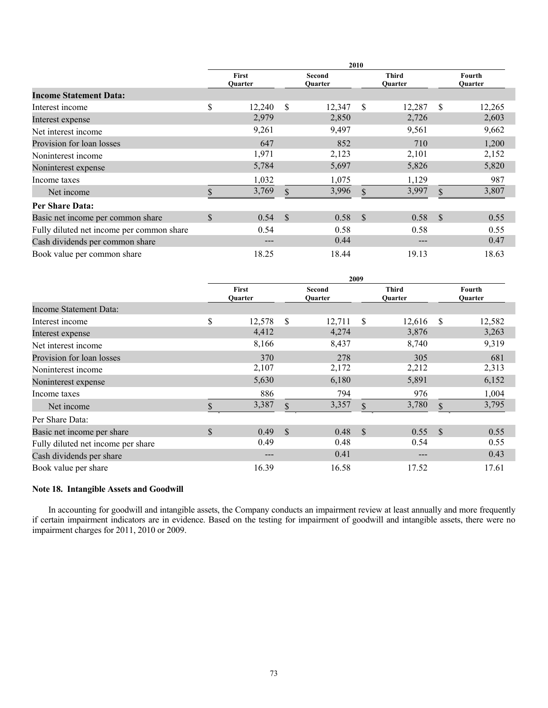|                                           | 2010         |                         |                    |                          |                    |                                |                    |                          |
|-------------------------------------------|--------------|-------------------------|--------------------|--------------------------|--------------------|--------------------------------|--------------------|--------------------------|
|                                           |              | First<br><b>Ouarter</b> |                    | Second<br><b>Ouarter</b> |                    | <b>Third</b><br><b>Ouarter</b> |                    | Fourth<br><b>Ouarter</b> |
| <b>Income Statement Data:</b>             |              |                         |                    |                          |                    |                                |                    |                          |
| Interest income                           | \$           | 12,240                  | \$                 | 12,347                   | \$                 | 12,287                         | \$                 | 12,265                   |
| Interest expense                          |              | 2,979                   |                    | 2,850                    |                    | 2,726                          |                    | 2,603                    |
| Net interest income                       |              | 9,261                   |                    | 9,497                    |                    | 9,561                          |                    | 9,662                    |
| Provision for loan losses                 |              | 647                     |                    | 852                      |                    | 710                            |                    | 1,200                    |
| Noninterest income                        |              | 1,971                   |                    | 2,123                    |                    | 2,101                          |                    | 2,152                    |
| Noninterest expense                       |              | 5,784                   |                    | 5,697                    |                    | 5,826                          |                    | 5,820                    |
| Income taxes                              |              | 1,032                   |                    | 1,075                    |                    | 1,129                          |                    | 987                      |
| Net income                                |              | 3,769                   | $\mathbf{\hat{S}}$ | 3,996                    | $\mathbf{\hat{S}}$ | 3,997                          | $\mathbf{\hat{S}}$ | 3,807                    |
| <b>Per Share Data:</b>                    |              |                         |                    |                          |                    |                                |                    |                          |
| Basic net income per common share         | $\mathbb{S}$ | 0.54                    | <sup>\$</sup>      | 0.58                     | $\mathbb{S}$       | 0.58                           | <sup>S</sup>       | 0.55                     |
| Fully diluted net income per common share |              | 0.54                    |                    | 0.58                     |                    | 0.58                           |                    | 0.55                     |
| Cash dividends per common share           |              | ---                     |                    | 0.44                     |                    | ---                            |                    | 0.47                     |
| Book value per common share               |              | 18.25                   |                    | 18.44                    |                    | 19.13                          |                    | 18.63                    |

|                                    | 2009             |                    |                   |                    |                         |               |                   |
|------------------------------------|------------------|--------------------|-------------------|--------------------|-------------------------|---------------|-------------------|
|                                    | First<br>Quarter |                    | Second<br>Quarter |                    | <b>Third</b><br>Quarter |               | Fourth<br>Quarter |
| Income Statement Data:             |                  |                    |                   |                    |                         |               |                   |
| Interest income                    | \$<br>12,578     | <sup>\$</sup>      | 12,711            | <sup>\$</sup>      | 12,616                  | \$            | 12,582            |
| Interest expense                   | 4,412            |                    | 4,274             |                    | 3,876                   |               | 3,263             |
| Net interest income                | 8,166            |                    | 8,437             |                    | 8,740                   |               | 9,319             |
| Provision for loan losses          | 370              |                    | 278               |                    | 305                     |               | 681               |
| Noninterest income                 | 2,107            |                    | 2,172             |                    | 2,212                   |               | 2,313             |
| Noninterest expense                | 5,630            |                    | 6,180             |                    | 5,891                   |               | 6,152             |
| Income taxes                       | 886              |                    | 794               |                    | 976                     |               | 1,004             |
| Net income                         | \$<br>3,387      | $\mathbf{\hat{S}}$ | 3,357             | $\mathbf{\hat{S}}$ | 3,780                   | $\mathcal{S}$ | 3,795             |
| Per Share Data:                    |                  |                    |                   |                    |                         |               |                   |
| Basic net income per share         | \$<br>0.49       | $\mathbb{S}$       | 0.48              | <sup>S</sup>       | 0.55                    | <sup>\$</sup> | 0.55              |
| Fully diluted net income per share | 0.49             |                    | 0.48              |                    | 0.54                    |               | 0.55              |
| Cash dividends per share           | $---$            |                    | 0.41              |                    | $---$                   |               | 0.43              |
| Book value per share               | 16.39            |                    | 16.58             |                    | 17.52                   |               | 17.61             |

### **Note 18. Intangible Assets and Goodwill**

 In accounting for goodwill and intangible assets, the Company conducts an impairment review at least annually and more frequently if certain impairment indicators are in evidence. Based on the testing for impairment of goodwill and intangible assets, there were no impairment charges for 2011, 2010 or 2009.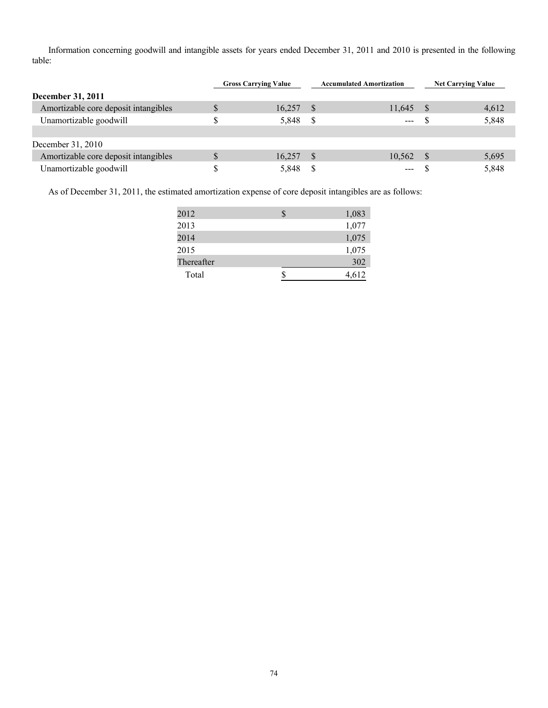Information concerning goodwill and intangible assets for years ended December 31, 2011 and 2010 is presented in the following table:

|                                      | <b>Gross Carrying Value</b> |        |    | <b>Accumulated Amortization</b> | <b>Net Carrying Value</b> |       |
|--------------------------------------|-----------------------------|--------|----|---------------------------------|---------------------------|-------|
| <b>December 31, 2011</b>             |                             |        |    |                                 |                           |       |
| Amortizable core deposit intangibles | \$                          | 16,257 |    | 11,645                          |                           | 4,612 |
| Unamortizable goodwill               | \$                          | 5,848  |    | $---$                           |                           | 5,848 |
|                                      |                             |        |    |                                 |                           |       |
| December 31, 2010                    |                             |        |    |                                 |                           |       |
| Amortizable core deposit intangibles | \$                          | 16,257 | -8 | 10,562                          |                           | 5,695 |
| Unamortizable goodwill               | \$                          | 5,848  |    | $\qquad \qquad -\qquad -$       |                           | 5,848 |

As of December 31, 2011, the estimated amortization expense of core deposit intangibles are as follows:

| 2012       | 1,083 |
|------------|-------|
| 2013       | 1,077 |
| 2014       | 1,075 |
| 2015       | 1,075 |
| Thereafter | 302   |
| Total      | 4,612 |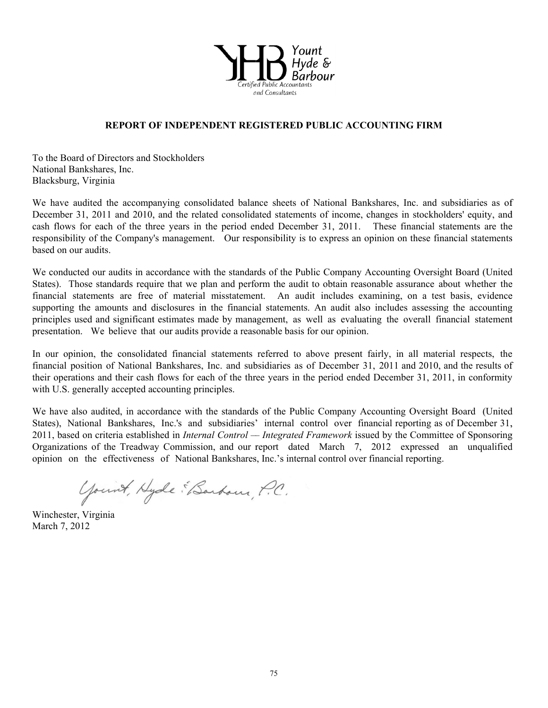

# **REPORT OF INDEPENDENT REGISTERED PUBLIC ACCOUNTING FIRM**

To the Board of Directors and Stockholders National Bankshares, Inc. Blacksburg, Virginia

We have audited the accompanying consolidated balance sheets of National Bankshares, Inc. and subsidiaries as of December 31, 2011 and 2010, and the related consolidated statements of income, changes in stockholders' equity, and cash flows for each of the three years in the period ended December 31, 2011. These financial statements are the responsibility of the Company's management. Our responsibility is to express an opinion on these financial statements based on our audits. des<br>des

We conducted our audits in accordance with the standards of the Public Company Accounting Oversight Board (United States). Those standards require that we plan and perform the audit to obtain reasonable assurance about whether the financial statements are free of material misstatement. An audit includes examining, on a test basis, evidence supporting the amounts and disclosures in the financial statements. An audit also includes assessing the accounting principles used and significant estimates made by management, as well as evaluating the overall financial statement presentation. We believe that our audits provide a reasonable basis for our opinion.

In our opinion, the consolidated financial statements referred to above present fairly, in all material respects, the financial position of National Bankshares, Inc. and subsidiaries as of December 31, 2011 and 2010, and the results of their operations and their cash flows for each of the three years in the period ended December 31, 2011, in conformity with U.S. generally accepted accounting principles. egtefydd

We have also audited, in accordance with the standards of the Public Company Accounting Oversight Board (United States), National Bankshares, Inc.'s and subsidiaries' internal control over financial reporting as of December 31, 2011, based on criteria established in *Internal Control — Integrated Framework* issued by the Committee of Sponsoring States), National Bankshares, Inc.'s and subsidiaries' internal control over financial reporting as of December 31, 2011, based on criteria established in *Internal Control* — *Integrated Framework* issued by the Committee opinion on the effectiveness of National Bankshares, Inc.'s internal control over financial reporting.

winchester, Virginia March 7, 2012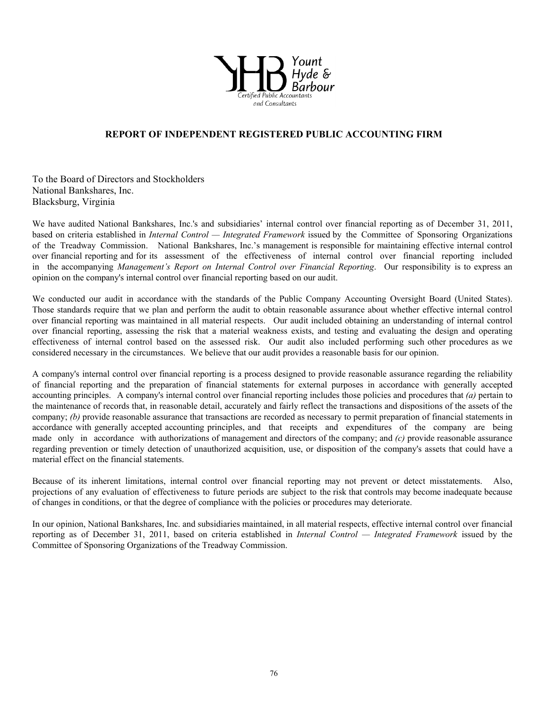

## **REPORT OF INDEPENDENT REGISTERED PUBLIC ACCOUNTING FIRM**

To the Board of Directors and Stockholders National Bankshares, Inc. Blacksburg, Virginia

We have audited National Bankshares, Inc.'s and subsidiaries' internal control over financial reporting as of December 31, 2011, based on criteria established in *Internal Control — Integrated Framework* issued by the Committee of Sponsoring Organizations of the Treadway Commission. National Bankshares, Inc.'s management is responsible for maintaining effective internal control over financial reporting and for its assessment of the effectiveness of internal control over financial reporting included in the accompanying *Management's Report on Internal Control over Financial Reporting. Our responsibility is to express an* opinion on the company's internal control over financial reporting based on our audit. l,<br>is<br>d<br>d n<br>).

We conducted our audit in accordance with the standards of the Public Company Accounting Oversight Board (United States). Those standards require that we plan and perform the audit to obtain reasonable assurance about whether effective internal control over financial reporting was maintained in all material respects. Our audit included obtaining an understanding of internal control over financial reporting, assessing the risk that a material weakness exists, and testing and evaluating the design and operating effectiveness of internal control based on the assessed risk. Our audit also included performing such other procedures as we considered necessary in the circumstances. We believe that our audit provides a reasonable basis for our opinion.

A company's internal control over financial reporting is a process designed to provide reasonable assurance regarding the reliability of financial reporting and the preparation of financial statements for external purposes in accordance with generally accepted accounting principles. A company's internal control over financial reporting includes those policies and procedures that *(a)* pertain to the maintenance of records that, in reasonable detail, accurately and fairly reflect the transactions and dispositions of the assets of the company; *(b)* provide reasonable assurance that transactions are recorded as necessary to permit preparation of financial statements in accordance with generally accepted accounting principles, and that receipts and expenditures of the company are being made only in accordance with authorizations of management and directors of the company; and (c) provide reasonable assurance regarding prevention or timely detection of unauthorized acquisition, use, or disposition of the company's assets that could have a material effect on the financial statements. ll geydoeng e<br>a<br>
,

Because of its inherent limitations, internal control over financial reporting may not prevent or detect misstatements. Also, projections of any evaluation of effectiveness to future periods are subject to the risk that controls may become inadequate because of changes in conditions, or that the degree of compliance with the policies or procedures may deteriorate.

In our opinion, National Bankshares, Inc. and subsidiaries maintained, in all material respects, effective internal control over financial reporting as of December 31, 2011, based on criteria established in *Internal Control — Integrated Framework* issued by the Committee of Sponsoring Organizations of the Treadway Commission. e<br>l<br>e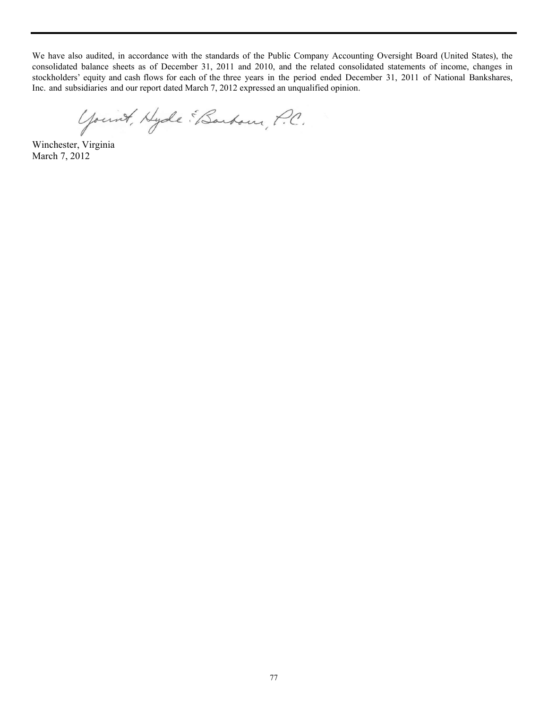We have also audited, in accordance with the standards of the Public Company Accounting Oversight Board (United States), the consolidated balance sheets as of December 31, 2011 and 2010, and the related consolidated statements of income, changes in stockholders' equity and cash flows for each of the three years in the period ended December 31, 2011 of National Bankshares, Inc. and subsidiaries and our report dated March 7, 2012 expressed an unqualified opinion.

Yount, Hyde ESarbour, P.C.

Winchester, Virginia March 7, 2012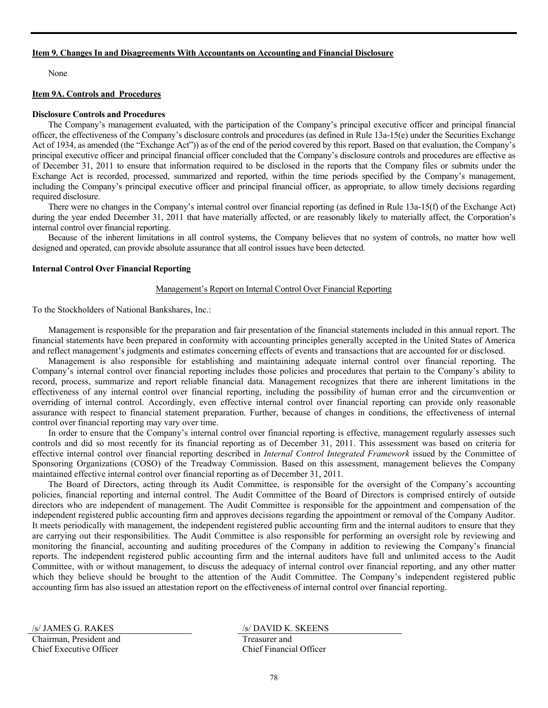### **Item 9. Changes In and Disagreements With Accountants on Accounting and Financial Disclosure**

None

### **Item 9A. Controls and Procedures**

### **Disclosure Controls and Procedures**

 The Company's management evaluated, with the participation of the Company's principal executive officer and principal financial officer, the effectiveness of the Company's disclosure controls and procedures (as defined in Rule 13a-15(e) under the Securities Exchange Act of 1934, as amended (the "Exchange Act")) as of the end of the period covered by this report. Based on that evaluation, the Company's principal executive officer and principal financial officer concluded that the Company's disclosure controls and procedures are effective as of December 31, 2011 to ensure that information required to be disclosed in the reports that the Company files or submits under the Exchange Act is recorded, processed, summarized and reported, within the time periods specified by the Company's management, including the Company's principal executive officer and principal financial officer, as appropriate, to allow timely decisions regarding required disclosure.

 There were no changes in the Company's internal control over financial reporting (as defined in Rule 13a-15(f) of the Exchange Act) during the year ended December 31, 2011 that have materially affected, or are reasonably likely to materially affect, the Corporation's internal control over financial reporting.

 Because of the inherent limitations in all control systems, the Company believes that no system of controls, no matter how well designed and operated, can provide absolute assurance that all control issues have been detected.

### **Internal Control Over Financial Reporting**

### Management's Report on Internal Control Over Financial Reporting

To the Stockholders of National Bankshares, Inc.:

 Management is responsible for the preparation and fair presentation of the financial statements included in this annual report. The financial statements have been prepared in conformity with accounting principles generally accepted in the United States of America and reflect management's judgments and estimates concerning effects of events and transactions that are accounted for or disclosed.

 Management is also responsible for establishing and maintaining adequate internal control over financial reporting. The Company's internal control over financial reporting includes those policies and procedures that pertain to the Company's ability to record, process, summarize and report reliable financial data. Management recognizes that there are inherent limitations in the effectiveness of any internal control over financial reporting, including the possibility of human error and the circumvention or overriding of internal control. Accordingly, even effective internal control over financial reporting can provide only reasonable assurance with respect to financial statement preparation. Further, because of changes in conditions, the effectiveness of internal control over financial reporting may vary over time.

 In order to ensure that the Company's internal control over financial reporting is effective, management regularly assesses such controls and did so most recently for its financial reporting as of December 31, 2011. This assessment was based on criteria for effective internal control over financial reporting described in *Internal Control Integrated Framework* issued by the Committee of Sponsoring Organizations (COSO) of the Treadway Commission. Based on this assessment, management believes the Company maintained effective internal control over financial reporting as of December 31, 2011.

 The Board of Directors, acting through its Audit Committee, is responsible for the oversight of the Company's accounting policies, financial reporting and internal control. The Audit Committee of the Board of Directors is comprised entirely of outside directors who are independent of management. The Audit Committee is responsible for the appointment and compensation of the independent registered public accounting firm and approves decisions regarding the appointment or removal of the Company Auditor. It meets periodically with management, the independent registered public accounting firm and the internal auditors to ensure that they are carrying out their responsibilities. The Audit Committee is also responsible for performing an oversight role by reviewing and monitoring the financial, accounting and auditing procedures of the Company in addition to reviewing the Company's financial reports. The independent registered public accounting firm and the internal auditors have full and unlimited access to the Audit Committee, with or without management, to discuss the adequacy of internal control over financial reporting, and any other matter which they believe should be brought to the attention of the Audit Committee. The Company's independent registered public accounting firm has also issued an attestation report on the effectiveness of internal control over financial reporting.

Chairman, President and Chief Executive Officer

/s/ JAMES G. RAKES /s/ DAVID K. SKEENS Treasurer and

Chief Financial Officer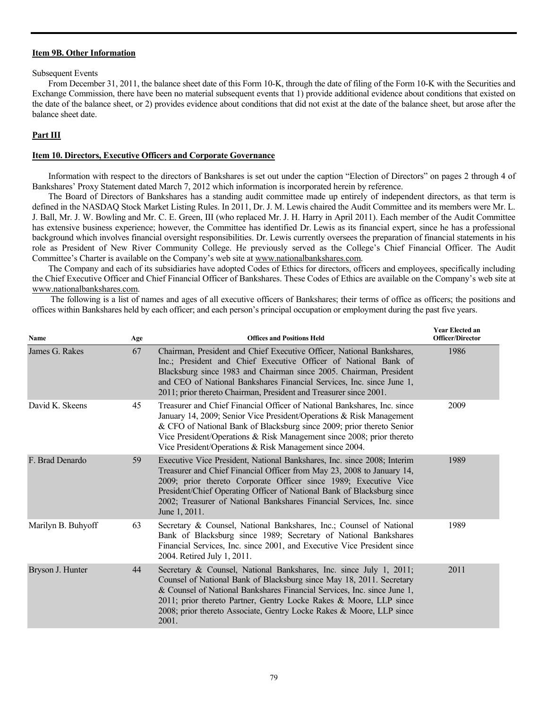### **Item 9B. Other Information**

#### Subsequent Events

 From December 31, 2011, the balance sheet date of this Form 10-K, through the date of filing of the Form 10-K with the Securities and Exchange Commission, there have been no material subsequent events that 1) provide additional evidence about conditions that existed on the date of the balance sheet, or 2) provides evidence about conditions that did not exist at the date of the balance sheet, but arose after the balance sheet date.

## **Part III**

### **Item 10. Directors, Executive Officers and Corporate Governance**

 Information with respect to the directors of Bankshares is set out under the caption "Election of Directors" on pages 2 through 4 of Bankshares' Proxy Statement dated March 7, 2012 which information is incorporated herein by reference.

 The Board of Directors of Bankshares has a standing audit committee made up entirely of independent directors, as that term is defined in the NASDAQ Stock Market Listing Rules. In 2011, Dr. J. M. Lewis chaired the Audit Committee and its members were Mr. L. J. Ball, Mr. J. W. Bowling and Mr. C. E. Green, III (who replaced Mr. J. H. Harry in April 2011). Each member of the Audit Committee has extensive business experience; however, the Committee has identified Dr. Lewis as its financial expert, since he has a professional background which involves financial oversight responsibilities. Dr. Lewis currently oversees the preparation of financial statements in his role as President of New River Community College. He previously served as the College's Chief Financial Officer. The Audit Committee's Charter is available on the Company's web site at www.nationalbankshares.com.

 The Company and each of its subsidiaries have adopted Codes of Ethics for directors, officers and employees, specifically including the Chief Executive Officer and Chief Financial Officer of Bankshares. These Codes of Ethics are available on the Company's web site at www.nationalbankshares.com.

 The following is a list of names and ages of all executive officers of Bankshares; their terms of office as officers; the positions and offices within Bankshares held by each officer; and each person's principal occupation or employment during the past five years.

| Name               | Age | <b>Offices and Positions Held</b>                                                                                                                                                                                                                                                                                                                                                         | <b>Year Elected an</b><br><b>Officer/Director</b> |
|--------------------|-----|-------------------------------------------------------------------------------------------------------------------------------------------------------------------------------------------------------------------------------------------------------------------------------------------------------------------------------------------------------------------------------------------|---------------------------------------------------|
| James G. Rakes     | 67  | Chairman, President and Chief Executive Officer, National Bankshares,<br>Inc.; President and Chief Executive Officer of National Bank of<br>Blacksburg since 1983 and Chairman since 2005. Chairman, President<br>and CEO of National Bankshares Financial Services, Inc. since June 1,<br>2011; prior thereto Chairman, President and Treasurer since 2001.                              | 1986                                              |
| David K. Skeens    | 45  | Treasurer and Chief Financial Officer of National Bankshares, Inc. since<br>January 14, 2009; Senior Vice President/Operations & Risk Management<br>& CFO of National Bank of Blacksburg since 2009; prior thereto Senior<br>Vice President/Operations $\&$ Risk Management since 2008; prior thereto<br>Vice President/Operations & Risk Management since 2004.                          | 2009                                              |
| F. Brad Denardo    | 59  | Executive Vice President, National Bankshares, Inc. since 2008; Interim<br>Treasurer and Chief Financial Officer from May 23, 2008 to January 14,<br>2009; prior thereto Corporate Officer since 1989; Executive Vice<br>President/Chief Operating Officer of National Bank of Blacksburg since<br>2002; Treasurer of National Bankshares Financial Services, Inc. since<br>June 1, 2011. | 1989                                              |
| Marilyn B. Buhyoff | 63  | Secretary & Counsel, National Bankshares, Inc.; Counsel of National<br>Bank of Blacksburg since 1989; Secretary of National Bankshares<br>Financial Services, Inc. since 2001, and Executive Vice President since<br>2004. Retired July 1, 2011.                                                                                                                                          | 1989                                              |
| Bryson J. Hunter   | 44  | Secretary & Counsel, National Bankshares, Inc. since July 1, 2011;<br>Counsel of National Bank of Blacksburg since May 18, 2011. Secretary<br>& Counsel of National Bankshares Financial Services, Inc. since June 1,<br>2011; prior thereto Partner, Gentry Locke Rakes & Moore, LLP since<br>2008; prior thereto Associate, Gentry Locke Rakes & Moore, LLP since<br>2001.              | 2011                                              |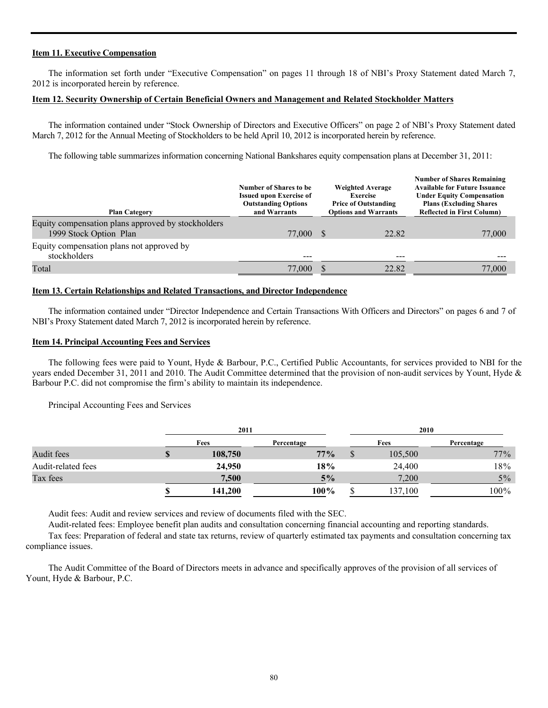### **Item 11. Executive Compensation**

 The information set forth under "Executive Compensation" on pages 11 through 18 of NBI's Proxy Statement dated March 7, 2012 is incorporated herein by reference.

### **Item 12. Security Ownership of Certain Beneficial Owners and Management and Related Stockholder Matters**

 The information contained under "Stock Ownership of Directors and Executive Officers" on page 2 of NBI's Proxy Statement dated March 7, 2012 for the Annual Meeting of Stockholders to be held April 10, 2012 is incorporated herein by reference.

The following table summarizes information concerning National Bankshares equity compensation plans at December 31, 2011:

| <b>Plan Category</b>                                                         | Number of Shares to be<br><b>Issued upon Exercise of</b><br><b>Outstanding Options</b><br>and Warrants | <b>Weighted Average</b><br><b>Exercise</b><br><b>Price of Outstanding</b><br><b>Options and Warrants</b> | <b>Number of Shares Remaining</b><br><b>Available for Future Issuance</b><br><b>Under Equity Compensation</b><br><b>Plans (Excluding Shares)</b><br><b>Reflected in First Column)</b> |
|------------------------------------------------------------------------------|--------------------------------------------------------------------------------------------------------|----------------------------------------------------------------------------------------------------------|---------------------------------------------------------------------------------------------------------------------------------------------------------------------------------------|
| Equity compensation plans approved by stockholders<br>1999 Stock Option Plan | 77,000                                                                                                 | 22.82                                                                                                    | 77,000                                                                                                                                                                                |
| Equity compensation plans not approved by<br>stockholders                    | $- - -$                                                                                                | ---                                                                                                      |                                                                                                                                                                                       |
| Total                                                                        | 77,000                                                                                                 | 22.82                                                                                                    | 77,000                                                                                                                                                                                |

### **Item 13. Certain Relationships and Related Transactions, and Director Independence**

 The information contained under "Director Independence and Certain Transactions With Officers and Directors" on pages 6 and 7 of NBI's Proxy Statement dated March 7, 2012 is incorporated herein by reference.

### **Item 14. Principal Accounting Fees and Services**

 The following fees were paid to Yount, Hyde & Barbour, P.C., Certified Public Accountants, for services provided to NBI for the years ended December 31, 2011 and 2010. The Audit Committee determined that the provision of non-audit services by Yount, Hyde & Barbour P.C. did not compromise the firm's ability to maintain its independence.

Principal Accounting Fees and Services

|                    | 2011    |            | 2010    |            |
|--------------------|---------|------------|---------|------------|
|                    | Fees    | Percentage | Fees    | Percentage |
| Audit fees         | 108,750 | $77\%$     | 105,500 | 77%        |
| Audit-related fees | 24,950  | 18%        | 24,400  | 18%        |
| Tax fees           | 7,500   | $5\%$      | 7,200   | $5\%$      |
|                    | 141,200 | 100%       | 137,100 | 100%       |

Audit fees: Audit and review services and review of documents filed with the SEC.

 Audit-related fees: Employee benefit plan audits and consultation concerning financial accounting and reporting standards. Tax fees: Preparation of federal and state tax returns, review of quarterly estimated tax payments and consultation concerning tax compliance issues.

 The Audit Committee of the Board of Directors meets in advance and specifically approves of the provision of all services of Yount, Hyde & Barbour, P.C.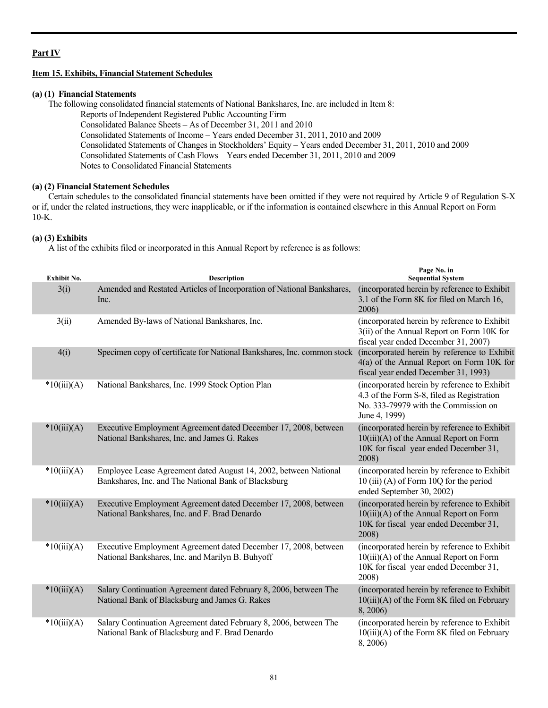## **Part IV**

## **Item 15. Exhibits, Financial Statement Schedules**

## **(a) (1) Financial Statements**

The following consolidated financial statements of National Bankshares, Inc. are included in Item 8:

Reports of Independent Registered Public Accounting Firm

 Consolidated Balance Sheets – As of December 31, 2011 and 2010 Consolidated Statements of Income – Years ended December 31, 2011, 2010 and 2009 Consolidated Statements of Changes in Stockholders' Equity – Years ended December 31, 2011, 2010 and 2009 Consolidated Statements of Cash Flows – Years ended December 31, 2011, 2010 and 2009

Notes to Consolidated Financial Statements

## **(a) (2) Financial Statement Schedules**

 Certain schedules to the consolidated financial statements have been omitted if they were not required by Article 9 of Regulation S-X or if, under the related instructions, they were inapplicable, or if the information is contained elsewhere in this Annual Report on Form 10-K.

## **(a) (3) Exhibits**

A list of the exhibits filed or incorporated in this Annual Report by reference is as follows:

| <b>Exhibit No.</b> | Description                                                                                                              | Page No. in<br><b>Sequential System</b>                                                                                                             |
|--------------------|--------------------------------------------------------------------------------------------------------------------------|-----------------------------------------------------------------------------------------------------------------------------------------------------|
| 3(i)               | Amended and Restated Articles of Incorporation of National Bankshares,<br>Inc.                                           | (incorporated herein by reference to Exhibit<br>3.1 of the Form 8K for filed on March 16,<br>2006)                                                  |
| 3(ii)              | Amended By-laws of National Bankshares, Inc.                                                                             | (incorporated herein by reference to Exhibit<br>3(ii) of the Annual Report on Form 10K for<br>fiscal year ended December 31, 2007)                  |
| 4(i)               | Specimen copy of certificate for National Bankshares, Inc. common stock                                                  | (incorporated herein by reference to Exhibit<br>4(a) of the Annual Report on Form 10K for<br>fiscal year ended December 31, 1993)                   |
| $*10(iii)(A)$      | National Bankshares, Inc. 1999 Stock Option Plan                                                                         | (incorporated herein by reference to Exhibit<br>4.3 of the Form S-8, filed as Registration<br>No. 333-79979 with the Commission on<br>June 4, 1999) |
| $*10(iii)(A)$      | Executive Employment Agreement dated December 17, 2008, between<br>National Bankshares, Inc. and James G. Rakes          | (incorporated herein by reference to Exhibit<br>10(iii)(A) of the Annual Report on Form<br>10K for fiscal year ended December 31,<br>2008)          |
| $*10(iii)(A)$      | Employee Lease Agreement dated August 14, 2002, between National<br>Bankshares, Inc. and The National Bank of Blacksburg | (incorporated herein by reference to Exhibit<br>$10$ (iii) (A) of Form $10Q$ for the period<br>ended September 30, 2002)                            |
| $*10(iii)(A)$      | Executive Employment Agreement dated December 17, 2008, between<br>National Bankshares, Inc. and F. Brad Denardo         | (incorporated herein by reference to Exhibit<br>10(iii)(A) of the Annual Report on Form<br>10K for fiscal year ended December 31,<br>2008)          |
| $*10(iii)(A)$      | Executive Employment Agreement dated December 17, 2008, between<br>National Bankshares, Inc. and Marilyn B. Buhyoff      | (incorporated herein by reference to Exhibit<br>$10(iii)(A)$ of the Annual Report on Form<br>10K for fiscal year ended December 31,<br>2008)        |
| $*10(iii)(A)$      | Salary Continuation Agreement dated February 8, 2006, between The<br>National Bank of Blacksburg and James G. Rakes      | (incorporated herein by reference to Exhibit<br>10(iii)(A) of the Form 8K filed on February<br>8, 2006)                                             |
| $*10(iii)(A)$      | Salary Continuation Agreement dated February 8, 2006, between The<br>National Bank of Blacksburg and F. Brad Denardo     | (incorporated herein by reference to Exhibit<br>10(iii)(A) of the Form 8K filed on February<br>8, 2006)                                             |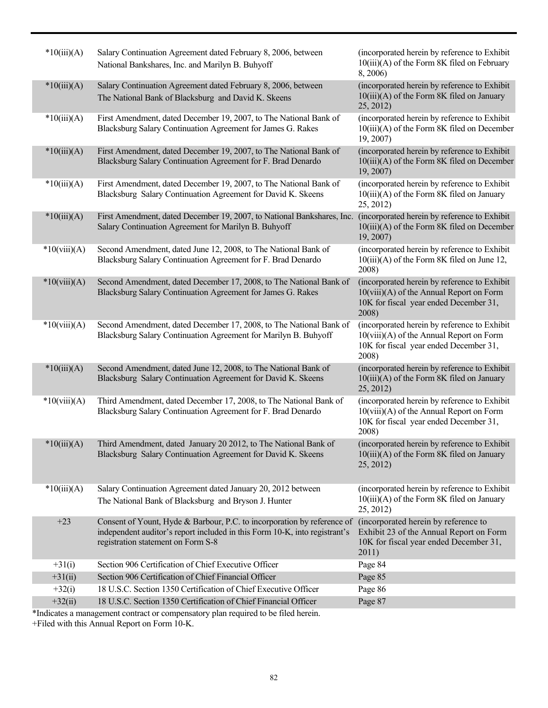| $*10(iii)(A)$  | Salary Continuation Agreement dated February 8, 2006, between<br>National Bankshares, Inc. and Marilyn B. Buhyoff                                                                           | (incorporated herein by reference to Exhibit<br>10(iii)(A) of the Form 8K filed on February<br>8, 2006)                                     |
|----------------|---------------------------------------------------------------------------------------------------------------------------------------------------------------------------------------------|---------------------------------------------------------------------------------------------------------------------------------------------|
| $*10(iii)(A)$  | Salary Continuation Agreement dated February 8, 2006, between<br>The National Bank of Blacksburg and David K. Skeens                                                                        | (incorporated herein by reference to Exhibit<br>10(iii)(A) of the Form 8K filed on January<br>25, 2012)                                     |
| $*10(iii)(A)$  | First Amendment, dated December 19, 2007, to The National Bank of<br>Blacksburg Salary Continuation Agreement for James G. Rakes                                                            | (incorporated herein by reference to Exhibit<br>10(iii)(A) of the Form 8K filed on December<br>19, 2007)                                    |
| $*10(iii)(A)$  | First Amendment, dated December 19, 2007, to The National Bank of<br>Blacksburg Salary Continuation Agreement for F. Brad Denardo                                                           | (incorporated herein by reference to Exhibit<br>10(iii)(A) of the Form 8K filed on December<br>19, 2007)                                    |
| $*10(iii)(A)$  | First Amendment, dated December 19, 2007, to The National Bank of<br>Blacksburg Salary Continuation Agreement for David K. Skeens                                                           | (incorporated herein by reference to Exhibit<br>10(iii)(A) of the Form 8K filed on January<br>25, 2012)                                     |
| $*10(iii)(A)$  | First Amendment, dated December 19, 2007, to National Bankshares, Inc.<br>Salary Continuation Agreement for Marilyn B. Buhyoff                                                              | (incorporated herein by reference to Exhibit<br>10(iii)(A) of the Form 8K filed on December<br>19, 2007)                                    |
| $*10(viii)(A)$ | Second Amendment, dated June 12, 2008, to The National Bank of<br>Blacksburg Salary Continuation Agreement for F. Brad Denardo                                                              | (incorporated herein by reference to Exhibit<br>10(iii)(A) of the Form 8K filed on June 12,<br>2008)                                        |
| $*10(viii)(A)$ | Second Amendment, dated December 17, 2008, to The National Bank of<br>Blacksburg Salary Continuation Agreement for James G. Rakes                                                           | (incorporated herein by reference to Exhibit<br>10(viii)(A) of the Annual Report on Form<br>10K for fiscal year ended December 31,<br>2008) |
| $*10(viii)(A)$ | Second Amendment, dated December 17, 2008, to The National Bank of<br>Blacksburg Salary Continuation Agreement for Marilyn B. Buhyoff                                                       | (incorporated herein by reference to Exhibit<br>10(viii)(A) of the Annual Report on Form<br>10K for fiscal year ended December 31,<br>2008) |
| $*10(iii)(A)$  | Second Amendment, dated June 12, 2008, to The National Bank of<br>Blacksburg Salary Continuation Agreement for David K. Skeens                                                              | (incorporated herein by reference to Exhibit<br>10(iii)(A) of the Form 8K filed on January<br>25, 2012)                                     |
| $*10(viii)(A)$ | Third Amendment, dated December 17, 2008, to The National Bank of<br>Blacksburg Salary Continuation Agreement for F. Brad Denardo                                                           | (incorporated herein by reference to Exhibit<br>10(viii)(A) of the Annual Report on Form<br>10K for fiscal year ended December 31,<br>2008) |
| $*10(iii)(A)$  | Third Amendment, dated January 20 2012, to The National Bank of<br>Blacksburg Salary Continuation Agreement for David K. Skeens                                                             | (incorporated herein by reference to Exhibit<br>$10(iii)(A)$ of the Form 8K filed on January<br>25, 2012)                                   |
| $*10(iii)(A)$  | Salary Continuation Agreement dated January 20, 2012 between<br>The National Bank of Blacksburg and Bryson J. Hunter                                                                        | (incorporated herein by reference to Exhibit<br>10(iii)(A) of the Form 8K filed on January<br>25, 2012)                                     |
| $+23$          | Consent of Yount, Hyde & Barbour, P.C. to incorporation by reference of<br>independent auditor's report included in this Form 10-K, into registrant's<br>registration statement on Form S-8 | (incorporated herein by reference to<br>Exhibit 23 of the Annual Report on Form<br>10K for fiscal year ended December 31,<br>2011)          |
| $+31(i)$       | Section 906 Certification of Chief Executive Officer                                                                                                                                        | Page 84                                                                                                                                     |
| $+31(ii)$      | Section 906 Certification of Chief Financial Officer                                                                                                                                        | Page 85                                                                                                                                     |
| $+32(i)$       | 18 U.S.C. Section 1350 Certification of Chief Executive Officer                                                                                                                             | Page 86                                                                                                                                     |
| $+32(ii)$      | 18 U.S.C. Section 1350 Certification of Chief Financial Officer                                                                                                                             | Page 87                                                                                                                                     |

\*Indicates a management contract or compensatory plan required to be filed herein.

+Filed with this Annual Report on Form 10-K.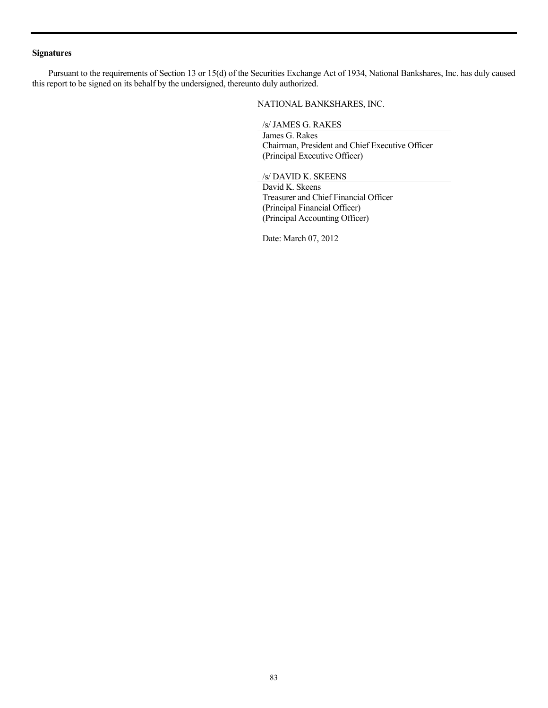### **Signatures**

 Pursuant to the requirements of Section 13 or 15(d) of the Securities Exchange Act of 1934, National Bankshares, Inc. has duly caused this report to be signed on its behalf by the undersigned, thereunto duly authorized.

NATIONAL BANKSHARES, INC.

#### /s/ JAMES G. RAKES

James G. Rakes Chairman, President and Chief Executive Officer (Principal Executive Officer)

## /s/ DAVID K. SKEENS

David K. Skeens Treasurer and Chief Financial Officer (Principal Financial Officer) (Principal Accounting Officer)

Date: March 07, 2012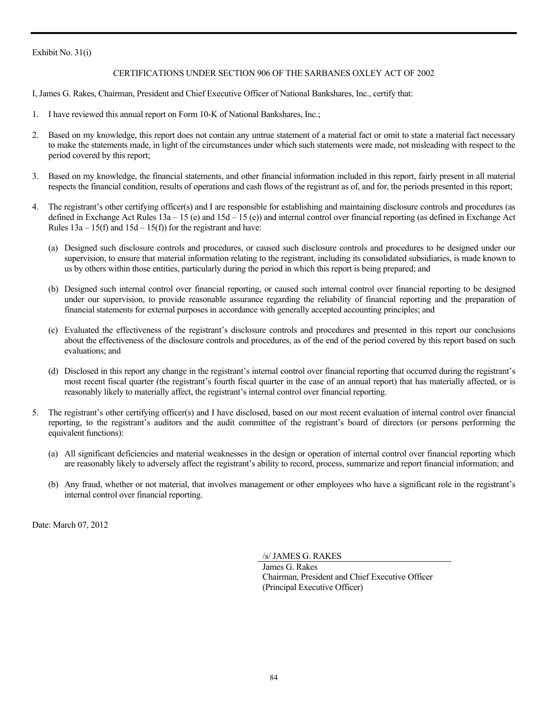## Exhibit No. 31(i)

## CERTIFICATIONS UNDER SECTION 906 OF THE SARBANES OXLEY ACT OF 2002

I, James G. Rakes, Chairman, President and Chief Executive Officer of National Bankshares, Inc., certify that:

- 1. I have reviewed this annual report on Form 10-K of National Bankshares, Inc.;
- 2. Based on my knowledge, this report does not contain any untrue statement of a material fact or omit to state a material fact necessary to make the statements made, in light of the circumstances under which such statements were made, not misleading with respect to the period covered by this report;
- 3. Based on my knowledge, the financial statements, and other financial information included in this report, fairly present in all material respects the financial condition, results of operations and cash flows of the registrant as of, and for, the periods presented in this report;
- 4. The registrant's other certifying officer(s) and I are responsible for establishing and maintaining disclosure controls and procedures (as defined in Exchange Act Rules 13a – 15 (e) and 15d – 15 (e)) and internal control over financial reporting (as defined in Exchange Act Rules  $13a - 15(f)$  and  $15d - 15(f)$  for the registrant and have:
	- (a) Designed such disclosure controls and procedures, or caused such disclosure controls and procedures to be designed under our supervision, to ensure that material information relating to the registrant, including its consolidated subsidiaries, is made known to us by others within those entities, particularly during the period in which this report is being prepared; and
	- (b) Designed such internal control over financial reporting, or caused such internal control over financial reporting to be designed under our supervision, to provide reasonable assurance regarding the reliability of financial reporting and the preparation of financial statements for external purposes in accordance with generally accepted accounting principles; and
	- (c) Evaluated the effectiveness of the registrant's disclosure controls and procedures and presented in this report our conclusions about the effectiveness of the disclosure controls and procedures, as of the end of the period covered by this report based on such evaluations; and
	- (d) Disclosed in this report any change in the registrant's internal control over financial reporting that occurred during the registrant's most recent fiscal quarter (the registrant's fourth fiscal quarter in the case of an annual report) that has materially affected, or is reasonably likely to materially affect, the registrant's internal control over financial reporting.
- 5. The registrant's other certifying officer(s) and I have disclosed, based on our most recent evaluation of internal control over financial reporting, to the registrant's auditors and the audit committee of the registrant's board of directors (or persons performing the equivalent functions):
	- (a) All significant deficiencies and material weaknesses in the design or operation of internal control over financial reporting which are reasonably likely to adversely affect the registrant's ability to record, process, summarize and report financial information; and
	- (b) Any fraud, whether or not material, that involves management or other employees who have a significant role in the registrant's internal control over financial reporting.

Date: March 07, 2012

/s/ JAMES G. RAKES

James G. Rakes Chairman, President and Chief Executive Officer (Principal Executive Officer)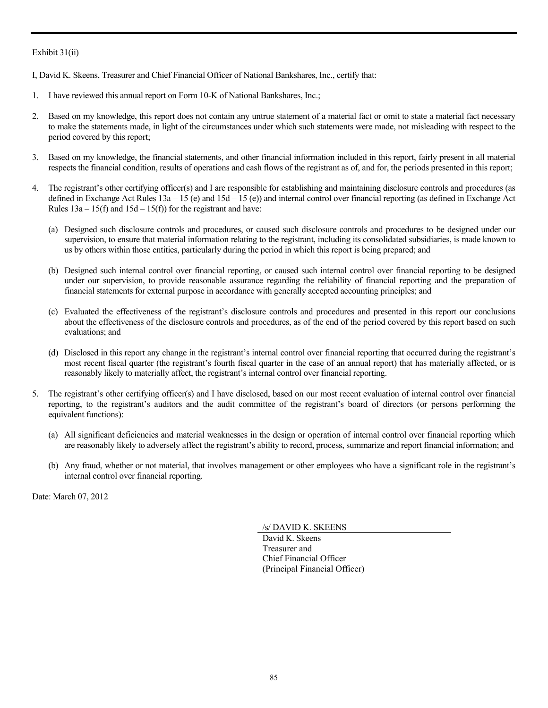## Exhibit 31(ii)

I, David K. Skeens, Treasurer and Chief Financial Officer of National Bankshares, Inc., certify that:

- 1. I have reviewed this annual report on Form 10-K of National Bankshares, Inc.;
- 2. Based on my knowledge, this report does not contain any untrue statement of a material fact or omit to state a material fact necessary to make the statements made, in light of the circumstances under which such statements were made, not misleading with respect to the period covered by this report;
- 3. Based on my knowledge, the financial statements, and other financial information included in this report, fairly present in all material respects the financial condition, results of operations and cash flows of the registrant as of, and for, the periods presented in this report;
- 4. The registrant's other certifying officer(s) and I are responsible for establishing and maintaining disclosure controls and procedures (as defined in Exchange Act Rules  $13a - 15$  (e) and  $15d - 15$  (e)) and internal control over financial reporting (as defined in Exchange Act Rules  $13a - 15(f)$  and  $15d - 15(f)$  for the registrant and have:
	- (a) Designed such disclosure controls and procedures, or caused such disclosure controls and procedures to be designed under our supervision, to ensure that material information relating to the registrant, including its consolidated subsidiaries, is made known to us by others within those entities, particularly during the period in which this report is being prepared; and
	- (b) Designed such internal control over financial reporting, or caused such internal control over financial reporting to be designed under our supervision, to provide reasonable assurance regarding the reliability of financial reporting and the preparation of financial statements for external purpose in accordance with generally accepted accounting principles; and
	- (c) Evaluated the effectiveness of the registrant's disclosure controls and procedures and presented in this report our conclusions about the effectiveness of the disclosure controls and procedures, as of the end of the period covered by this report based on such evaluations; and
	- (d) Disclosed in this report any change in the registrant's internal control over financial reporting that occurred during the registrant's most recent fiscal quarter (the registrant's fourth fiscal quarter in the case of an annual report) that has materially affected, or is reasonably likely to materially affect, the registrant's internal control over financial reporting.
- 5. The registrant's other certifying officer(s) and I have disclosed, based on our most recent evaluation of internal control over financial reporting, to the registrant's auditors and the audit committee of the registrant's board of directors (or persons performing the equivalent functions):
	- (a) All significant deficiencies and material weaknesses in the design or operation of internal control over financial reporting which are reasonably likely to adversely affect the registrant's ability to record, process, summarize and report financial information; and
	- (b) Any fraud, whether or not material, that involves management or other employees who have a significant role in the registrant's internal control over financial reporting.

Date: March 07, 2012

/s/ DAVID K. SKEENS

David K. Skeens Treasurer and Chief Financial Officer (Principal Financial Officer)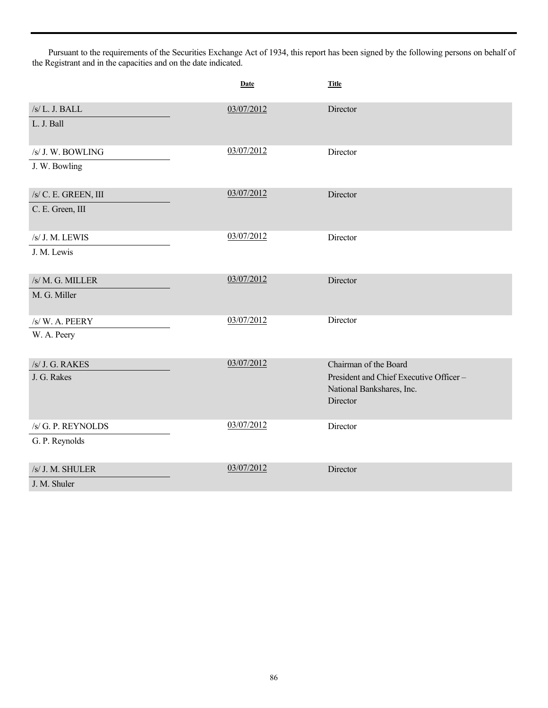Pursuant to the requirements of the Securities Exchange Act of 1934, this report has been signed by the following persons on behalf of the Registrant and in the capacities and on the date indicated.

|                                          | Date       | <b>Title</b>                                                                                             |
|------------------------------------------|------------|----------------------------------------------------------------------------------------------------------|
| /s/ L. J. BALL<br>L. J. Ball             | 03/07/2012 | Director                                                                                                 |
| /s/ J. W. BOWLING<br>J. W. Bowling       | 03/07/2012 | Director                                                                                                 |
| /s/ C. E. GREEN, III<br>C. E. Green, III | 03/07/2012 | Director                                                                                                 |
| /s/ J. M. LEWIS<br>J. M. Lewis           | 03/07/2012 | Director                                                                                                 |
| /s/ M. G. MILLER<br>M. G. Miller         | 03/07/2012 | Director                                                                                                 |
| /s/W. A. PEERY<br>W. A. Peery            | 03/07/2012 | Director                                                                                                 |
| /s/ J. G. RAKES<br>J. G. Rakes           | 03/07/2012 | Chairman of the Board<br>President and Chief Executive Officer-<br>National Bankshares, Inc.<br>Director |
| /s/ G. P. REYNOLDS<br>G. P. Reynolds     | 03/07/2012 | Director                                                                                                 |
| /s/ J. M. SHULER<br>J. M. Shuler         | 03/07/2012 | Director                                                                                                 |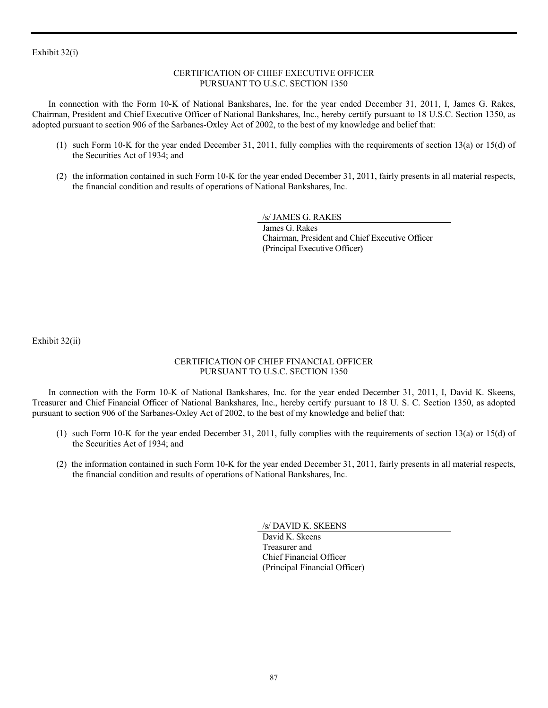Exhibit 32(i)

## CERTIFICATION OF CHIEF EXECUTIVE OFFICER PURSUANT TO U.S.C. SECTION 1350

 In connection with the Form 10-K of National Bankshares, Inc. for the year ended December 31, 2011, I, James G. Rakes, Chairman, President and Chief Executive Officer of National Bankshares, Inc., hereby certify pursuant to 18 U.S.C. Section 1350, as adopted pursuant to section 906 of the Sarbanes-Oxley Act of 2002, to the best of my knowledge and belief that:

- (1) such Form 10-K for the year ended December 31, 2011, fully complies with the requirements of section 13(a) or 15(d) of the Securities Act of 1934; and
- (2) the information contained in such Form 10-K for the year ended December 31, 2011, fairly presents in all material respects, the financial condition and results of operations of National Bankshares, Inc.

/s/ JAMES G. RAKES

James G. Rakes Chairman, President and Chief Executive Officer (Principal Executive Officer)

Exhibit 32(ii)

## CERTIFICATION OF CHIEF FINANCIAL OFFICER PURSUANT TO U.S.C. SECTION 1350

 In connection with the Form 10-K of National Bankshares, Inc. for the year ended December 31, 2011, I, David K. Skeens, Treasurer and Chief Financial Officer of National Bankshares, Inc., hereby certify pursuant to 18 U. S. C. Section 1350, as adopted pursuant to section 906 of the Sarbanes-Oxley Act of 2002, to the best of my knowledge and belief that:

- (1) such Form 10-K for the year ended December 31, 2011, fully complies with the requirements of section 13(a) or 15(d) of the Securities Act of 1934; and
- (2) the information contained in such Form 10-K for the year ended December 31, 2011, fairly presents in all material respects, the financial condition and results of operations of National Bankshares, Inc.

/s/ DAVID K. SKEENS

David K. Skeens Treasurer and Chief Financial Officer (Principal Financial Officer)